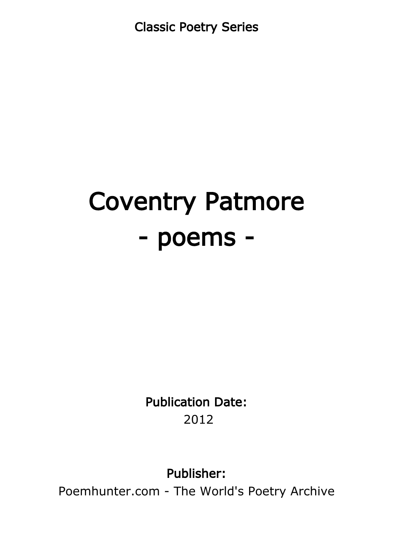Classic Poetry Series

# Coventry Patmore - poems -

Publication Date: 2012

Publisher:

Poemhunter.com - The World's Poetry Archive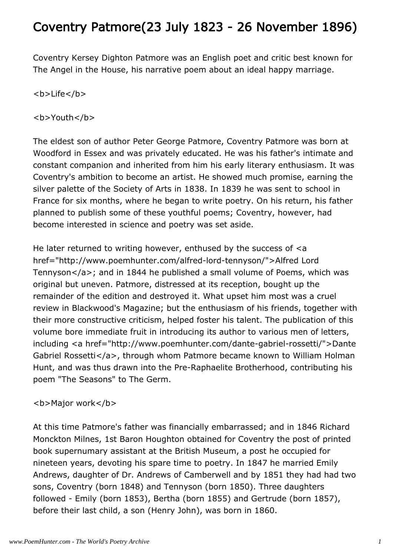## Coventry Patmore(23 July 1823 - 26 November 1896)

Coventry Kersey Dighton Patmore was an English poet and critic best known for The Angel in the House, his narrative poem about an ideal happy marriage.

## <b>Life</b>

## <b>Youth</b>

The eldest son of author Peter George Patmore, Coventry Patmore was born at Woodford in Essex and was privately educated. He was his father's intimate and constant companion and inherited from him his early literary enthusiasm. It was Coventry's ambition to become an artist. He showed much promise, earning the silver palette of the Society of Arts in 1838. In 1839 he was sent to school in France for six months, where he began to write poetry. On his return, his father planned to publish some of these youthful poems; Coventry, however, had become interested in science and poetry was set aside.

He later returned to writing however, enthused by the success of  $\leq a$ href="http://www.poemhunter.com/alfred-lord-tennyson/">Alfred Lord Tennyson</a>; and in 1844 he published a small volume of Poems, which was original but uneven. Patmore, distressed at its reception, bought up the remainder of the edition and destroyed it. What upset him most was a cruel review in Blackwood's Magazine; but the enthusiasm of his friends, together with their more constructive criticism, helped foster his talent. The publication of this volume bore immediate fruit in introducing its author to various men of letters, including <a href="http://www.poemhunter.com/dante-gabriel-rossetti/">Dante Gabriel Rossetti</a>, through whom Patmore became known to William Holman Hunt, and was thus drawn into the Pre-Raphaelite Brotherhood, contributing his poem "The Seasons" to The Germ.

### **<b>Major work</b>**

At this time Patmore's father was financially embarrassed; and in 1846 Richard Monckton Milnes, 1st Baron Houghton obtained for Coventry the post of printed book supernumary assistant at the British Museum, a post he occupied for nineteen years, devoting his spare time to poetry. In 1847 he married Emily Andrews, daughter of Dr. Andrews of Camberwell and by 1851 they had had two sons, Coventry (born 1848) and Tennyson (born 1850). Three daughters followed - Emily (born 1853), Bertha (born 1855) and Gertrude (born 1857), before their last child, a son (Henry John), was born in 1860.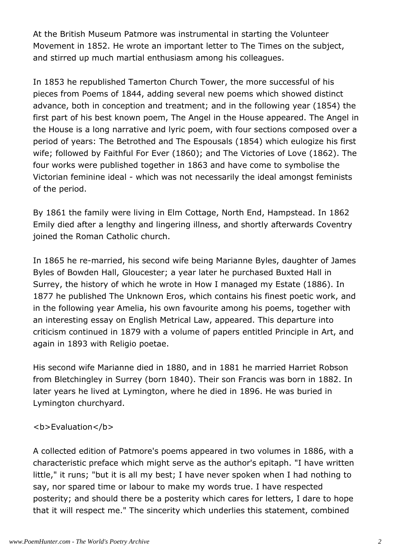At the British Museum Patmore was instrumental in starting the Volunteer Movement in 1852. He wrote an important letter to The Times on the subject, and stirred up much martial enthusiasm among his colleagues.

In 1853 he republished Tamerton Church Tower, the more successful of his pieces from Poems of 1844, adding several new poems which showed distinct advance, both in conception and treatment; and in the following year (1854) the first part of his best known poem, The Angel in the House appeared. The Angel in the House is a long narrative and lyric poem, with four sections composed over a period of years: The Betrothed and The Espousals (1854) which eulogize his first wife; followed by Faithful For Ever (1860); and The Victories of Love (1862). The four works were published together in 1863 and have come to symbolise the Victorian feminine ideal - which was not necessarily the ideal amongst feminists of the period.

By 1861 the family were living in Elm Cottage, North End, Hampstead. In 1862 Emily died after a lengthy and lingering illness, and shortly afterwards Coventry joined the Roman Catholic church.

In 1865 he re-married, his second wife being Marianne Byles, daughter of James Byles of Bowden Hall, Gloucester; a year later he purchased Buxted Hall in Surrey, the history of which he wrote in How I managed my Estate (1886). In 1877 he published The Unknown Eros, which contains his finest poetic work, and in the following year Amelia, his own favourite among his poems, together with an interesting essay on English Metrical Law, appeared. This departure into criticism continued in 1879 with a volume of papers entitled Principle in Art, and again in 1893 with Religio poetae.

His second wife Marianne died in 1880, and in 1881 he married Harriet Robson from Bletchingley in Surrey (born 1840). Their son Francis was born in 1882. In later years he lived at Lymington, where he died in 1896. He was buried in Lymington churchyard.

### <b>Evaluation</b>

A collected edition of Patmore's poems appeared in two volumes in 1886, with a characteristic preface which might serve as the author's epitaph. "I have written little," it runs; "but it is all my best; I have never spoken when I had nothing to say, nor spared time or labour to make my words true. I have respected posterity; and should there be a posterity which cares for letters, I dare to hope that it will respect me." The sincerity which underlies this statement, combined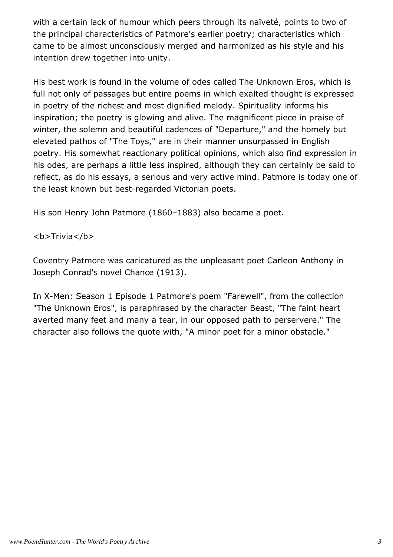with a certain lack of humour which peers through its naïveté, points to two of the principal characteristics of Patmore's earlier poetry; characteristics which came to be almost unconsciously merged and harmonized as his style and his intention drew together into unity.

His best work is found in the volume of odes called The Unknown Eros, which is full not only of passages but entire poems in which exalted thought is expressed in poetry of the richest and most dignified melody. Spirituality informs his inspiration; the poetry is glowing and alive. The magnificent piece in praise of winter, the solemn and beautiful cadences of "Departure," and the homely but elevated pathos of "The Toys," are in their manner unsurpassed in English poetry. His somewhat reactionary political opinions, which also find expression in his odes, are perhaps a little less inspired, although they can certainly be said to reflect, as do his essays, a serious and very active mind. Patmore is today one of the least known but best-regarded Victorian poets.

His son Henry John Patmore (1860–1883) also became a poet.

<b>Trivia</b>

Coventry Patmore was caricatured as the unpleasant poet Carleon Anthony in Joseph Conrad's novel Chance (1913).

In X-Men: Season 1 Episode 1 Patmore's poem "Farewell", from the collection "The Unknown Eros", is paraphrased by the character Beast, "The faint heart averted many feet and many a tear, in our opposed path to perservere." The character also follows the quote with, "A minor poet for a minor obstacle."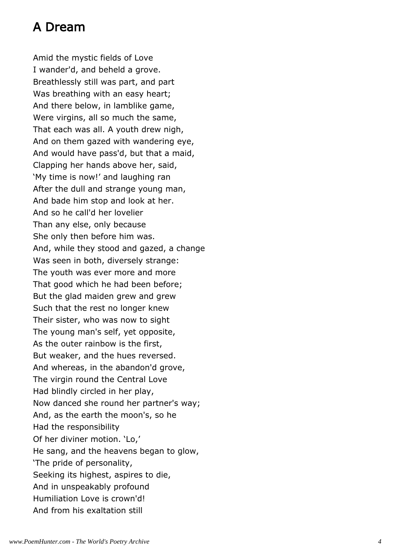## A Dream

Amid the mystic fields of Love I wander'd, and beheld a grove. Breathlessly still was part, and part Was breathing with an easy heart; And there below, in lamblike game, Were virgins, all so much the same, That each was all. A youth drew nigh, And on them gazed with wandering eye, And would have pass'd, but that a maid, Clapping her hands above her, said, 'My time is now!' and laughing ran After the dull and strange young man, And bade him stop and look at her. And so he call'd her lovelier Than any else, only because She only then before him was. And, while they stood and gazed, a change Was seen in both, diversely strange: The youth was ever more and more That good which he had been before; But the glad maiden grew and grew Such that the rest no longer knew Their sister, who was now to sight The young man's self, yet opposite, As the outer rainbow is the first, But weaker, and the hues reversed. And whereas, in the abandon'd grove, The virgin round the Central Love Had blindly circled in her play, Now danced she round her partner's way; And, as the earth the moon's, so he Had the responsibility Of her diviner motion. 'Lo,' He sang, and the heavens began to glow, 'The pride of personality, Seeking its highest, aspires to die, And in unspeakably profound Humiliation Love is crown'd! And from his exaltation still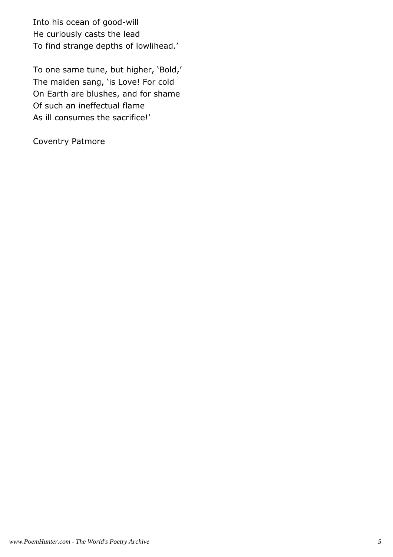Into his ocean of good-will He curiously casts the lead To find strange depths of lowlihead.'

To one same tune, but higher, 'Bold,' The maiden sang, 'is Love! For cold On Earth are blushes, and for shame Of such an ineffectual flame As ill consumes the sacrifice!'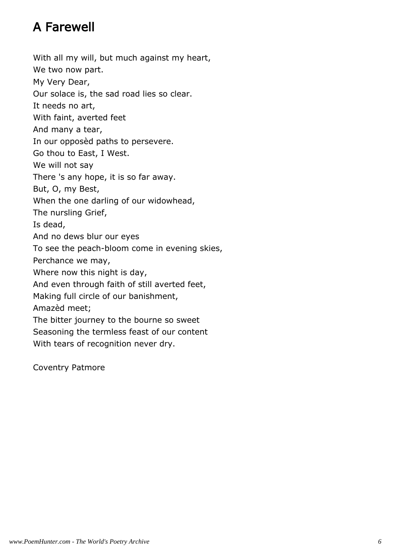## A Farewell

With all my will, but much against my heart, We two now part. My Very Dear, Our solace is, the sad road lies so clear. It needs no art, With faint, averted feet And many a tear, In our opposèd paths to persevere. Go thou to East, I West. We will not say There 's any hope, it is so far away. But, O, my Best, When the one darling of our widowhead, The nursling Grief, Is dead, And no dews blur our eyes To see the peach-bloom come in evening skies, Perchance we may, Where now this night is day, And even through faith of still averted feet, Making full circle of our banishment, Amazèd meet; The bitter journey to the bourne so sweet Seasoning the termless feast of our content With tears of recognition never dry.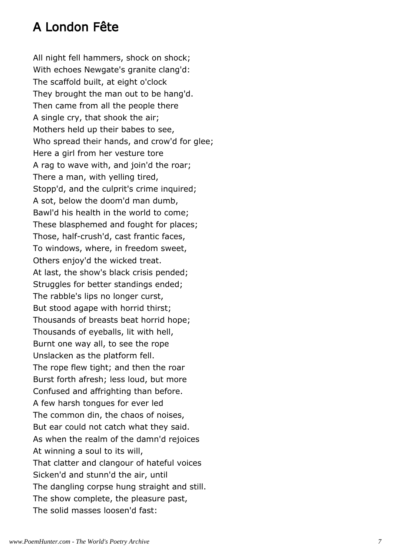## A London Fête

All night fell hammers, shock on shock; With echoes Newgate's granite clang'd: The scaffold built, at eight o'clock They brought the man out to be hang'd. Then came from all the people there A single cry, that shook the air; Mothers held up their babes to see, Who spread their hands, and crow'd for glee; Here a girl from her vesture tore A rag to wave with, and join'd the roar; There a man, with yelling tired, Stopp'd, and the culprit's crime inquired; A sot, below the doom'd man dumb, Bawl'd his health in the world to come; These blasphemed and fought for places; Those, half-crush'd, cast frantic faces, To windows, where, in freedom sweet, Others enjoy'd the wicked treat. At last, the show's black crisis pended; Struggles for better standings ended; The rabble's lips no longer curst, But stood agape with horrid thirst; Thousands of breasts beat horrid hope; Thousands of eyeballs, lit with hell, Burnt one way all, to see the rope Unslacken as the platform fell. The rope flew tight; and then the roar Burst forth afresh; less loud, but more Confused and affrighting than before. A few harsh tongues for ever led The common din, the chaos of noises, But ear could not catch what they said. As when the realm of the damn'd rejoices At winning a soul to its will, That clatter and clangour of hateful voices Sicken'd and stunn'd the air, until The dangling corpse hung straight and still. The show complete, the pleasure past, The solid masses loosen'd fast: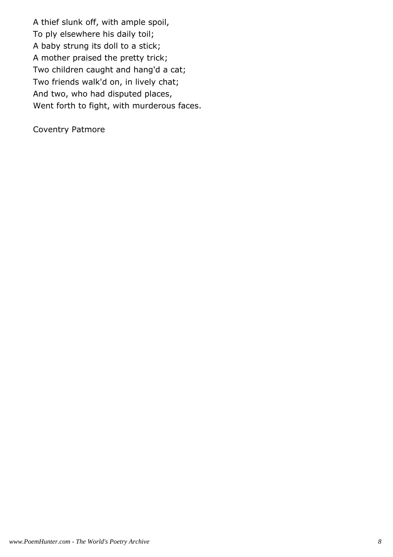A thief slunk off, with ample spoil, To ply elsewhere his daily toil; A baby strung its doll to a stick; A mother praised the pretty trick; Two children caught and hang'd a cat; Two friends walk'd on, in lively chat; And two, who had disputed places, Went forth to fight, with murderous faces.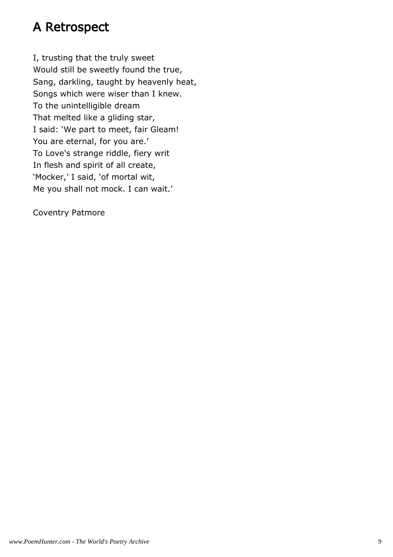## A Retrospect

I, trusting that the truly sweet Would still be sweetly found the true, Sang, darkling, taught by heavenly heat, Songs which were wiser than I knew. To the unintelligible dream That melted like a gliding star, I said: 'We part to meet, fair Gleam! You are eternal, for you are.' To Love's strange riddle, fiery writ In flesh and spirit of all create, 'Mocker,' I said, 'of mortal wit, Me you shall not mock. I can wait.'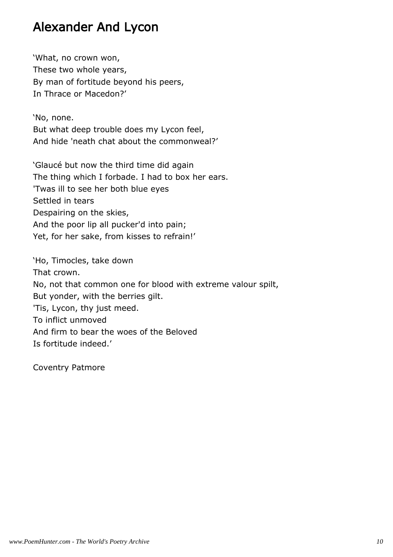## Alexander And Lycon

'What, no crown won, These two whole years, By man of fortitude beyond his peers, In Thrace or Macedon?'

'No, none. But what deep trouble does my Lycon feel, And hide 'neath chat about the commonweal?'

'Glaucé but now the third time did again The thing which I forbade. I had to box her ears. 'Twas ill to see her both blue eyes Settled in tears Despairing on the skies, And the poor lip all pucker'd into pain; Yet, for her sake, from kisses to refrain!'

'Ho, Timocles, take down That crown. No, not that common one for blood with extreme valour spilt, But yonder, with the berries gilt. 'Tis, Lycon, thy just meed. To inflict unmoved And firm to bear the woes of the Beloved Is fortitude indeed.'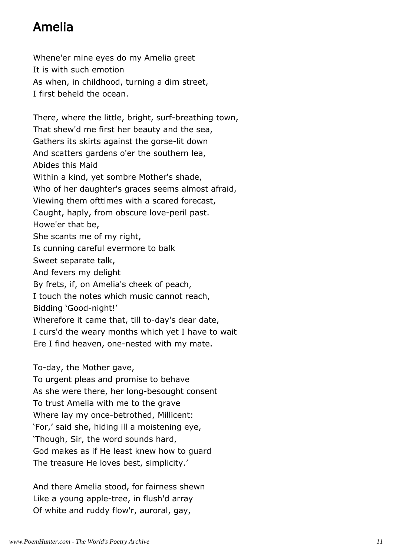## Amelia

Whene'er mine eyes do my Amelia greet It is with such emotion As when, in childhood, turning a dim street, I first beheld the ocean.

There, where the little, bright, surf-breathing town, That shew'd me first her beauty and the sea, Gathers its skirts against the gorse-lit down And scatters gardens o'er the southern lea, Abides this Maid Within a kind, yet sombre Mother's shade, Who of her daughter's graces seems almost afraid, Viewing them ofttimes with a scared forecast, Caught, haply, from obscure love-peril past. Howe'er that be, She scants me of my right, Is cunning careful evermore to balk Sweet separate talk, And fevers my delight By frets, if, on Amelia's cheek of peach, I touch the notes which music cannot reach, Bidding 'Good-night!' Wherefore it came that, till to-day's dear date, I curs'd the weary months which yet I have to wait Ere I find heaven, one-nested with my mate.

To-day, the Mother gave,

To urgent pleas and promise to behave As she were there, her long-besought consent To trust Amelia with me to the grave Where lay my once-betrothed, Millicent: 'For,' said she, hiding ill a moistening eye, 'Though, Sir, the word sounds hard, God makes as if He least knew how to guard The treasure He loves best, simplicity.'

And there Amelia stood, for fairness shewn Like a young apple-tree, in flush'd array Of white and ruddy flow'r, auroral, gay,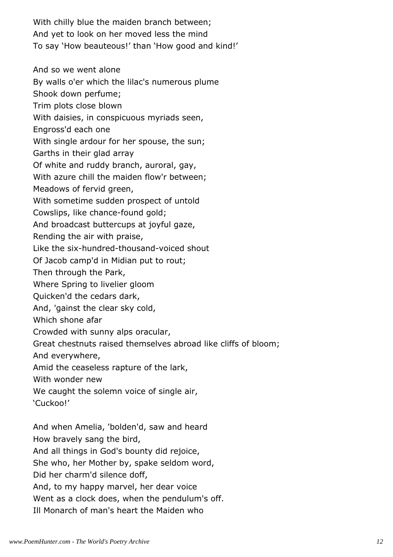With chilly blue the maiden branch between; And yet to look on her moved less the mind To say 'How beauteous!' than 'How good and kind!'

And so we went alone

By walls o'er which the lilac's numerous plume

Shook down perfume;

Trim plots close blown

With daisies, in conspicuous myriads seen,

Engross'd each one

With single ardour for her spouse, the sun;

Garths in their glad array

Of white and ruddy branch, auroral, gay,

With azure chill the maiden flow'r between;

Meadows of fervid green,

With sometime sudden prospect of untold

Cowslips, like chance-found gold;

And broadcast buttercups at joyful gaze,

Rending the air with praise,

Like the six-hundred-thousand-voiced shout

Of Jacob camp'd in Midian put to rout;

Then through the Park,

Where Spring to livelier gloom

Quicken'd the cedars dark,

And, 'gainst the clear sky cold,

Which shone afar

Crowded with sunny alps oracular,

Great chestnuts raised themselves abroad like cliffs of bloom;

And everywhere,

Amid the ceaseless rapture of the lark,

With wonder new

We caught the solemn voice of single air,

'Cuckoo!'

And when Amelia, 'bolden'd, saw and heard How bravely sang the bird, And all things in God's bounty did rejoice, She who, her Mother by, spake seldom word, Did her charm'd silence doff, And, to my happy marvel, her dear voice Went as a clock does, when the pendulum's off.

Ill Monarch of man's heart the Maiden who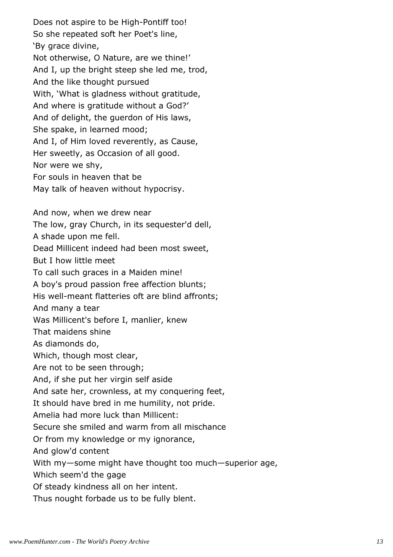Does not aspire to be High-Pontiff too! So she repeated soft her Poet's line, 'By grace divine, Not otherwise, O Nature, are we thine!' And I, up the bright steep she led me, trod, And the like thought pursued With, 'What is gladness without gratitude, And where is gratitude without a God?' And of delight, the guerdon of His laws, She spake, in learned mood; And I, of Him loved reverently, as Cause, Her sweetly, as Occasion of all good. Nor were we shy, For souls in heaven that be May talk of heaven without hypocrisy. And now, when we drew near The low, gray Church, in its sequester'd dell, A shade upon me fell.

Dead Millicent indeed had been most sweet, But I how little meet To call such graces in a Maiden mine! A boy's proud passion free affection blunts; His well-meant flatteries oft are blind affronts; And many a tear Was Millicent's before I, manlier, knew That maidens shine As diamonds do, Which, though most clear, Are not to be seen through; And, if she put her virgin self aside And sate her, crownless, at my conquering feet, It should have bred in me humility, not pride. Amelia had more luck than Millicent: Secure she smiled and warm from all mischance Or from my knowledge or my ignorance, And glow'd content

With my—some might have thought too much—superior age,

Which seem'd the gage

Of steady kindness all on her intent.

Thus nought forbade us to be fully blent.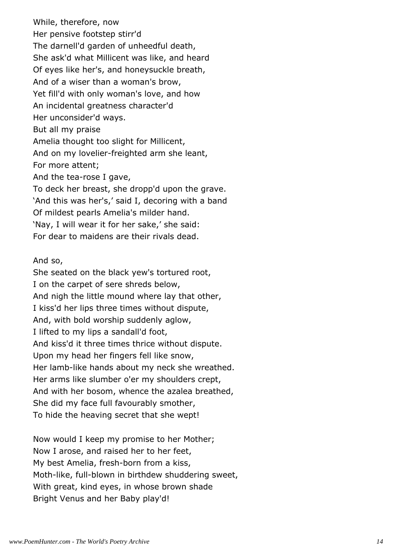While, therefore, now Her pensive footstep stirr'd The darnell'd garden of unheedful death, She ask'd what Millicent was like, and heard Of eyes like her's, and honeysuckle breath, And of a wiser than a woman's brow, Yet fill'd with only woman's love, and how An incidental greatness character'd Her unconsider'd ways. But all my praise Amelia thought too slight for Millicent, And on my lovelier-freighted arm she leant, For more attent; And the tea-rose I gave, To deck her breast, she dropp'd upon the grave. 'And this was her's,' said I, decoring with a band Of mildest pearls Amelia's milder hand. 'Nay, I will wear it for her sake,' she said: For dear to maidens are their rivals dead.

And so,

She seated on the black yew's tortured root, I on the carpet of sere shreds below, And nigh the little mound where lay that other, I kiss'd her lips three times without dispute, And, with bold worship suddenly aglow, I lifted to my lips a sandall'd foot, And kiss'd it three times thrice without dispute. Upon my head her fingers fell like snow, Her lamb-like hands about my neck she wreathed. Her arms like slumber o'er my shoulders crept, And with her bosom, whence the azalea breathed, She did my face full favourably smother, To hide the heaving secret that she wept!

Now would I keep my promise to her Mother; Now I arose, and raised her to her feet, My best Amelia, fresh-born from a kiss, Moth-like, full-blown in birthdew shuddering sweet, With great, kind eyes, in whose brown shade Bright Venus and her Baby play'd!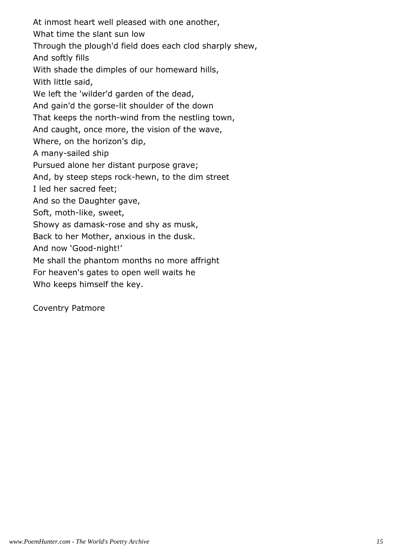At inmost heart well pleased with one another, What time the slant sun low Through the plough'd field does each clod sharply shew, And softly fills With shade the dimples of our homeward hills, With little said, We left the 'wilder'd garden of the dead, And gain'd the gorse-lit shoulder of the down That keeps the north-wind from the nestling town, And caught, once more, the vision of the wave, Where, on the horizon's dip, A many-sailed ship Pursued alone her distant purpose grave; And, by steep steps rock-hewn, to the dim street I led her sacred feet; And so the Daughter gave, Soft, moth-like, sweet, Showy as damask-rose and shy as musk, Back to her Mother, anxious in the dusk. And now 'Good-night!' Me shall the phantom months no more affright For heaven's gates to open well waits he Who keeps himself the key.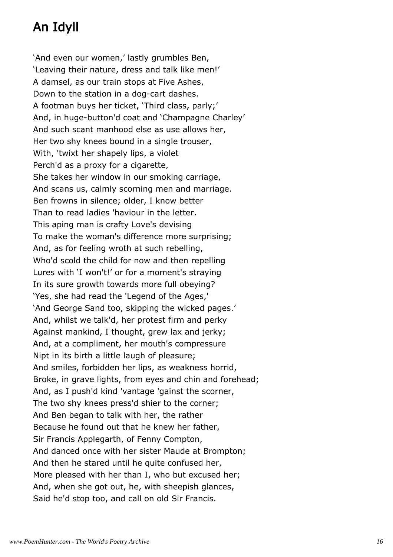# An Idyll

'And even our women,' lastly grumbles Ben, 'Leaving their nature, dress and talk like men!' A damsel, as our train stops at Five Ashes, Down to the station in a dog-cart dashes. A footman buys her ticket, 'Third class, parly;' And, in huge-button'd coat and 'Champagne Charley' And such scant manhood else as use allows her, Her two shy knees bound in a single trouser, With, 'twixt her shapely lips, a violet Perch'd as a proxy for a cigarette, She takes her window in our smoking carriage, And scans us, calmly scorning men and marriage. Ben frowns in silence; older, I know better Than to read ladies 'haviour in the letter. This aping man is crafty Love's devising To make the woman's difference more surprising; And, as for feeling wroth at such rebelling, Who'd scold the child for now and then repelling Lures with 'I won't!' or for a moment's straying In its sure growth towards more full obeying? 'Yes, she had read the 'Legend of the Ages,' 'And George Sand too, skipping the wicked pages.' And, whilst we talk'd, her protest firm and perky Against mankind, I thought, grew lax and jerky; And, at a compliment, her mouth's compressure Nipt in its birth a little laugh of pleasure; And smiles, forbidden her lips, as weakness horrid, Broke, in grave lights, from eyes and chin and forehead; And, as I push'd kind 'vantage 'gainst the scorner, The two shy knees press'd shier to the corner; And Ben began to talk with her, the rather Because he found out that he knew her father, Sir Francis Applegarth, of Fenny Compton, And danced once with her sister Maude at Brompton; And then he stared until he quite confused her, More pleased with her than I, who but excused her; And, when she got out, he, with sheepish glances, Said he'd stop too, and call on old Sir Francis.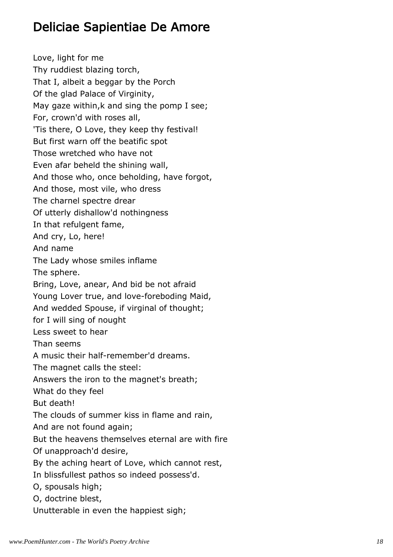## Deliciae Sapientiae De Amore

Love, light for me Thy ruddiest blazing torch, That I, albeit a beggar by the Porch Of the glad Palace of Virginity, May gaze within, k and sing the pomp I see; For, crown'd with roses all, 'Tis there, O Love, they keep thy festival! But first warn off the beatific spot Those wretched who have not Even afar beheld the shining wall, And those who, once beholding, have forgot, And those, most vile, who dress The charnel spectre drear Of utterly dishallow'd nothingness In that refulgent fame, And cry, Lo, here! And name The Lady whose smiles inflame The sphere. Bring, Love, anear, And bid be not afraid Young Lover true, and love-foreboding Maid, And wedded Spouse, if virginal of thought; for I will sing of nought Less sweet to hear Than seems A music their half-remember'd dreams. The magnet calls the steel: Answers the iron to the magnet's breath; What do they feel But death! The clouds of summer kiss in flame and rain, And are not found again; But the heavens themselves eternal are with fire Of unapproach'd desire, By the aching heart of Love, which cannot rest, In blissfullest pathos so indeed possess'd. O, spousals high; O, doctrine blest, Unutterable in even the happiest sigh;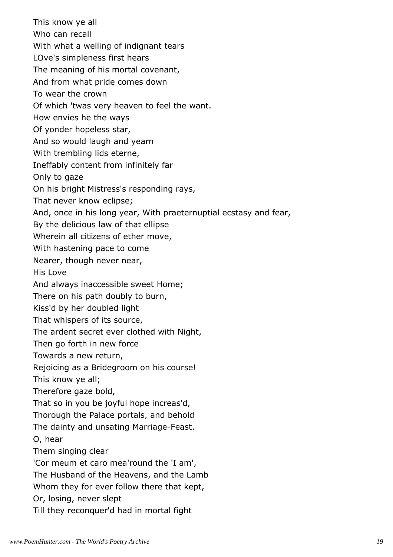This know ye all Who can recall With what a welling of indignant tears LOve's simpleness first hears The meaning of his mortal covenant, And from what pride comes down To wear the crown Of which 'twas very heaven to feel the want. How envies he the ways Of yonder hopeless star, And so would laugh and yearn With trembling lids eterne, Ineffably content from infinitely far Only to gaze On his bright Mistress's responding rays, That never know eclipse; And, once in his long year, With praeternuptial ecstasy and fear, By the delicious law of that ellipse Wherein all citizens of ether move, With hastening pace to come Nearer, though never near, His Love And always inaccessible sweet Home; There on his path doubly to burn, Kiss'd by her doubled light That whispers of its source, The ardent secret ever clothed with Night, Then go forth in new force Towards a new return, Rejoicing as a Bridegroom on his course! This know ye all; Therefore gaze bold, That so in you be joyful hope increas'd, Thorough the Palace portals, and behold The dainty and unsating Marriage-Feast. O, hear Them singing clear 'Cor meum et caro mea'round the 'I am', The Husband of the Heavens, and the Lamb Whom they for ever follow there that kept, Or, losing, never slept Till they reconquer'd had in mortal fight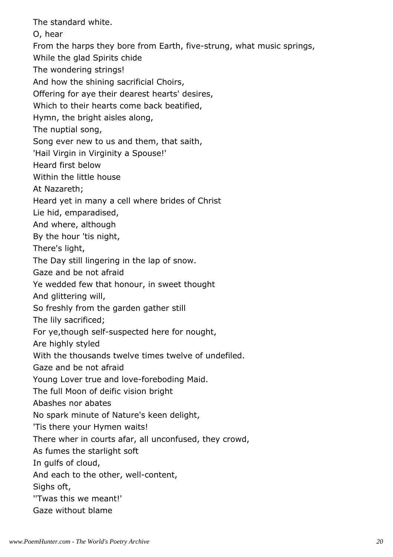The standard white.

O, hear

From the harps they bore from Earth, five-strung, what music springs,

While the glad Spirits chide

The wondering strings!

And how the shining sacrificial Choirs,

Offering for aye their dearest hearts' desires,

Which to their hearts come back beatified,

Hymn, the bright aisles along,

The nuptial song,

Song ever new to us and them, that saith,

'Hail Virgin in Virginity a Spouse!'

Heard first below

Within the little house

At Nazareth;

Heard yet in many a cell where brides of Christ

Lie hid, emparadised,

And where, although

By the hour 'tis night,

There's light,

The Day still lingering in the lap of snow.

Gaze and be not afraid

Ye wedded few that honour, in sweet thought

And glittering will,

So freshly from the garden gather still

The lily sacrificed;

For ye,though self-suspected here for nought,

Are highly styled

With the thousands twelve times twelve of undefiled.

Gaze and be not afraid

Young Lover true and love-foreboding Maid.

The full Moon of deific vision bright

Abashes nor abates

No spark minute of Nature's keen delight,

'Tis there your Hymen waits!

There wher in courts afar, all unconfused, they crowd,

As fumes the starlight soft

In gulfs of cloud,

And each to the other, well-content,

Sighs oft,

''Twas this we meant!'

Gaze without blame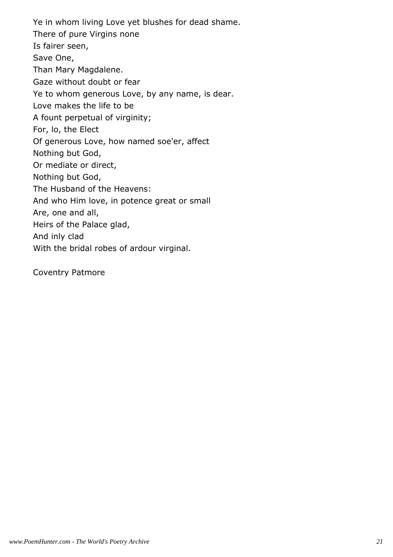Ye in whom living Love yet blushes for dead shame. There of pure Virgins none Is fairer seen, Save One, Than Mary Magdalene. Gaze without doubt or fear Ye to whom generous Love, by any name, is dear. Love makes the life to be A fount perpetual of virginity; For, lo, the Elect Of generous Love, how named soe'er, affect Nothing but God, Or mediate or direct, Nothing but God, The Husband of the Heavens: And who Him love, in potence great or small Are, one and all, Heirs of the Palace glad, And inly clad With the bridal robes of ardour virginal.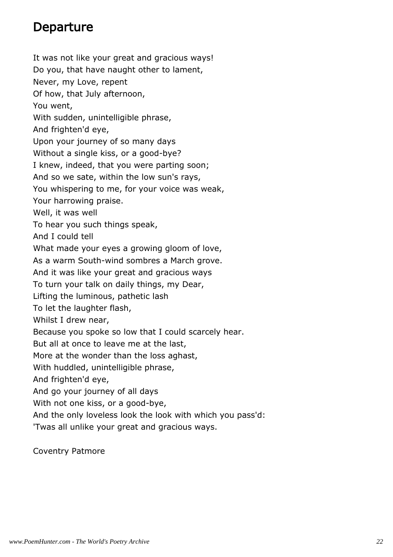## Departure

It was not like your great and gracious ways! Do you, that have naught other to lament, Never, my Love, repent Of how, that July afternoon, You went, With sudden, unintelligible phrase, And frighten'd eye, Upon your journey of so many days Without a single kiss, or a good-bye? I knew, indeed, that you were parting soon; And so we sate, within the low sun's rays, You whispering to me, for your voice was weak, Your harrowing praise. Well, it was well To hear you such things speak, And I could tell What made your eyes a growing gloom of love, As a warm South-wind sombres a March grove. And it was like your great and gracious ways To turn your talk on daily things, my Dear, Lifting the luminous, pathetic lash To let the laughter flash, Whilst I drew near, Because you spoke so low that I could scarcely hear. But all at once to leave me at the last, More at the wonder than the loss aghast, With huddled, unintelligible phrase, And frighten'd eye, And go your journey of all days With not one kiss, or a good-bye, And the only loveless look the look with which you pass'd: 'Twas all unlike your great and gracious ways.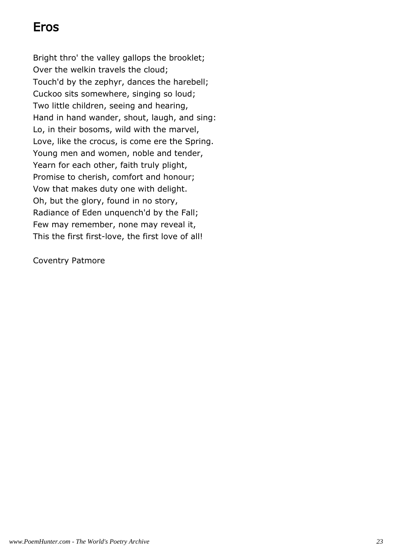## Eros

Bright thro' the valley gallops the brooklet; Over the welkin travels the cloud; Touch'd by the zephyr, dances the harebell; Cuckoo sits somewhere, singing so loud; Two little children, seeing and hearing, Hand in hand wander, shout, laugh, and sing: Lo, in their bosoms, wild with the marvel, Love, like the crocus, is come ere the Spring. Young men and women, noble and tender, Yearn for each other, faith truly plight, Promise to cherish, comfort and honour; Vow that makes duty one with delight. Oh, but the glory, found in no story, Radiance of Eden unquench'd by the Fall; Few may remember, none may reveal it, This the first first-love, the first love of all!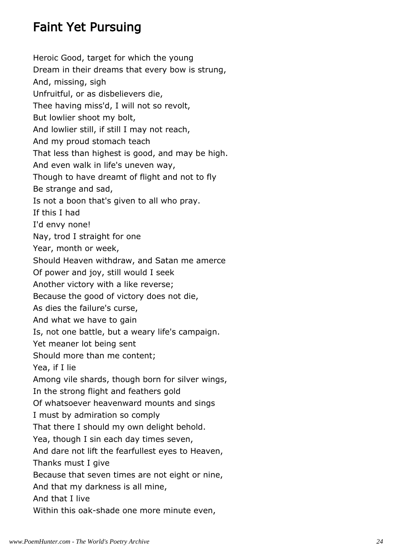## Faint Yet Pursuing

Heroic Good, target for which the young Dream in their dreams that every bow is strung, And, missing, sigh Unfruitful, or as disbelievers die, Thee having miss'd, I will not so revolt, But lowlier shoot my bolt, And lowlier still, if still I may not reach, And my proud stomach teach That less than highest is good, and may be high. And even walk in life's uneven way, Though to have dreamt of flight and not to fly Be strange and sad, Is not a boon that's given to all who pray. If this I had I'd envy none! Nay, trod I straight for one Year, month or week, Should Heaven withdraw, and Satan me amerce Of power and joy, still would I seek Another victory with a like reverse; Because the good of victory does not die, As dies the failure's curse, And what we have to gain Is, not one battle, but a weary life's campaign. Yet meaner lot being sent Should more than me content; Yea, if I lie Among vile shards, though born for silver wings, In the strong flight and feathers gold Of whatsoever heavenward mounts and sings I must by admiration so comply That there I should my own delight behold. Yea, though I sin each day times seven, And dare not lift the fearfullest eyes to Heaven, Thanks must I give Because that seven times are not eight or nine, And that my darkness is all mine, And that I live Within this oak-shade one more minute even,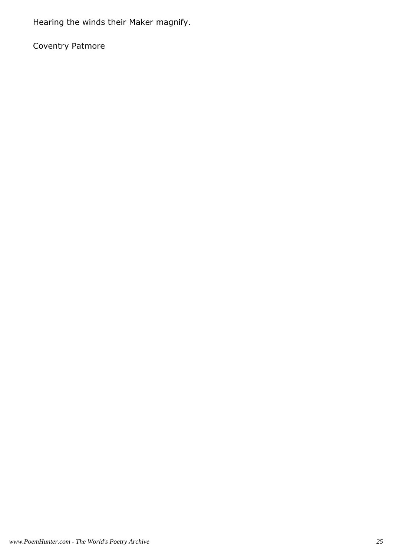Hearing the winds their Maker magnify.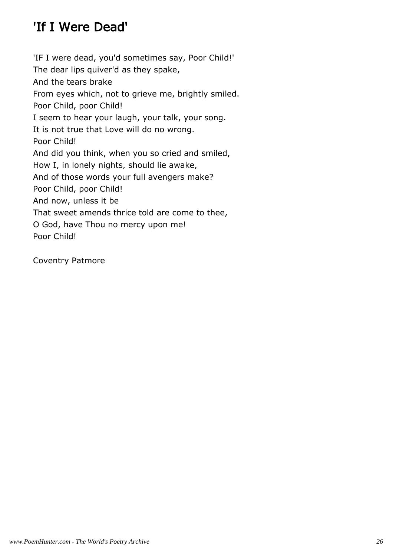## 'If I Were Dead'

'IF I were dead, you'd sometimes say, Poor Child!' The dear lips quiver'd as they spake, And the tears brake From eyes which, not to grieve me, brightly smiled. Poor Child, poor Child! I seem to hear your laugh, your talk, your song. It is not true that Love will do no wrong. Poor Child! And did you think, when you so cried and smiled, How I, in lonely nights, should lie awake, And of those words your full avengers make? Poor Child, poor Child! And now, unless it be That sweet amends thrice told are come to thee, O God, have Thou no mercy upon me! Poor Child!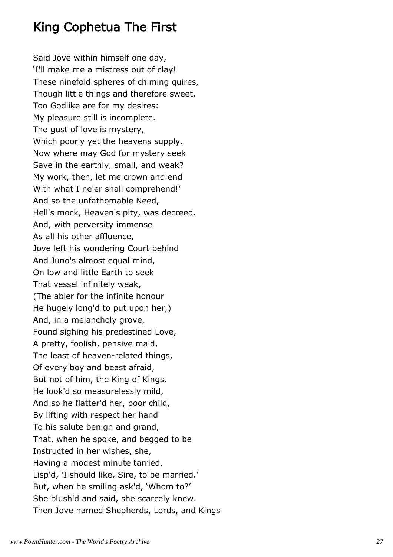## King Cophetua The First

Said Jove within himself one day, 'I'll make me a mistress out of clay! These ninefold spheres of chiming quires, Though little things and therefore sweet, Too Godlike are for my desires: My pleasure still is incomplete. The gust of love is mystery, Which poorly yet the heavens supply. Now where may God for mystery seek Save in the earthly, small, and weak? My work, then, let me crown and end With what I ne'er shall comprehend!' And so the unfathomable Need, Hell's mock, Heaven's pity, was decreed. And, with perversity immense As all his other affluence, Jove left his wondering Court behind And Juno's almost equal mind, On low and little Earth to seek That vessel infinitely weak, (The abler for the infinite honour He hugely long'd to put upon her,) And, in a melancholy grove, Found sighing his predestined Love, A pretty, foolish, pensive maid, The least of heaven-related things, Of every boy and beast afraid, But not of him, the King of Kings. He look'd so measurelessly mild, And so he flatter'd her, poor child, By lifting with respect her hand To his salute benign and grand, That, when he spoke, and begged to be Instructed in her wishes, she, Having a modest minute tarried, Lisp'd, 'I should like, Sire, to be married.' But, when he smiling ask'd, 'Whom to?' She blush'd and said, she scarcely knew. Then Jove named Shepherds, Lords, and Kings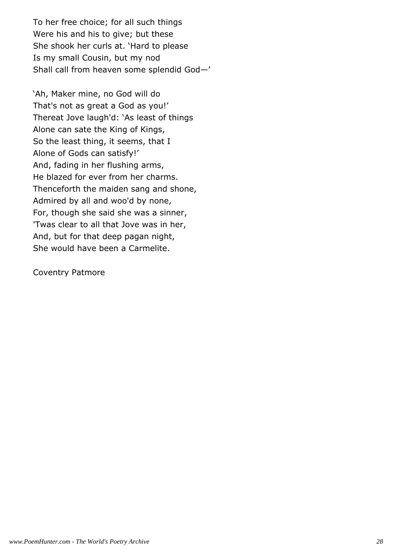To her free choice; for all such things Were his and his to give; but these She shook her curls at. 'Hard to please Is my small Cousin, but my nod Shall call from heaven some splendid God—'

'Ah, Maker mine, no God will do That's not as great a God as you!' Thereat Jove laugh'd: 'As least of things Alone can sate the King of Kings, So the least thing, it seems, that I Alone of Gods can satisfy!' And, fading in her flushing arms, He blazed for ever from her charms. Thenceforth the maiden sang and shone, Admired by all and woo'd by none, For, though she said she was a sinner, 'Twas clear to all that Jove was in her, And, but for that deep pagan night, She would have been a Carmelite.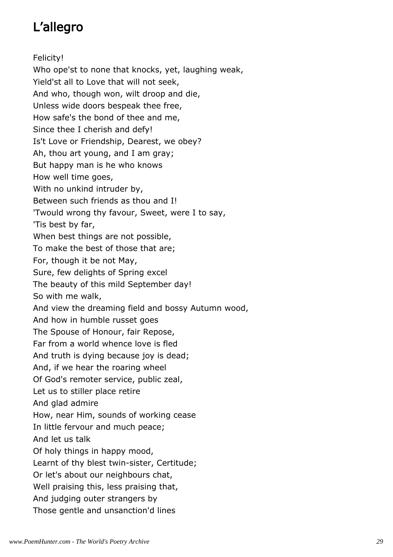# L'allegro

Felicity! Who ope'st to none that knocks, yet, laughing weak, Yield'st all to Love that will not seek, And who, though won, wilt droop and die, Unless wide doors bespeak thee free, How safe's the bond of thee and me, Since thee I cherish and defy! Is't Love or Friendship, Dearest, we obey? Ah, thou art young, and I am gray; But happy man is he who knows How well time goes, With no unkind intruder by, Between such friends as thou and I! 'Twould wrong thy favour, Sweet, were I to say, 'Tis best by far, When best things are not possible, To make the best of those that are; For, though it be not May, Sure, few delights of Spring excel The beauty of this mild September day! So with me walk, And view the dreaming field and bossy Autumn wood, And how in humble russet goes The Spouse of Honour, fair Repose, Far from a world whence love is fled And truth is dying because joy is dead; And, if we hear the roaring wheel Of God's remoter service, public zeal, Let us to stiller place retire And glad admire How, near Him, sounds of working cease In little fervour and much peace; And let us talk Of holy things in happy mood, Learnt of thy blest twin-sister, Certitude; Or let's about our neighbours chat, Well praising this, less praising that, And judging outer strangers by Those gentle and unsanction'd lines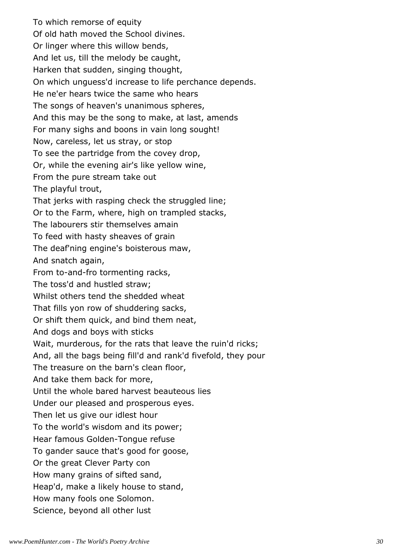To which remorse of equity Of old hath moved the School divines. Or linger where this willow bends, And let us, till the melody be caught, Harken that sudden, singing thought, On which unguess'd increase to life perchance depends. He ne'er hears twice the same who hears The songs of heaven's unanimous spheres, And this may be the song to make, at last, amends For many sighs and boons in vain long sought! Now, careless, let us stray, or stop To see the partridge from the covey drop, Or, while the evening air's like yellow wine, From the pure stream take out The playful trout, That jerks with rasping check the struggled line; Or to the Farm, where, high on trampled stacks, The labourers stir themselves amain To feed with hasty sheaves of grain The deaf'ning engine's boisterous maw, And snatch again, From to-and-fro tormenting racks, The toss'd and hustled straw; Whilst others tend the shedded wheat That fills yon row of shuddering sacks, Or shift them quick, and bind them neat, And dogs and boys with sticks Wait, murderous, for the rats that leave the ruin'd ricks; And, all the bags being fill'd and rank'd fivefold, they pour The treasure on the barn's clean floor, And take them back for more, Until the whole bared harvest beauteous lies Under our pleased and prosperous eyes. Then let us give our idlest hour To the world's wisdom and its power; Hear famous Golden-Tongue refuse To gander sauce that's good for goose, Or the great Clever Party con How many grains of sifted sand, Heap'd, make a likely house to stand, How many fools one Solomon. Science, beyond all other lust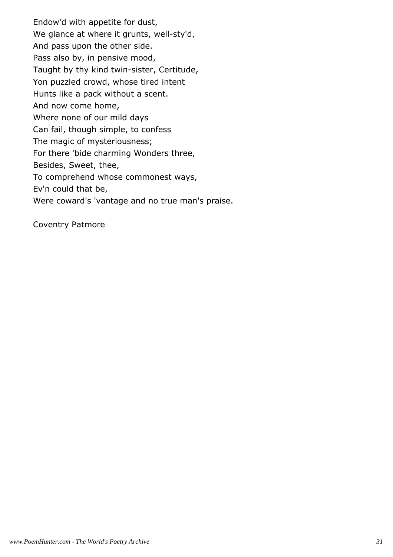Endow'd with appetite for dust, We glance at where it grunts, well-sty'd, And pass upon the other side. Pass also by, in pensive mood, Taught by thy kind twin-sister, Certitude, Yon puzzled crowd, whose tired intent Hunts like a pack without a scent. And now come home, Where none of our mild days Can fail, though simple, to confess The magic of mysteriousness; For there 'bide charming Wonders three, Besides, Sweet, thee, To comprehend whose commonest ways, Ev'n could that be, Were coward's 'vantage and no true man's praise.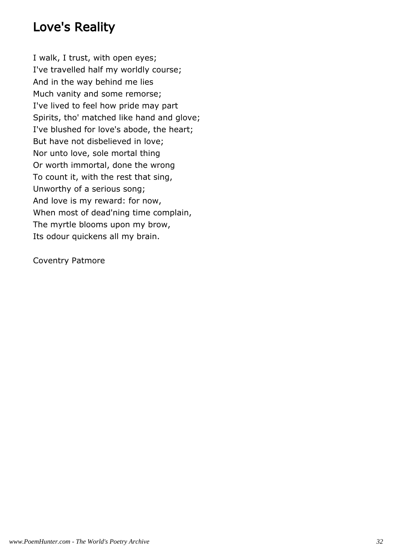## Love's Reality

I walk, I trust, with open eyes; I've travelled half my worldly course; And in the way behind me lies Much vanity and some remorse; I've lived to feel how pride may part Spirits, tho' matched like hand and glove; I've blushed for love's abode, the heart; But have not disbelieved in love; Nor unto love, sole mortal thing Or worth immortal, done the wrong To count it, with the rest that sing, Unworthy of a serious song; And love is my reward: for now, When most of dead'ning time complain, The myrtle blooms upon my brow, Its odour quickens all my brain.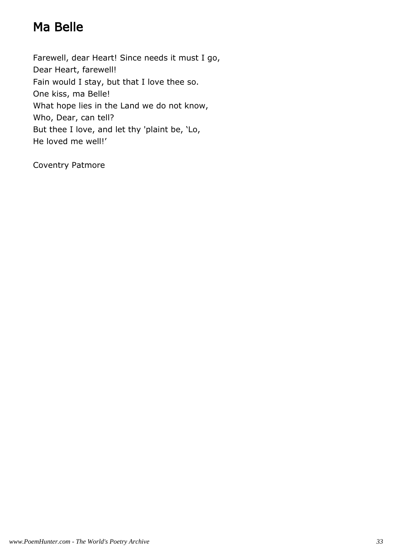# Ma Belle

Farewell, dear Heart! Since needs it must I go, Dear Heart, farewell! Fain would I stay, but that I love thee so. One kiss, ma Belle! What hope lies in the Land we do not know, Who, Dear, can tell? But thee I love, and let thy 'plaint be, 'Lo, He loved me well!'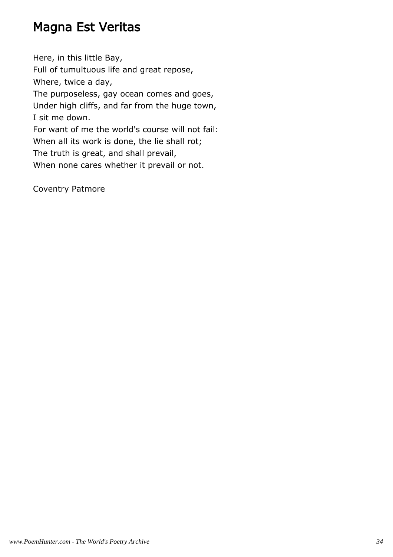## Magna Est Veritas

Here, in this little Bay, Full of tumultuous life and great repose, Where, twice a day, The purposeless, gay ocean comes and goes, Under high cliffs, and far from the huge town, I sit me down. For want of me the world's course will not fail: When all its work is done, the lie shall rot; The truth is great, and shall prevail, When none cares whether it prevail or not.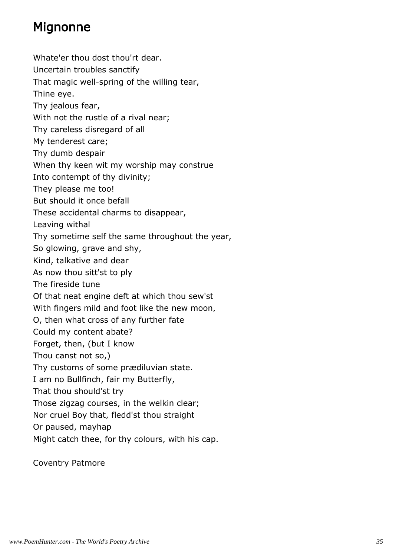## Mignonne

Whate'er thou dost thou'rt dear. Uncertain troubles sanctify That magic well-spring of the willing tear, Thine eye. Thy jealous fear, With not the rustle of a rival near; Thy careless disregard of all My tenderest care; Thy dumb despair When thy keen wit my worship may construe Into contempt of thy divinity; They please me too! But should it once befall These accidental charms to disappear, Leaving withal Thy sometime self the same throughout the year, So glowing, grave and shy, Kind, talkative and dear As now thou sitt'st to ply The fireside tune Of that neat engine deft at which thou sew'st With fingers mild and foot like the new moon, O, then what cross of any further fate Could my content abate? Forget, then, (but I know Thou canst not so,) Thy customs of some prædiluvian state. I am no Bullfinch, fair my Butterfly, That thou should'st try Those zigzag courses, in the welkin clear; Nor cruel Boy that, fledd'st thou straight Or paused, mayhap Might catch thee, for thy colours, with his cap.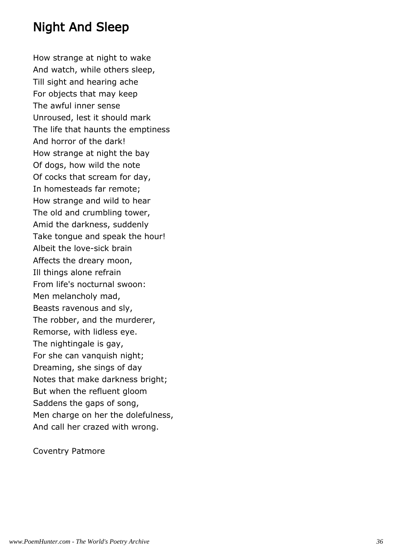# Night And Sleep

How strange at night to wake And watch, while others sleep, Till sight and hearing ache For objects that may keep The awful inner sense Unroused, lest it should mark The life that haunts the emptiness And horror of the dark! How strange at night the bay Of dogs, how wild the note Of cocks that scream for day, In homesteads far remote; How strange and wild to hear The old and crumbling tower, Amid the darkness, suddenly Take tongue and speak the hour! Albeit the love-sick brain Affects the dreary moon, Ill things alone refrain From life's nocturnal swoon: Men melancholy mad, Beasts ravenous and sly, The robber, and the murderer, Remorse, with lidless eye. The nightingale is gay, For she can vanquish night; Dreaming, she sings of day Notes that make darkness bright; But when the refluent gloom Saddens the gaps of song, Men charge on her the dolefulness, And call her crazed with wrong.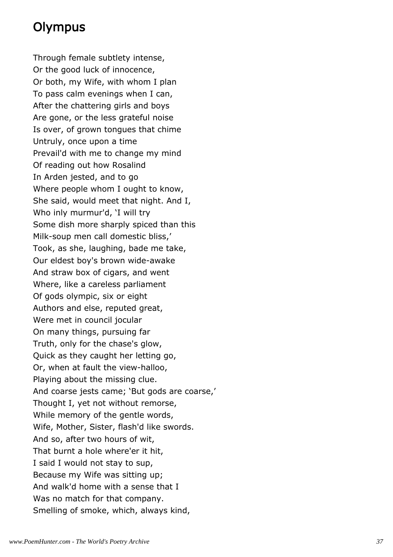# Olympus

Through female subtlety intense, Or the good luck of innocence, Or both, my Wife, with whom I plan To pass calm evenings when I can, After the chattering girls and boys Are gone, or the less grateful noise Is over, of grown tongues that chime Untruly, once upon a time Prevail'd with me to change my mind Of reading out how Rosalind In Arden jested, and to go Where people whom I ought to know, She said, would meet that night. And I, Who inly murmur'd, 'I will try Some dish more sharply spiced than this Milk-soup men call domestic bliss,' Took, as she, laughing, bade me take, Our eldest boy's brown wide-awake And straw box of cigars, and went Where, like a careless parliament Of gods olympic, six or eight Authors and else, reputed great, Were met in council jocular On many things, pursuing far Truth, only for the chase's glow, Quick as they caught her letting go, Or, when at fault the view-halloo, Playing about the missing clue. And coarse jests came; 'But gods are coarse,' Thought I, yet not without remorse, While memory of the gentle words, Wife, Mother, Sister, flash'd like swords. And so, after two hours of wit, That burnt a hole where'er it hit, I said I would not stay to sup, Because my Wife was sitting up; And walk'd home with a sense that I Was no match for that company. Smelling of smoke, which, always kind,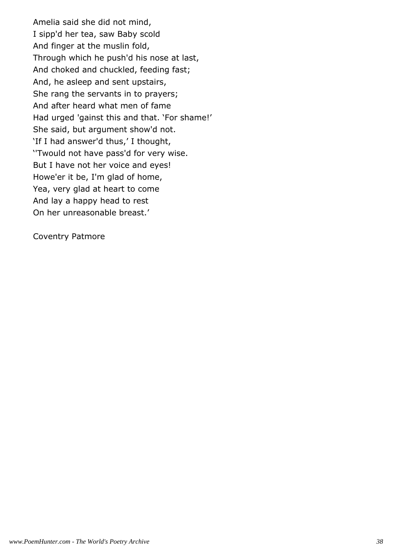Amelia said she did not mind, I sipp'd her tea, saw Baby scold And finger at the muslin fold, Through which he push'd his nose at last, And choked and chuckled, feeding fast; And, he asleep and sent upstairs, She rang the servants in to prayers; And after heard what men of fame Had urged 'gainst this and that. 'For shame!' She said, but argument show'd not. 'If I had answer'd thus,' I thought, ''Twould not have pass'd for very wise. But I have not her voice and eyes! Howe'er it be, I'm glad of home, Yea, very glad at heart to come And lay a happy head to rest On her unreasonable breast.'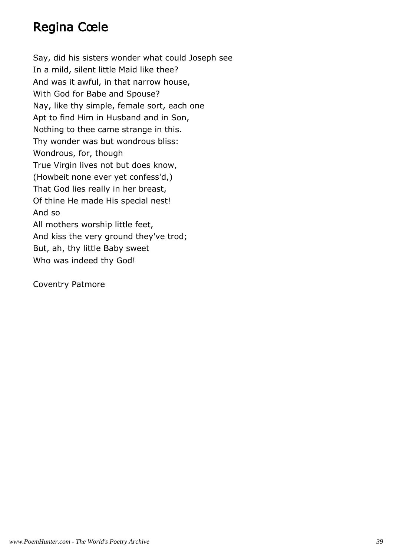# Regina Cœle

Say, did his sisters wonder what could Joseph see In a mild, silent little Maid like thee? And was it awful, in that narrow house, With God for Babe and Spouse? Nay, like thy simple, female sort, each one Apt to find Him in Husband and in Son, Nothing to thee came strange in this. Thy wonder was but wondrous bliss: Wondrous, for, though True Virgin lives not but does know, (Howbeit none ever yet confess'd,) That God lies really in her breast, Of thine He made His special nest! And so All mothers worship little feet, And kiss the very ground they've trod; But, ah, thy little Baby sweet Who was indeed thy God!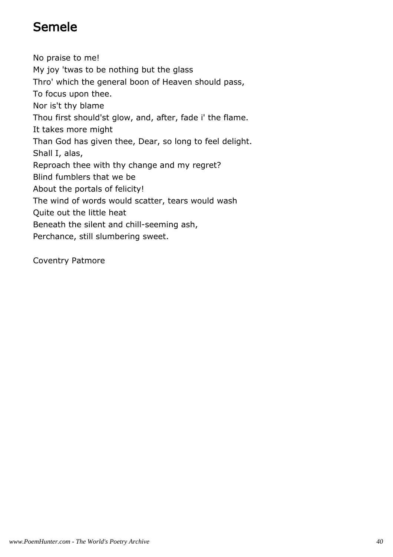# Semele

No praise to me! My joy 'twas to be nothing but the glass Thro' which the general boon of Heaven should pass, To focus upon thee. Nor is't thy blame Thou first should'st glow, and, after, fade i' the flame. It takes more might Than God has given thee, Dear, so long to feel delight. Shall I, alas, Reproach thee with thy change and my regret? Blind fumblers that we be About the portals of felicity! The wind of words would scatter, tears would wash Quite out the little heat Beneath the silent and chill-seeming ash, Perchance, still slumbering sweet.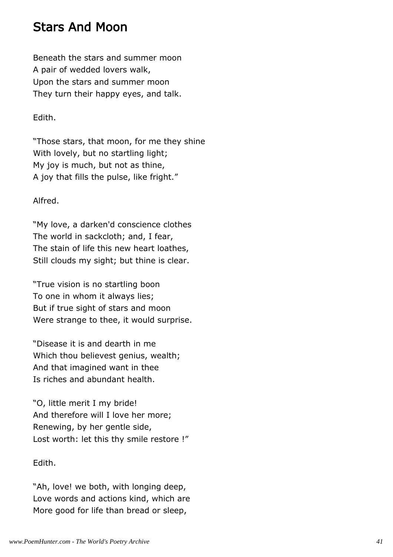# Stars And Moon

Beneath the stars and summer moon A pair of wedded lovers walk, Upon the stars and summer moon They turn their happy eyes, and talk.

# Edith.

"Those stars, that moon, for me they shine With lovely, but no startling light; My joy is much, but not as thine, A joy that fills the pulse, like fright."

# Alfred.

"My love, a darken'd conscience clothes The world in sackcloth; and, I fear, The stain of life this new heart loathes, Still clouds my sight; but thine is clear.

"True vision is no startling boon To one in whom it always lies; But if true sight of stars and moon Were strange to thee, it would surprise.

"Disease it is and dearth in me Which thou believest genius, wealth; And that imagined want in thee Is riches and abundant health.

"O, little merit I my bride! And therefore will I love her more; Renewing, by her gentle side, Lost worth: let this thy smile restore !"

# Edith.

"Ah, love! we both, with longing deep, Love words and actions kind, which are More good for life than bread or sleep,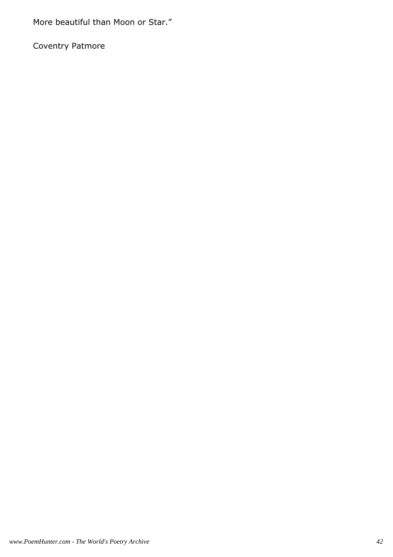More beautiful than Moon or Star."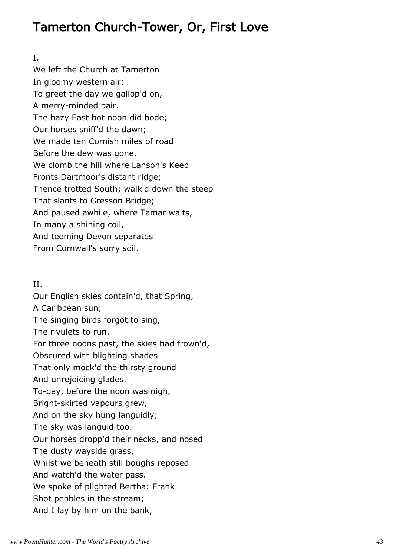# Tamerton Church-Tower, Or, First Love

I.

We left the Church at Tamerton In gloomy western air; To greet the day we gallop'd on, A merry-minded pair. The hazy East hot noon did bode; Our horses sniff'd the dawn; We made ten Cornish miles of road Before the dew was gone. We clomb the hill where Lanson's Keep Fronts Dartmoor's distant ridge; Thence trotted South; walk'd down the steep That slants to Gresson Bridge; And paused awhile, where Tamar waits, In many a shining coil, And teeming Devon separates From Cornwall's sorry soil.

# II.

Our English skies contain'd, that Spring, A Caribbean sun; The singing birds forgot to sing, The rivulets to run. For three noons past, the skies had frown'd, Obscured with blighting shades That only mock'd the thirsty ground And unrejoicing glades. To-day, before the noon was nigh, Bright-skirted vapours grew, And on the sky hung languidly; The sky was languid too. Our horses dropp'd their necks, and nosed The dusty wayside grass, Whilst we beneath still boughs reposed And watch'd the water pass. We spoke of plighted Bertha: Frank Shot pebbles in the stream; And I lay by him on the bank,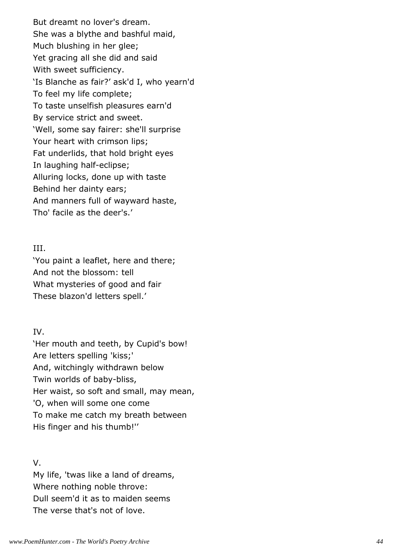But dreamt no lover's dream. She was a blythe and bashful maid, Much blushing in her glee; Yet gracing all she did and said With sweet sufficiency. 'Is Blanche as fair?' ask'd I, who yearn'd To feel my life complete; To taste unselfish pleasures earn'd By service strict and sweet. 'Well, some say fairer: she'll surprise Your heart with crimson lips; Fat underlids, that hold bright eyes In laughing half-eclipse; Alluring locks, done up with taste Behind her dainty ears; And manners full of wayward haste, Tho' facile as the deer's.'

### III.

'You paint a leaflet, here and there; And not the blossom: tell What mysteries of good and fair These blazon'd letters spell.'

## IV.

'Her mouth and teeth, by Cupid's bow! Are letters spelling 'kiss;' And, witchingly withdrawn below Twin worlds of baby-bliss, Her waist, so soft and small, may mean, 'O, when will some one come To make me catch my breath between His finger and his thumb!''

## V.

My life, 'twas like a land of dreams, Where nothing noble throve: Dull seem'd it as to maiden seems The verse that's not of love.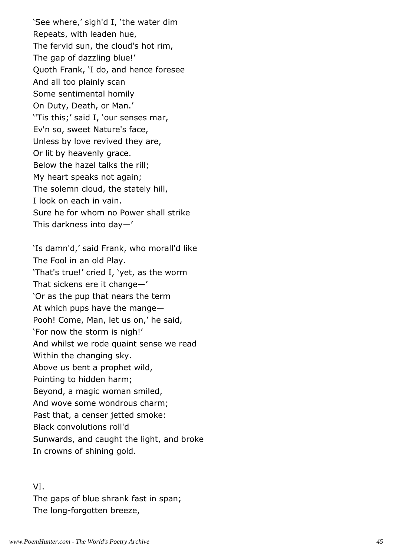'See where,' sigh'd I, 'the water dim Repeats, with leaden hue, The fervid sun, the cloud's hot rim, The gap of dazzling blue!' Quoth Frank, 'I do, and hence foresee And all too plainly scan Some sentimental homily On Duty, Death, or Man.' ''Tis this;' said I, 'our senses mar, Ev'n so, sweet Nature's face, Unless by love revived they are, Or lit by heavenly grace. Below the hazel talks the rill; My heart speaks not again; The solemn cloud, the stately hill, I look on each in vain. Sure he for whom no Power shall strike This darkness into day—'

'Is damn'd,' said Frank, who morall'd like The Fool in an old Play. 'That's true!' cried I, 'yet, as the worm That sickens ere it change—' 'Or as the pup that nears the term At which pups have the mange— Pooh! Come, Man, let us on,' he said, 'For now the storm is nigh!' And whilst we rode quaint sense we read Within the changing sky. Above us bent a prophet wild, Pointing to hidden harm; Beyond, a magic woman smiled, And wove some wondrous charm; Past that, a censer jetted smoke: Black convolutions roll'd Sunwards, and caught the light, and broke In crowns of shining gold.

#### VI.

The gaps of blue shrank fast in span; The long-forgotten breeze,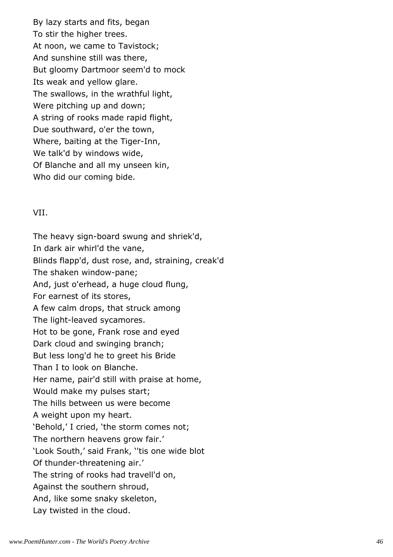By lazy starts and fits, began To stir the higher trees. At noon, we came to Tavistock; And sunshine still was there, But gloomy Dartmoor seem'd to mock Its weak and yellow glare. The swallows, in the wrathful light, Were pitching up and down; A string of rooks made rapid flight, Due southward, o'er the town, Where, baiting at the Tiger-Inn, We talk'd by windows wide, Of Blanche and all my unseen kin, Who did our coming bide.

## VII.

The heavy sign-board swung and shriek'd, In dark air whirl'd the vane, Blinds flapp'd, dust rose, and, straining, creak'd The shaken window-pane; And, just o'erhead, a huge cloud flung, For earnest of its stores, A few calm drops, that struck among The light-leaved sycamores. Hot to be gone, Frank rose and eyed Dark cloud and swinging branch; But less long'd he to greet his Bride Than I to look on Blanche. Her name, pair'd still with praise at home, Would make my pulses start; The hills between us were become A weight upon my heart. 'Behold,' I cried, 'the storm comes not; The northern heavens grow fair.' 'Look South,' said Frank, ''tis one wide blot Of thunder-threatening air.' The string of rooks had travell'd on, Against the southern shroud, And, like some snaky skeleton, Lay twisted in the cloud.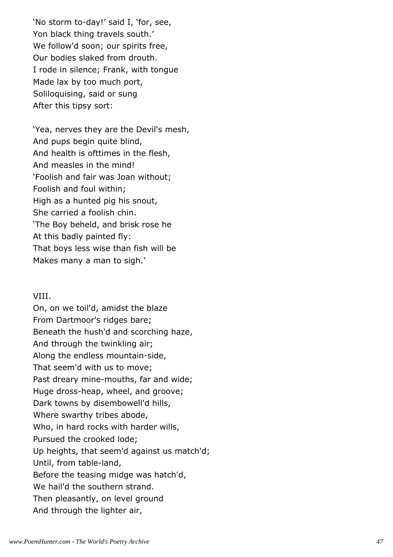'No storm to-day!' said I, 'for, see, Yon black thing travels south.' We follow'd soon; our spirits free, Our bodies slaked from drouth. I rode in silence; Frank, with tongue Made lax by too much port, Soliloquising, said or sung After this tipsy sort:

'Yea, nerves they are the Devil's mesh, And pups begin quite blind, And health is ofttimes in the flesh, And measles in the mind! 'Foolish and fair was Joan without; Foolish and foul within; High as a hunted pig his snout, She carried a foolish chin. 'The Boy beheld, and brisk rose he At this badly painted fly: That boys less wise than fish will be Makes many a man to sigh.'

#### VIII.

On, on we toil'd, amidst the blaze From Dartmoor's ridges bare; Beneath the hush'd and scorching haze, And through the twinkling air; Along the endless mountain-side, That seem'd with us to move; Past dreary mine-mouths, far and wide; Huge dross-heap, wheel, and groove; Dark towns by disembowell'd hills, Where swarthy tribes abode, Who, in hard rocks with harder wills, Pursued the crooked lode; Up heights, that seem'd against us match'd; Until, from table-land, Before the teasing midge was hatch'd, We hail'd the southern strand. Then pleasantly, on level ground And through the lighter air,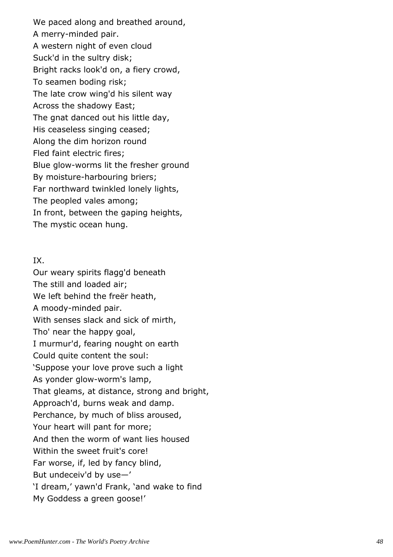We paced along and breathed around, A merry-minded pair. A western night of even cloud Suck'd in the sultry disk; Bright racks look'd on, a fiery crowd, To seamen boding risk; The late crow wing'd his silent way Across the shadowy East; The gnat danced out his little day, His ceaseless singing ceased; Along the dim horizon round Fled faint electric fires; Blue glow-worms lit the fresher ground By moisture-harbouring briers; Far northward twinkled lonely lights, The peopled vales among; In front, between the gaping heights, The mystic ocean hung.

## IX.

Our weary spirits flagg'd beneath The still and loaded air; We left behind the freër heath, A moody-minded pair. With senses slack and sick of mirth, Tho' near the happy goal, I murmur'd, fearing nought on earth Could quite content the soul: 'Suppose your love prove such a light As yonder glow-worm's lamp, That gleams, at distance, strong and bright, Approach'd, burns weak and damp. Perchance, by much of bliss aroused, Your heart will pant for more; And then the worm of want lies housed Within the sweet fruit's core! Far worse, if, led by fancy blind, But undeceiv'd by use—' 'I dream,' yawn'd Frank, 'and wake to find My Goddess a green goose!'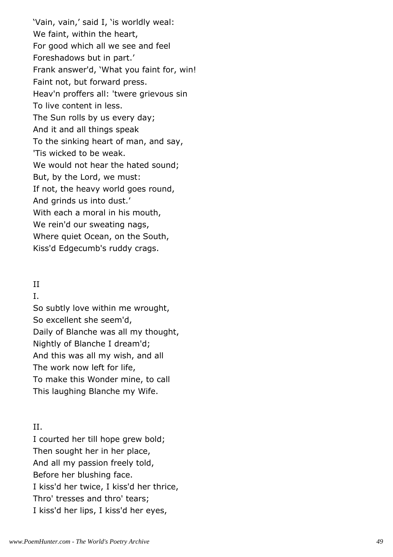'Vain, vain,' said I, 'is worldly weal: We faint, within the heart, For good which all we see and feel Foreshadows but in part.' Frank answer'd, 'What you faint for, win! Faint not, but forward press. Heav'n proffers all: 'twere grievous sin To live content in less. The Sun rolls by us every day; And it and all things speak To the sinking heart of man, and say, 'Tis wicked to be weak. We would not hear the hated sound; But, by the Lord, we must: If not, the heavy world goes round, And grinds us into dust.' With each a moral in his mouth, We rein'd our sweating nags, Where quiet Ocean, on the South, Kiss'd Edgecumb's ruddy crags.

## II

I.

So subtly love within me wrought, So excellent she seem'd, Daily of Blanche was all my thought, Nightly of Blanche I dream'd; And this was all my wish, and all The work now left for life, To make this Wonder mine, to call This laughing Blanche my Wife.

# II.

I courted her till hope grew bold; Then sought her in her place, And all my passion freely told, Before her blushing face. I kiss'd her twice, I kiss'd her thrice, Thro' tresses and thro' tears; I kiss'd her lips, I kiss'd her eyes,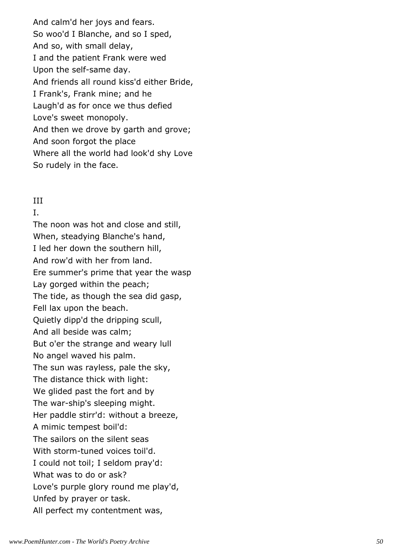And calm'd her joys and fears. So woo'd I Blanche, and so I sped, And so, with small delay, I and the patient Frank were wed Upon the self-same day. And friends all round kiss'd either Bride, I Frank's, Frank mine; and he Laugh'd as for once we thus defied Love's sweet monopoly. And then we drove by garth and grove; And soon forgot the place Where all the world had look'd shy Love So rudely in the face.

# III

I.

The noon was hot and close and still, When, steadying Blanche's hand, I led her down the southern hill, And row'd with her from land. Ere summer's prime that year the wasp Lay gorged within the peach; The tide, as though the sea did gasp, Fell lax upon the beach. Quietly dipp'd the dripping scull, And all beside was calm; But o'er the strange and weary lull No angel waved his palm. The sun was rayless, pale the sky, The distance thick with light: We glided past the fort and by The war-ship's sleeping might. Her paddle stirr'd: without a breeze, A mimic tempest boil'd: The sailors on the silent seas With storm-tuned voices toil'd. I could not toil; I seldom pray'd: What was to do or ask? Love's purple glory round me play'd, Unfed by prayer or task. All perfect my contentment was,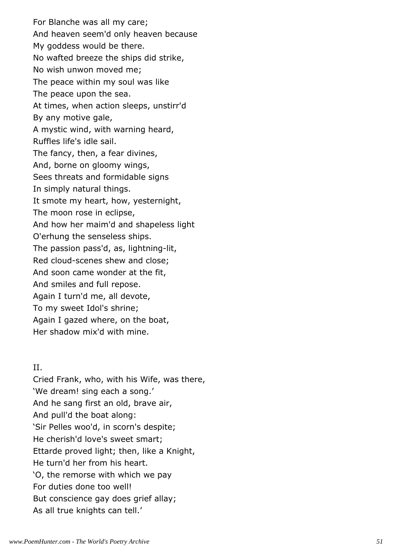For Blanche was all my care; And heaven seem'd only heaven because My goddess would be there. No wafted breeze the ships did strike, No wish unwon moved me; The peace within my soul was like The peace upon the sea. At times, when action sleeps, unstirr'd By any motive gale, A mystic wind, with warning heard, Ruffles life's idle sail. The fancy, then, a fear divines, And, borne on gloomy wings, Sees threats and formidable signs In simply natural things. It smote my heart, how, yesternight, The moon rose in eclipse, And how her maim'd and shapeless light O'erhung the senseless ships. The passion pass'd, as, lightning-lit, Red cloud-scenes shew and close; And soon came wonder at the fit, And smiles and full repose. Again I turn'd me, all devote, To my sweet Idol's shrine; Again I gazed where, on the boat, Her shadow mix'd with mine.

## II.

Cried Frank, who, with his Wife, was there, 'We dream! sing each a song.' And he sang first an old, brave air, And pull'd the boat along: 'Sir Pelles woo'd, in scorn's despite; He cherish'd love's sweet smart; Ettarde proved light; then, like a Knight, He turn'd her from his heart. 'O, the remorse with which we pay For duties done too well! But conscience gay does grief allay; As all true knights can tell.'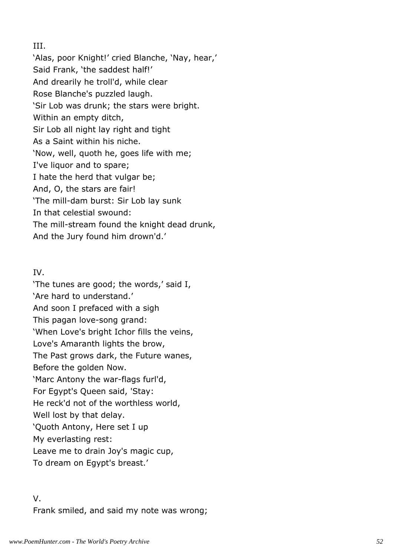## III.

'Alas, poor Knight!' cried Blanche, 'Nay, hear,' Said Frank, 'the saddest half!' And drearily he troll'd, while clear Rose Blanche's puzzled laugh. 'Sir Lob was drunk; the stars were bright. Within an empty ditch, Sir Lob all night lay right and tight As a Saint within his niche. 'Now, well, quoth he, goes life with me; I've liquor and to spare; I hate the herd that vulgar be; And, O, the stars are fair! 'The mill-dam burst: Sir Lob lay sunk In that celestial swound: The mill-stream found the knight dead drunk, And the Jury found him drown'd.'

# IV.

'The tunes are good; the words,' said I, 'Are hard to understand.' And soon I prefaced with a sigh This pagan love-song grand: 'When Love's bright Ichor fills the veins, Love's Amaranth lights the brow, The Past grows dark, the Future wanes, Before the golden Now. 'Marc Antony the war-flags furl'd, For Egypt's Queen said, 'Stay: He reck'd not of the worthless world, Well lost by that delay. 'Quoth Antony, Here set I up My everlasting rest: Leave me to drain Joy's magic cup, To dream on Egypt's breast.'

# V. Frank smiled, and said my note was wrong;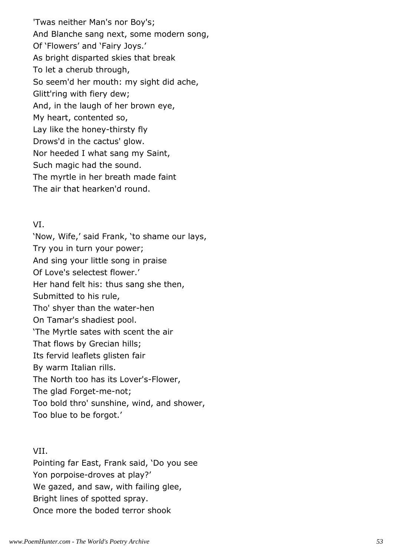'Twas neither Man's nor Boy's; And Blanche sang next, some modern song, Of 'Flowers' and 'Fairy Joys.' As bright disparted skies that break To let a cherub through, So seem'd her mouth: my sight did ache, Glitt'ring with fiery dew; And, in the laugh of her brown eye, My heart, contented so, Lay like the honey-thirsty fly Drows'd in the cactus' glow. Nor heeded I what sang my Saint, Such magic had the sound. The myrtle in her breath made faint The air that hearken'd round.

### VI.

'Now, Wife,' said Frank, 'to shame our lays, Try you in turn your power; And sing your little song in praise Of Love's selectest flower.' Her hand felt his: thus sang she then, Submitted to his rule, Tho' shyer than the water-hen On Tamar's shadiest pool. 'The Myrtle sates with scent the air That flows by Grecian hills; Its fervid leaflets glisten fair By warm Italian rills. The North too has its Lover's-Flower, The glad Forget-me-not; Too bold thro' sunshine, wind, and shower, Too blue to be forgot.'

# VII.

Pointing far East, Frank said, 'Do you see Yon porpoise-droves at play?' We gazed, and saw, with failing glee, Bright lines of spotted spray. Once more the boded terror shook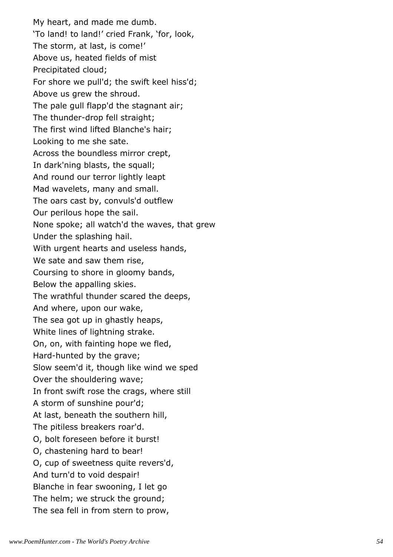My heart, and made me dumb. 'To land! to land!' cried Frank, 'for, look, The storm, at last, is come!' Above us, heated fields of mist Precipitated cloud; For shore we pull'd; the swift keel hiss'd; Above us grew the shroud. The pale gull flapp'd the stagnant air; The thunder-drop fell straight; The first wind lifted Blanche's hair; Looking to me she sate. Across the boundless mirror crept, In dark'ning blasts, the squall; And round our terror lightly leapt Mad wavelets, many and small. The oars cast by, convuls'd outflew Our perilous hope the sail. None spoke; all watch'd the waves, that grew Under the splashing hail. With urgent hearts and useless hands, We sate and saw them rise, Coursing to shore in gloomy bands, Below the appalling skies. The wrathful thunder scared the deeps, And where, upon our wake, The sea got up in ghastly heaps, White lines of lightning strake. On, on, with fainting hope we fled, Hard-hunted by the grave; Slow seem'd it, though like wind we sped Over the shouldering wave; In front swift rose the crags, where still A storm of sunshine pour'd; At last, beneath the southern hill, The pitiless breakers roar'd. O, bolt foreseen before it burst! O, chastening hard to bear! O, cup of sweetness quite revers'd, And turn'd to void despair! Blanche in fear swooning, I let go The helm; we struck the ground; The sea fell in from stern to prow,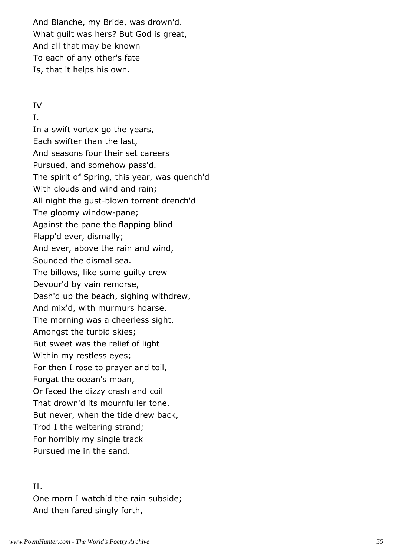And Blanche, my Bride, was drown'd. What guilt was hers? But God is great, And all that may be known To each of any other's fate Is, that it helps his own.

#### IV

I.

In a swift vortex go the years, Each swifter than the last, And seasons four their set careers Pursued, and somehow pass'd. The spirit of Spring, this year, was quench'd With clouds and wind and rain; All night the gust-blown torrent drench'd The gloomy window-pane; Against the pane the flapping blind Flapp'd ever, dismally; And ever, above the rain and wind, Sounded the dismal sea. The billows, like some guilty crew Devour'd by vain remorse, Dash'd up the beach, sighing withdrew, And mix'd, with murmurs hoarse. The morning was a cheerless sight, Amongst the turbid skies; But sweet was the relief of light Within my restless eyes; For then I rose to prayer and toil, Forgat the ocean's moan, Or faced the dizzy crash and coil That drown'd its mournfuller tone. But never, when the tide drew back, Trod I the weltering strand; For horribly my single track Pursued me in the sand.

#### II.

One morn I watch'd the rain subside; And then fared singly forth,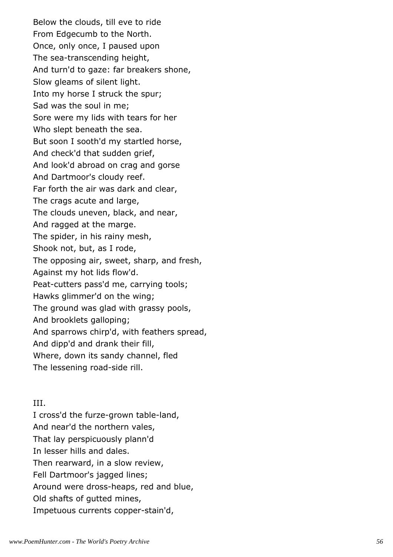Below the clouds, till eve to ride From Edgecumb to the North. Once, only once, I paused upon The sea-transcending height, And turn'd to gaze: far breakers shone, Slow gleams of silent light. Into my horse I struck the spur; Sad was the soul in me; Sore were my lids with tears for her Who slept beneath the sea. But soon I sooth'd my startled horse, And check'd that sudden grief, And look'd abroad on crag and gorse And Dartmoor's cloudy reef. Far forth the air was dark and clear, The crags acute and large, The clouds uneven, black, and near, And ragged at the marge. The spider, in his rainy mesh, Shook not, but, as I rode, The opposing air, sweet, sharp, and fresh, Against my hot lids flow'd. Peat-cutters pass'd me, carrying tools; Hawks glimmer'd on the wing; The ground was glad with grassy pools, And brooklets galloping; And sparrows chirp'd, with feathers spread, And dipp'd and drank their fill, Where, down its sandy channel, fled The lessening road-side rill.

## III.

I cross'd the furze-grown table-land, And near'd the northern vales, That lay perspicuously plann'd In lesser hills and dales. Then rearward, in a slow review, Fell Dartmoor's jagged lines; Around were dross-heaps, red and blue, Old shafts of gutted mines, Impetuous currents copper-stain'd,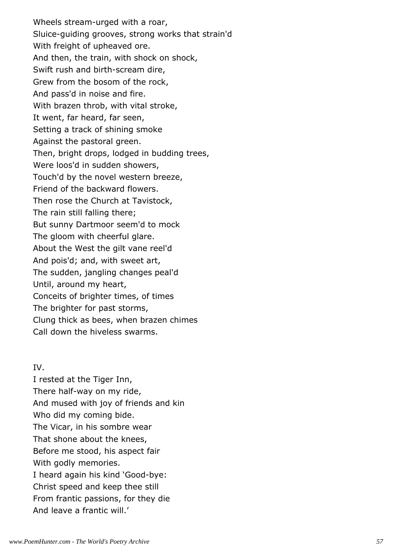Wheels stream-urged with a roar, Sluice-guiding grooves, strong works that strain'd With freight of upheaved ore. And then, the train, with shock on shock, Swift rush and birth-scream dire, Grew from the bosom of the rock, And pass'd in noise and fire. With brazen throb, with vital stroke, It went, far heard, far seen, Setting a track of shining smoke Against the pastoral green. Then, bright drops, lodged in budding trees, Were loos'd in sudden showers, Touch'd by the novel western breeze, Friend of the backward flowers. Then rose the Church at Tavistock, The rain still falling there; But sunny Dartmoor seem'd to mock The gloom with cheerful glare. About the West the gilt vane reel'd And pois'd; and, with sweet art, The sudden, jangling changes peal'd Until, around my heart, Conceits of brighter times, of times The brighter for past storms, Clung thick as bees, when brazen chimes Call down the hiveless swarms.

## IV.

I rested at the Tiger Inn, There half-way on my ride, And mused with joy of friends and kin Who did my coming bide. The Vicar, in his sombre wear That shone about the knees, Before me stood, his aspect fair With godly memories. I heard again his kind 'Good-bye: Christ speed and keep thee still From frantic passions, for they die And leave a frantic will.'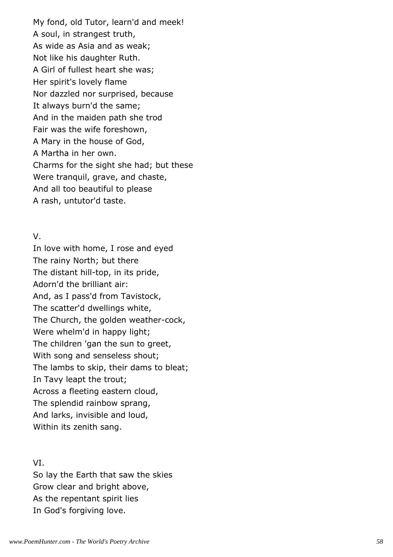My fond, old Tutor, learn'd and meek! A soul, in strangest truth, As wide as Asia and as weak; Not like his daughter Ruth. A Girl of fullest heart she was; Her spirit's lovely flame Nor dazzled nor surprised, because It always burn'd the same; And in the maiden path she trod Fair was the wife foreshown, A Mary in the house of God, A Martha in her own. Charms for the sight she had; but these Were tranquil, grave, and chaste, And all too beautiful to please A rash, untutor'd taste.

## V.

In love with home, I rose and eyed The rainy North; but there The distant hill-top, in its pride, Adorn'd the brilliant air: And, as I pass'd from Tavistock, The scatter'd dwellings white, The Church, the golden weather-cock, Were whelm'd in happy light; The children 'gan the sun to greet, With song and senseless shout; The lambs to skip, their dams to bleat; In Tavy leapt the trout; Across a fleeting eastern cloud, The splendid rainbow sprang, And larks, invisible and loud, Within its zenith sang.

# VI.

So lay the Earth that saw the skies Grow clear and bright above, As the repentant spirit lies In God's forgiving love.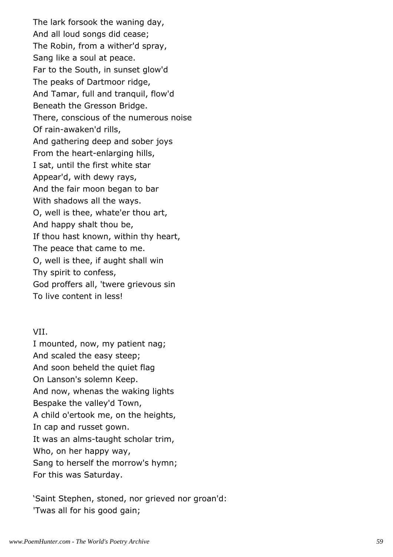The lark forsook the waning day, And all loud songs did cease; The Robin, from a wither'd spray, Sang like a soul at peace. Far to the South, in sunset glow'd The peaks of Dartmoor ridge, And Tamar, full and tranquil, flow'd Beneath the Gresson Bridge. There, conscious of the numerous noise Of rain-awaken'd rills, And gathering deep and sober joys From the heart-enlarging hills, I sat, until the first white star Appear'd, with dewy rays, And the fair moon began to bar With shadows all the ways. O, well is thee, whate'er thou art, And happy shalt thou be, If thou hast known, within thy heart, The peace that came to me. O, well is thee, if aught shall win Thy spirit to confess, God proffers all, 'twere grievous sin To live content in less!

### VII.

I mounted, now, my patient nag; And scaled the easy steep; And soon beheld the quiet flag On Lanson's solemn Keep. And now, whenas the waking lights Bespake the valley'd Town, A child o'ertook me, on the heights, In cap and russet gown. It was an alms-taught scholar trim, Who, on her happy way, Sang to herself the morrow's hymn; For this was Saturday.

'Saint Stephen, stoned, nor grieved nor groan'd: 'Twas all for his good gain;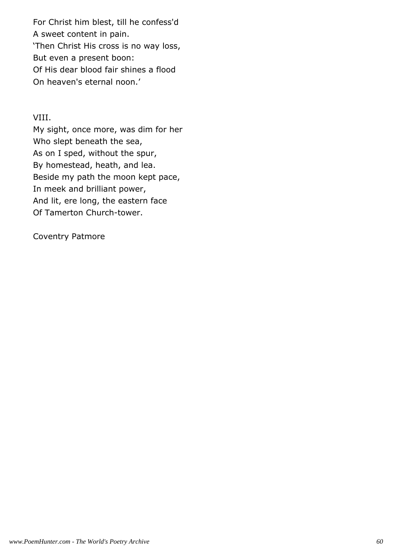For Christ him blest, till he confess'd A sweet content in pain. 'Then Christ His cross is no way loss, But even a present boon: Of His dear blood fair shines a flood On heaven's eternal noon.'

# VIII.

My sight, once more, was dim for her Who slept beneath the sea, As on I sped, without the spur, By homestead, heath, and lea. Beside my path the moon kept pace, In meek and brilliant power, And lit, ere long, the eastern face Of Tamerton Church-tower.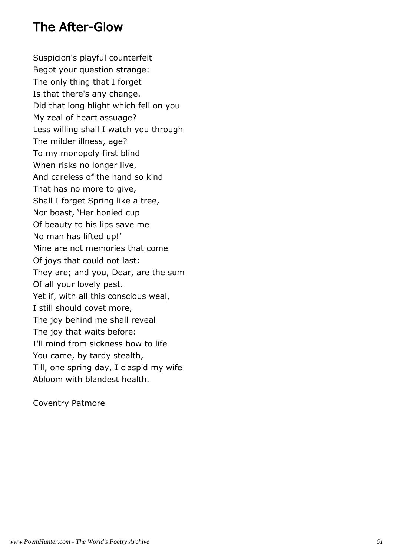# The After-Glow

Suspicion's playful counterfeit Begot your question strange: The only thing that I forget Is that there's any change. Did that long blight which fell on you My zeal of heart assuage? Less willing shall I watch you through The milder illness, age? To my monopoly first blind When risks no longer live, And careless of the hand so kind That has no more to give, Shall I forget Spring like a tree, Nor boast, 'Her honied cup Of beauty to his lips save me No man has lifted up!' Mine are not memories that come Of joys that could not last: They are; and you, Dear, are the sum Of all your lovely past. Yet if, with all this conscious weal, I still should covet more, The joy behind me shall reveal The joy that waits before: I'll mind from sickness how to life You came, by tardy stealth, Till, one spring day, I clasp'd my wife Abloom with blandest health.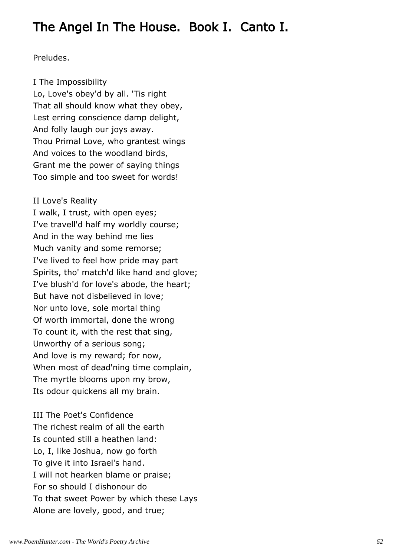# The Angel In The House. Book I. Canto I.

# Preludes.

# I The Impossibility

Lo, Love's obey'd by all. 'Tis right That all should know what they obey, Lest erring conscience damp delight, And folly laugh our joys away. Thou Primal Love, who grantest wings And voices to the woodland birds, Grant me the power of saying things Too simple and too sweet for words!

# II Love's Reality

I walk, I trust, with open eyes; I've travell'd half my worldly course; And in the way behind me lies Much vanity and some remorse; I've lived to feel how pride may part Spirits, tho' match'd like hand and glove; I've blush'd for love's abode, the heart; But have not disbelieved in love; Nor unto love, sole mortal thing Of worth immortal, done the wrong To count it, with the rest that sing, Unworthy of a serious song; And love is my reward; for now, When most of dead'ning time complain, The myrtle blooms upon my brow, Its odour quickens all my brain.

III The Poet's Confidence The richest realm of all the earth Is counted still a heathen land: Lo, I, like Joshua, now go forth To give it into Israel's hand. I will not hearken blame or praise; For so should I dishonour do To that sweet Power by which these Lays Alone are lovely, good, and true;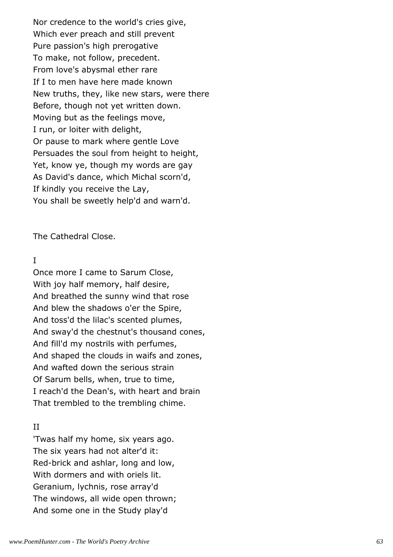Nor credence to the world's cries give, Which ever preach and still prevent Pure passion's high prerogative To make, not follow, precedent. From love's abysmal ether rare If I to men have here made known New truths, they, like new stars, were there Before, though not yet written down. Moving but as the feelings move, I run, or loiter with delight, Or pause to mark where gentle Love Persuades the soul from height to height, Yet, know ye, though my words are gay As David's dance, which Michal scorn'd, If kindly you receive the Lay, You shall be sweetly help'd and warn'd.

The Cathedral Close.

# I

Once more I came to Sarum Close, With joy half memory, half desire, And breathed the sunny wind that rose And blew the shadows o'er the Spire, And toss'd the lilac's scented plumes, And sway'd the chestnut's thousand cones, And fill'd my nostrils with perfumes, And shaped the clouds in waifs and zones, And wafted down the serious strain Of Sarum bells, when, true to time, I reach'd the Dean's, with heart and brain That trembled to the trembling chime.

## II

'Twas half my home, six years ago. The six years had not alter'd it: Red-brick and ashlar, long and low, With dormers and with oriels lit. Geranium, lychnis, rose array'd The windows, all wide open thrown; And some one in the Study play'd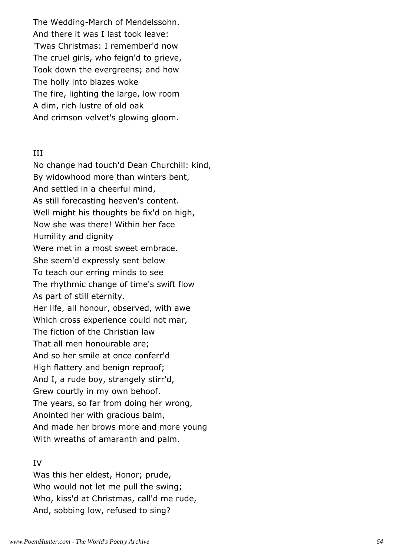The Wedding-March of Mendelssohn. And there it was I last took leave: 'Twas Christmas: I remember'd now The cruel girls, who feign'd to grieve, Took down the evergreens; and how The holly into blazes woke The fire, lighting the large, low room A dim, rich lustre of old oak And crimson velvet's glowing gloom.

#### III

No change had touch'd Dean Churchill: kind, By widowhood more than winters bent, And settled in a cheerful mind, As still forecasting heaven's content. Well might his thoughts be fix'd on high, Now she was there! Within her face Humility and dignity Were met in a most sweet embrace. She seem'd expressly sent below To teach our erring minds to see The rhythmic change of time's swift flow As part of still eternity. Her life, all honour, observed, with awe Which cross experience could not mar, The fiction of the Christian law That all men honourable are; And so her smile at once conferr'd High flattery and benign reproof; And I, a rude boy, strangely stirr'd, Grew courtly in my own behoof. The years, so far from doing her wrong, Anointed her with gracious balm, And made her brows more and more young With wreaths of amaranth and palm.

#### IV

Was this her eldest, Honor; prude, Who would not let me pull the swing; Who, kiss'd at Christmas, call'd me rude, And, sobbing low, refused to sing?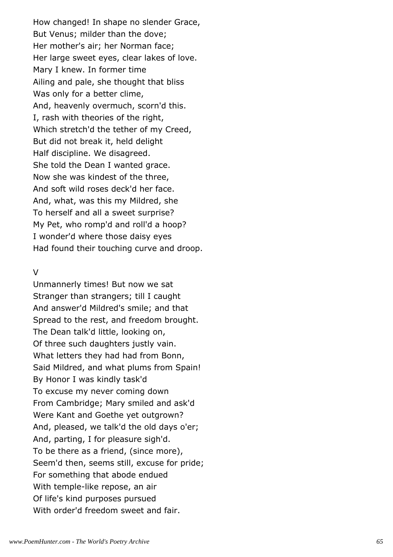How changed! In shape no slender Grace, But Venus; milder than the dove; Her mother's air; her Norman face; Her large sweet eyes, clear lakes of love. Mary I knew. In former time Ailing and pale, she thought that bliss Was only for a better clime, And, heavenly overmuch, scorn'd this. I, rash with theories of the right, Which stretch'd the tether of my Creed, But did not break it, held delight Half discipline. We disagreed. She told the Dean I wanted grace. Now she was kindest of the three, And soft wild roses deck'd her face. And, what, was this my Mildred, she To herself and all a sweet surprise? My Pet, who romp'd and roll'd a hoop? I wonder'd where those daisy eyes Had found their touching curve and droop.

#### V

Unmannerly times! But now we sat Stranger than strangers; till I caught And answer'd Mildred's smile; and that Spread to the rest, and freedom brought. The Dean talk'd little, looking on, Of three such daughters justly vain. What letters they had had from Bonn, Said Mildred, and what plums from Spain! By Honor I was kindly task'd To excuse my never coming down From Cambridge; Mary smiled and ask'd Were Kant and Goethe yet outgrown? And, pleased, we talk'd the old days o'er; And, parting, I for pleasure sigh'd. To be there as a friend, (since more), Seem'd then, seems still, excuse for pride; For something that abode endued With temple-like repose, an air Of life's kind purposes pursued With order'd freedom sweet and fair.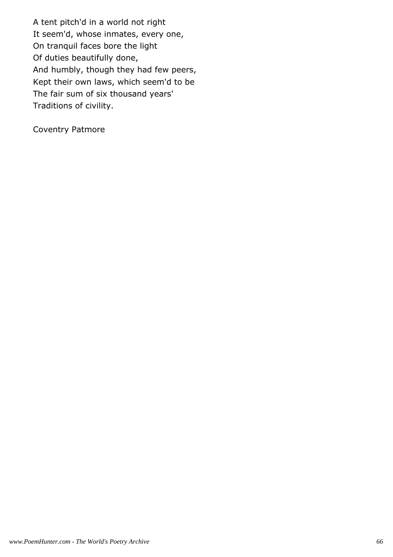A tent pitch'd in a world not right It seem'd, whose inmates, every one, On tranquil faces bore the light Of duties beautifully done, And humbly, though they had few peers, Kept their own laws, which seem'd to be The fair sum of six thousand years' Traditions of civility.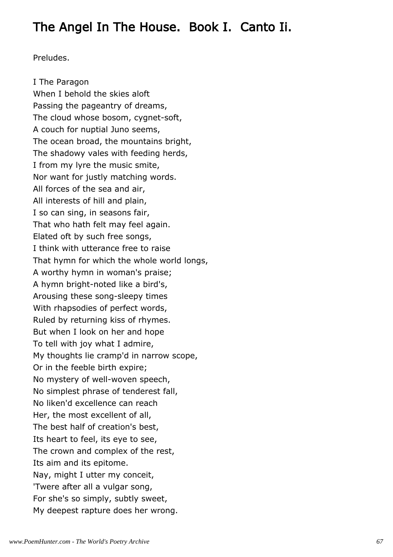# The Angel In The House. Book I. Canto Ii.

Preludes.

I The Paragon When I behold the skies aloft Passing the pageantry of dreams, The cloud whose bosom, cygnet-soft, A couch for nuptial Juno seems, The ocean broad, the mountains bright, The shadowy vales with feeding herds, I from my lyre the music smite, Nor want for justly matching words. All forces of the sea and air, All interests of hill and plain, I so can sing, in seasons fair, That who hath felt may feel again. Elated oft by such free songs, I think with utterance free to raise That hymn for which the whole world longs, A worthy hymn in woman's praise; A hymn bright-noted like a bird's, Arousing these song-sleepy times With rhapsodies of perfect words, Ruled by returning kiss of rhymes. But when I look on her and hope To tell with joy what I admire, My thoughts lie cramp'd in narrow scope, Or in the feeble birth expire; No mystery of well-woven speech, No simplest phrase of tenderest fall, No liken'd excellence can reach Her, the most excellent of all, The best half of creation's best, Its heart to feel, its eye to see, The crown and complex of the rest, Its aim and its epitome. Nay, might I utter my conceit, 'Twere after all a vulgar song, For she's so simply, subtly sweet, My deepest rapture does her wrong.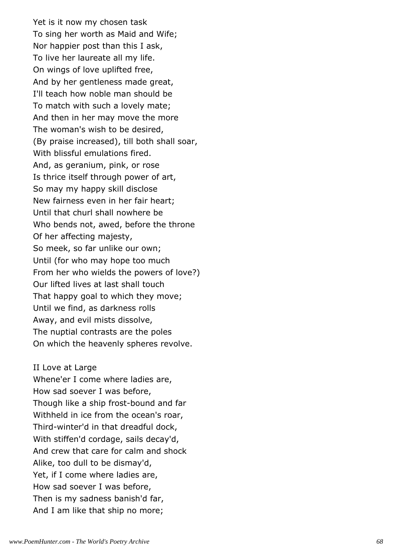Yet is it now my chosen task To sing her worth as Maid and Wife; Nor happier post than this I ask, To live her laureate all my life. On wings of love uplifted free, And by her gentleness made great, I'll teach how noble man should be To match with such a lovely mate; And then in her may move the more The woman's wish to be desired, (By praise increased), till both shall soar, With blissful emulations fired. And, as geranium, pink, or rose Is thrice itself through power of art, So may my happy skill disclose New fairness even in her fair heart; Until that churl shall nowhere be Who bends not, awed, before the throne Of her affecting majesty, So meek, so far unlike our own; Until (for who may hope too much From her who wields the powers of love?) Our lifted lives at last shall touch That happy goal to which they move; Until we find, as darkness rolls Away, and evil mists dissolve, The nuptial contrasts are the poles On which the heavenly spheres revolve.

#### II Love at Large

Whene'er I come where ladies are, How sad soever I was before, Though like a ship frost-bound and far Withheld in ice from the ocean's roar, Third-winter'd in that dreadful dock, With stiffen'd cordage, sails decay'd, And crew that care for calm and shock Alike, too dull to be dismay'd, Yet, if I come where ladies are, How sad soever I was before, Then is my sadness banish'd far, And I am like that ship no more;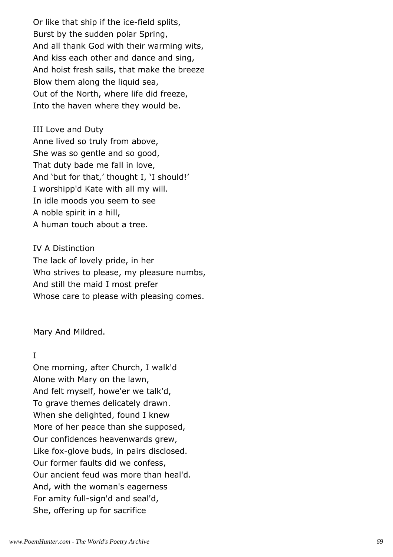Or like that ship if the ice-field splits, Burst by the sudden polar Spring, And all thank God with their warming wits, And kiss each other and dance and sing, And hoist fresh sails, that make the breeze Blow them along the liquid sea, Out of the North, where life did freeze, Into the haven where they would be.

III Love and Duty Anne lived so truly from above, She was so gentle and so good, That duty bade me fall in love, And 'but for that,' thought I, 'I should!' I worshipp'd Kate with all my will. In idle moods you seem to see A noble spirit in a hill, A human touch about a tree.

# IV A Distinction

The lack of lovely pride, in her Who strives to please, my pleasure numbs, And still the maid I most prefer Whose care to please with pleasing comes.

Mary And Mildred.

# I

One morning, after Church, I walk'd Alone with Mary on the lawn, And felt myself, howe'er we talk'd, To grave themes delicately drawn. When she delighted, found I knew More of her peace than she supposed, Our confidences heavenwards grew, Like fox-glove buds, in pairs disclosed. Our former faults did we confess, Our ancient feud was more than heal'd. And, with the woman's eagerness For amity full-sign'd and seal'd, She, offering up for sacrifice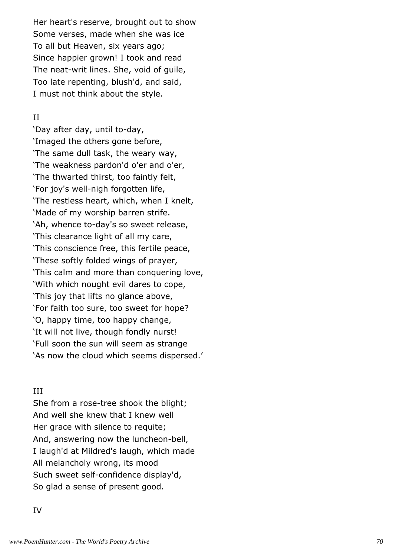Her heart's reserve, brought out to show Some verses, made when she was ice To all but Heaven, six years ago; Since happier grown! I took and read The neat-writ lines. She, void of guile, Too late repenting, blush'd, and said, I must not think about the style.

# II

'Day after day, until to-day, 'Imaged the others gone before, 'The same dull task, the weary way, 'The weakness pardon'd o'er and o'er, 'The thwarted thirst, too faintly felt, 'For joy's well-nigh forgotten life, 'The restless heart, which, when I knelt, 'Made of my worship barren strife. 'Ah, whence to-day's so sweet release, 'This clearance light of all my care, 'This conscience free, this fertile peace, 'These softly folded wings of prayer, 'This calm and more than conquering love, 'With which nought evil dares to cope, 'This joy that lifts no glance above, 'For faith too sure, too sweet for hope? 'O, happy time, too happy change, 'It will not live, though fondly nurst! 'Full soon the sun will seem as strange 'As now the cloud which seems dispersed.'

# III

She from a rose-tree shook the blight; And well she knew that I knew well Her grace with silence to requite; And, answering now the luncheon-bell, I laugh'd at Mildred's laugh, which made All melancholy wrong, its mood Such sweet self-confidence display'd, So glad a sense of present good.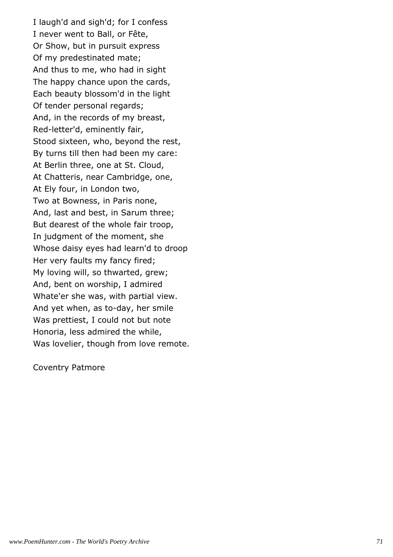I laugh'd and sigh'd; for I confess I never went to Ball, or Fête, Or Show, but in pursuit express Of my predestinated mate; And thus to me, who had in sight The happy chance upon the cards, Each beauty blossom'd in the light Of tender personal regards; And, in the records of my breast, Red-letter'd, eminently fair, Stood sixteen, who, beyond the rest, By turns till then had been my care: At Berlin three, one at St. Cloud, At Chatteris, near Cambridge, one, At Ely four, in London two, Two at Bowness, in Paris none, And, last and best, in Sarum three; But dearest of the whole fair troop, In judgment of the moment, she Whose daisy eyes had learn'd to droop Her very faults my fancy fired; My loving will, so thwarted, grew; And, bent on worship, I admired Whate'er she was, with partial view. And yet when, as to-day, her smile Was prettiest, I could not but note Honoria, less admired the while, Was lovelier, though from love remote.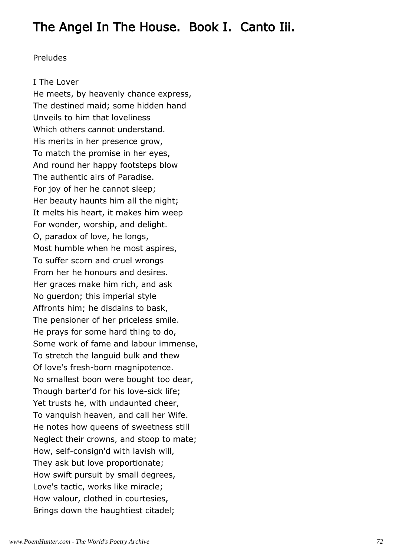## The Angel In The House. Book I. Canto Iii.

#### Preludes

#### I The Lover

He meets, by heavenly chance express, The destined maid; some hidden hand Unveils to him that loveliness Which others cannot understand. His merits in her presence grow, To match the promise in her eyes, And round her happy footsteps blow The authentic airs of Paradise. For joy of her he cannot sleep; Her beauty haunts him all the night; It melts his heart, it makes him weep For wonder, worship, and delight. O, paradox of love, he longs, Most humble when he most aspires, To suffer scorn and cruel wrongs From her he honours and desires. Her graces make him rich, and ask No guerdon; this imperial style Affronts him; he disdains to bask, The pensioner of her priceless smile. He prays for some hard thing to do, Some work of fame and labour immense, To stretch the languid bulk and thew Of love's fresh-born magnipotence. No smallest boon were bought too dear, Though barter'd for his love-sick life; Yet trusts he, with undaunted cheer, To vanquish heaven, and call her Wife. He notes how queens of sweetness still Neglect their crowns, and stoop to mate; How, self-consign'd with lavish will, They ask but love proportionate; How swift pursuit by small degrees, Love's tactic, works like miracle; How valour, clothed in courtesies, Brings down the haughtiest citadel;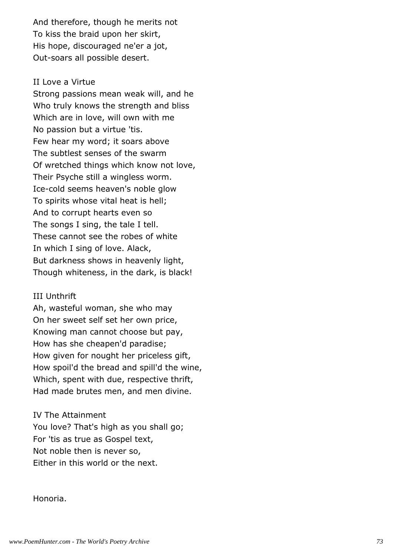And therefore, though he merits not To kiss the braid upon her skirt, His hope, discouraged ne'er a jot, Out-soars all possible desert.

#### II Love a Virtue

Strong passions mean weak will, and he Who truly knows the strength and bliss Which are in love, will own with me No passion but a virtue 'tis. Few hear my word; it soars above The subtlest senses of the swarm Of wretched things which know not love, Their Psyche still a wingless worm. Ice-cold seems heaven's noble glow To spirits whose vital heat is hell; And to corrupt hearts even so The songs I sing, the tale I tell. These cannot see the robes of white In which I sing of love. Alack, But darkness shows in heavenly light, Though whiteness, in the dark, is black!

#### III Unthrift

Ah, wasteful woman, she who may On her sweet self set her own price, Knowing man cannot choose but pay, How has she cheapen'd paradise; How given for nought her priceless gift, How spoil'd the bread and spill'd the wine, Which, spent with due, respective thrift, Had made brutes men, and men divine.

IV The Attainment You love? That's high as you shall go; For 'tis as true as Gospel text, Not noble then is never so, Either in this world or the next.

Honoria.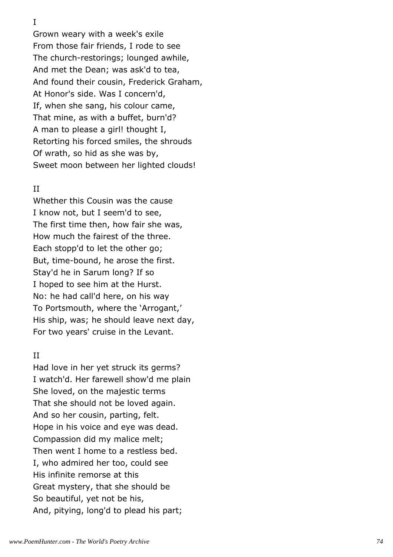I

Grown weary with a week's exile From those fair friends, I rode to see The church-restorings; lounged awhile, And met the Dean; was ask'd to tea, And found their cousin, Frederick Graham, At Honor's side. Was I concern'd, If, when she sang, his colour came, That mine, as with a buffet, burn'd? A man to please a girl! thought I, Retorting his forced smiles, the shrouds Of wrath, so hid as she was by, Sweet moon between her lighted clouds!

## II

Whether this Cousin was the cause I know not, but I seem'd to see, The first time then, how fair she was, How much the fairest of the three. Each stopp'd to let the other go; But, time-bound, he arose the first. Stay'd he in Sarum long? If so I hoped to see him at the Hurst. No: he had call'd here, on his way To Portsmouth, where the 'Arrogant,' His ship, was; he should leave next day, For two years' cruise in the Levant.

### II

Had love in her yet struck its germs? I watch'd. Her farewell show'd me plain She loved, on the majestic terms That she should not be loved again. And so her cousin, parting, felt. Hope in his voice and eye was dead. Compassion did my malice melt; Then went I home to a restless bed. I, who admired her too, could see His infinite remorse at this Great mystery, that she should be So beautiful, yet not be his, And, pitying, long'd to plead his part;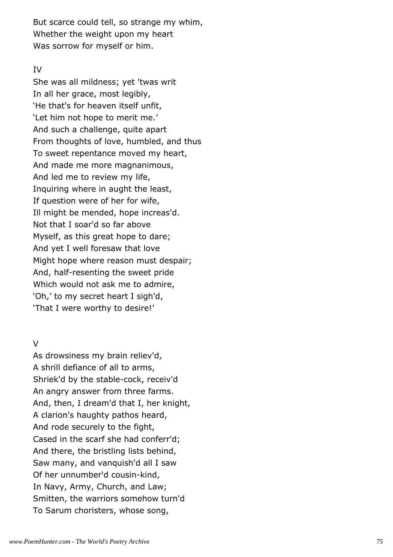But scarce could tell, so strange my whim, Whether the weight upon my heart Was sorrow for myself or him.

## IV

She was all mildness; yet 'twas writ In all her grace, most legibly, 'He that's for heaven itself unfit, 'Let him not hope to merit me.' And such a challenge, quite apart From thoughts of love, humbled, and thus To sweet repentance moved my heart, And made me more magnanimous, And led me to review my life, Inquiring where in aught the least, If question were of her for wife, Ill might be mended, hope increas'd. Not that I soar'd so far above Myself, as this great hope to dare; And yet I well foresaw that love Might hope where reason must despair; And, half-resenting the sweet pride Which would not ask me to admire, 'Oh,' to my secret heart I sigh'd, 'That I were worthy to desire!'

## V

As drowsiness my brain reliev'd, A shrill defiance of all to arms, Shriek'd by the stable-cock, receiv'd An angry answer from three farms. And, then, I dream'd that I, her knight, A clarion's haughty pathos heard, And rode securely to the fight, Cased in the scarf she had conferr'd; And there, the bristling lists behind, Saw many, and vanquish'd all I saw Of her unnumber'd cousin-kind, In Navy, Army, Church, and Law; Smitten, the warriors somehow turn'd To Sarum choristers, whose song,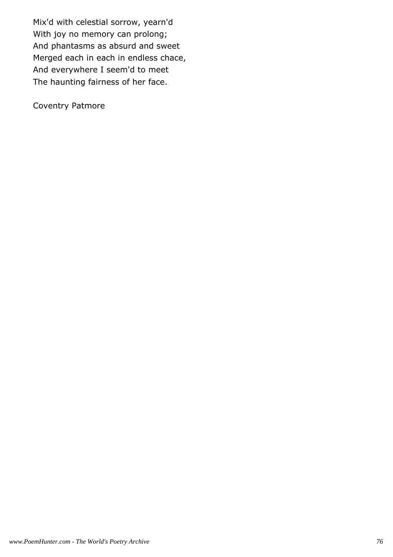Mix'd with celestial sorrow, yearn'd With joy no memory can prolong; And phantasms as absurd and sweet Merged each in each in endless chace, And everywhere I seem'd to meet The haunting fairness of her face.

Coventry Patmore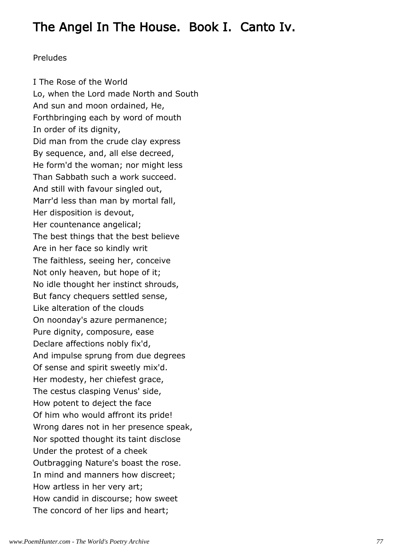# The Angel In The House. Book I. Canto Iv.

### Preludes

I The Rose of the World Lo, when the Lord made North and South And sun and moon ordained, He, Forthbringing each by word of mouth In order of its dignity, Did man from the crude clay express By sequence, and, all else decreed, He form'd the woman; nor might less Than Sabbath such a work succeed. And still with favour singled out, Marr'd less than man by mortal fall, Her disposition is devout, Her countenance angelical; The best things that the best believe Are in her face so kindly writ The faithless, seeing her, conceive Not only heaven, but hope of it; No idle thought her instinct shrouds, But fancy chequers settled sense, Like alteration of the clouds On noonday's azure permanence; Pure dignity, composure, ease Declare affections nobly fix'd, And impulse sprung from due degrees Of sense and spirit sweetly mix'd. Her modesty, her chiefest grace, The cestus clasping Venus' side, How potent to deject the face Of him who would affront its pride! Wrong dares not in her presence speak, Nor spotted thought its taint disclose Under the protest of a cheek Outbragging Nature's boast the rose. In mind and manners how discreet; How artless in her very art; How candid in discourse; how sweet The concord of her lips and heart;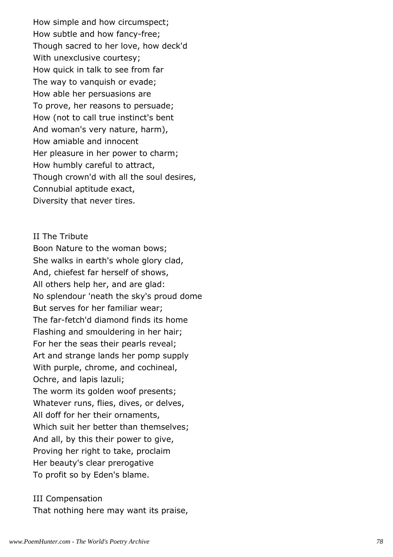How simple and how circumspect; How subtle and how fancy-free; Though sacred to her love, how deck'd With unexclusive courtesy; How quick in talk to see from far The way to vanquish or evade; How able her persuasions are To prove, her reasons to persuade; How (not to call true instinct's bent And woman's very nature, harm), How amiable and innocent Her pleasure in her power to charm; How humbly careful to attract, Though crown'd with all the soul desires, Connubial aptitude exact, Diversity that never tires.

#### II The Tribute

Boon Nature to the woman bows; She walks in earth's whole glory clad, And, chiefest far herself of shows, All others help her, and are glad: No splendour 'neath the sky's proud dome But serves for her familiar wear; The far-fetch'd diamond finds its home Flashing and smouldering in her hair; For her the seas their pearls reveal; Art and strange lands her pomp supply With purple, chrome, and cochineal, Ochre, and lapis lazuli; The worm its golden woof presents; Whatever runs, flies, dives, or delves, All doff for her their ornaments, Which suit her better than themselves; And all, by this their power to give, Proving her right to take, proclaim Her beauty's clear prerogative To profit so by Eden's blame.

## III Compensation That nothing here may want its praise,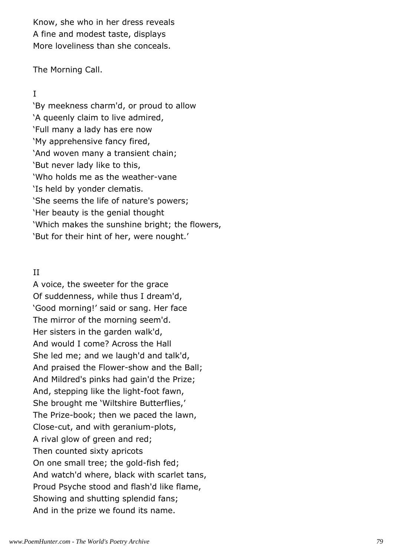Know, she who in her dress reveals A fine and modest taste, displays More loveliness than she conceals.

The Morning Call.

## I

'By meekness charm'd, or proud to allow 'A queenly claim to live admired, 'Full many a lady has ere now 'My apprehensive fancy fired, 'And woven many a transient chain; 'But never lady like to this, 'Who holds me as the weather-vane 'Is held by yonder clematis. 'She seems the life of nature's powers; 'Her beauty is the genial thought 'Which makes the sunshine bright; the flowers, 'But for their hint of her, were nought.'

## II

A voice, the sweeter for the grace Of suddenness, while thus I dream'd, 'Good morning!' said or sang. Her face The mirror of the morning seem'd. Her sisters in the garden walk'd, And would I come? Across the Hall She led me; and we laugh'd and talk'd, And praised the Flower-show and the Ball; And Mildred's pinks had gain'd the Prize; And, stepping like the light-foot fawn, She brought me 'Wiltshire Butterflies,' The Prize-book; then we paced the lawn, Close-cut, and with geranium-plots, A rival glow of green and red; Then counted sixty apricots On one small tree; the gold-fish fed; And watch'd where, black with scarlet tans, Proud Psyche stood and flash'd like flame, Showing and shutting splendid fans; And in the prize we found its name.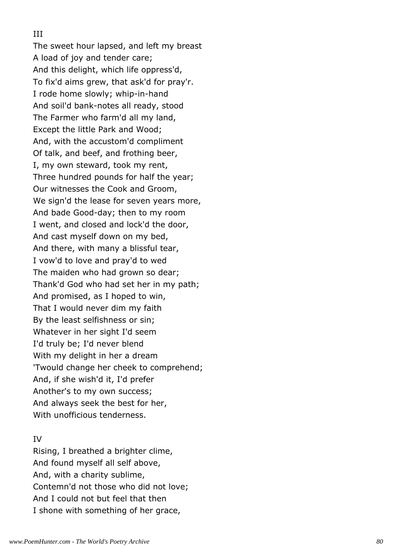## III

The sweet hour lapsed, and left my breast A load of joy and tender care; And this delight, which life oppress'd, To fix'd aims grew, that ask'd for pray'r. I rode home slowly; whip-in-hand And soil'd bank-notes all ready, stood The Farmer who farm'd all my land, Except the little Park and Wood; And, with the accustom'd compliment Of talk, and beef, and frothing beer, I, my own steward, took my rent, Three hundred pounds for half the year; Our witnesses the Cook and Groom, We sign'd the lease for seven years more, And bade Good-day; then to my room I went, and closed and lock'd the door, And cast myself down on my bed, And there, with many a blissful tear, I vow'd to love and pray'd to wed The maiden who had grown so dear; Thank'd God who had set her in my path; And promised, as I hoped to win, That I would never dim my faith By the least selfishness or sin; Whatever in her sight I'd seem I'd truly be; I'd never blend With my delight in her a dream 'Twould change her cheek to comprehend; And, if she wish'd it, I'd prefer Another's to my own success; And always seek the best for her, With unofficious tenderness.

## IV

Rising, I breathed a brighter clime, And found myself all self above, And, with a charity sublime, Contemn'd not those who did not love; And I could not but feel that then I shone with something of her grace,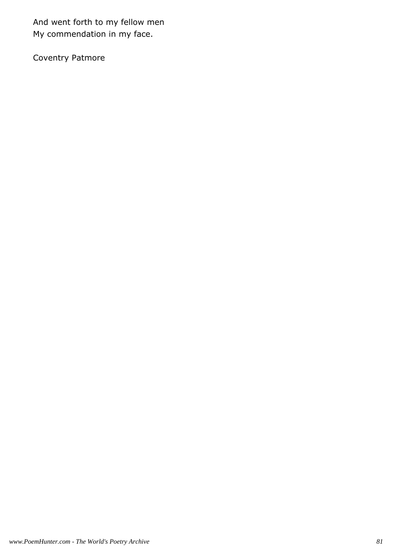And went forth to my fellow men My commendation in my face.

Coventry Patmore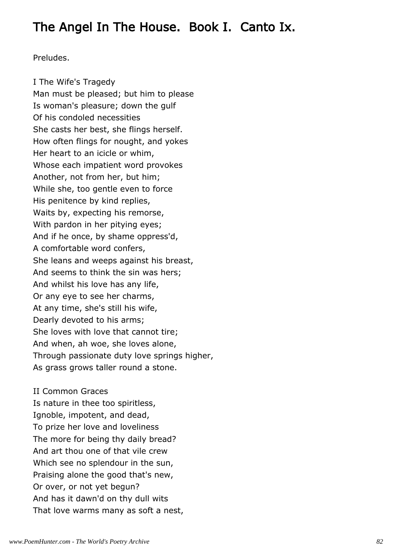## The Angel In The House. Book I. Canto Ix.

Preludes.

I The Wife's Tragedy Man must be pleased; but him to please Is woman's pleasure; down the gulf Of his condoled necessities She casts her best, she flings herself. How often flings for nought, and yokes Her heart to an icicle or whim, Whose each impatient word provokes Another, not from her, but him; While she, too gentle even to force His penitence by kind replies, Waits by, expecting his remorse, With pardon in her pitying eyes; And if he once, by shame oppress'd, A comfortable word confers, She leans and weeps against his breast, And seems to think the sin was hers; And whilst his love has any life, Or any eye to see her charms, At any time, she's still his wife, Dearly devoted to his arms; She loves with love that cannot tire; And when, ah woe, she loves alone, Through passionate duty love springs higher, As grass grows taller round a stone.

II Common Graces Is nature in thee too spiritless, Ignoble, impotent, and dead, To prize her love and loveliness The more for being thy daily bread? And art thou one of that vile crew Which see no splendour in the sun, Praising alone the good that's new, Or over, or not yet begun? And has it dawn'd on thy dull wits That love warms many as soft a nest,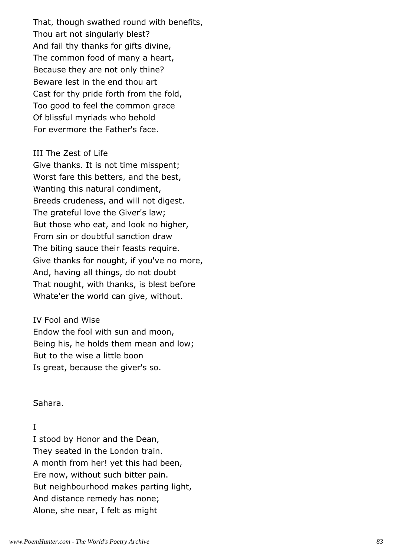That, though swathed round with benefits, Thou art not singularly blest? And fail thy thanks for gifts divine, The common food of many a heart, Because they are not only thine? Beware lest in the end thou art Cast for thy pride forth from the fold, Too good to feel the common grace Of blissful myriads who behold For evermore the Father's face.

#### III The Zest of Life

Give thanks. It is not time misspent; Worst fare this betters, and the best, Wanting this natural condiment, Breeds crudeness, and will not digest. The grateful love the Giver's law; But those who eat, and look no higher, From sin or doubtful sanction draw The biting sauce their feasts require. Give thanks for nought, if you've no more, And, having all things, do not doubt That nought, with thanks, is blest before Whate'er the world can give, without.

IV Fool and Wise Endow the fool with sun and moon, Being his, he holds them mean and low; But to the wise a little boon Is great, because the giver's so.

Sahara.

### I

I stood by Honor and the Dean, They seated in the London train. A month from her! yet this had been, Ere now, without such bitter pain. But neighbourhood makes parting light, And distance remedy has none; Alone, she near, I felt as might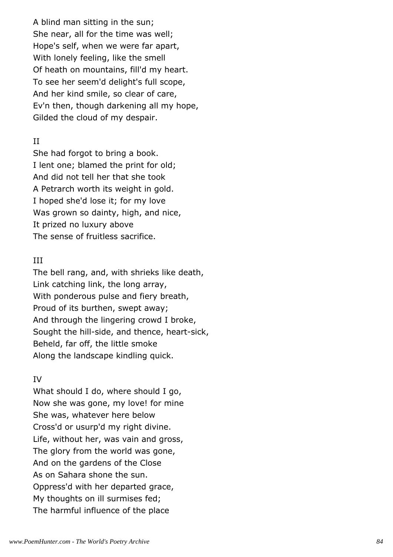A blind man sitting in the sun; She near, all for the time was well; Hope's self, when we were far apart, With lonely feeling, like the smell Of heath on mountains, fill'd my heart. To see her seem'd delight's full scope, And her kind smile, so clear of care, Ev'n then, though darkening all my hope, Gilded the cloud of my despair.

## II

She had forgot to bring a book. I lent one; blamed the print for old; And did not tell her that she took A Petrarch worth its weight in gold. I hoped she'd lose it; for my love Was grown so dainty, high, and nice, It prized no luxury above The sense of fruitless sacrifice.

## III

The bell rang, and, with shrieks like death, Link catching link, the long array, With ponderous pulse and fiery breath, Proud of its burthen, swept away; And through the lingering crowd I broke, Sought the hill-side, and thence, heart-sick, Beheld, far off, the little smoke Along the landscape kindling quick.

## IV

What should I do, where should I go, Now she was gone, my love! for mine She was, whatever here below Cross'd or usurp'd my right divine. Life, without her, was vain and gross, The glory from the world was gone, And on the gardens of the Close As on Sahara shone the sun. Oppress'd with her departed grace, My thoughts on ill surmises fed; The harmful influence of the place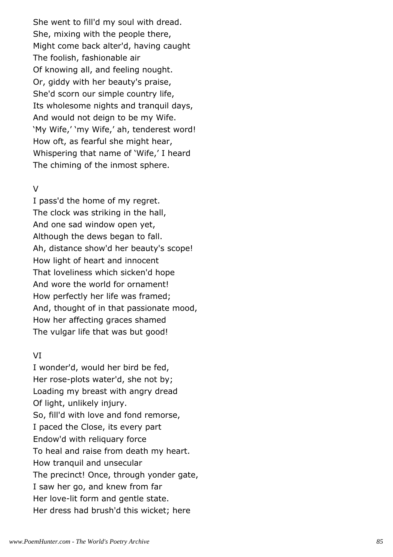She went to fill'd my soul with dread. She, mixing with the people there, Might come back alter'd, having caught The foolish, fashionable air Of knowing all, and feeling nought. Or, giddy with her beauty's praise, She'd scorn our simple country life, Its wholesome nights and tranquil days, And would not deign to be my Wife. 'My Wife,' 'my Wife,' ah, tenderest word! How oft, as fearful she might hear, Whispering that name of 'Wife,' I heard The chiming of the inmost sphere.

## V

I pass'd the home of my regret. The clock was striking in the hall, And one sad window open yet, Although the dews began to fall. Ah, distance show'd her beauty's scope! How light of heart and innocent That loveliness which sicken'd hope And wore the world for ornament! How perfectly her life was framed; And, thought of in that passionate mood, How her affecting graces shamed The vulgar life that was but good!

## VI

I wonder'd, would her bird be fed, Her rose-plots water'd, she not by; Loading my breast with angry dread Of light, unlikely injury. So, fill'd with love and fond remorse, I paced the Close, its every part Endow'd with reliquary force To heal and raise from death my heart. How tranquil and unsecular The precinct! Once, through yonder gate, I saw her go, and knew from far Her love-lit form and gentle state. Her dress had brush'd this wicket; here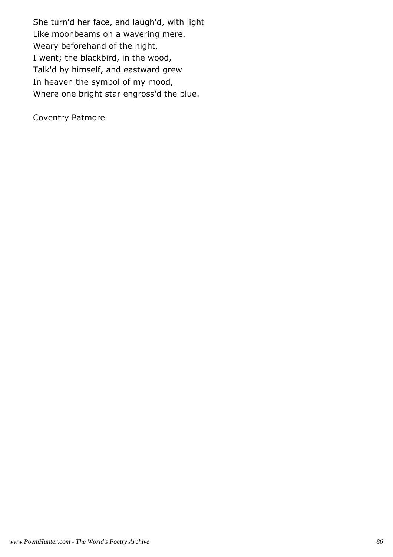She turn'd her face, and laugh'd, with light Like moonbeams on a wavering mere. Weary beforehand of the night, I went; the blackbird, in the wood, Talk'd by himself, and eastward grew In heaven the symbol of my mood, Where one bright star engross'd the blue.

Coventry Patmore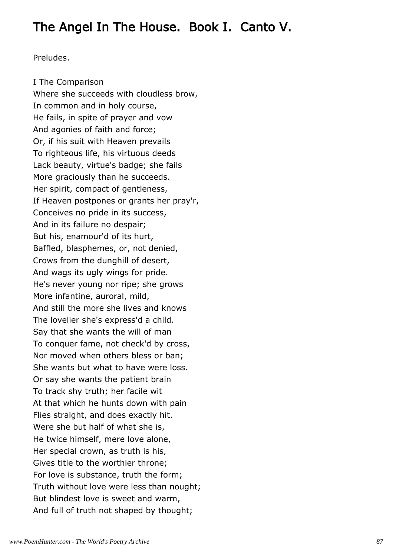# The Angel In The House. Book I. Canto V.

Preludes.

I The Comparison Where she succeeds with cloudless brow, In common and in holy course, He fails, in spite of prayer and vow And agonies of faith and force; Or, if his suit with Heaven prevails To righteous life, his virtuous deeds Lack beauty, virtue's badge; she fails More graciously than he succeeds. Her spirit, compact of gentleness, If Heaven postpones or grants her pray'r, Conceives no pride in its success, And in its failure no despair; But his, enamour'd of its hurt, Baffled, blasphemes, or, not denied, Crows from the dunghill of desert, And wags its ugly wings for pride. He's never young nor ripe; she grows More infantine, auroral, mild, And still the more she lives and knows The lovelier she's express'd a child. Say that she wants the will of man To conquer fame, not check'd by cross, Nor moved when others bless or ban; She wants but what to have were loss. Or say she wants the patient brain To track shy truth; her facile wit At that which he hunts down with pain Flies straight, and does exactly hit. Were she but half of what she is, He twice himself, mere love alone, Her special crown, as truth is his, Gives title to the worthier throne; For love is substance, truth the form; Truth without love were less than nought; But blindest love is sweet and warm, And full of truth not shaped by thought;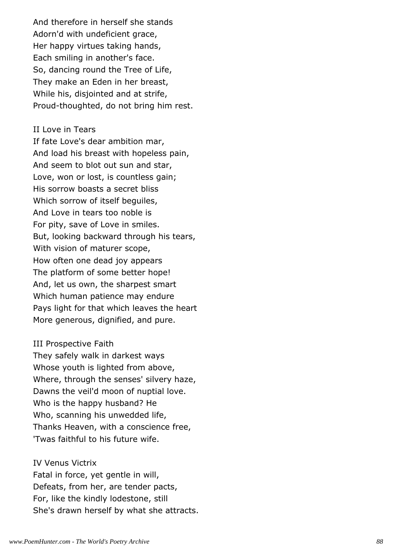And therefore in herself she stands Adorn'd with undeficient grace, Her happy virtues taking hands, Each smiling in another's face. So, dancing round the Tree of Life, They make an Eden in her breast, While his, disjointed and at strife, Proud-thoughted, do not bring him rest.

#### II Love in Tears

If fate Love's dear ambition mar, And load his breast with hopeless pain, And seem to blot out sun and star, Love, won or lost, is countless gain; His sorrow boasts a secret bliss Which sorrow of itself bequiles, And Love in tears too noble is For pity, save of Love in smiles. But, looking backward through his tears, With vision of maturer scope, How often one dead joy appears The platform of some better hope! And, let us own, the sharpest smart Which human patience may endure Pays light for that which leaves the heart More generous, dignified, and pure.

### III Prospective Faith

They safely walk in darkest ways Whose youth is lighted from above, Where, through the senses' silvery haze, Dawns the veil'd moon of nuptial love. Who is the happy husband? He Who, scanning his unwedded life, Thanks Heaven, with a conscience free, 'Twas faithful to his future wife.

#### IV Venus Victrix

Fatal in force, yet gentle in will, Defeats, from her, are tender pacts, For, like the kindly lodestone, still She's drawn herself by what she attracts.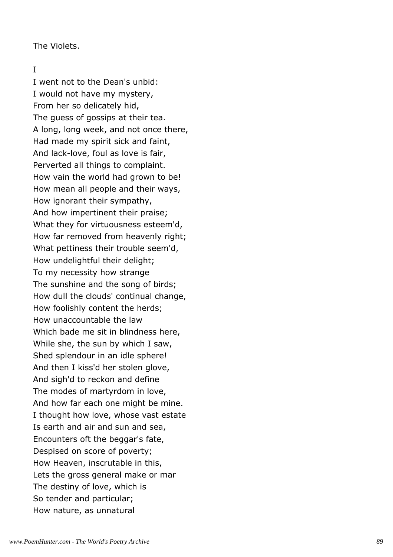The Violets.

## I

I went not to the Dean's unbid: I would not have my mystery, From her so delicately hid, The guess of gossips at their tea. A long, long week, and not once there, Had made my spirit sick and faint, And lack-love, foul as love is fair, Perverted all things to complaint. How vain the world had grown to be! How mean all people and their ways, How ignorant their sympathy, And how impertinent their praise; What they for virtuousness esteem'd, How far removed from heavenly right; What pettiness their trouble seem'd, How undelightful their delight; To my necessity how strange The sunshine and the song of birds; How dull the clouds' continual change, How foolishly content the herds; How unaccountable the law Which bade me sit in blindness here, While she, the sun by which I saw, Shed splendour in an idle sphere! And then I kiss'd her stolen glove, And sigh'd to reckon and define The modes of martyrdom in love, And how far each one might be mine. I thought how love, whose vast estate Is earth and air and sun and sea, Encounters oft the beggar's fate, Despised on score of poverty; How Heaven, inscrutable in this, Lets the gross general make or mar The destiny of love, which is So tender and particular; How nature, as unnatural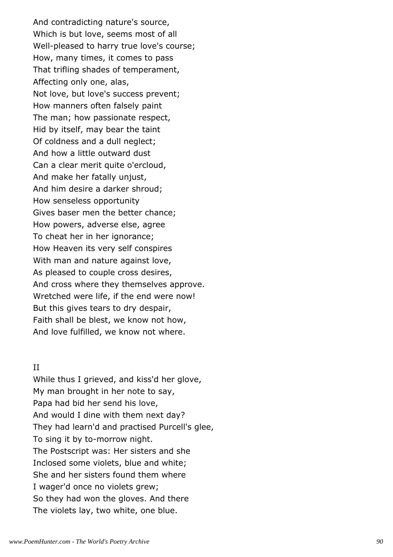And contradicting nature's source, Which is but love, seems most of all Well-pleased to harry true love's course; How, many times, it comes to pass That trifling shades of temperament, Affecting only one, alas, Not love, but love's success prevent; How manners often falsely paint The man; how passionate respect, Hid by itself, may bear the taint Of coldness and a dull neglect; And how a little outward dust Can a clear merit quite o'ercloud, And make her fatally unjust, And him desire a darker shroud; How senseless opportunity Gives baser men the better chance; How powers, adverse else, agree To cheat her in her ignorance; How Heaven its very self conspires With man and nature against love, As pleased to couple cross desires, And cross where they themselves approve. Wretched were life, if the end were now! But this gives tears to dry despair, Faith shall be blest, we know not how, And love fulfilled, we know not where.

#### II

While thus I grieved, and kiss'd her glove, My man brought in her note to say, Papa had bid her send his love, And would I dine with them next day? They had learn'd and practised Purcell's glee, To sing it by to-morrow night. The Postscript was: Her sisters and she Inclosed some violets, blue and white; She and her sisters found them where I wager'd once no violets grew; So they had won the gloves. And there The violets lay, two white, one blue.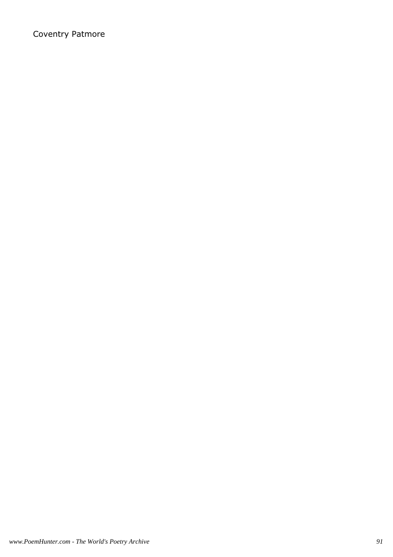## Coventry Patmore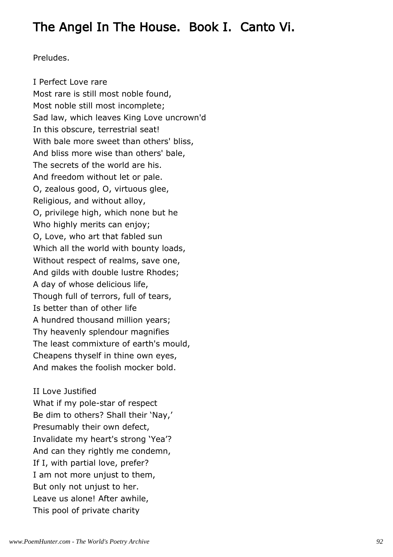## The Angel In The House. Book I. Canto Vi.

Preludes.

I Perfect Love rare Most rare is still most noble found, Most noble still most incomplete; Sad law, which leaves King Love uncrown'd In this obscure, terrestrial seat! With bale more sweet than others' bliss, And bliss more wise than others' bale, The secrets of the world are his. And freedom without let or pale. O, zealous good, O, virtuous glee, Religious, and without alloy, O, privilege high, which none but he Who highly merits can enjoy; O, Love, who art that fabled sun Which all the world with bounty loads, Without respect of realms, save one, And gilds with double lustre Rhodes; A day of whose delicious life, Though full of terrors, full of tears, Is better than of other life A hundred thousand million years; Thy heavenly splendour magnifies The least commixture of earth's mould, Cheapens thyself in thine own eyes, And makes the foolish mocker bold.

II Love Justified What if my pole-star of respect Be dim to others? Shall their 'Nay,' Presumably their own defect, Invalidate my heart's strong 'Yea'? And can they rightly me condemn, If I, with partial love, prefer? I am not more unjust to them, But only not unjust to her. Leave us alone! After awhile, This pool of private charity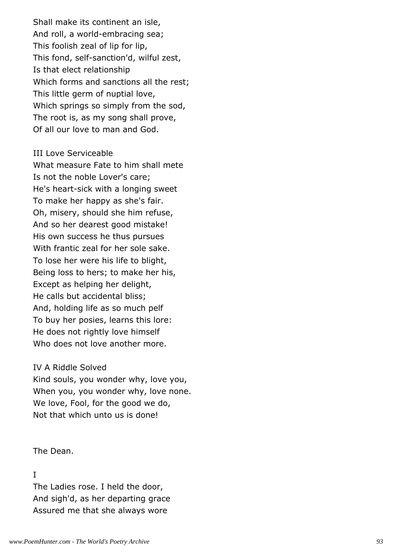Shall make its continent an isle, And roll, a world-embracing sea; This foolish zeal of lip for lip, This fond, self-sanction'd, wilful zest, Is that elect relationship Which forms and sanctions all the rest; This little germ of nuptial love, Which springs so simply from the sod, The root is, as my song shall prove, Of all our love to man and God.

#### III Love Serviceable

What measure Fate to him shall mete Is not the noble Lover's care; He's heart-sick with a longing sweet To make her happy as she's fair. Oh, misery, should she him refuse, And so her dearest good mistake! His own success he thus pursues With frantic zeal for her sole sake. To lose her were his life to blight, Being loss to hers; to make her his, Except as helping her delight, He calls but accidental bliss; And, holding life as so much pelf To buy her posies, learns this lore: He does not rightly love himself Who does not love another more.

#### IV A Riddle Solved

Kind souls, you wonder why, love you, When you, you wonder why, love none. We love, Fool, for the good we do, Not that which unto us is done!

#### The Dean.

## I

The Ladies rose. I held the door, And sigh'd, as her departing grace Assured me that she always wore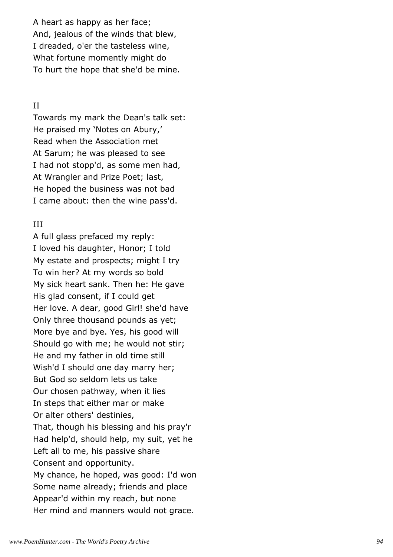A heart as happy as her face; And, jealous of the winds that blew, I dreaded, o'er the tasteless wine, What fortune momently might do To hurt the hope that she'd be mine.

### II

Towards my mark the Dean's talk set: He praised my 'Notes on Abury,' Read when the Association met At Sarum; he was pleased to see I had not stopp'd, as some men had, At Wrangler and Prize Poet; last, He hoped the business was not bad I came about: then the wine pass'd.

### III

A full glass prefaced my reply: I loved his daughter, Honor; I told My estate and prospects; might I try To win her? At my words so bold My sick heart sank. Then he: He gave His glad consent, if I could get Her love. A dear, good Girl! she'd have Only three thousand pounds as yet; More bye and bye. Yes, his good will Should go with me; he would not stir; He and my father in old time still Wish'd I should one day marry her; But God so seldom lets us take Our chosen pathway, when it lies In steps that either mar or make Or alter others' destinies, That, though his blessing and his pray'r Had help'd, should help, my suit, yet he Left all to me, his passive share Consent and opportunity. My chance, he hoped, was good: I'd won Some name already; friends and place Appear'd within my reach, but none Her mind and manners would not grace.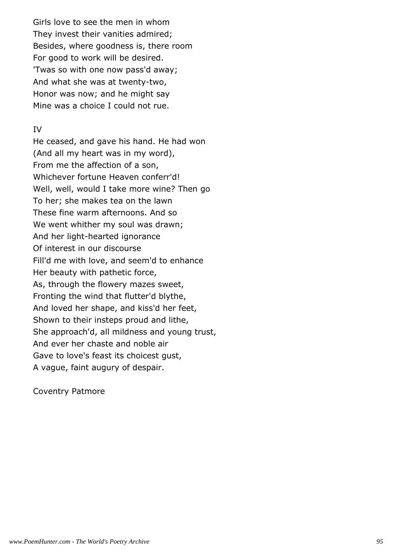Girls love to see the men in whom They invest their vanities admired; Besides, where goodness is, there room For good to work will be desired. 'Twas so with one now pass'd away; And what she was at twenty-two, Honor was now; and he might say Mine was a choice I could not rue.

## IV

He ceased, and gave his hand. He had won (And all my heart was in my word), From me the affection of a son, Whichever fortune Heaven conferr'd! Well, well, would I take more wine? Then go To her; she makes tea on the lawn These fine warm afternoons. And so We went whither my soul was drawn; And her light-hearted ignorance Of interest in our discourse Fill'd me with love, and seem'd to enhance Her beauty with pathetic force, As, through the flowery mazes sweet, Fronting the wind that flutter'd blythe, And loved her shape, and kiss'd her feet, Shown to their insteps proud and lithe, She approach'd, all mildness and young trust, And ever her chaste and noble air Gave to love's feast its choicest gust, A vague, faint augury of despair.

Coventry Patmore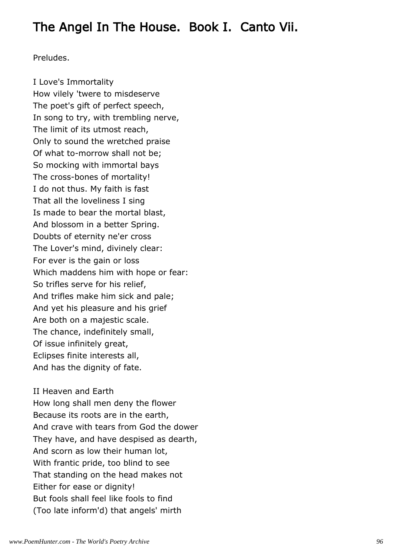## The Angel In The House. Book I. Canto Vii.

Preludes.

I Love's Immortality How vilely 'twere to misdeserve The poet's gift of perfect speech, In song to try, with trembling nerve, The limit of its utmost reach, Only to sound the wretched praise Of what to-morrow shall not be; So mocking with immortal bays The cross-bones of mortality! I do not thus. My faith is fast That all the loveliness I sing Is made to bear the mortal blast, And blossom in a better Spring. Doubts of eternity ne'er cross The Lover's mind, divinely clear: For ever is the gain or loss Which maddens him with hope or fear: So trifles serve for his relief, And trifles make him sick and pale; And yet his pleasure and his grief Are both on a majestic scale. The chance, indefinitely small, Of issue infinitely great, Eclipses finite interests all, And has the dignity of fate.

II Heaven and Earth How long shall men deny the flower Because its roots are in the earth, And crave with tears from God the dower They have, and have despised as dearth, And scorn as low their human lot, With frantic pride, too blind to see That standing on the head makes not Either for ease or dignity! But fools shall feel like fools to find (Too late inform'd) that angels' mirth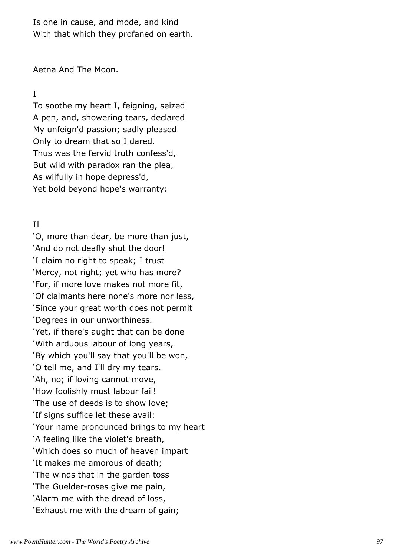Is one in cause, and mode, and kind With that which they profaned on earth.

Aetna And The Moon.

## I

To soothe my heart I, feigning, seized A pen, and, showering tears, declared My unfeign'd passion; sadly pleased Only to dream that so I dared. Thus was the fervid truth confess'd, But wild with paradox ran the plea, As wilfully in hope depress'd, Yet bold beyond hope's warranty:

## II

'O, more than dear, be more than just, 'And do not deafly shut the door! 'I claim no right to speak; I trust 'Mercy, not right; yet who has more? 'For, if more love makes not more fit, 'Of claimants here none's more nor less, 'Since your great worth does not permit 'Degrees in our unworthiness. 'Yet, if there's aught that can be done 'With arduous labour of long years, 'By which you'll say that you'll be won, 'O tell me, and I'll dry my tears. 'Ah, no; if loving cannot move, 'How foolishly must labour fail! 'The use of deeds is to show love; 'If signs suffice let these avail: 'Your name pronounced brings to my heart 'A feeling like the violet's breath, 'Which does so much of heaven impart 'It makes me amorous of death; 'The winds that in the garden toss 'The Guelder-roses give me pain, 'Alarm me with the dread of loss, 'Exhaust me with the dream of gain;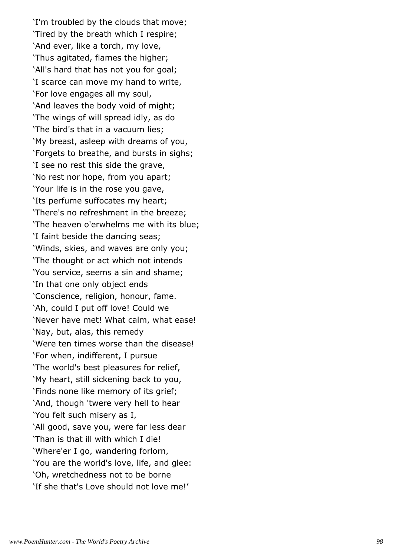'I'm troubled by the clouds that move; 'Tired by the breath which I respire; 'And ever, like a torch, my love, 'Thus agitated, flames the higher; 'All's hard that has not you for goal; 'I scarce can move my hand to write, 'For love engages all my soul, 'And leaves the body void of might; 'The wings of will spread idly, as do 'The bird's that in a vacuum lies; 'My breast, asleep with dreams of you, 'Forgets to breathe, and bursts in sighs; 'I see no rest this side the grave, 'No rest nor hope, from you apart; 'Your life is in the rose you gave, 'Its perfume suffocates my heart; 'There's no refreshment in the breeze; 'The heaven o'erwhelms me with its blue; 'I faint beside the dancing seas; 'Winds, skies, and waves are only you; 'The thought or act which not intends 'You service, seems a sin and shame; 'In that one only object ends 'Conscience, religion, honour, fame. 'Ah, could I put off love! Could we 'Never have met! What calm, what ease! 'Nay, but, alas, this remedy 'Were ten times worse than the disease! 'For when, indifferent, I pursue 'The world's best pleasures for relief, 'My heart, still sickening back to you, 'Finds none like memory of its grief; 'And, though 'twere very hell to hear 'You felt such misery as I, 'All good, save you, were far less dear 'Than is that ill with which I die! 'Where'er I go, wandering forlorn, 'You are the world's love, life, and glee: 'Oh, wretchedness not to be borne 'If she that's Love should not love me!'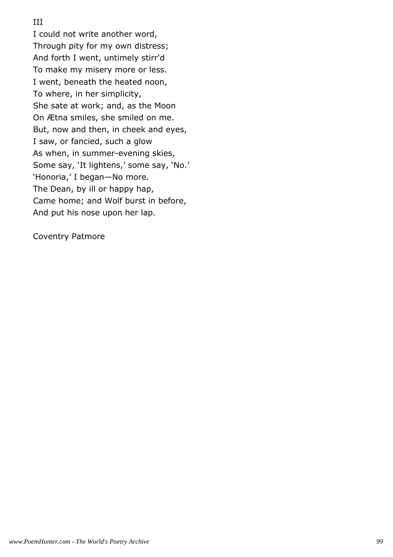## III

I could not write another word, Through pity for my own distress; And forth I went, untimely stirr'd To make my misery more or less. I went, beneath the heated noon, To where, in her simplicity, She sate at work; and, as the Moon On Ætna smiles, she smiled on me. But, now and then, in cheek and eyes, I saw, or fancied, such a glow As when, in summer-evening skies, Some say, 'It lightens,' some say, 'No.' 'Honoria,' I began—No more. The Dean, by ill or happy hap, Came home; and Wolf burst in before, And put his nose upon her lap.

Coventry Patmore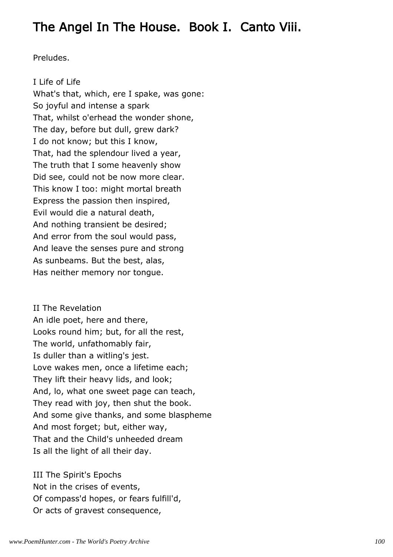# The Angel In The House. Book I. Canto Viii.

Preludes.

I Life of Life What's that, which, ere I spake, was gone: So joyful and intense a spark That, whilst o'erhead the wonder shone, The day, before but dull, grew dark? I do not know; but this I know, That, had the splendour lived a year, The truth that I some heavenly show Did see, could not be now more clear. This know I too: might mortal breath Express the passion then inspired, Evil would die a natural death, And nothing transient be desired; And error from the soul would pass, And leave the senses pure and strong As sunbeams. But the best, alas, Has neither memory nor tongue.

II The Revelation An idle poet, here and there, Looks round him; but, for all the rest, The world, unfathomably fair, Is duller than a witling's jest. Love wakes men, once a lifetime each; They lift their heavy lids, and look; And, lo, what one sweet page can teach, They read with joy, then shut the book. And some give thanks, and some blaspheme And most forget; but, either way, That and the Child's unheeded dream Is all the light of all their day.

III The Spirit's Epochs Not in the crises of events, Of compass'd hopes, or fears fulfill'd, Or acts of gravest consequence,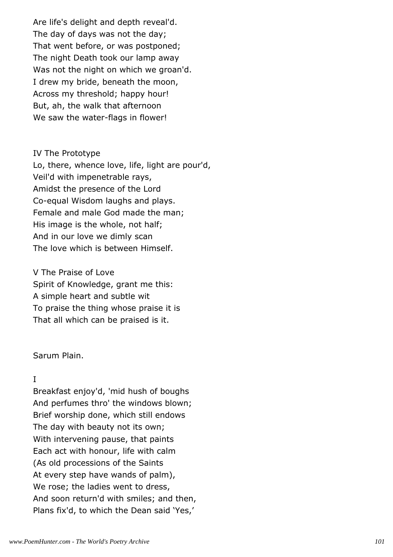Are life's delight and depth reveal'd. The day of days was not the day; That went before, or was postponed; The night Death took our lamp away Was not the night on which we groan'd. I drew my bride, beneath the moon, Across my threshold; happy hour! But, ah, the walk that afternoon We saw the water-flags in flower!

### IV The Prototype

Lo, there, whence love, life, light are pour'd, Veil'd with impenetrable rays, Amidst the presence of the Lord Co-equal Wisdom laughs and plays. Female and male God made the man; His image is the whole, not half; And in our love we dimly scan The love which is between Himself.

V The Praise of Love Spirit of Knowledge, grant me this: A simple heart and subtle wit To praise the thing whose praise it is That all which can be praised is it.

## Sarum Plain.

## I

Breakfast enjoy'd, 'mid hush of boughs And perfumes thro' the windows blown; Brief worship done, which still endows The day with beauty not its own; With intervening pause, that paints Each act with honour, life with calm (As old processions of the Saints At every step have wands of palm), We rose; the ladies went to dress, And soon return'd with smiles; and then, Plans fix'd, to which the Dean said 'Yes,'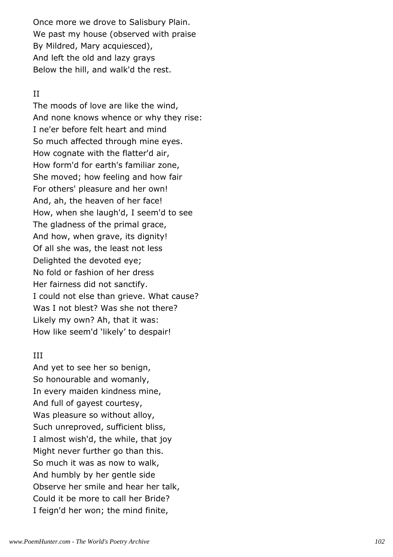Once more we drove to Salisbury Plain. We past my house (observed with praise By Mildred, Mary acquiesced), And left the old and lazy grays Below the hill, and walk'd the rest.

## II

The moods of love are like the wind, And none knows whence or why they rise: I ne'er before felt heart and mind So much affected through mine eyes. How cognate with the flatter'd air, How form'd for earth's familiar zone, She moved; how feeling and how fair For others' pleasure and her own! And, ah, the heaven of her face! How, when she laugh'd, I seem'd to see The gladness of the primal grace, And how, when grave, its dignity! Of all she was, the least not less Delighted the devoted eye; No fold or fashion of her dress Her fairness did not sanctify. I could not else than grieve. What cause? Was I not blest? Was she not there? Likely my own? Ah, that it was: How like seem'd 'likely' to despair!

## III

And yet to see her so benign, So honourable and womanly, In every maiden kindness mine, And full of gayest courtesy, Was pleasure so without alloy, Such unreproved, sufficient bliss, I almost wish'd, the while, that joy Might never further go than this. So much it was as now to walk, And humbly by her gentle side Observe her smile and hear her talk, Could it be more to call her Bride? I feign'd her won; the mind finite,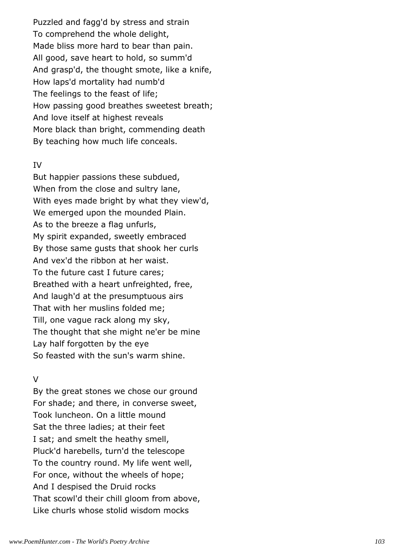Puzzled and fagg'd by stress and strain To comprehend the whole delight, Made bliss more hard to bear than pain. All good, save heart to hold, so summ'd And grasp'd, the thought smote, like a knife, How laps'd mortality had numb'd The feelings to the feast of life; How passing good breathes sweetest breath; And love itself at highest reveals More black than bright, commending death By teaching how much life conceals.

#### IV

But happier passions these subdued, When from the close and sultry lane, With eyes made bright by what they view'd, We emerged upon the mounded Plain. As to the breeze a flag unfurls, My spirit expanded, sweetly embraced By those same gusts that shook her curls And vex'd the ribbon at her waist. To the future cast I future cares; Breathed with a heart unfreighted, free, And laugh'd at the presumptuous airs That with her muslins folded me; Till, one vague rack along my sky, The thought that she might ne'er be mine Lay half forgotten by the eye So feasted with the sun's warm shine.

### $\vee$

By the great stones we chose our ground For shade; and there, in converse sweet, Took luncheon. On a little mound Sat the three ladies; at their feet I sat; and smelt the heathy smell, Pluck'd harebells, turn'd the telescope To the country round. My life went well, For once, without the wheels of hope; And I despised the Druid rocks That scowl'd their chill gloom from above, Like churls whose stolid wisdom mocks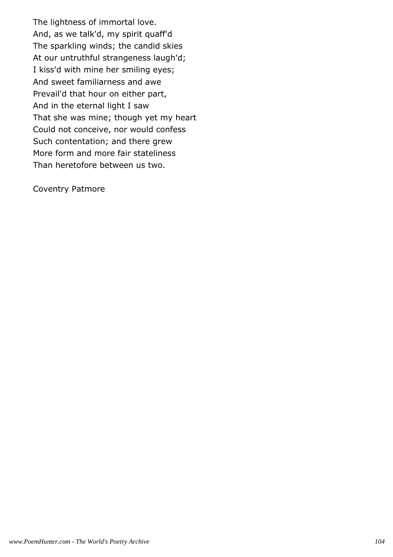The lightness of immortal love. And, as we talk'd, my spirit quaff'd The sparkling winds; the candid skies At our untruthful strangeness laugh'd; I kiss'd with mine her smiling eyes; And sweet familiarness and awe Prevail'd that hour on either part, And in the eternal light I saw That she was mine; though yet my heart Could not conceive, nor would confess Such contentation; and there grew More form and more fair stateliness Than heretofore between us two.

Coventry Patmore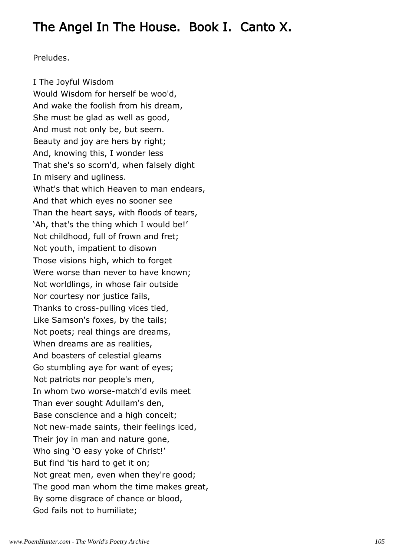# The Angel In The House. Book I. Canto X.

Preludes.

I The Joyful Wisdom Would Wisdom for herself be woo'd, And wake the foolish from his dream, She must be glad as well as good, And must not only be, but seem. Beauty and joy are hers by right; And, knowing this, I wonder less That she's so scorn'd, when falsely dight In misery and ugliness. What's that which Heaven to man endears, And that which eyes no sooner see Than the heart says, with floods of tears, 'Ah, that's the thing which I would be!' Not childhood, full of frown and fret; Not youth, impatient to disown Those visions high, which to forget Were worse than never to have known; Not worldlings, in whose fair outside Nor courtesy nor justice fails, Thanks to cross-pulling vices tied, Like Samson's foxes, by the tails; Not poets; real things are dreams, When dreams are as realities, And boasters of celestial gleams Go stumbling aye for want of eyes; Not patriots nor people's men, In whom two worse-match'd evils meet Than ever sought Adullam's den, Base conscience and a high conceit; Not new-made saints, their feelings iced, Their joy in man and nature gone, Who sing 'O easy yoke of Christ!' But find 'tis hard to get it on; Not great men, even when they're good; The good man whom the time makes great, By some disgrace of chance or blood, God fails not to humiliate;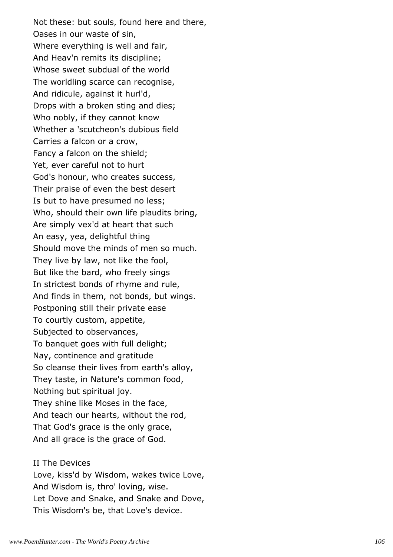Not these: but souls, found here and there, Oases in our waste of sin, Where everything is well and fair, And Heav'n remits its discipline; Whose sweet subdual of the world The worldling scarce can recognise, And ridicule, against it hurl'd, Drops with a broken sting and dies; Who nobly, if they cannot know Whether a 'scutcheon's dubious field Carries a falcon or a crow, Fancy a falcon on the shield; Yet, ever careful not to hurt God's honour, who creates success, Their praise of even the best desert Is but to have presumed no less; Who, should their own life plaudits bring, Are simply vex'd at heart that such An easy, yea, delightful thing Should move the minds of men so much. They live by law, not like the fool, But like the bard, who freely sings In strictest bonds of rhyme and rule, And finds in them, not bonds, but wings. Postponing still their private ease To courtly custom, appetite, Subjected to observances, To banquet goes with full delight; Nay, continence and gratitude So cleanse their lives from earth's alloy, They taste, in Nature's common food, Nothing but spiritual joy. They shine like Moses in the face, And teach our hearts, without the rod, That God's grace is the only grace, And all grace is the grace of God.

II The Devices Love, kiss'd by Wisdom, wakes twice Love, And Wisdom is, thro' loving, wise. Let Dove and Snake, and Snake and Dove, This Wisdom's be, that Love's device.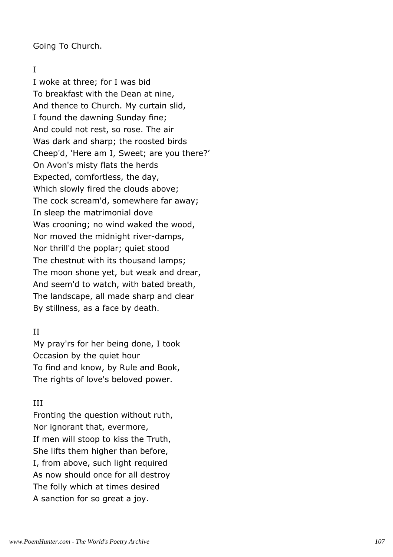Going To Church.

## I

I woke at three; for I was bid To breakfast with the Dean at nine, And thence to Church. My curtain slid, I found the dawning Sunday fine; And could not rest, so rose. The air Was dark and sharp; the roosted birds Cheep'd, 'Here am I, Sweet; are you there?' On Avon's misty flats the herds Expected, comfortless, the day, Which slowly fired the clouds above; The cock scream'd, somewhere far away; In sleep the matrimonial dove Was crooning; no wind waked the wood, Nor moved the midnight river-damps, Nor thrill'd the poplar; quiet stood The chestnut with its thousand lamps; The moon shone yet, but weak and drear, And seem'd to watch, with bated breath, The landscape, all made sharp and clear By stillness, as a face by death.

## II

My pray'rs for her being done, I took Occasion by the quiet hour To find and know, by Rule and Book, The rights of love's beloved power.

## III

Fronting the question without ruth, Nor ignorant that, evermore, If men will stoop to kiss the Truth, She lifts them higher than before, I, from above, such light required As now should once for all destroy The folly which at times desired A sanction for so great a joy.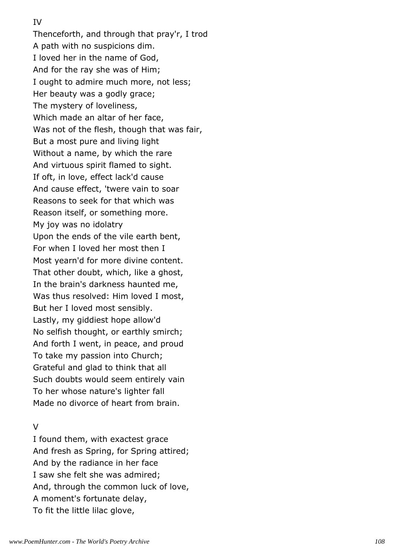### IV

Thenceforth, and through that pray'r, I trod A path with no suspicions dim. I loved her in the name of God, And for the ray she was of Him; I ought to admire much more, not less; Her beauty was a godly grace; The mystery of loveliness, Which made an altar of her face, Was not of the flesh, though that was fair, But a most pure and living light Without a name, by which the rare And virtuous spirit flamed to sight. If oft, in love, effect lack'd cause And cause effect, 'twere vain to soar Reasons to seek for that which was Reason itself, or something more. My joy was no idolatry Upon the ends of the vile earth bent, For when I loved her most then I Most yearn'd for more divine content. That other doubt, which, like a ghost, In the brain's darkness haunted me, Was thus resolved: Him loved I most, But her I loved most sensibly. Lastly, my giddiest hope allow'd No selfish thought, or earthly smirch; And forth I went, in peace, and proud To take my passion into Church; Grateful and glad to think that all Such doubts would seem entirely vain To her whose nature's lighter fall Made no divorce of heart from brain.

# $\overline{V}$

I found them, with exactest grace And fresh as Spring, for Spring attired; And by the radiance in her face I saw she felt she was admired; And, through the common luck of love, A moment's fortunate delay, To fit the little lilac glove,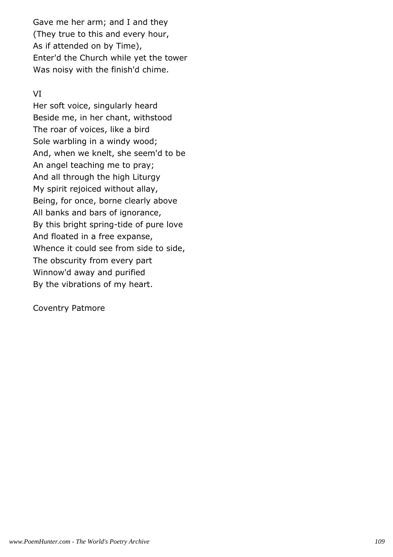Gave me her arm; and I and they (They true to this and every hour, As if attended on by Time), Enter'd the Church while yet the tower Was noisy with the finish'd chime.

# VI

Her soft voice, singularly heard Beside me, in her chant, withstood The roar of voices, like a bird Sole warbling in a windy wood; And, when we knelt, she seem'd to be An angel teaching me to pray; And all through the high Liturgy My spirit rejoiced without allay, Being, for once, borne clearly above All banks and bars of ignorance, By this bright spring-tide of pure love And floated in a free expanse, Whence it could see from side to side, The obscurity from every part Winnow'd away and purified By the vibrations of my heart.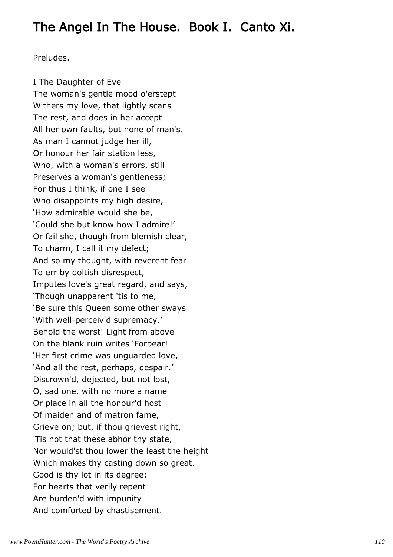# The Angel In The House. Book I. Canto Xi.

Preludes.

I The Daughter of Eve The woman's gentle mood o'erstept Withers my love, that lightly scans The rest, and does in her accept All her own faults, but none of man's. As man I cannot judge her ill, Or honour her fair station less, Who, with a woman's errors, still Preserves a woman's gentleness; For thus I think, if one I see Who disappoints my high desire, 'How admirable would she be, 'Could she but know how I admire!' Or fail she, though from blemish clear, To charm, I call it my defect; And so my thought, with reverent fear To err by doltish disrespect, Imputes love's great regard, and says, 'Though unapparent 'tis to me, 'Be sure this Queen some other sways 'With well-perceiv'd supremacy.' Behold the worst! Light from above On the blank ruin writes 'Forbear! 'Her first crime was unguarded love, 'And all the rest, perhaps, despair.' Discrown'd, dejected, but not lost, O, sad one, with no more a name Or place in all the honour'd host Of maiden and of matron fame, Grieve on; but, if thou grievest right, 'Tis not that these abhor thy state, Nor would'st thou lower the least the height Which makes thy casting down so great. Good is thy lot in its degree; For hearts that verily repent Are burden'd with impunity And comforted by chastisement.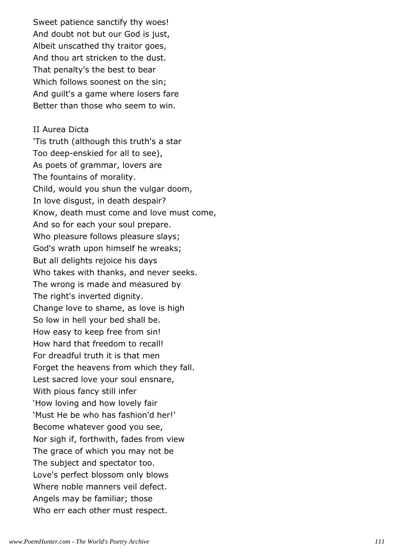Sweet patience sanctify thy woes! And doubt not but our God is just, Albeit unscathed thy traitor goes, And thou art stricken to the dust. That penalty's the best to bear Which follows soonest on the sin; And guilt's a game where losers fare Better than those who seem to win.

#### II Aurea Dicta

'Tis truth (although this truth's a star Too deep-enskied for all to see), As poets of grammar, lovers are The fountains of morality. Child, would you shun the vulgar doom, In love disgust, in death despair? Know, death must come and love must come, And so for each your soul prepare. Who pleasure follows pleasure slays; God's wrath upon himself he wreaks; But all delights rejoice his days Who takes with thanks, and never seeks. The wrong is made and measured by The right's inverted dignity. Change love to shame, as love is high So low in hell your bed shall be. How easy to keep free from sin! How hard that freedom to recall! For dreadful truth it is that men Forget the heavens from which they fall. Lest sacred love your soul ensnare, With pious fancy still infer 'How loving and how lovely fair 'Must He be who has fashion'd her!' Become whatever good you see, Nor sigh if, forthwith, fades from view The grace of which you may not be The subject and spectator too. Love's perfect blossom only blows Where noble manners veil defect. Angels may be familiar; those Who err each other must respect.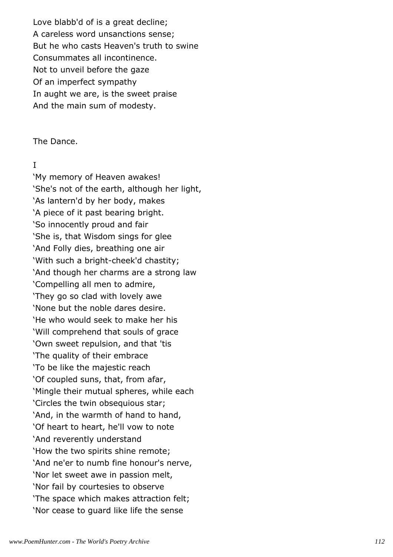Love blabb'd of is a great decline; A careless word unsanctions sense; But he who casts Heaven's truth to swine Consummates all incontinence. Not to unveil before the gaze Of an imperfect sympathy In aught we are, is the sweet praise And the main sum of modesty.

The Dance.

### I

'My memory of Heaven awakes! 'She's not of the earth, although her light, 'As lantern'd by her body, makes 'A piece of it past bearing bright. 'So innocently proud and fair 'She is, that Wisdom sings for glee 'And Folly dies, breathing one air 'With such a bright-cheek'd chastity; 'And though her charms are a strong law 'Compelling all men to admire, 'They go so clad with lovely awe 'None but the noble dares desire. 'He who would seek to make her his 'Will comprehend that souls of grace 'Own sweet repulsion, and that 'tis 'The quality of their embrace 'To be like the majestic reach 'Of coupled suns, that, from afar, 'Mingle their mutual spheres, while each 'Circles the twin obsequious star; 'And, in the warmth of hand to hand, 'Of heart to heart, he'll vow to note 'And reverently understand 'How the two spirits shine remote; 'And ne'er to numb fine honour's nerve, 'Nor let sweet awe in passion melt, 'Nor fail by courtesies to observe 'The space which makes attraction felt; 'Nor cease to guard like life the sense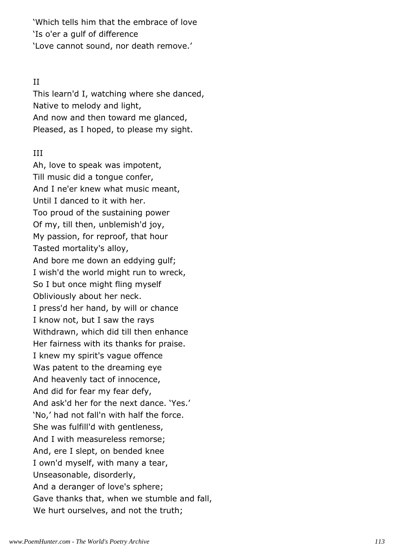'Which tells him that the embrace of love 'Is o'er a gulf of difference 'Love cannot sound, nor death remove.'

## II

This learn'd I, watching where she danced, Native to melody and light, And now and then toward me glanced, Pleased, as I hoped, to please my sight.

# III

Ah, love to speak was impotent, Till music did a tongue confer, And I ne'er knew what music meant, Until I danced to it with her. Too proud of the sustaining power Of my, till then, unblemish'd joy, My passion, for reproof, that hour Tasted mortality's alloy, And bore me down an eddying gulf; I wish'd the world might run to wreck, So I but once might fling myself Obliviously about her neck. I press'd her hand, by will or chance I know not, but I saw the rays Withdrawn, which did till then enhance Her fairness with its thanks for praise. I knew my spirit's vague offence Was patent to the dreaming eye And heavenly tact of innocence, And did for fear my fear defy, And ask'd her for the next dance. 'Yes.' 'No,' had not fall'n with half the force. She was fulfill'd with gentleness, And I with measureless remorse; And, ere I slept, on bended knee I own'd myself, with many a tear, Unseasonable, disorderly, And a deranger of love's sphere; Gave thanks that, when we stumble and fall, We hurt ourselves, and not the truth;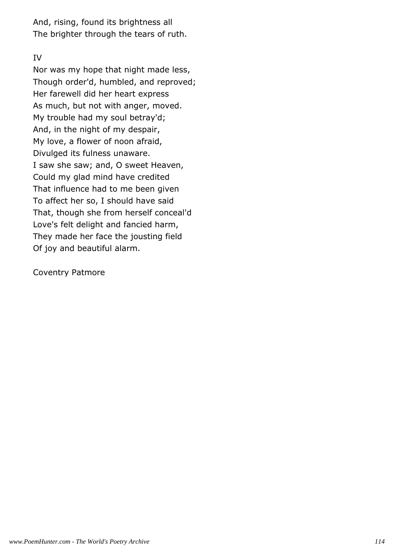And, rising, found its brightness all The brighter through the tears of ruth.

# IV

Nor was my hope that night made less, Though order'd, humbled, and reproved; Her farewell did her heart express As much, but not with anger, moved. My trouble had my soul betray'd; And, in the night of my despair, My love, a flower of noon afraid, Divulged its fulness unaware. I saw she saw; and, O sweet Heaven, Could my glad mind have credited That influence had to me been given To affect her so, I should have said That, though she from herself conceal'd Love's felt delight and fancied harm, They made her face the jousting field Of joy and beautiful alarm.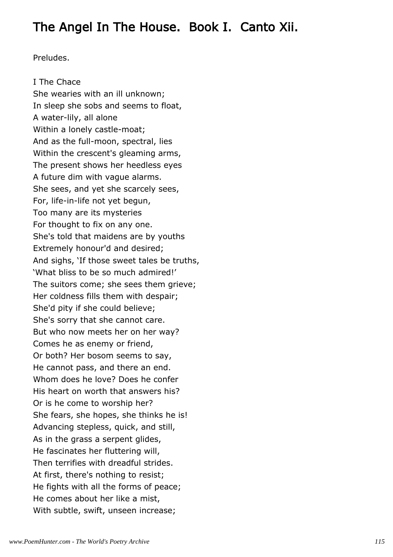# The Angel In The House. Book I. Canto Xii.

Preludes.

I The Chace She wearies with an ill unknown; In sleep she sobs and seems to float, A water-lily, all alone Within a lonely castle-moat; And as the full-moon, spectral, lies Within the crescent's gleaming arms, The present shows her heedless eyes A future dim with vague alarms. She sees, and yet she scarcely sees, For, life-in-life not yet begun, Too many are its mysteries For thought to fix on any one. She's told that maidens are by youths Extremely honour'd and desired; And sighs, 'If those sweet tales be truths, 'What bliss to be so much admired!' The suitors come; she sees them grieve; Her coldness fills them with despair; She'd pity if she could believe; She's sorry that she cannot care. But who now meets her on her way? Comes he as enemy or friend, Or both? Her bosom seems to say, He cannot pass, and there an end. Whom does he love? Does he confer His heart on worth that answers his? Or is he come to worship her? She fears, she hopes, she thinks he is! Advancing stepless, quick, and still, As in the grass a serpent glides, He fascinates her fluttering will, Then terrifies with dreadful strides. At first, there's nothing to resist; He fights with all the forms of peace; He comes about her like a mist, With subtle, swift, unseen increase;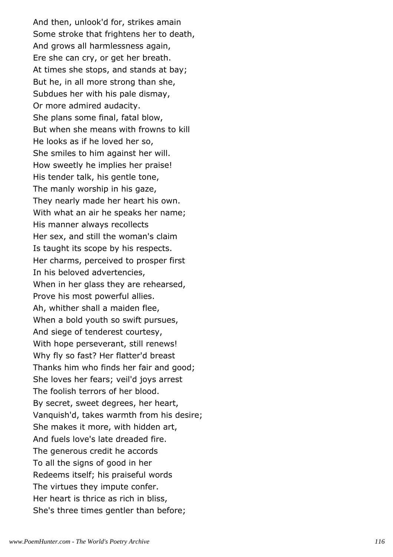And then, unlook'd for, strikes amain Some stroke that frightens her to death, And grows all harmlessness again, Ere she can cry, or get her breath. At times she stops, and stands at bay; But he, in all more strong than she, Subdues her with his pale dismay, Or more admired audacity. She plans some final, fatal blow, But when she means with frowns to kill He looks as if he loved her so, She smiles to him against her will. How sweetly he implies her praise! His tender talk, his gentle tone, The manly worship in his gaze, They nearly made her heart his own. With what an air he speaks her name; His manner always recollects Her sex, and still the woman's claim Is taught its scope by his respects. Her charms, perceived to prosper first In his beloved advertencies, When in her glass they are rehearsed, Prove his most powerful allies. Ah, whither shall a maiden flee, When a bold youth so swift pursues, And siege of tenderest courtesy, With hope perseverant, still renews! Why fly so fast? Her flatter'd breast Thanks him who finds her fair and good; She loves her fears; veil'd joys arrest The foolish terrors of her blood. By secret, sweet degrees, her heart, Vanquish'd, takes warmth from his desire; She makes it more, with hidden art, And fuels love's late dreaded fire. The generous credit he accords To all the signs of good in her Redeems itself; his praiseful words The virtues they impute confer. Her heart is thrice as rich in bliss, She's three times gentler than before;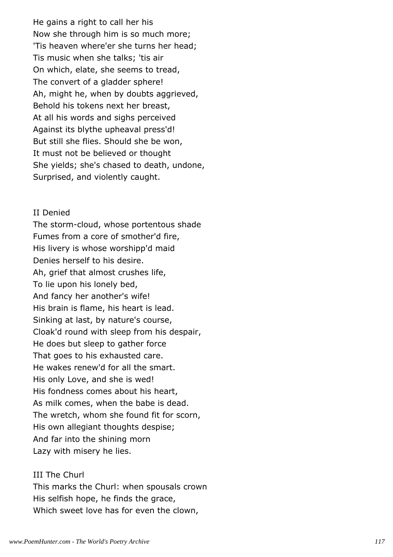He gains a right to call her his Now she through him is so much more; 'Tis heaven where'er she turns her head; Tis music when she talks; 'tis air On which, elate, she seems to tread, The convert of a gladder sphere! Ah, might he, when by doubts aggrieved, Behold his tokens next her breast, At all his words and sighs perceived Against its blythe upheaval press'd! But still she flies. Should she be won, It must not be believed or thought She yields; she's chased to death, undone, Surprised, and violently caught.

#### II Denied

The storm-cloud, whose portentous shade Fumes from a core of smother'd fire, His livery is whose worshipp'd maid Denies herself to his desire. Ah, grief that almost crushes life, To lie upon his lonely bed, And fancy her another's wife! His brain is flame, his heart is lead. Sinking at last, by nature's course, Cloak'd round with sleep from his despair, He does but sleep to gather force That goes to his exhausted care. He wakes renew'd for all the smart. His only Love, and she is wed! His fondness comes about his heart, As milk comes, when the babe is dead. The wretch, whom she found fit for scorn, His own allegiant thoughts despise; And far into the shining morn Lazy with misery he lies.

# III The Churl

This marks the Churl: when spousals crown His selfish hope, he finds the grace, Which sweet love has for even the clown,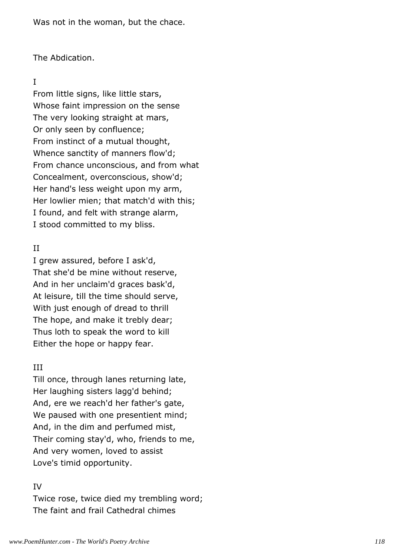Was not in the woman, but the chace.

The Abdication.

## I

From little signs, like little stars, Whose faint impression on the sense The very looking straight at mars, Or only seen by confluence; From instinct of a mutual thought, Whence sanctity of manners flow'd; From chance unconscious, and from what Concealment, overconscious, show'd; Her hand's less weight upon my arm, Her lowlier mien; that match'd with this; I found, and felt with strange alarm, I stood committed to my bliss.

# II

I grew assured, before I ask'd, That she'd be mine without reserve, And in her unclaim'd graces bask'd, At leisure, till the time should serve, With just enough of dread to thrill The hope, and make it trebly dear; Thus loth to speak the word to kill Either the hope or happy fear.

# III

Till once, through lanes returning late, Her laughing sisters lagg'd behind; And, ere we reach'd her father's gate, We paused with one presentient mind; And, in the dim and perfumed mist, Their coming stay'd, who, friends to me, And very women, loved to assist Love's timid opportunity.

# IV

Twice rose, twice died my trembling word; The faint and frail Cathedral chimes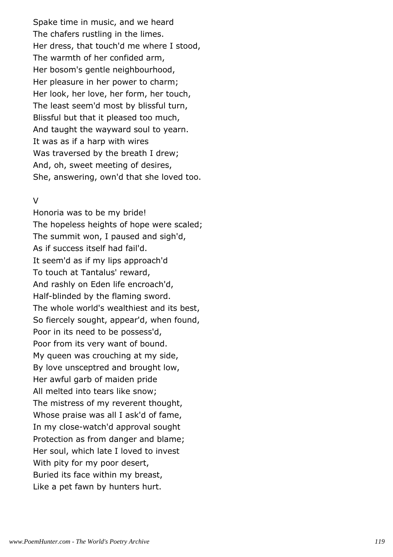Spake time in music, and we heard The chafers rustling in the limes. Her dress, that touch'd me where I stood, The warmth of her confided arm, Her bosom's gentle neighbourhood, Her pleasure in her power to charm; Her look, her love, her form, her touch, The least seem'd most by blissful turn, Blissful but that it pleased too much, And taught the wayward soul to yearn. It was as if a harp with wires Was traversed by the breath I drew; And, oh, sweet meeting of desires, She, answering, own'd that she loved too.

## $\overline{V}$

Honoria was to be my bride! The hopeless heights of hope were scaled; The summit won, I paused and sigh'd, As if success itself had fail'd. It seem'd as if my lips approach'd To touch at Tantalus' reward, And rashly on Eden life encroach'd, Half-blinded by the flaming sword. The whole world's wealthiest and its best, So fiercely sought, appear'd, when found, Poor in its need to be possess'd, Poor from its very want of bound. My queen was crouching at my side, By love unsceptred and brought low, Her awful garb of maiden pride All melted into tears like snow; The mistress of my reverent thought, Whose praise was all I ask'd of fame, In my close-watch'd approval sought Protection as from danger and blame; Her soul, which late I loved to invest With pity for my poor desert, Buried its face within my breast, Like a pet fawn by hunters hurt.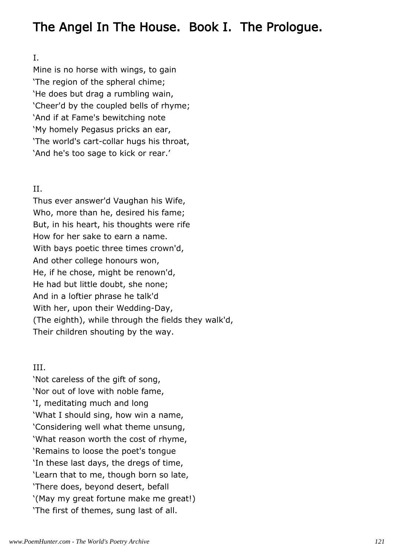# The Angel In The House. Book I. The Prologue.

## I.

Mine is no horse with wings, to gain 'The region of the spheral chime; 'He does but drag a rumbling wain, 'Cheer'd by the coupled bells of rhyme; 'And if at Fame's bewitching note 'My homely Pegasus pricks an ear, 'The world's cart-collar hugs his throat, 'And he's too sage to kick or rear.'

# II.

Thus ever answer'd Vaughan his Wife, Who, more than he, desired his fame; But, in his heart, his thoughts were rife How for her sake to earn a name. With bays poetic three times crown'd, And other college honours won, He, if he chose, might be renown'd, He had but little doubt, she none; And in a loftier phrase he talk'd With her, upon their Wedding-Day, (The eighth), while through the fields they walk'd, Their children shouting by the way.

# III.

'Not careless of the gift of song, 'Nor out of love with noble fame, 'I, meditating much and long 'What I should sing, how win a name, 'Considering well what theme unsung, 'What reason worth the cost of rhyme, 'Remains to loose the poet's tongue 'In these last days, the dregs of time, 'Learn that to me, though born so late, 'There does, beyond desert, befall '(May my great fortune make me great!) 'The first of themes, sung last of all.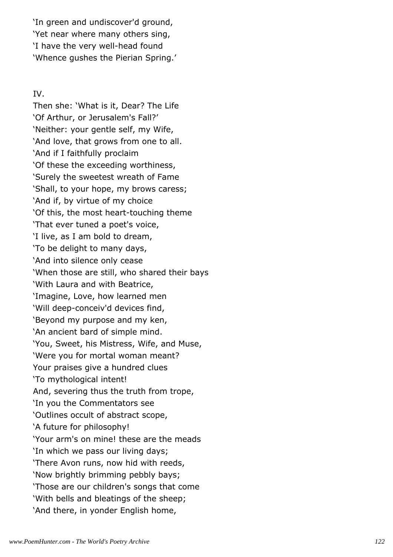'In green and undiscover'd ground, 'Yet near where many others sing, 'I have the very well-head found 'Whence gushes the Pierian Spring.'

IV.

Then she: 'What is it, Dear? The Life 'Of Arthur, or Jerusalem's Fall?' 'Neither: your gentle self, my Wife, 'And love, that grows from one to all. 'And if I faithfully proclaim 'Of these the exceeding worthiness, 'Surely the sweetest wreath of Fame 'Shall, to your hope, my brows caress; 'And if, by virtue of my choice 'Of this, the most heart-touching theme 'That ever tuned a poet's voice, 'I live, as I am bold to dream, 'To be delight to many days, 'And into silence only cease 'When those are still, who shared their bays 'With Laura and with Beatrice, 'Imagine, Love, how learned men 'Will deep-conceiv'd devices find, 'Beyond my purpose and my ken, 'An ancient bard of simple mind. 'You, Sweet, his Mistress, Wife, and Muse, 'Were you for mortal woman meant? Your praises give a hundred clues 'To mythological intent! And, severing thus the truth from trope, 'In you the Commentators see 'Outlines occult of abstract scope, 'A future for philosophy! 'Your arm's on mine! these are the meads 'In which we pass our living days; 'There Avon runs, now hid with reeds, 'Now brightly brimming pebbly bays; 'Those are our children's songs that come 'With bells and bleatings of the sheep; 'And there, in yonder English home,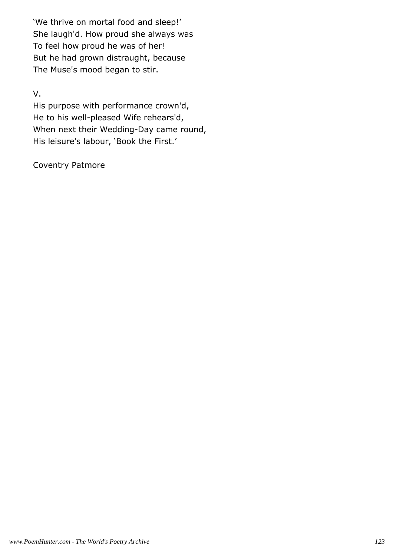'We thrive on mortal food and sleep!' She laugh'd. How proud she always was To feel how proud he was of her! But he had grown distraught, because The Muse's mood began to stir.

# V.

His purpose with performance crown'd, He to his well-pleased Wife rehears'd, When next their Wedding-Day came round, His leisure's labour, 'Book the First.'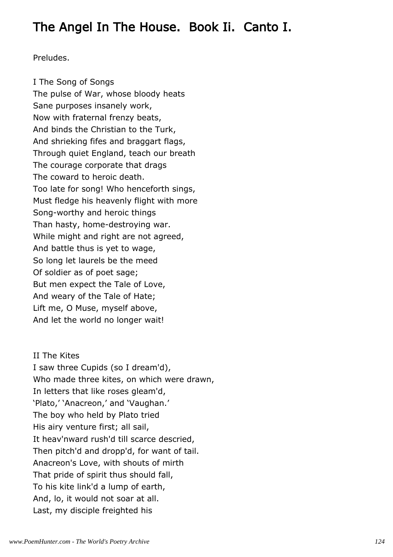# The Angel In The House. Book Ii. Canto I.

Preludes.

I The Song of Songs The pulse of War, whose bloody heats Sane purposes insanely work, Now with fraternal frenzy beats, And binds the Christian to the Turk, And shrieking fifes and braggart flags, Through quiet England, teach our breath The courage corporate that drags The coward to heroic death. Too late for song! Who henceforth sings, Must fledge his heavenly flight with more Song-worthy and heroic things Than hasty, home-destroying war. While might and right are not agreed, And battle thus is yet to wage, So long let laurels be the meed Of soldier as of poet sage; But men expect the Tale of Love, And weary of the Tale of Hate; Lift me, O Muse, myself above, And let the world no longer wait!

II The Kites I saw three Cupids (so I dream'd), Who made three kites, on which were drawn, In letters that like roses gleam'd, 'Plato,' 'Anacreon,' and 'Vaughan.' The boy who held by Plato tried His airy venture first; all sail, It heav'nward rush'd till scarce descried, Then pitch'd and dropp'd, for want of tail. Anacreon's Love, with shouts of mirth That pride of spirit thus should fall, To his kite link'd a lump of earth, And, lo, it would not soar at all. Last, my disciple freighted his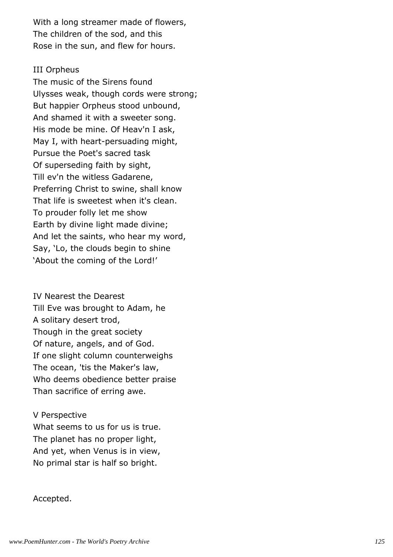With a long streamer made of flowers, The children of the sod, and this Rose in the sun, and flew for hours.

### III Orpheus

The music of the Sirens found Ulysses weak, though cords were strong; But happier Orpheus stood unbound, And shamed it with a sweeter song. His mode be mine. Of Heav'n I ask, May I, with heart-persuading might, Pursue the Poet's sacred task Of superseding faith by sight, Till ev'n the witless Gadarene, Preferring Christ to swine, shall know That life is sweetest when it's clean. To prouder folly let me show Earth by divine light made divine; And let the saints, who hear my word, Say, 'Lo, the clouds begin to shine 'About the coming of the Lord!'

IV Nearest the Dearest Till Eve was brought to Adam, he A solitary desert trod, Though in the great society Of nature, angels, and of God. If one slight column counterweighs The ocean, 'tis the Maker's law, Who deems obedience better praise Than sacrifice of erring awe.

## V Perspective

What seems to us for us is true. The planet has no proper light, And yet, when Venus is in view, No primal star is half so bright.

#### Accepted.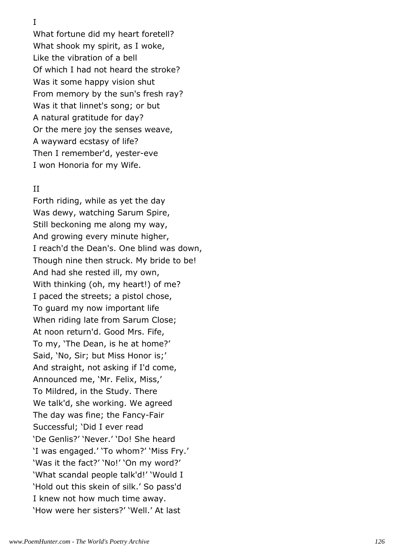I

What fortune did my heart foretell? What shook my spirit, as I woke, Like the vibration of a bell Of which I had not heard the stroke? Was it some happy vision shut From memory by the sun's fresh ray? Was it that linnet's song; or but A natural gratitude for day? Or the mere joy the senses weave, A wayward ecstasy of life? Then I remember'd, yester-eve I won Honoria for my Wife.

### II

Forth riding, while as yet the day Was dewy, watching Sarum Spire, Still beckoning me along my way, And growing every minute higher, I reach'd the Dean's. One blind was down, Though nine then struck. My bride to be! And had she rested ill, my own, With thinking (oh, my heart!) of me? I paced the streets; a pistol chose, To guard my now important life When riding late from Sarum Close; At noon return'd. Good Mrs. Fife, To my, 'The Dean, is he at home?' Said, 'No, Sir; but Miss Honor is;' And straight, not asking if I'd come, Announced me, 'Mr. Felix, Miss,' To Mildred, in the Study. There We talk'd, she working. We agreed The day was fine; the Fancy-Fair Successful; 'Did I ever read 'De Genlis?' 'Never.' 'Do! She heard 'I was engaged.' 'To whom?' 'Miss Fry.' 'Was it the fact?' 'No!' 'On my word?' 'What scandal people talk'd!' 'Would I 'Hold out this skein of silk.' So pass'd I knew not how much time away. 'How were her sisters?' 'Well.' At last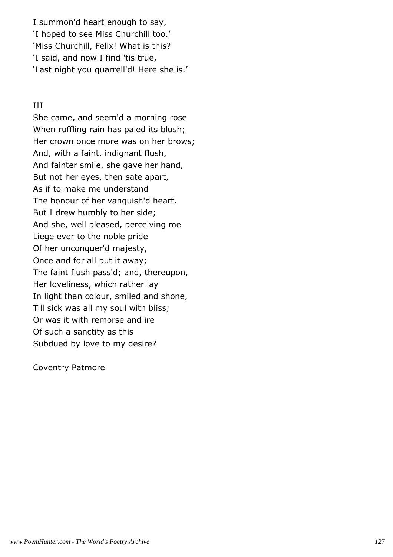I summon'd heart enough to say, 'I hoped to see Miss Churchill too.' 'Miss Churchill, Felix! What is this? 'I said, and now I find 'tis true, 'Last night you quarrell'd! Here she is.'

## III

She came, and seem'd a morning rose When ruffling rain has paled its blush; Her crown once more was on her brows; And, with a faint, indignant flush, And fainter smile, she gave her hand, But not her eyes, then sate apart, As if to make me understand The honour of her vanquish'd heart. But I drew humbly to her side; And she, well pleased, perceiving me Liege ever to the noble pride Of her unconquer'd majesty, Once and for all put it away; The faint flush pass'd; and, thereupon, Her loveliness, which rather lay In light than colour, smiled and shone, Till sick was all my soul with bliss; Or was it with remorse and ire Of such a sanctity as this Subdued by love to my desire?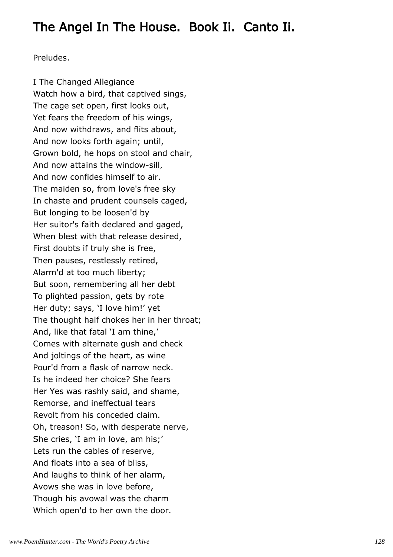# The Angel In The House. Book Ii. Canto Ii.

Preludes.

I The Changed Allegiance Watch how a bird, that captived sings, The cage set open, first looks out, Yet fears the freedom of his wings, And now withdraws, and flits about, And now looks forth again; until, Grown bold, he hops on stool and chair, And now attains the window-sill, And now confides himself to air. The maiden so, from love's free sky In chaste and prudent counsels caged, But longing to be loosen'd by Her suitor's faith declared and gaged, When blest with that release desired, First doubts if truly she is free, Then pauses, restlessly retired, Alarm'd at too much liberty; But soon, remembering all her debt To plighted passion, gets by rote Her duty; says, 'I love him!' yet The thought half chokes her in her throat; And, like that fatal 'I am thine,' Comes with alternate gush and check And joltings of the heart, as wine Pour'd from a flask of narrow neck. Is he indeed her choice? She fears Her Yes was rashly said, and shame, Remorse, and ineffectual tears Revolt from his conceded claim. Oh, treason! So, with desperate nerve, She cries, 'I am in love, am his;' Lets run the cables of reserve, And floats into a sea of bliss, And laughs to think of her alarm, Avows she was in love before, Though his avowal was the charm Which open'd to her own the door.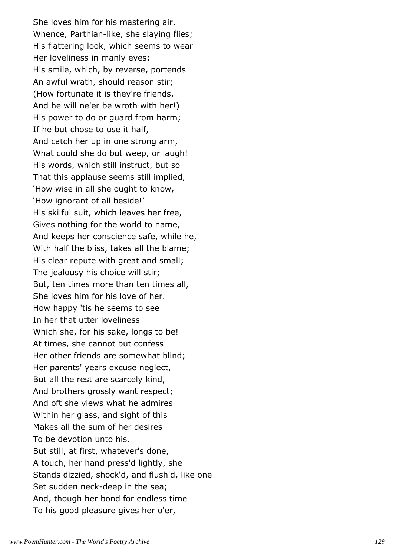She loves him for his mastering air, Whence, Parthian-like, she slaying flies; His flattering look, which seems to wear Her loveliness in manly eyes; His smile, which, by reverse, portends An awful wrath, should reason stir; (How fortunate it is they're friends, And he will ne'er be wroth with her!) His power to do or guard from harm; If he but chose to use it half, And catch her up in one strong arm, What could she do but weep, or laugh! His words, which still instruct, but so That this applause seems still implied, 'How wise in all she ought to know, 'How ignorant of all beside!' His skilful suit, which leaves her free, Gives nothing for the world to name, And keeps her conscience safe, while he, With half the bliss, takes all the blame; His clear repute with great and small; The jealousy his choice will stir; But, ten times more than ten times all, She loves him for his love of her. How happy 'tis he seems to see In her that utter loveliness Which she, for his sake, longs to be! At times, she cannot but confess Her other friends are somewhat blind; Her parents' years excuse neglect, But all the rest are scarcely kind, And brothers grossly want respect; And oft she views what he admires Within her glass, and sight of this Makes all the sum of her desires To be devotion unto his. But still, at first, whatever's done, A touch, her hand press'd lightly, she Stands dizzied, shock'd, and flush'd, like one Set sudden neck-deep in the sea; And, though her bond for endless time To his good pleasure gives her o'er,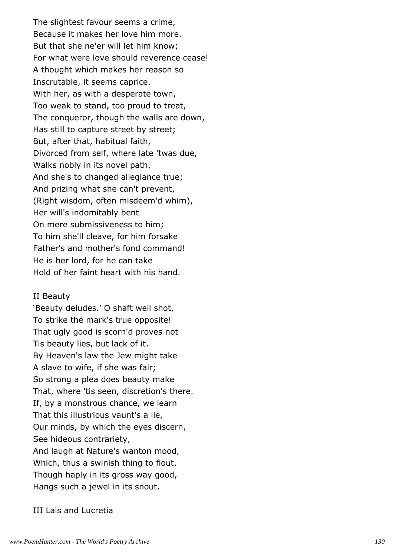The slightest favour seems a crime, Because it makes her love him more. But that she ne'er will let him know; For what were love should reverence cease! A thought which makes her reason so Inscrutable, it seems caprice. With her, as with a desperate town, Too weak to stand, too proud to treat, The conqueror, though the walls are down, Has still to capture street by street; But, after that, habitual faith, Divorced from self, where late 'twas due, Walks nobly in its novel path, And she's to changed allegiance true; And prizing what she can't prevent, (Right wisdom, often misdeem'd whim), Her will's indomitably bent On mere submissiveness to him; To him she'll cleave, for him forsake Father's and mother's fond command! He is her lord, for he can take Hold of her faint heart with his hand.

#### II Beauty

'Beauty deludes.' O shaft well shot, To strike the mark's true opposite! That ugly good is scorn'd proves not Tis beauty lies, but lack of it. By Heaven's law the Jew might take A slave to wife, if she was fair; So strong a plea does beauty make That, where 'tis seen, discretion's there. If, by a monstrous chance, we learn That this illustrious vaunt's a lie, Our minds, by which the eyes discern, See hideous contrariety, And laugh at Nature's wanton mood, Which, thus a swinish thing to flout, Though haply in its gross way good, Hangs such a jewel in its snout.

III Lais and Lucretia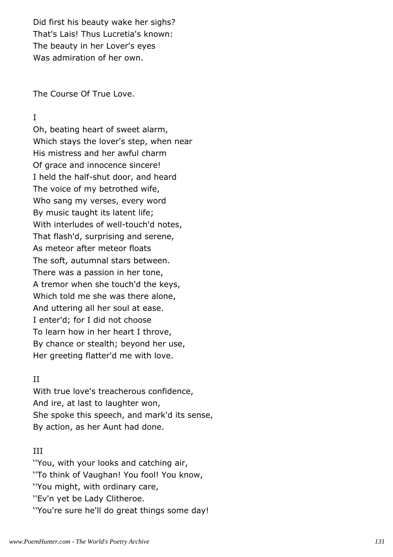Did first his beauty wake her sighs? That's Lais! Thus Lucretia's known: The beauty in her Lover's eyes Was admiration of her own.

The Course Of True Love.

## I

Oh, beating heart of sweet alarm, Which stays the lover's step, when near His mistress and her awful charm Of grace and innocence sincere! I held the half-shut door, and heard The voice of my betrothed wife, Who sang my verses, every word By music taught its latent life; With interludes of well-touch'd notes, That flash'd, surprising and serene, As meteor after meteor floats The soft, autumnal stars between. There was a passion in her tone, A tremor when she touch'd the keys, Which told me she was there alone, And uttering all her soul at ease. I enter'd; for I did not choose To learn how in her heart I throve, By chance or stealth; beyond her use, Her greeting flatter'd me with love.

## II

With true love's treacherous confidence, And ire, at last to laughter won, She spoke this speech, and mark'd its sense, By action, as her Aunt had done.

## III

''You, with your looks and catching air, ''To think of Vaughan! You fool! You know, ''You might, with ordinary care, ''Ev'n yet be Lady Clitheroe. ''You're sure he'll do great things some day!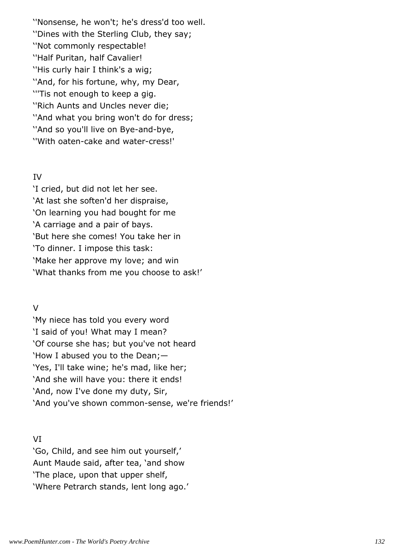''Nonsense, he won't; he's dress'd too well. ''Dines with the Sterling Club, they say; ''Not commonly respectable! ''Half Puritan, half Cavalier! ''His curly hair I think's a wig; ''And, for his fortune, why, my Dear, '''Tis not enough to keep a gig. ''Rich Aunts and Uncles never die; ''And what you bring won't do for dress; ''And so you'll live on Bye-and-bye, ''With oaten-cake and water-cress!'

## IV

'I cried, but did not let her see. 'At last she soften'd her dispraise, 'On learning you had bought for me 'A carriage and a pair of bays. 'But here she comes! You take her in 'To dinner. I impose this task: 'Make her approve my love; and win 'What thanks from me you choose to ask!'

# V

'My niece has told you every word 'I said of you! What may I mean? 'Of course she has; but you've not heard 'How I abused you to the Dean;— 'Yes, I'll take wine; he's mad, like her; 'And she will have you: there it ends! 'And, now I've done my duty, Sir, 'And you've shown common-sense, we're friends!'

# VI

'Go, Child, and see him out yourself,' Aunt Maude said, after tea, 'and show 'The place, upon that upper shelf, 'Where Petrarch stands, lent long ago.'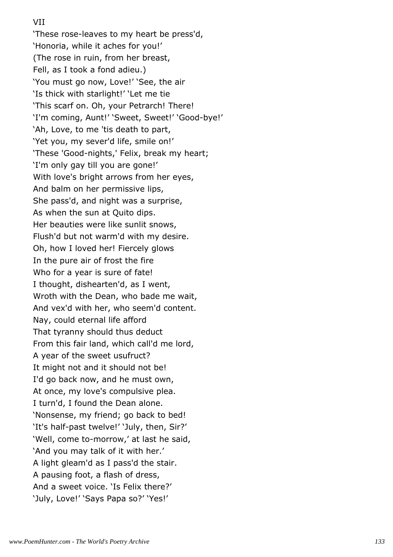## VII

'These rose-leaves to my heart be press'd, 'Honoria, while it aches for you!' (The rose in ruin, from her breast, Fell, as I took a fond adieu.) 'You must go now, Love!' 'See, the air 'Is thick with starlight!' 'Let me tie 'This scarf on. Oh, your Petrarch! There! 'I'm coming, Aunt!' 'Sweet, Sweet!' 'Good-bye!' 'Ah, Love, to me 'tis death to part, 'Yet you, my sever'd life, smile on!' 'These 'Good-nights,' Felix, break my heart; 'I'm only gay till you are gone!' With love's bright arrows from her eyes, And balm on her permissive lips, She pass'd, and night was a surprise, As when the sun at Quito dips. Her beauties were like sunlit snows, Flush'd but not warm'd with my desire. Oh, how I loved her! Fiercely glows In the pure air of frost the fire Who for a year is sure of fate! I thought, dishearten'd, as I went, Wroth with the Dean, who bade me wait, And vex'd with her, who seem'd content. Nay, could eternal life afford That tyranny should thus deduct From this fair land, which call'd me lord, A year of the sweet usufruct? It might not and it should not be! I'd go back now, and he must own, At once, my love's compulsive plea. I turn'd, I found the Dean alone. 'Nonsense, my friend; go back to bed! 'It's half-past twelve!' 'July, then, Sir?' 'Well, come to-morrow,' at last he said, 'And you may talk of it with her.' A light gleam'd as I pass'd the stair. A pausing foot, a flash of dress, And a sweet voice. 'Is Felix there?' 'July, Love!' 'Says Papa so?' 'Yes!'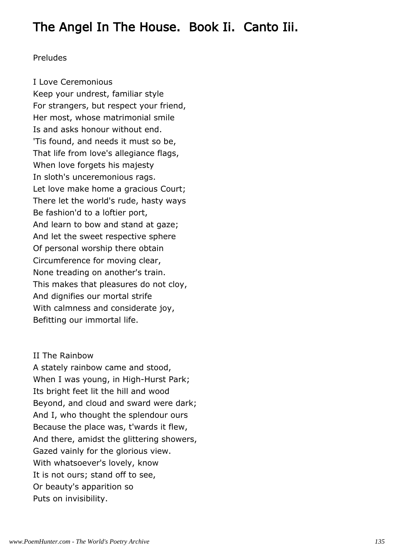# The Angel In The House. Book Ii. Canto Iii.

## Preludes

I Love Ceremonious Keep your undrest, familiar style For strangers, but respect your friend, Her most, whose matrimonial smile Is and asks honour without end. 'Tis found, and needs it must so be, That life from love's allegiance flags, When love forgets his majesty In sloth's unceremonious rags. Let love make home a gracious Court; There let the world's rude, hasty ways Be fashion'd to a loftier port, And learn to bow and stand at gaze; And let the sweet respective sphere Of personal worship there obtain Circumference for moving clear, None treading on another's train. This makes that pleasures do not cloy, And dignifies our mortal strife With calmness and considerate joy, Befitting our immortal life.

## II The Rainbow

A stately rainbow came and stood, When I was young, in High-Hurst Park; Its bright feet lit the hill and wood Beyond, and cloud and sward were dark; And I, who thought the splendour ours Because the place was, t'wards it flew, And there, amidst the glittering showers, Gazed vainly for the glorious view. With whatsoever's lovely, know It is not ours; stand off to see, Or beauty's apparition so Puts on invisibility.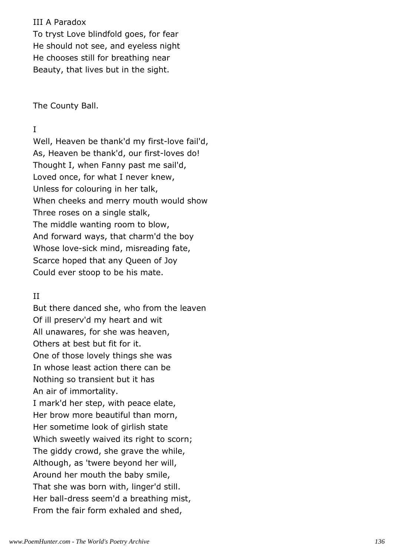## III A Paradox

To tryst Love blindfold goes, for fear He should not see, and eyeless night He chooses still for breathing near Beauty, that lives but in the sight.

The County Ball.

# I

Well, Heaven be thank'd my first-love fail'd, As, Heaven be thank'd, our first-loves do! Thought I, when Fanny past me sail'd, Loved once, for what I never knew, Unless for colouring in her talk, When cheeks and merry mouth would show Three roses on a single stalk, The middle wanting room to blow, And forward ways, that charm'd the boy Whose love-sick mind, misreading fate, Scarce hoped that any Queen of Joy Could ever stoop to be his mate.

# II

But there danced she, who from the leaven Of ill preserv'd my heart and wit All unawares, for she was heaven, Others at best but fit for it. One of those lovely things she was In whose least action there can be Nothing so transient but it has An air of immortality. I mark'd her step, with peace elate, Her brow more beautiful than morn, Her sometime look of girlish state Which sweetly waived its right to scorn; The giddy crowd, she grave the while, Although, as 'twere beyond her will, Around her mouth the baby smile, That she was born with, linger'd still. Her ball-dress seem'd a breathing mist, From the fair form exhaled and shed,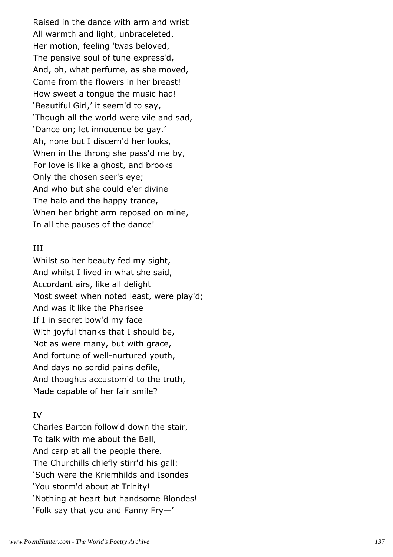Raised in the dance with arm and wrist All warmth and light, unbraceleted. Her motion, feeling 'twas beloved, The pensive soul of tune express'd, And, oh, what perfume, as she moved, Came from the flowers in her breast! How sweet a tongue the music had! 'Beautiful Girl,' it seem'd to say, 'Though all the world were vile and sad, 'Dance on; let innocence be gay.' Ah, none but I discern'd her looks, When in the throng she pass'd me by, For love is like a ghost, and brooks Only the chosen seer's eye; And who but she could e'er divine The halo and the happy trance, When her bright arm reposed on mine, In all the pauses of the dance!

## III

Whilst so her beauty fed my sight, And whilst I lived in what she said, Accordant airs, like all delight Most sweet when noted least, were play'd; And was it like the Pharisee If I in secret bow'd my face With joyful thanks that I should be, Not as were many, but with grace, And fortune of well-nurtured youth, And days no sordid pains defile, And thoughts accustom'd to the truth, Made capable of her fair smile?

# IV

Charles Barton follow'd down the stair, To talk with me about the Ball, And carp at all the people there. The Churchills chiefly stirr'd his gall: 'Such were the Kriemhilds and Isondes 'You storm'd about at Trinity! 'Nothing at heart but handsome Blondes! 'Folk say that you and Fanny Fry—'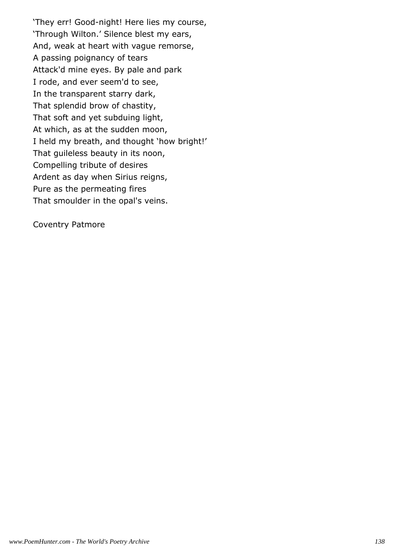'They err! Good-night! Here lies my course, 'Through Wilton.' Silence blest my ears, And, weak at heart with vague remorse, A passing poignancy of tears Attack'd mine eyes. By pale and park I rode, and ever seem'd to see, In the transparent starry dark, That splendid brow of chastity, That soft and yet subduing light, At which, as at the sudden moon, I held my breath, and thought 'how bright!' That guileless beauty in its noon, Compelling tribute of desires Ardent as day when Sirius reigns, Pure as the permeating fires That smoulder in the opal's veins.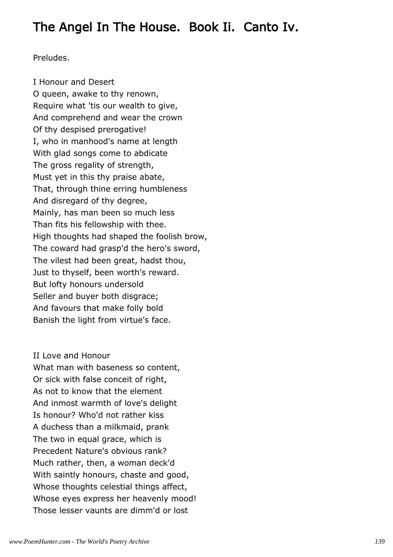# The Angel In The House. Book Ii. Canto Iv.

Preludes.

I Honour and Desert O queen, awake to thy renown, Require what 'tis our wealth to give, And comprehend and wear the crown Of thy despised prerogative! I, who in manhood's name at length With glad songs come to abdicate The gross regality of strength, Must yet in this thy praise abate, That, through thine erring humbleness And disregard of thy degree, Mainly, has man been so much less Than fits his fellowship with thee. High thoughts had shaped the foolish brow, The coward had grasp'd the hero's sword, The vilest had been great, hadst thou, Just to thyself, been worth's reward. But lofty honours undersold Seller and buyer both disgrace; And favours that make folly bold Banish the light from virtue's face.

## II Love and Honour

What man with baseness so content, Or sick with false conceit of right, As not to know that the element And inmost warmth of love's delight Is honour? Who'd not rather kiss A duchess than a milkmaid, prank The two in equal grace, which is Precedent Nature's obvious rank? Much rather, then, a woman deck'd With saintly honours, chaste and good, Whose thoughts celestial things affect, Whose eyes express her heavenly mood! Those lesser vaunts are dimm'd or lost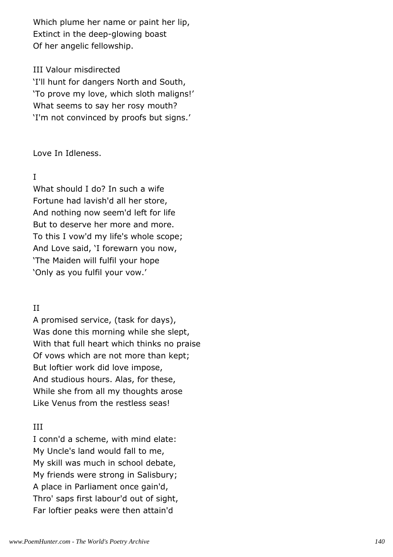Which plume her name or paint her lip, Extinct in the deep-glowing boast Of her angelic fellowship.

## III Valour misdirected

'I'll hunt for dangers North and South, 'To prove my love, which sloth maligns!' What seems to say her rosy mouth? 'I'm not convinced by proofs but signs.'

Love In Idleness.

## I

What should I do? In such a wife Fortune had lavish'd all her store, And nothing now seem'd left for life But to deserve her more and more. To this I vow'd my life's whole scope; And Love said, 'I forewarn you now, 'The Maiden will fulfil your hope 'Only as you fulfil your vow.'

# II

A promised service, (task for days), Was done this morning while she slept, With that full heart which thinks no praise Of vows which are not more than kept; But loftier work did love impose, And studious hours. Alas, for these, While she from all my thoughts arose Like Venus from the restless seas!

# III

I conn'd a scheme, with mind elate: My Uncle's land would fall to me, My skill was much in school debate, My friends were strong in Salisbury; A place in Parliament once gain'd, Thro' saps first labour'd out of sight, Far loftier peaks were then attain'd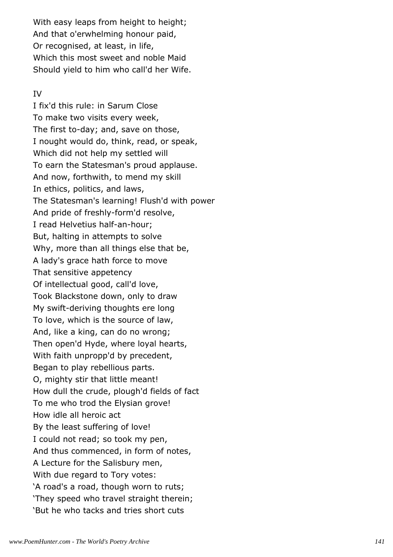With easy leaps from height to height; And that o'erwhelming honour paid, Or recognised, at least, in life, Which this most sweet and noble Maid Should yield to him who call'd her Wife.

## IV

I fix'd this rule: in Sarum Close To make two visits every week, The first to-day; and, save on those, I nought would do, think, read, or speak, Which did not help my settled will To earn the Statesman's proud applause. And now, forthwith, to mend my skill In ethics, politics, and laws, The Statesman's learning! Flush'd with power And pride of freshly-form'd resolve, I read Helvetius half-an-hour; But, halting in attempts to solve Why, more than all things else that be, A lady's grace hath force to move That sensitive appetency Of intellectual good, call'd love, Took Blackstone down, only to draw My swift-deriving thoughts ere long To love, which is the source of law, And, like a king, can do no wrong; Then open'd Hyde, where loyal hearts, With faith unpropp'd by precedent, Began to play rebellious parts. O, mighty stir that little meant! How dull the crude, plough'd fields of fact To me who trod the Elysian grove! How idle all heroic act By the least suffering of love! I could not read; so took my pen, And thus commenced, in form of notes, A Lecture for the Salisbury men, With due regard to Tory votes: 'A road's a road, though worn to ruts; 'They speed who travel straight therein; 'But he who tacks and tries short cuts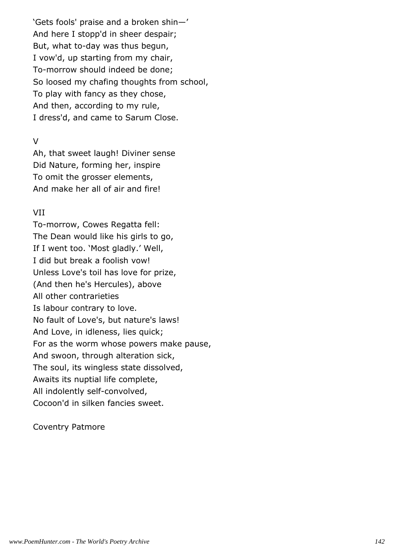'Gets fools' praise and a broken shin—' And here I stopp'd in sheer despair; But, what to-day was thus begun, I vow'd, up starting from my chair, To-morrow should indeed be done; So loosed my chafing thoughts from school, To play with fancy as they chose, And then, according to my rule, I dress'd, and came to Sarum Close.

## V

Ah, that sweet laugh! Diviner sense Did Nature, forming her, inspire To omit the grosser elements, And make her all of air and fire!

## VII

To-morrow, Cowes Regatta fell: The Dean would like his girls to go, If I went too. 'Most gladly.' Well, I did but break a foolish vow! Unless Love's toil has love for prize, (And then he's Hercules), above All other contrarieties Is labour contrary to love. No fault of Love's, but nature's laws! And Love, in idleness, lies quick; For as the worm whose powers make pause, And swoon, through alteration sick, The soul, its wingless state dissolved, Awaits its nuptial life complete, All indolently self-convolved, Cocoon'd in silken fancies sweet.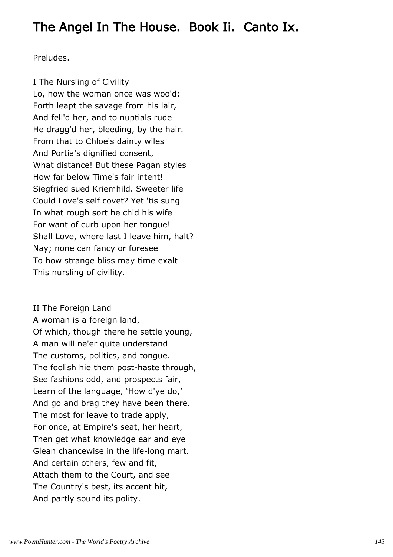# The Angel In The House. Book Ii. Canto Ix.

Preludes.

I The Nursling of Civility Lo, how the woman once was woo'd: Forth leapt the savage from his lair, And fell'd her, and to nuptials rude He dragg'd her, bleeding, by the hair. From that to Chloe's dainty wiles And Portia's dignified consent, What distance! But these Pagan styles How far below Time's fair intent! Siegfried sued Kriemhild. Sweeter life Could Love's self covet? Yet 'tis sung In what rough sort he chid his wife For want of curb upon her tongue! Shall Love, where last I leave him, halt? Nay; none can fancy or foresee To how strange bliss may time exalt This nursling of civility.

II The Foreign Land A woman is a foreign land, Of which, though there he settle young, A man will ne'er quite understand The customs, politics, and tongue. The foolish hie them post-haste through, See fashions odd, and prospects fair, Learn of the language, 'How d'ye do,' And go and brag they have been there. The most for leave to trade apply, For once, at Empire's seat, her heart, Then get what knowledge ear and eye Glean chancewise in the life-long mart. And certain others, few and fit, Attach them to the Court, and see The Country's best, its accent hit, And partly sound its polity.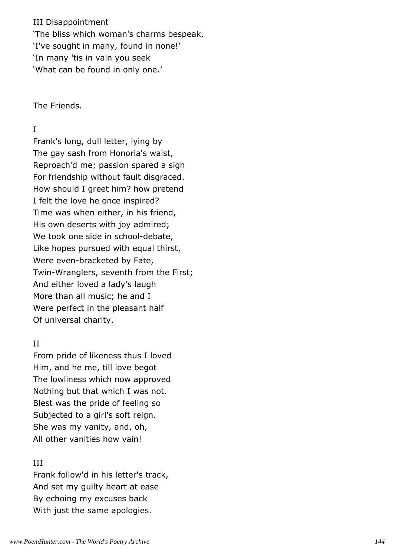III Disappointment 'The bliss which woman's charms bespeak, 'I've sought in many, found in none!' 'In many 'tis in vain you seek 'What can be found in only one.'

The Friends.

## I

Frank's long, dull letter, lying by The gay sash from Honoria's waist, Reproach'd me; passion spared a sigh For friendship without fault disgraced. How should I greet him? how pretend I felt the love he once inspired? Time was when either, in his friend, His own deserts with joy admired; We took one side in school-debate, Like hopes pursued with equal thirst, Were even-bracketed by Fate, Twin-Wranglers, seventh from the First; And either loved a lady's laugh More than all music; he and I Were perfect in the pleasant half Of universal charity.

## II

From pride of likeness thus I loved Him, and he me, till love begot The lowliness which now approved Nothing but that which I was not. Blest was the pride of feeling so Subjected to a girl's soft reign. She was my vanity, and, oh, All other vanities how vain!

## III

Frank follow'd in his letter's track, And set my guilty heart at ease By echoing my excuses back With just the same apologies.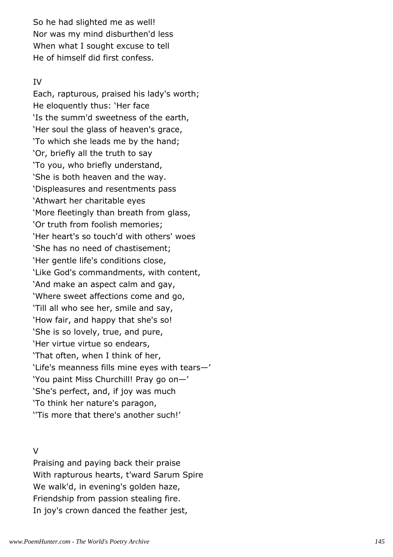So he had slighted me as well! Nor was my mind disburthen'd less When what I sought excuse to tell He of himself did first confess.

#### IV

Each, rapturous, praised his lady's worth; He eloquently thus: 'Her face 'Is the summ'd sweetness of the earth, 'Her soul the glass of heaven's grace, 'To which she leads me by the hand; 'Or, briefly all the truth to say 'To you, who briefly understand, 'She is both heaven and the way. 'Displeasures and resentments pass 'Athwart her charitable eyes 'More fleetingly than breath from glass, 'Or truth from foolish memories; 'Her heart's so touch'd with others' woes 'She has no need of chastisement; 'Her gentle life's conditions close, 'Like God's commandments, with content, 'And make an aspect calm and gay, 'Where sweet affections come and go, 'Till all who see her, smile and say, 'How fair, and happy that she's so! 'She is so lovely, true, and pure, 'Her virtue virtue so endears, 'That often, when I think of her, 'Life's meanness fills mine eyes with tears—' 'You paint Miss Churchill! Pray go on—' 'She's perfect, and, if joy was much 'To think her nature's paragon, ''Tis more that there's another such!'

#### V

Praising and paying back their praise With rapturous hearts, t'ward Sarum Spire We walk'd, in evening's golden haze, Friendship from passion stealing fire. In joy's crown danced the feather jest,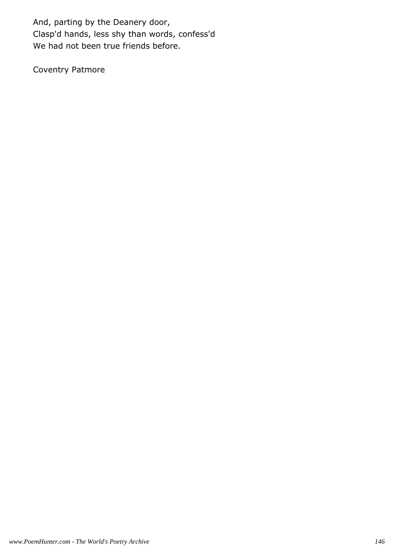And, parting by the Deanery door, Clasp'd hands, less shy than words, confess'd We had not been true friends before.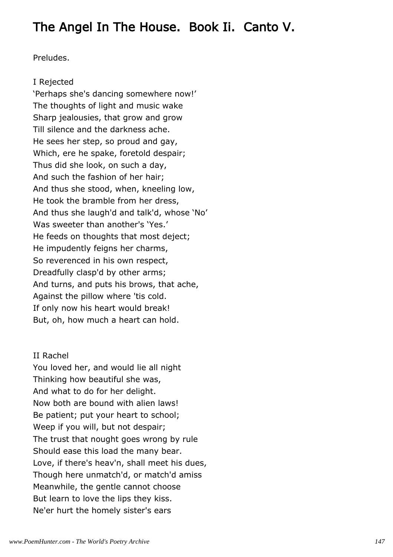# The Angel In The House. Book Ii. Canto V.

Preludes.

## I Rejected

'Perhaps she's dancing somewhere now!' The thoughts of light and music wake Sharp jealousies, that grow and grow Till silence and the darkness ache. He sees her step, so proud and gay, Which, ere he spake, foretold despair; Thus did she look, on such a day, And such the fashion of her hair; And thus she stood, when, kneeling low, He took the bramble from her dress, And thus she laugh'd and talk'd, whose 'No' Was sweeter than another's 'Yes.' He feeds on thoughts that most deject; He impudently feigns her charms, So reverenced in his own respect, Dreadfully clasp'd by other arms; And turns, and puts his brows, that ache, Against the pillow where 'tis cold. If only now his heart would break! But, oh, how much a heart can hold.

# II Rachel

You loved her, and would lie all night Thinking how beautiful she was, And what to do for her delight. Now both are bound with alien laws! Be patient; put your heart to school; Weep if you will, but not despair; The trust that nought goes wrong by rule Should ease this load the many bear. Love, if there's heav'n, shall meet his dues, Though here unmatch'd, or match'd amiss Meanwhile, the gentle cannot choose But learn to love the lips they kiss. Ne'er hurt the homely sister's ears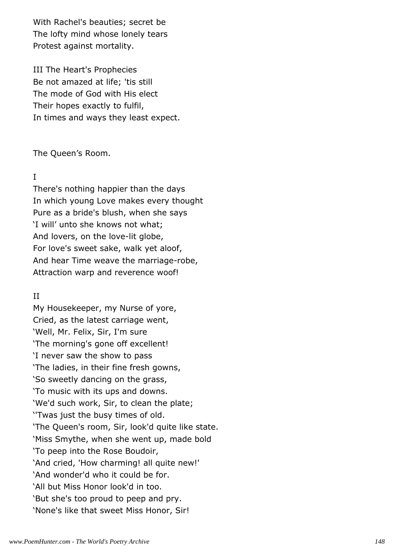With Rachel's beauties; secret be The lofty mind whose lonely tears Protest against mortality.

III The Heart's Prophecies Be not amazed at life; 'tis still The mode of God with His elect Their hopes exactly to fulfil, In times and ways they least expect.

The Queen's Room.

## I

There's nothing happier than the days In which young Love makes every thought Pure as a bride's blush, when she says 'I will' unto she knows not what; And lovers, on the love-lit globe, For love's sweet sake, walk yet aloof, And hear Time weave the marriage-robe, Attraction warp and reverence woof!

## II

My Housekeeper, my Nurse of yore, Cried, as the latest carriage went, 'Well, Mr. Felix, Sir, I'm sure 'The morning's gone off excellent! 'I never saw the show to pass 'The ladies, in their fine fresh gowns, 'So sweetly dancing on the grass, 'To music with its ups and downs. 'We'd such work, Sir, to clean the plate; ''Twas just the busy times of old. 'The Queen's room, Sir, look'd quite like state. 'Miss Smythe, when she went up, made bold 'To peep into the Rose Boudoir, 'And cried, 'How charming! all quite new!' 'And wonder'd who it could be for. 'All but Miss Honor look'd in too. 'But she's too proud to peep and pry. 'None's like that sweet Miss Honor, Sir!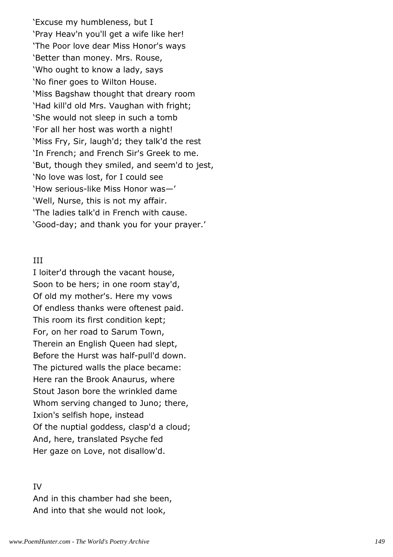'Excuse my humbleness, but I 'Pray Heav'n you'll get a wife like her! 'The Poor love dear Miss Honor's ways 'Better than money. Mrs. Rouse, 'Who ought to know a lady, says 'No finer goes to Wilton House. 'Miss Bagshaw thought that dreary room 'Had kill'd old Mrs. Vaughan with fright; 'She would not sleep in such a tomb 'For all her host was worth a night! 'Miss Fry, Sir, laugh'd; they talk'd the rest 'In French; and French Sir's Greek to me. 'But, though they smiled, and seem'd to jest, 'No love was lost, for I could see 'How serious-like Miss Honor was—' 'Well, Nurse, this is not my affair. 'The ladies talk'd in French with cause. 'Good-day; and thank you for your prayer.'

#### III

I loiter'd through the vacant house, Soon to be hers; in one room stay'd, Of old my mother's. Here my vows Of endless thanks were oftenest paid. This room its first condition kept; For, on her road to Sarum Town, Therein an English Queen had slept, Before the Hurst was half-pull'd down. The pictured walls the place became: Here ran the Brook Anaurus, where Stout Jason bore the wrinkled dame Whom serving changed to Juno; there, Ixion's selfish hope, instead Of the nuptial goddess, clasp'd a cloud; And, here, translated Psyche fed Her gaze on Love, not disallow'd.

#### IV

And in this chamber had she been, And into that she would not look,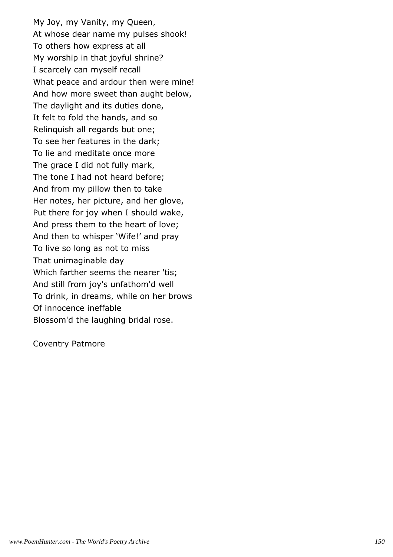My Joy, my Vanity, my Queen, At whose dear name my pulses shook! To others how express at all My worship in that joyful shrine? I scarcely can myself recall What peace and ardour then were mine! And how more sweet than aught below, The daylight and its duties done, It felt to fold the hands, and so Relinquish all regards but one; To see her features in the dark; To lie and meditate once more The grace I did not fully mark, The tone I had not heard before; And from my pillow then to take Her notes, her picture, and her glove, Put there for joy when I should wake, And press them to the heart of love; And then to whisper 'Wife!' and pray To live so long as not to miss That unimaginable day Which farther seems the nearer 'tis; And still from joy's unfathom'd well To drink, in dreams, while on her brows Of innocence ineffable Blossom'd the laughing bridal rose.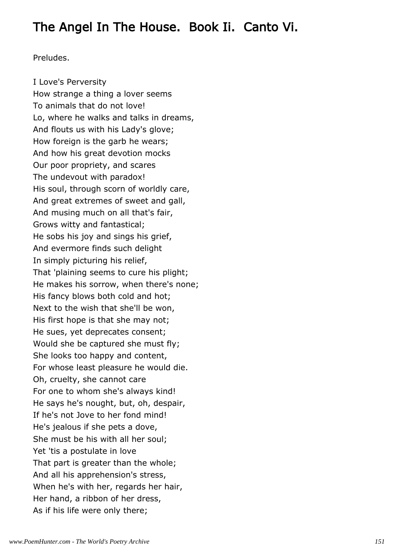# The Angel In The House. Book Ii. Canto Vi.

Preludes.

I Love's Perversity How strange a thing a lover seems To animals that do not love! Lo, where he walks and talks in dreams, And flouts us with his Lady's glove; How foreign is the garb he wears; And how his great devotion mocks Our poor propriety, and scares The undevout with paradox! His soul, through scorn of worldly care, And great extremes of sweet and gall, And musing much on all that's fair, Grows witty and fantastical; He sobs his joy and sings his grief, And evermore finds such delight In simply picturing his relief, That 'plaining seems to cure his plight; He makes his sorrow, when there's none; His fancy blows both cold and hot; Next to the wish that she'll be won, His first hope is that she may not; He sues, yet deprecates consent; Would she be captured she must fly; She looks too happy and content, For whose least pleasure he would die. Oh, cruelty, she cannot care For one to whom she's always kind! He says he's nought, but, oh, despair, If he's not Jove to her fond mind! He's jealous if she pets a dove, She must be his with all her soul; Yet 'tis a postulate in love That part is greater than the whole; And all his apprehension's stress, When he's with her, regards her hair, Her hand, a ribbon of her dress, As if his life were only there;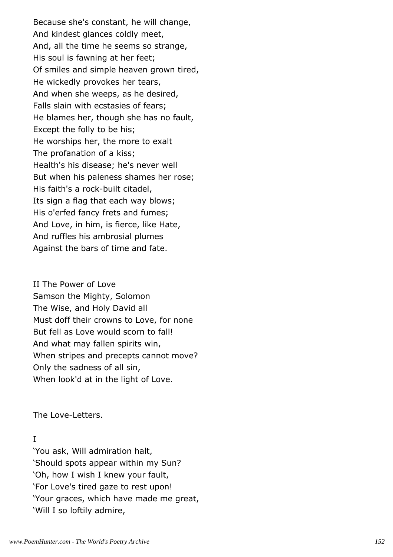Because she's constant, he will change, And kindest glances coldly meet, And, all the time he seems so strange, His soul is fawning at her feet; Of smiles and simple heaven grown tired, He wickedly provokes her tears, And when she weeps, as he desired, Falls slain with ecstasies of fears; He blames her, though she has no fault, Except the folly to be his; He worships her, the more to exalt The profanation of a kiss; Health's his disease; he's never well But when his paleness shames her rose; His faith's a rock-built citadel, Its sign a flag that each way blows; His o'erfed fancy frets and fumes; And Love, in him, is fierce, like Hate, And ruffles his ambrosial plumes Against the bars of time and fate.

II The Power of Love Samson the Mighty, Solomon The Wise, and Holy David all Must doff their crowns to Love, for none But fell as Love would scorn to fall! And what may fallen spirits win, When stripes and precepts cannot move? Only the sadness of all sin, When look'd at in the light of Love.

The Love-Letters.

## I

'You ask, Will admiration halt, 'Should spots appear within my Sun? 'Oh, how I wish I knew your fault, 'For Love's tired gaze to rest upon! 'Your graces, which have made me great, 'Will I so loftily admire,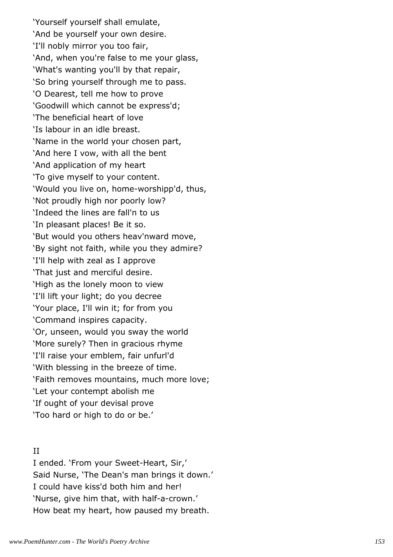'Yourself yourself shall emulate, 'And be yourself your own desire. 'I'll nobly mirror you too fair, 'And, when you're false to me your glass, 'What's wanting you'll by that repair, 'So bring yourself through me to pass. 'O Dearest, tell me how to prove 'Goodwill which cannot be express'd; 'The beneficial heart of love 'Is labour in an idle breast. 'Name in the world your chosen part, 'And here I vow, with all the bent 'And application of my heart 'To give myself to your content. 'Would you live on, home-worshipp'd, thus, 'Not proudly high nor poorly low? 'Indeed the lines are fall'n to us 'In pleasant places! Be it so. 'But would you others heav'nward move, 'By sight not faith, while you they admire? 'I'll help with zeal as I approve 'That just and merciful desire. 'High as the lonely moon to view 'I'll lift your light; do you decree 'Your place, I'll win it; for from you 'Command inspires capacity. 'Or, unseen, would you sway the world 'More surely? Then in gracious rhyme 'I'll raise your emblem, fair unfurl'd 'With blessing in the breeze of time. 'Faith removes mountains, much more love; 'Let your contempt abolish me 'If ought of your devisal prove 'Too hard or high to do or be.'

#### II

I ended. 'From your Sweet-Heart, Sir,' Said Nurse, 'The Dean's man brings it down.' I could have kiss'd both him and her! 'Nurse, give him that, with half-a-crown.' How beat my heart, how paused my breath.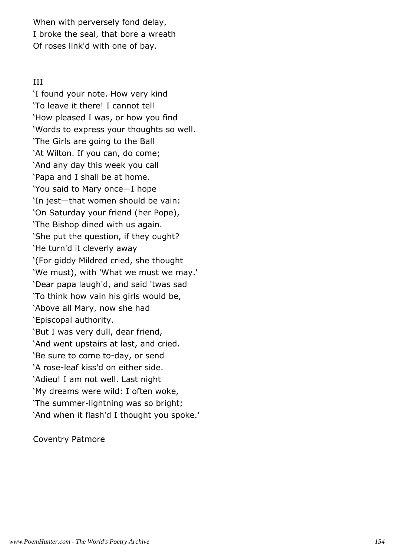When with perversely fond delay, I broke the seal, that bore a wreath Of roses link'd with one of bay.

## III

'I found your note. How very kind 'To leave it there! I cannot tell 'How pleased I was, or how you find 'Words to express your thoughts so well. 'The Girls are going to the Ball 'At Wilton. If you can, do come; 'And any day this week you call 'Papa and I shall be at home. 'You said to Mary once—I hope 'In jest—that women should be vain: 'On Saturday your friend (her Pope), 'The Bishop dined with us again. 'She put the question, if they ought? 'He turn'd it cleverly away '(For giddy Mildred cried, she thought 'We must), with 'What we must we may.' 'Dear papa laugh'd, and said 'twas sad 'To think how vain his girls would be, 'Above all Mary, now she had 'Episcopal authority. 'But I was very dull, dear friend, 'And went upstairs at last, and cried. 'Be sure to come to-day, or send 'A rose-leaf kiss'd on either side. 'Adieu! I am not well. Last night 'My dreams were wild: I often woke, 'The summer-lightning was so bright; 'And when it flash'd I thought you spoke.'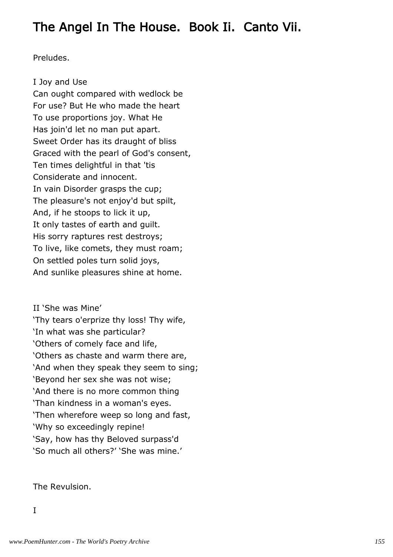# The Angel In The House. Book Ii. Canto Vii.

Preludes.

## I Joy and Use

Can ought compared with wedlock be For use? But He who made the heart To use proportions joy. What He Has join'd let no man put apart. Sweet Order has its draught of bliss Graced with the pearl of God's consent, Ten times delightful in that 'tis Considerate and innocent. In vain Disorder grasps the cup; The pleasure's not enjoy'd but spilt, And, if he stoops to lick it up, It only tastes of earth and guilt. His sorry raptures rest destroys; To live, like comets, they must roam; On settled poles turn solid joys, And sunlike pleasures shine at home.

II 'She was Mine' 'Thy tears o'erprize thy loss! Thy wife, 'In what was she particular? 'Others of comely face and life, 'Others as chaste and warm there are, 'And when they speak they seem to sing; 'Beyond her sex she was not wise; 'And there is no more common thing 'Than kindness in a woman's eyes. 'Then wherefore weep so long and fast, 'Why so exceedingly repine! 'Say, how has thy Beloved surpass'd 'So much all others?' 'She was mine.'

The Revulsion.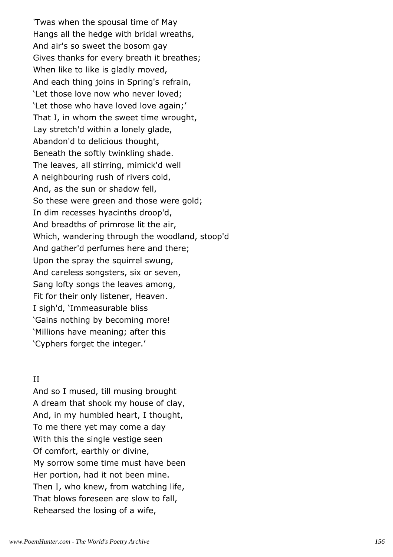'Twas when the spousal time of May Hangs all the hedge with bridal wreaths, And air's so sweet the bosom gay Gives thanks for every breath it breathes; When like to like is gladly moved, And each thing joins in Spring's refrain, 'Let those love now who never loved; 'Let those who have loved love again;' That I, in whom the sweet time wrought, Lay stretch'd within a lonely glade, Abandon'd to delicious thought, Beneath the softly twinkling shade. The leaves, all stirring, mimick'd well A neighbouring rush of rivers cold, And, as the sun or shadow fell, So these were green and those were gold; In dim recesses hyacinths droop'd, And breadths of primrose lit the air, Which, wandering through the woodland, stoop'd And gather'd perfumes here and there; Upon the spray the squirrel swung, And careless songsters, six or seven, Sang lofty songs the leaves among, Fit for their only listener, Heaven. I sigh'd, 'Immeasurable bliss 'Gains nothing by becoming more! 'Millions have meaning; after this 'Cyphers forget the integer.'

#### II

And so I mused, till musing brought A dream that shook my house of clay, And, in my humbled heart, I thought, To me there yet may come a day With this the single vestige seen Of comfort, earthly or divine, My sorrow some time must have been Her portion, had it not been mine. Then I, who knew, from watching life, That blows foreseen are slow to fall, Rehearsed the losing of a wife,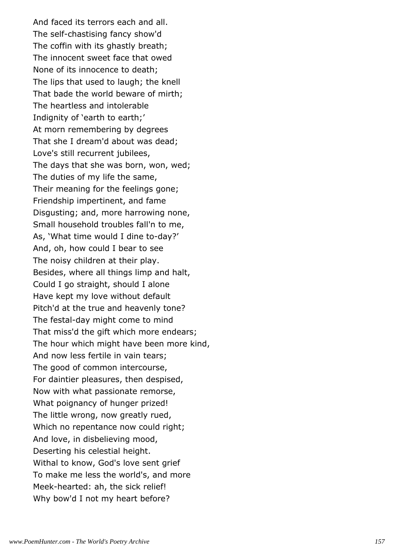And faced its terrors each and all. The self-chastising fancy show'd The coffin with its ghastly breath; The innocent sweet face that owed None of its innocence to death; The lips that used to laugh; the knell That bade the world beware of mirth; The heartless and intolerable Indignity of 'earth to earth;' At morn remembering by degrees That she I dream'd about was dead; Love's still recurrent jubilees, The days that she was born, won, wed; The duties of my life the same, Their meaning for the feelings gone; Friendship impertinent, and fame Disgusting; and, more harrowing none, Small household troubles fall'n to me, As, 'What time would I dine to-day?' And, oh, how could I bear to see The noisy children at their play. Besides, where all things limp and halt, Could I go straight, should I alone Have kept my love without default Pitch'd at the true and heavenly tone? The festal-day might come to mind That miss'd the gift which more endears; The hour which might have been more kind, And now less fertile in vain tears; The good of common intercourse, For daintier pleasures, then despised, Now with what passionate remorse, What poignancy of hunger prized! The little wrong, now greatly rued, Which no repentance now could right; And love, in disbelieving mood, Deserting his celestial height. Withal to know, God's love sent grief To make me less the world's, and more Meek-hearted: ah, the sick relief! Why bow'd I not my heart before?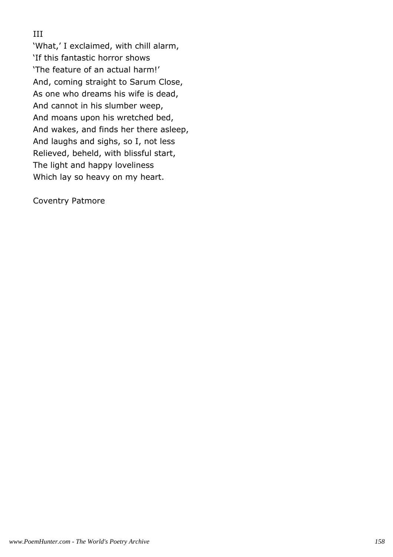# III

'What,' I exclaimed, with chill alarm, 'If this fantastic horror shows 'The feature of an actual harm!' And, coming straight to Sarum Close, As one who dreams his wife is dead, And cannot in his slumber weep, And moans upon his wretched bed, And wakes, and finds her there asleep, And laughs and sighs, so I, not less Relieved, beheld, with blissful start, The light and happy loveliness Which lay so heavy on my heart.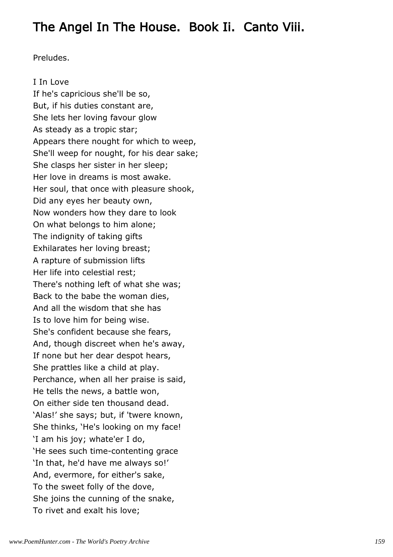# The Angel In The House. Book Ii. Canto Viii.

Preludes.

I In Love If he's capricious she'll be so, But, if his duties constant are, She lets her loving favour glow As steady as a tropic star; Appears there nought for which to weep, She'll weep for nought, for his dear sake; She clasps her sister in her sleep; Her love in dreams is most awake. Her soul, that once with pleasure shook, Did any eyes her beauty own, Now wonders how they dare to look On what belongs to him alone; The indignity of taking gifts Exhilarates her loving breast; A rapture of submission lifts Her life into celestial rest; There's nothing left of what she was; Back to the babe the woman dies, And all the wisdom that she has Is to love him for being wise. She's confident because she fears, And, though discreet when he's away, If none but her dear despot hears, She prattles like a child at play. Perchance, when all her praise is said, He tells the news, a battle won, On either side ten thousand dead. 'Alas!' she says; but, if 'twere known, She thinks, 'He's looking on my face! 'I am his joy; whate'er I do, 'He sees such time-contenting grace 'In that, he'd have me always so!' And, evermore, for either's sake, To the sweet folly of the dove, She joins the cunning of the snake, To rivet and exalt his love;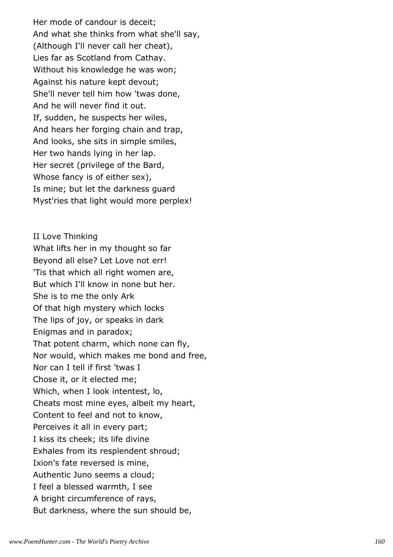Her mode of candour is deceit; And what she thinks from what she'll say, (Although I'll never call her cheat), Lies far as Scotland from Cathay. Without his knowledge he was won; Against his nature kept devout; She'll never tell him how 'twas done, And he will never find it out. If, sudden, he suspects her wiles, And hears her forging chain and trap, And looks, she sits in simple smiles, Her two hands lying in her lap. Her secret (privilege of the Bard, Whose fancy is of either sex), Is mine; but let the darkness guard Myst'ries that light would more perplex!

II Love Thinking What lifts her in my thought so far Beyond all else? Let Love not err! 'Tis that which all right women are, But which I'll know in none but her. She is to me the only Ark Of that high mystery which locks The lips of joy, or speaks in dark Enigmas and in paradox; That potent charm, which none can fly, Nor would, which makes me bond and free, Nor can I tell if first 'twas I Chose it, or it elected me; Which, when I look intentest, lo, Cheats most mine eyes, albeit my heart, Content to feel and not to know, Perceives it all in every part; I kiss its cheek; its life divine Exhales from its resplendent shroud; Ixion's fate reversed is mine, Authentic Juno seems a cloud; I feel a blessed warmth, I see A bright circumference of rays, But darkness, where the sun should be,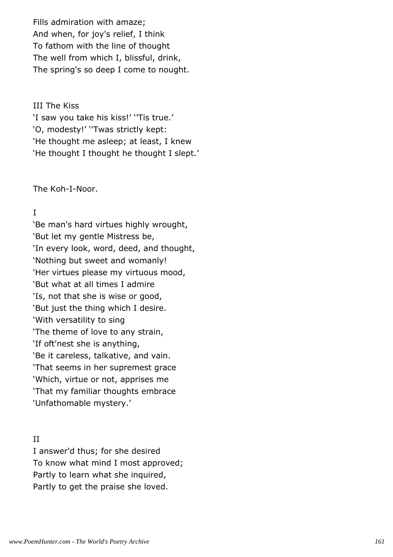Fills admiration with amaze; And when, for joy's relief, I think To fathom with the line of thought The well from which I, blissful, drink, The spring's so deep I come to nought.

#### III The Kiss

'I saw you take his kiss!' ''Tis true.' 'O, modesty!' ''Twas strictly kept: 'He thought me asleep; at least, I knew 'He thought I thought he thought I slept.'

The Koh-I-Noor.

# I

'Be man's hard virtues highly wrought, 'But let my gentle Mistress be, 'In every look, word, deed, and thought, 'Nothing but sweet and womanly! 'Her virtues please my virtuous mood, 'But what at all times I admire 'Is, not that she is wise or good, 'But just the thing which I desire. 'With versatility to sing 'The theme of love to any strain, 'If oft'nest she is anything, 'Be it careless, talkative, and vain. 'That seems in her supremest grace 'Which, virtue or not, apprises me 'That my familiar thoughts embrace 'Unfathomable mystery.'

# II

I answer'd thus; for she desired To know what mind I most approved; Partly to learn what she inquired, Partly to get the praise she loved.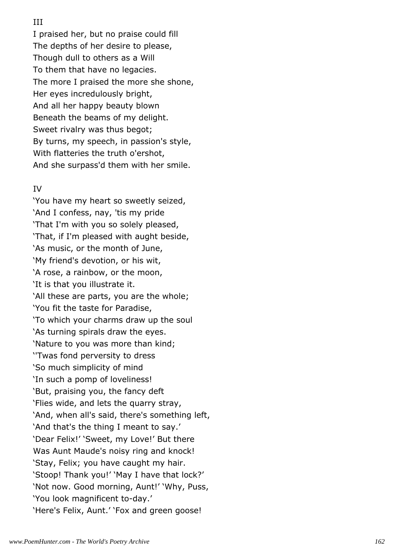## III

I praised her, but no praise could fill The depths of her desire to please, Though dull to others as a Will To them that have no legacies. The more I praised the more she shone, Her eyes incredulously bright, And all her happy beauty blown Beneath the beams of my delight. Sweet rivalry was thus begot; By turns, my speech, in passion's style, With flatteries the truth o'ershot, And she surpass'd them with her smile.

## IV

'You have my heart so sweetly seized, 'And I confess, nay, 'tis my pride 'That I'm with you so solely pleased, 'That, if I'm pleased with aught beside, 'As music, or the month of June, 'My friend's devotion, or his wit, 'A rose, a rainbow, or the moon, 'It is that you illustrate it. 'All these are parts, you are the whole; 'You fit the taste for Paradise, 'To which your charms draw up the soul 'As turning spirals draw the eyes. 'Nature to you was more than kind; ''Twas fond perversity to dress 'So much simplicity of mind 'In such a pomp of loveliness! 'But, praising you, the fancy deft 'Flies wide, and lets the quarry stray, 'And, when all's said, there's something left, 'And that's the thing I meant to say.' 'Dear Felix!' 'Sweet, my Love!' But there Was Aunt Maude's noisy ring and knock! 'Stay, Felix; you have caught my hair. 'Stoop! Thank you!' 'May I have that lock?' 'Not now. Good morning, Aunt!' 'Why, Puss, 'You look magnificent to-day.' 'Here's Felix, Aunt.' 'Fox and green goose!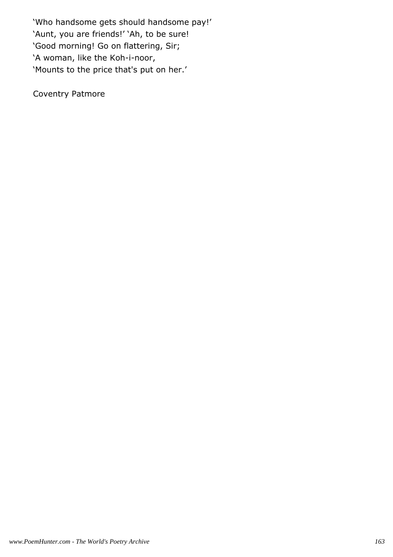'Who handsome gets should handsome pay!' 'Aunt, you are friends!' 'Ah, to be sure! 'Good morning! Go on flattering, Sir; 'A woman, like the Koh-i-noor, 'Mounts to the price that's put on her.'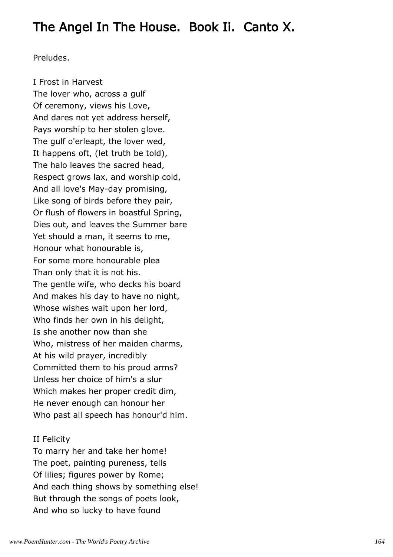# The Angel In The House. Book Ii. Canto X.

Preludes.

I Frost in Harvest The lover who, across a gulf Of ceremony, views his Love, And dares not yet address herself, Pays worship to her stolen glove. The gulf o'erleapt, the lover wed, It happens oft, (let truth be told), The halo leaves the sacred head, Respect grows lax, and worship cold, And all love's May-day promising, Like song of birds before they pair, Or flush of flowers in boastful Spring, Dies out, and leaves the Summer bare Yet should a man, it seems to me, Honour what honourable is, For some more honourable plea Than only that it is not his. The gentle wife, who decks his board And makes his day to have no night, Whose wishes wait upon her lord, Who finds her own in his delight, Is she another now than she Who, mistress of her maiden charms, At his wild prayer, incredibly Committed them to his proud arms? Unless her choice of him's a slur Which makes her proper credit dim, He never enough can honour her Who past all speech has honour'd him.

#### II Felicity

To marry her and take her home! The poet, painting pureness, tells Of lilies; figures power by Rome; And each thing shows by something else! But through the songs of poets look, And who so lucky to have found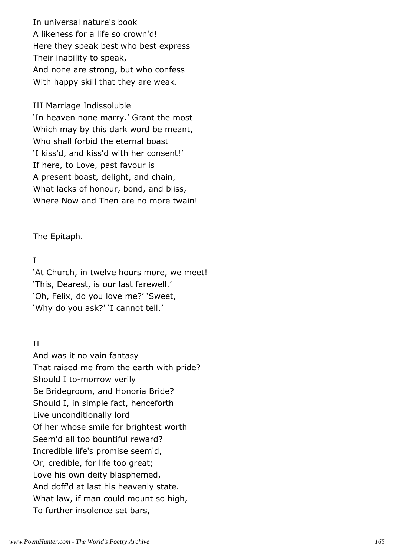In universal nature's book A likeness for a life so crown'd! Here they speak best who best express Their inability to speak, And none are strong, but who confess With happy skill that they are weak.

#### III Marriage Indissoluble

'In heaven none marry.' Grant the most Which may by this dark word be meant, Who shall forbid the eternal boast 'I kiss'd, and kiss'd with her consent!' If here, to Love, past favour is A present boast, delight, and chain, What lacks of honour, bond, and bliss, Where Now and Then are no more twain!

The Epitaph.

## I

'At Church, in twelve hours more, we meet! 'This, Dearest, is our last farewell.' 'Oh, Felix, do you love me?' 'Sweet, 'Why do you ask?' 'I cannot tell.'

## II

And was it no vain fantasy That raised me from the earth with pride? Should I to-morrow verily Be Bridegroom, and Honoria Bride? Should I, in simple fact, henceforth Live unconditionally lord Of her whose smile for brightest worth Seem'd all too bountiful reward? Incredible life's promise seem'd, Or, credible, for life too great; Love his own deity blasphemed, And doff'd at last his heavenly state. What law, if man could mount so high, To further insolence set bars,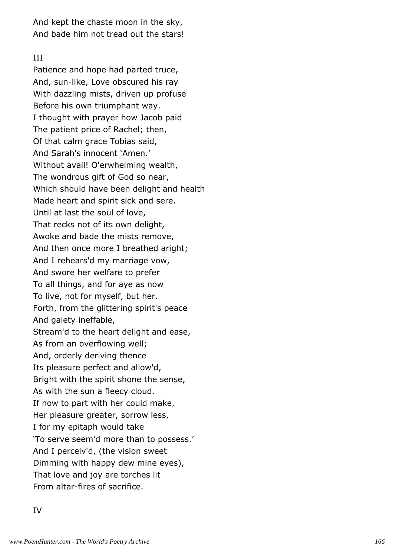And kept the chaste moon in the sky, And bade him not tread out the stars!

#### III

Patience and hope had parted truce, And, sun-like, Love obscured his ray With dazzling mists, driven up profuse Before his own triumphant way. I thought with prayer how Jacob paid The patient price of Rachel; then, Of that calm grace Tobias said, And Sarah's innocent 'Amen.' Without avail! O'erwhelming wealth, The wondrous gift of God so near, Which should have been delight and health Made heart and spirit sick and sere. Until at last the soul of love, That recks not of its own delight, Awoke and bade the mists remove, And then once more I breathed aright; And I rehears'd my marriage vow, And swore her welfare to prefer To all things, and for aye as now To live, not for myself, but her. Forth, from the glittering spirit's peace And gaiety ineffable, Stream'd to the heart delight and ease, As from an overflowing well; And, orderly deriving thence Its pleasure perfect and allow'd, Bright with the spirit shone the sense, As with the sun a fleecy cloud. If now to part with her could make, Her pleasure greater, sorrow less, I for my epitaph would take 'To serve seem'd more than to possess.' And I perceiv'd, (the vision sweet Dimming with happy dew mine eyes), That love and joy are torches lit From altar-fires of sacrifice.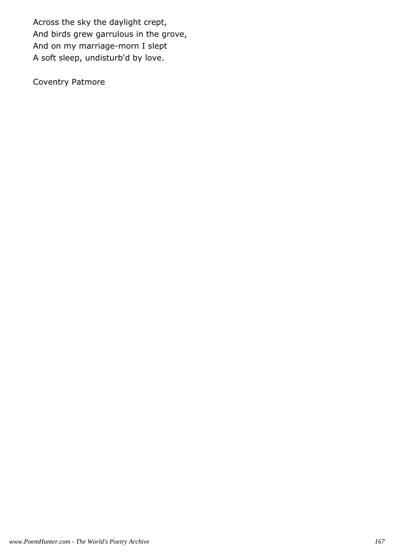Across the sky the daylight crept, And birds grew garrulous in the grove, And on my marriage-morn I slept A soft sleep, undisturb'd by love.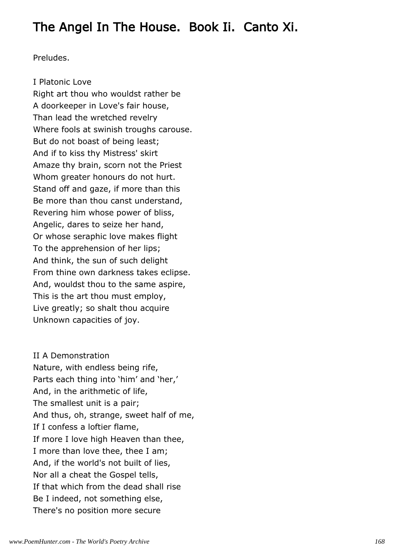# The Angel In The House. Book Ii. Canto Xi.

Preludes.

I Platonic Love Right art thou who wouldst rather be A doorkeeper in Love's fair house, Than lead the wretched revelry Where fools at swinish troughs carouse. But do not boast of being least; And if to kiss thy Mistress' skirt Amaze thy brain, scorn not the Priest Whom greater honours do not hurt. Stand off and gaze, if more than this Be more than thou canst understand, Revering him whose power of bliss, Angelic, dares to seize her hand, Or whose seraphic love makes flight To the apprehension of her lips; And think, the sun of such delight From thine own darkness takes eclipse. And, wouldst thou to the same aspire, This is the art thou must employ, Live greatly; so shalt thou acquire Unknown capacities of joy.

II A Demonstration Nature, with endless being rife, Parts each thing into 'him' and 'her,' And, in the arithmetic of life, The smallest unit is a pair; And thus, oh, strange, sweet half of me, If I confess a loftier flame, If more I love high Heaven than thee, I more than love thee, thee I am; And, if the world's not built of lies, Nor all a cheat the Gospel tells, If that which from the dead shall rise Be I indeed, not something else, There's no position more secure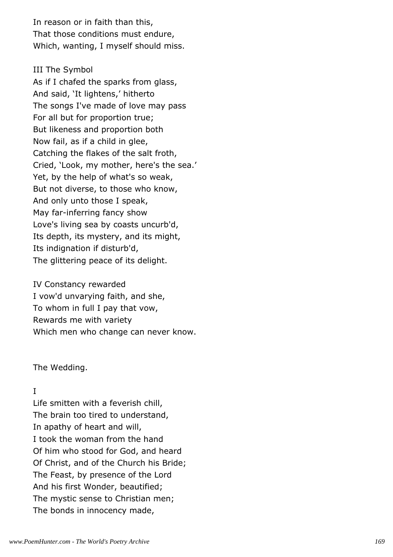In reason or in faith than this, That those conditions must endure, Which, wanting, I myself should miss.

## III The Symbol

As if I chafed the sparks from glass, And said, 'It lightens,' hitherto The songs I've made of love may pass For all but for proportion true; But likeness and proportion both Now fail, as if a child in glee, Catching the flakes of the salt froth, Cried, 'Look, my mother, here's the sea.' Yet, by the help of what's so weak, But not diverse, to those who know, And only unto those I speak, May far-inferring fancy show Love's living sea by coasts uncurb'd, Its depth, its mystery, and its might, Its indignation if disturb'd, The glittering peace of its delight.

IV Constancy rewarded I vow'd unvarying faith, and she, To whom in full I pay that vow, Rewards me with variety Which men who change can never know.

The Wedding.

# I

Life smitten with a feverish chill, The brain too tired to understand, In apathy of heart and will, I took the woman from the hand Of him who stood for God, and heard Of Christ, and of the Church his Bride; The Feast, by presence of the Lord And his first Wonder, beautified; The mystic sense to Christian men; The bonds in innocency made,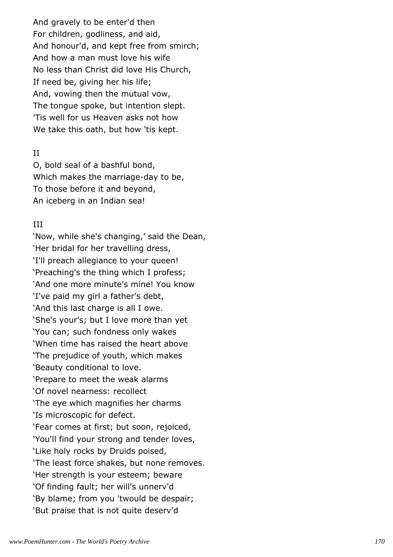And gravely to be enter'd then For children, godliness, and aid, And honour'd, and kept free from smirch; And how a man must love his wife No less than Christ did love His Church, If need be, giving her his life; And, vowing then the mutual vow, The tongue spoke, but intention slept. 'Tis well for us Heaven asks not how We take this oath, but how 'tis kept.

#### II

O, bold seal of a bashful bond, Which makes the marriage-day to be, To those before it and beyond, An iceberg in an Indian sea!

## III

'Now, while she's changing,' said the Dean, 'Her bridal for her travelling dress, 'I'll preach allegiance to your queen! 'Preaching's the thing which I profess; 'And one more minute's mine! You know 'I've paid my girl a father's debt, 'And this last charge is all I owe. 'She's your's; but I love more than yet 'You can; such fondness only wakes 'When time has raised the heart above 'The prejudice of youth, which makes 'Beauty conditional to love. 'Prepare to meet the weak alarms 'Of novel nearness: recollect 'The eye which magnifies her charms 'Is microscopic for defect. 'Fear comes at first; but soon, rejoiced, 'You'll find your strong and tender loves, 'Like holy rocks by Druids poised, 'The least force shakes, but none removes. 'Her strength is your esteem; beware 'Of finding fault; her will's unnerv'd 'By blame; from you 'twould be despair; 'But praise that is not quite deserv'd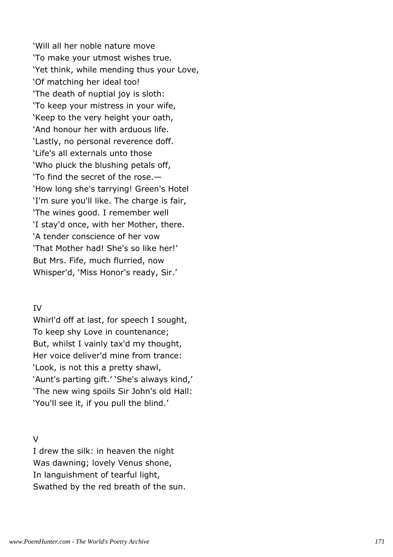'Will all her noble nature move 'To make your utmost wishes true. 'Yet think, while mending thus your Love, 'Of matching her ideal too! 'The death of nuptial joy is sloth: 'To keep your mistress in your wife, 'Keep to the very height your oath, 'And honour her with arduous life. 'Lastly, no personal reverence doff. 'Life's all externals unto those 'Who pluck the blushing petals off, 'To find the secret of the rose.— 'How long she's tarrying! Green's Hotel 'I'm sure you'll like. The charge is fair, 'The wines good. I remember well 'I stay'd once, with her Mother, there. 'A tender conscience of her vow 'That Mother had! She's so like her!' But Mrs. Fife, much flurried, now Whisper'd, 'Miss Honor's ready, Sir.'

## IV

Whirl'd off at last, for speech I sought, To keep shy Love in countenance; But, whilst I vainly tax'd my thought, Her voice deliver'd mine from trance: 'Look, is not this a pretty shawl, 'Aunt's parting gift.' 'She's always kind,' 'The new wing spoils Sir John's old Hall: 'You'll see it, if you pull the blind.'

# $\overline{V}$

I drew the silk: in heaven the night Was dawning; lovely Venus shone, In languishment of tearful light, Swathed by the red breath of the sun.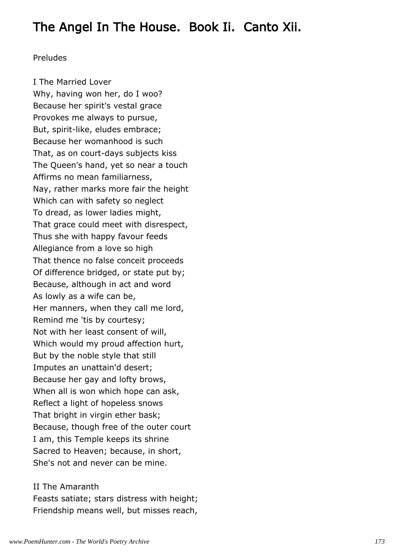# The Angel In The House. Book Ii. Canto Xii.

#### Preludes

I The Married Lover Why, having won her, do I woo? Because her spirit's vestal grace Provokes me always to pursue, But, spirit-like, eludes embrace; Because her womanhood is such That, as on court-days subjects kiss The Queen's hand, yet so near a touch Affirms no mean familiarness, Nay, rather marks more fair the height Which can with safety so neglect To dread, as lower ladies might, That grace could meet with disrespect, Thus she with happy favour feeds Allegiance from a love so high That thence no false conceit proceeds Of difference bridged, or state put by; Because, although in act and word As lowly as a wife can be, Her manners, when they call me lord, Remind me 'tis by courtesy; Not with her least consent of will, Which would my proud affection hurt, But by the noble style that still Imputes an unattain'd desert; Because her gay and lofty brows, When all is won which hope can ask, Reflect a light of hopeless snows That bright in virgin ether bask; Because, though free of the outer court I am, this Temple keeps its shrine Sacred to Heaven; because, in short, She's not and never can be mine.

#### II The Amaranth

Feasts satiate; stars distress with height; Friendship means well, but misses reach,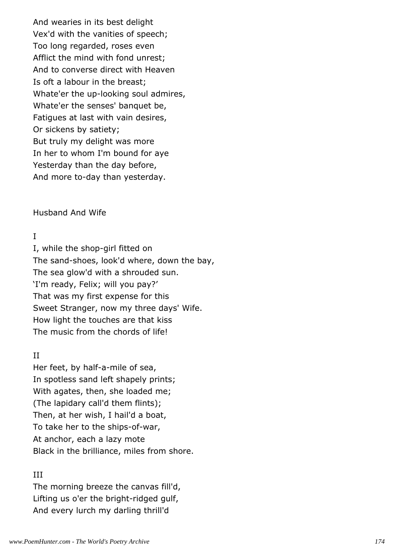And wearies in its best delight Vex'd with the vanities of speech; Too long regarded, roses even Afflict the mind with fond unrest; And to converse direct with Heaven Is oft a labour in the breast; Whate'er the up-looking soul admires, Whate'er the senses' banquet be, Fatigues at last with vain desires, Or sickens by satiety; But truly my delight was more In her to whom I'm bound for aye Yesterday than the day before, And more to-day than yesterday.

#### Husband And Wife

#### I

I, while the shop-girl fitted on The sand-shoes, look'd where, down the bay, The sea glow'd with a shrouded sun. 'I'm ready, Felix; will you pay?' That was my first expense for this Sweet Stranger, now my three days' Wife. How light the touches are that kiss The music from the chords of life!

#### II

Her feet, by half-a-mile of sea, In spotless sand left shapely prints; With agates, then, she loaded me; (The lapidary call'd them flints); Then, at her wish, I hail'd a boat, To take her to the ships-of-war, At anchor, each a lazy mote Black in the brilliance, miles from shore.

## III

The morning breeze the canvas fill'd, Lifting us o'er the bright-ridged gulf, And every lurch my darling thrill'd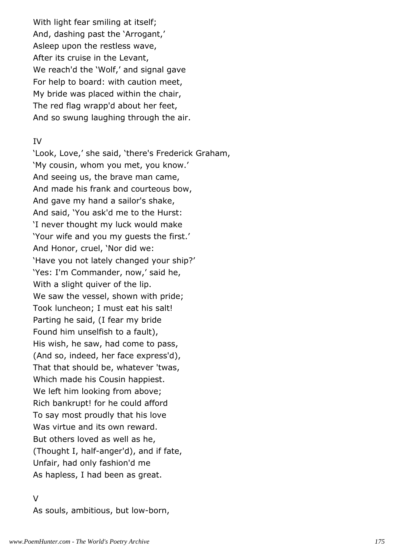With light fear smiling at itself; And, dashing past the 'Arrogant,' Asleep upon the restless wave, After its cruise in the Levant, We reach'd the 'Wolf,' and signal gave For help to board: with caution meet, My bride was placed within the chair, The red flag wrapp'd about her feet, And so swung laughing through the air.

#### IV

'Look, Love,' she said, 'there's Frederick Graham, 'My cousin, whom you met, you know.' And seeing us, the brave man came, And made his frank and courteous bow, And gave my hand a sailor's shake, And said, 'You ask'd me to the Hurst: 'I never thought my luck would make 'Your wife and you my guests the first.' And Honor, cruel, 'Nor did we: 'Have you not lately changed your ship?' 'Yes: I'm Commander, now,' said he, With a slight quiver of the lip. We saw the vessel, shown with pride; Took luncheon; I must eat his salt! Parting he said, (I fear my bride Found him unselfish to a fault), His wish, he saw, had come to pass, (And so, indeed, her face express'd), That that should be, whatever 'twas, Which made his Cousin happiest. We left him looking from above; Rich bankrupt! for he could afford To say most proudly that his love Was virtue and its own reward. But others loved as well as he, (Thought I, half-anger'd), and if fate, Unfair, had only fashion'd me As hapless, I had been as great.

#### $\overline{V}$

As souls, ambitious, but low-born,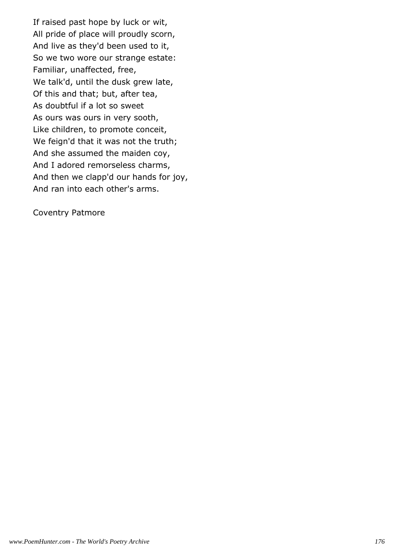If raised past hope by luck or wit, All pride of place will proudly scorn, And live as they'd been used to it, So we two wore our strange estate: Familiar, unaffected, free, We talk'd, until the dusk grew late, Of this and that; but, after tea, As doubtful if a lot so sweet As ours was ours in very sooth, Like children, to promote conceit, We feign'd that it was not the truth; And she assumed the maiden coy, And I adored remorseless charms, And then we clapp'd our hands for joy, And ran into each other's arms.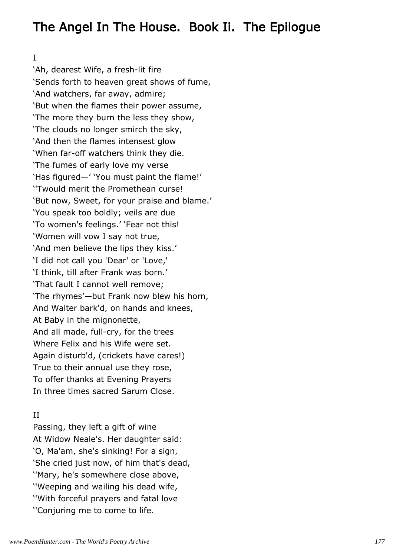# The Angel In The House. Book Ii. The Epilogue

I

'Ah, dearest Wife, a fresh-lit fire 'Sends forth to heaven great shows of fume, 'And watchers, far away, admire; 'But when the flames their power assume, 'The more they burn the less they show, 'The clouds no longer smirch the sky, 'And then the flames intensest glow 'When far-off watchers think they die. 'The fumes of early love my verse 'Has figured—' 'You must paint the flame!' ''Twould merit the Promethean curse! 'But now, Sweet, for your praise and blame.' 'You speak too boldly; veils are due 'To women's feelings.' 'Fear not this! 'Women will vow I say not true, 'And men believe the lips they kiss.' 'I did not call you 'Dear' or 'Love,' 'I think, till after Frank was born.' 'That fault I cannot well remove; 'The rhymes'—but Frank now blew his horn, And Walter bark'd, on hands and knees, At Baby in the mignonette, And all made, full-cry, for the trees Where Felix and his Wife were set. Again disturb'd, (crickets have cares!) True to their annual use they rose, To offer thanks at Evening Prayers In three times sacred Sarum Close.

# II

Passing, they left a gift of wine At Widow Neale's. Her daughter said: 'O, Ma'am, she's sinking! For a sign, 'She cried just now, of him that's dead, ''Mary, he's somewhere close above, ''Weeping and wailing his dead wife, ''With forceful prayers and fatal love ''Conjuring me to come to life.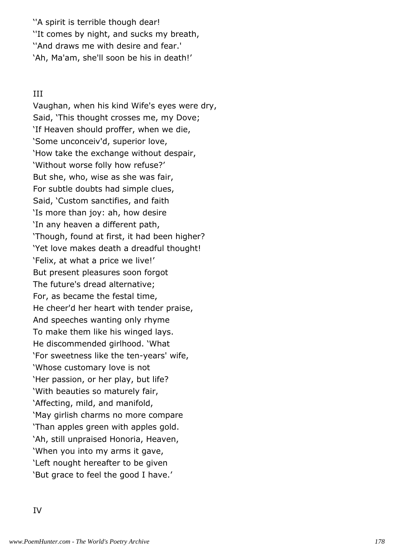''A spirit is terrible though dear! ''It comes by night, and sucks my breath, ''And draws me with desire and fear.' 'Ah, Ma'am, she'll soon be his in death!'

# III

Vaughan, when his kind Wife's eyes were dry, Said, 'This thought crosses me, my Dove; 'If Heaven should proffer, when we die, 'Some unconceiv'd, superior love, 'How take the exchange without despair, 'Without worse folly how refuse?' But she, who, wise as she was fair, For subtle doubts had simple clues, Said, 'Custom sanctifies, and faith 'Is more than joy: ah, how desire 'In any heaven a different path, 'Though, found at first, it had been higher? 'Yet love makes death a dreadful thought! 'Felix, at what a price we live!' But present pleasures soon forgot The future's dread alternative; For, as became the festal time, He cheer'd her heart with tender praise, And speeches wanting only rhyme To make them like his winged lays. He discommended girlhood. 'What 'For sweetness like the ten-years' wife, 'Whose customary love is not 'Her passion, or her play, but life? 'With beauties so maturely fair, 'Affecting, mild, and manifold, 'May girlish charms no more compare 'Than apples green with apples gold. 'Ah, still unpraised Honoria, Heaven, 'When you into my arms it gave, 'Left nought hereafter to be given 'But grace to feel the good I have.'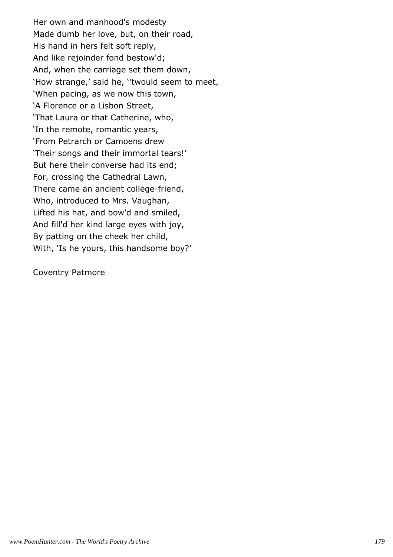Her own and manhood's modesty Made dumb her love, but, on their road, His hand in hers felt soft reply, And like rejoinder fond bestow'd; And, when the carriage set them down, 'How strange,' said he, ''twould seem to meet, 'When pacing, as we now this town, 'A Florence or a Lisbon Street, 'That Laura or that Catherine, who, 'In the remote, romantic years, 'From Petrarch or Camoens drew 'Their songs and their immortal tears!' But here their converse had its end; For, crossing the Cathedral Lawn, There came an ancient college-friend, Who, introduced to Mrs. Vaughan, Lifted his hat, and bow'd and smiled, And fill'd her kind large eyes with joy, By patting on the cheek her child, With, 'Is he yours, this handsome boy?'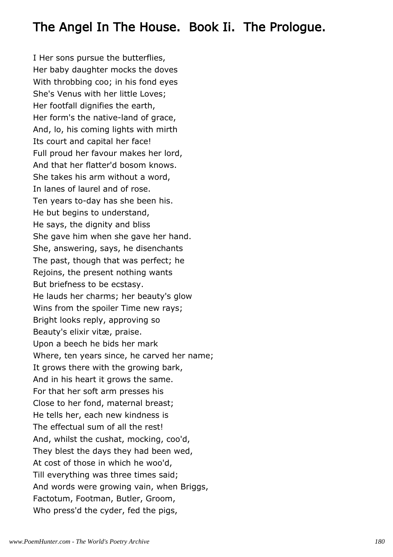### The Angel In The House. Book Ii. The Prologue.

I Her sons pursue the butterflies, Her baby daughter mocks the doves With throbbing coo; in his fond eyes She's Venus with her little Loves; Her footfall dignifies the earth, Her form's the native-land of grace, And, lo, his coming lights with mirth Its court and capital her face! Full proud her favour makes her lord, And that her flatter'd bosom knows. She takes his arm without a word, In lanes of laurel and of rose. Ten years to-day has she been his. He but begins to understand, He says, the dignity and bliss She gave him when she gave her hand. She, answering, says, he disenchants The past, though that was perfect; he Rejoins, the present nothing wants But briefness to be ecstasy. He lauds her charms; her beauty's glow Wins from the spoiler Time new rays; Bright looks reply, approving so Beauty's elixir vitæ, praise. Upon a beech he bids her mark Where, ten years since, he carved her name; It grows there with the growing bark, And in his heart it grows the same. For that her soft arm presses his Close to her fond, maternal breast; He tells her, each new kindness is The effectual sum of all the rest! And, whilst the cushat, mocking, coo'd, They blest the days they had been wed, At cost of those in which he woo'd, Till everything was three times said; And words were growing vain, when Briggs, Factotum, Footman, Butler, Groom, Who press'd the cyder, fed the pigs,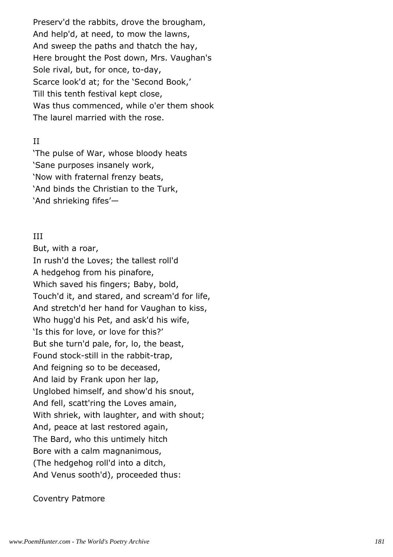Preserv'd the rabbits, drove the brougham, And help'd, at need, to mow the lawns, And sweep the paths and thatch the hay, Here brought the Post down, Mrs. Vaughan's Sole rival, but, for once, to-day, Scarce look'd at; for the 'Second Book,' Till this tenth festival kept close, Was thus commenced, while o'er them shook The laurel married with the rose.

### II

'The pulse of War, whose bloody heats 'Sane purposes insanely work, 'Now with fraternal frenzy beats, 'And binds the Christian to the Turk, 'And shrieking fifes'—

### III

But, with a roar, In rush'd the Loves; the tallest roll'd A hedgehog from his pinafore, Which saved his fingers; Baby, bold, Touch'd it, and stared, and scream'd for life, And stretch'd her hand for Vaughan to kiss, Who hugg'd his Pet, and ask'd his wife, 'Is this for love, or love for this?' But she turn'd pale, for, lo, the beast, Found stock-still in the rabbit-trap, And feigning so to be deceased, And laid by Frank upon her lap, Unglobed himself, and show'd his snout, And fell, scatt'ring the Loves amain, With shriek, with laughter, and with shout; And, peace at last restored again, The Bard, who this untimely hitch Bore with a calm magnanimous, (The hedgehog roll'd into a ditch, And Venus sooth'd), proceeded thus: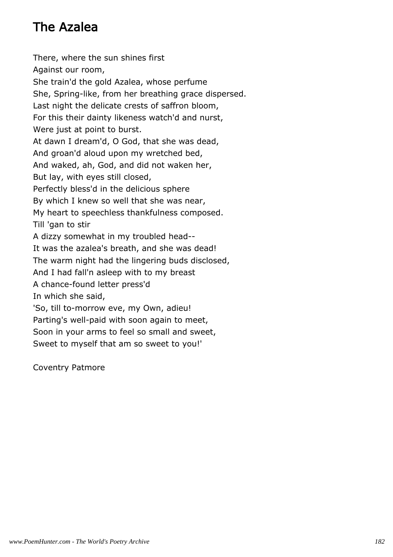# The Azalea

There, where the sun shines first Against our room, She train'd the gold Azalea, whose perfume She, Spring-like, from her breathing grace dispersed. Last night the delicate crests of saffron bloom, For this their dainty likeness watch'd and nurst, Were just at point to burst. At dawn I dream'd, O God, that she was dead, And groan'd aloud upon my wretched bed, And waked, ah, God, and did not waken her, But lay, with eyes still closed, Perfectly bless'd in the delicious sphere By which I knew so well that she was near, My heart to speechless thankfulness composed. Till 'gan to stir A dizzy somewhat in my troubled head-- It was the azalea's breath, and she was dead! The warm night had the lingering buds disclosed, And I had fall'n asleep with to my breast A chance-found letter press'd In which she said, 'So, till to-morrow eve, my Own, adieu! Parting's well-paid with soon again to meet, Soon in your arms to feel so small and sweet, Sweet to myself that am so sweet to you!'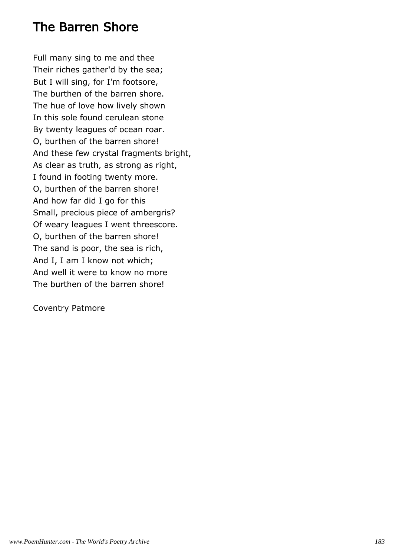## The Barren Shore

Full many sing to me and thee Their riches gather'd by the sea; But I will sing, for I'm footsore, The burthen of the barren shore. The hue of love how lively shown In this sole found cerulean stone By twenty leagues of ocean roar. O, burthen of the barren shore! And these few crystal fragments bright, As clear as truth, as strong as right, I found in footing twenty more. O, burthen of the barren shore! And how far did I go for this Small, precious piece of ambergris? Of weary leagues I went threescore. O, burthen of the barren shore! The sand is poor, the sea is rich, And I, I am I know not which; And well it were to know no more The burthen of the barren shore!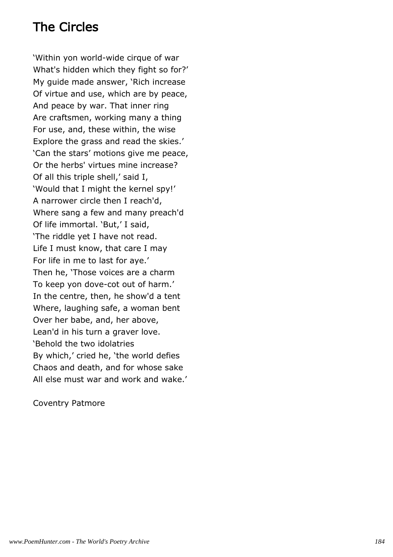# The Circles

'Within yon world-wide cirque of war What's hidden which they fight so for?' My guide made answer, 'Rich increase Of virtue and use, which are by peace, And peace by war. That inner ring Are craftsmen, working many a thing For use, and, these within, the wise Explore the grass and read the skies.' 'Can the stars' motions give me peace, Or the herbs' virtues mine increase? Of all this triple shell,' said I, 'Would that I might the kernel spy!' A narrower circle then I reach'd, Where sang a few and many preach'd Of life immortal. 'But,' I said, 'The riddle yet I have not read. Life I must know, that care I may For life in me to last for aye.' Then he, 'Those voices are a charm To keep yon dove-cot out of harm.' In the centre, then, he show'd a tent Where, laughing safe, a woman bent Over her babe, and, her above, Lean'd in his turn a graver love. 'Behold the two idolatries By which,' cried he, 'the world defies Chaos and death, and for whose sake All else must war and work and wake.'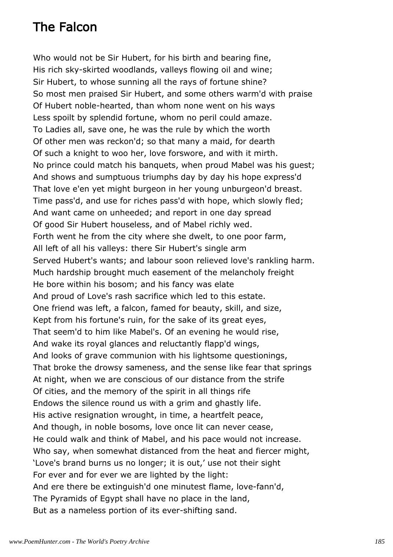# The Falcon

Who would not be Sir Hubert, for his birth and bearing fine, His rich sky-skirted woodlands, valleys flowing oil and wine; Sir Hubert, to whose sunning all the rays of fortune shine? So most men praised Sir Hubert, and some others warm'd with praise Of Hubert noble-hearted, than whom none went on his ways Less spoilt by splendid fortune, whom no peril could amaze. To Ladies all, save one, he was the rule by which the worth Of other men was reckon'd; so that many a maid, for dearth Of such a knight to woo her, love forswore, and with it mirth. No prince could match his banquets, when proud Mabel was his guest; And shows and sumptuous triumphs day by day his hope express'd That love e'en yet might burgeon in her young unburgeon'd breast. Time pass'd, and use for riches pass'd with hope, which slowly fled; And want came on unheeded; and report in one day spread Of good Sir Hubert houseless, and of Mabel richly wed. Forth went he from the city where she dwelt, to one poor farm, All left of all his valleys: there Sir Hubert's single arm Served Hubert's wants; and labour soon relieved love's rankling harm. Much hardship brought much easement of the melancholy freight He bore within his bosom; and his fancy was elate And proud of Love's rash sacrifice which led to this estate. One friend was left, a falcon, famed for beauty, skill, and size, Kept from his fortune's ruin, for the sake of its great eyes, That seem'd to him like Mabel's. Of an evening he would rise, And wake its royal glances and reluctantly flapp'd wings, And looks of grave communion with his lightsome questionings, That broke the drowsy sameness, and the sense like fear that springs At night, when we are conscious of our distance from the strife Of cities, and the memory of the spirit in all things rife Endows the silence round us with a grim and ghastly life. His active resignation wrought, in time, a heartfelt peace, And though, in noble bosoms, love once lit can never cease, He could walk and think of Mabel, and his pace would not increase. Who say, when somewhat distanced from the heat and fiercer might, 'Love's brand burns us no longer; it is out,' use not their sight For ever and for ever we are lighted by the light: And ere there be extinguish'd one minutest flame, love-fann'd, The Pyramids of Egypt shall have no place in the land, But as a nameless portion of its ever-shifting sand.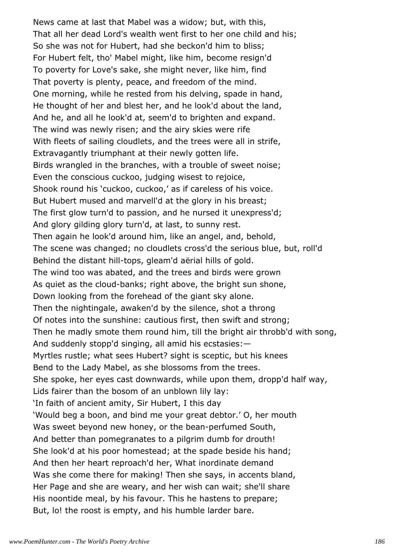News came at last that Mabel was a widow; but, with this, That all her dead Lord's wealth went first to her one child and his; So she was not for Hubert, had she beckon'd him to bliss; For Hubert felt, tho' Mabel might, like him, become resign'd To poverty for Love's sake, she might never, like him, find That poverty is plenty, peace, and freedom of the mind. One morning, while he rested from his delving, spade in hand, He thought of her and blest her, and he look'd about the land, And he, and all he look'd at, seem'd to brighten and expand. The wind was newly risen; and the airy skies were rife With fleets of sailing cloudlets, and the trees were all in strife, Extravagantly triumphant at their newly gotten life. Birds wrangled in the branches, with a trouble of sweet noise; Even the conscious cuckoo, judging wisest to rejoice, Shook round his 'cuckoo, cuckoo,' as if careless of his voice. But Hubert mused and marvell'd at the glory in his breast; The first glow turn'd to passion, and he nursed it unexpress'd; And glory gilding glory turn'd, at last, to sunny rest. Then again he look'd around him, like an angel, and, behold, The scene was changed; no cloudlets cross'd the serious blue, but, roll'd Behind the distant hill-tops, gleam'd aërial hills of gold. The wind too was abated, and the trees and birds were grown As quiet as the cloud-banks; right above, the bright sun shone, Down looking from the forehead of the giant sky alone. Then the nightingale, awaken'd by the silence, shot a throng Of notes into the sunshine: cautious first, then swift and strong; Then he madly smote them round him, till the bright air throbb'd with song, And suddenly stopp'd singing, all amid his ecstasies:— Myrtles rustle; what sees Hubert? sight is sceptic, but his knees Bend to the Lady Mabel, as she blossoms from the trees. She spoke, her eyes cast downwards, while upon them, dropp'd half way, Lids fairer than the bosom of an unblown lily lay: 'In faith of ancient amity, Sir Hubert, I this day 'Would beg a boon, and bind me your great debtor.' O, her mouth Was sweet beyond new honey, or the bean-perfumed South, And better than pomegranates to a pilgrim dumb for drouth! She look'd at his poor homestead; at the spade beside his hand; And then her heart reproach'd her, What inordinate demand Was she come there for making! Then she says, in accents bland, Her Page and she are weary, and her wish can wait; she'll share His noontide meal, by his favour. This he hastens to prepare; But, lo! the roost is empty, and his humble larder bare.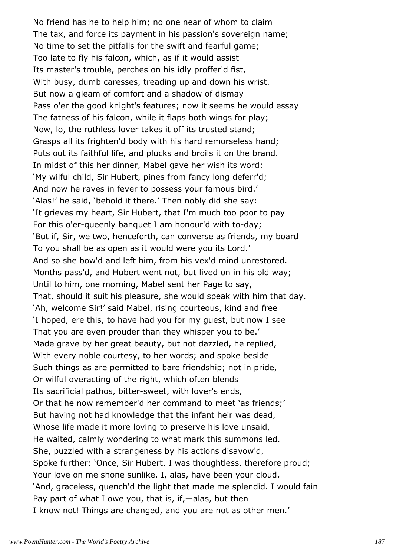No friend has he to help him; no one near of whom to claim The tax, and force its payment in his passion's sovereign name; No time to set the pitfalls for the swift and fearful game; Too late to fly his falcon, which, as if it would assist Its master's trouble, perches on his idly proffer'd fist, With busy, dumb caresses, treading up and down his wrist. But now a gleam of comfort and a shadow of dismay Pass o'er the good knight's features; now it seems he would essay The fatness of his falcon, while it flaps both wings for play; Now, lo, the ruthless lover takes it off its trusted stand; Grasps all its frighten'd body with his hard remorseless hand; Puts out its faithful life, and plucks and broils it on the brand. In midst of this her dinner, Mabel gave her wish its word: 'My wilful child, Sir Hubert, pines from fancy long deferr'd; And now he raves in fever to possess your famous bird.' 'Alas!' he said, 'behold it there.' Then nobly did she say: 'It grieves my heart, Sir Hubert, that I'm much too poor to pay For this o'er-queenly banquet I am honour'd with to-day; 'But if, Sir, we two, henceforth, can converse as friends, my board To you shall be as open as it would were you its Lord.' And so she bow'd and left him, from his vex'd mind unrestored. Months pass'd, and Hubert went not, but lived on in his old way; Until to him, one morning, Mabel sent her Page to say, That, should it suit his pleasure, she would speak with him that day. 'Ah, welcome Sir!' said Mabel, rising courteous, kind and free 'I hoped, ere this, to have had you for my guest, but now I see That you are even prouder than they whisper you to be.' Made grave by her great beauty, but not dazzled, he replied, With every noble courtesy, to her words; and spoke beside Such things as are permitted to bare friendship; not in pride, Or wilful overacting of the right, which often blends Its sacrificial pathos, bitter-sweet, with lover's ends, Or that he now remember'd her command to meet 'as friends;' But having not had knowledge that the infant heir was dead, Whose life made it more loving to preserve his love unsaid, He waited, calmly wondering to what mark this summons led. She, puzzled with a strangeness by his actions disavow'd, Spoke further: 'Once, Sir Hubert, I was thoughtless, therefore proud; Your love on me shone sunlike. I, alas, have been your cloud, 'And, graceless, quench'd the light that made me splendid. I would fain Pay part of what I owe you, that is, if,—alas, but then I know not! Things are changed, and you are not as other men.'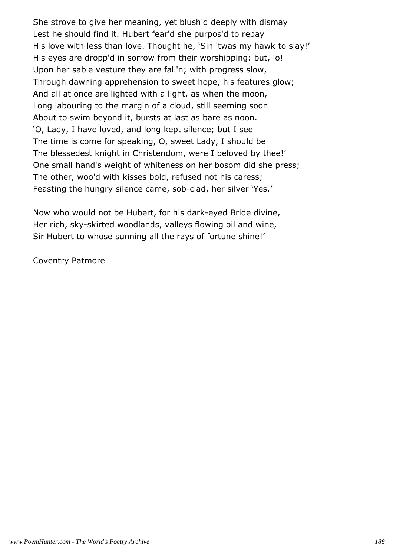She strove to give her meaning, yet blush'd deeply with dismay Lest he should find it. Hubert fear'd she purpos'd to repay His love with less than love. Thought he, 'Sin 'twas my hawk to slay!' His eyes are dropp'd in sorrow from their worshipping: but, lo! Upon her sable vesture they are fall'n; with progress slow, Through dawning apprehension to sweet hope, his features glow; And all at once are lighted with a light, as when the moon, Long labouring to the margin of a cloud, still seeming soon About to swim beyond it, bursts at last as bare as noon. 'O, Lady, I have loved, and long kept silence; but I see The time is come for speaking, O, sweet Lady, I should be The blessedest knight in Christendom, were I beloved by thee!' One small hand's weight of whiteness on her bosom did she press; The other, woo'd with kisses bold, refused not his caress; Feasting the hungry silence came, sob-clad, her silver 'Yes.'

Now who would not be Hubert, for his dark-eyed Bride divine, Her rich, sky-skirted woodlands, valleys flowing oil and wine, Sir Hubert to whose sunning all the rays of fortune shine!'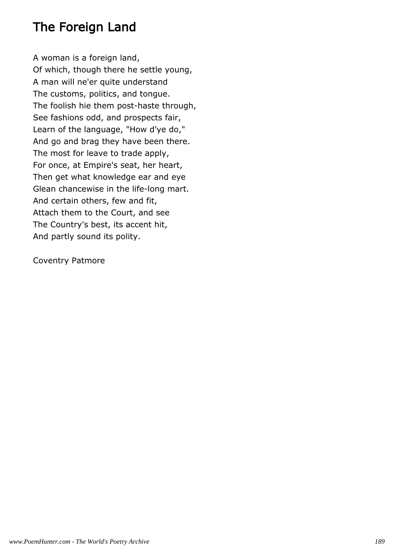## The Foreign Land

A woman is a foreign land, Of which, though there he settle young, A man will ne'er quite understand The customs, politics, and tongue. The foolish hie them post-haste through, See fashions odd, and prospects fair, Learn of the language, "How d'ye do," And go and brag they have been there. The most for leave to trade apply, For once, at Empire's seat, her heart, Then get what knowledge ear and eye Glean chancewise in the life-long mart. And certain others, few and fit, Attach them to the Court, and see The Country's best, its accent hit, And partly sound its polity.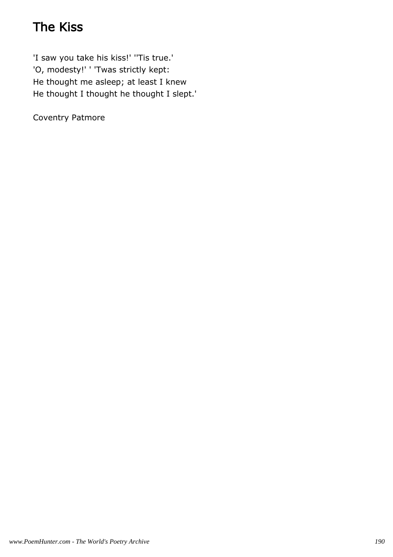# The Kiss

'I saw you take his kiss!' ''Tis true.' 'O, modesty!' ' 'Twas strictly kept: He thought me asleep; at least I knew He thought I thought he thought I slept.'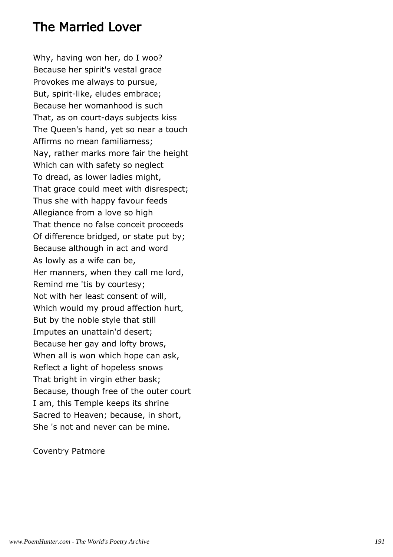### The Married Lover

Why, having won her, do I woo? Because her spirit's vestal grace Provokes me always to pursue, But, spirit-like, eludes embrace; Because her womanhood is such That, as on court-days subjects kiss The Queen's hand, yet so near a touch Affirms no mean familiarness; Nay, rather marks more fair the height Which can with safety so neglect To dread, as lower ladies might, That grace could meet with disrespect; Thus she with happy favour feeds Allegiance from a love so high That thence no false conceit proceeds Of difference bridged, or state put by; Because although in act and word As lowly as a wife can be, Her manners, when they call me lord, Remind me 'tis by courtesy; Not with her least consent of will, Which would my proud affection hurt, But by the noble style that still Imputes an unattain'd desert; Because her gay and lofty brows, When all is won which hope can ask, Reflect a light of hopeless snows That bright in virgin ether bask; Because, though free of the outer court I am, this Temple keeps its shrine Sacred to Heaven; because, in short, She 's not and never can be mine.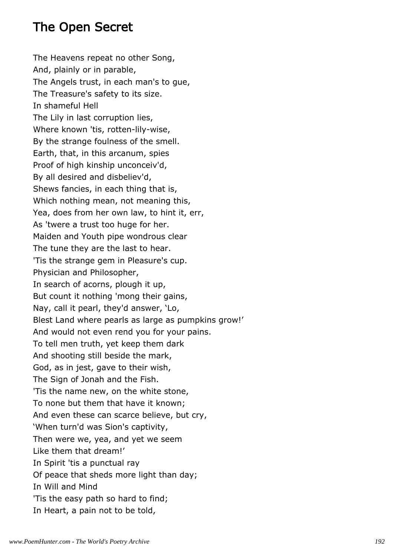## The Open Secret

The Heavens repeat no other Song, And, plainly or in parable, The Angels trust, in each man's to gue, The Treasure's safety to its size. In shameful Hell The Lily in last corruption lies, Where known 'tis, rotten-lily-wise, By the strange foulness of the smell. Earth, that, in this arcanum, spies Proof of high kinship unconceiv'd, By all desired and disbeliev'd, Shews fancies, in each thing that is, Which nothing mean, not meaning this, Yea, does from her own law, to hint it, err, As 'twere a trust too huge for her. Maiden and Youth pipe wondrous clear The tune they are the last to hear. 'Tis the strange gem in Pleasure's cup. Physician and Philosopher, In search of acorns, plough it up, But count it nothing 'mong their gains, Nay, call it pearl, they'd answer, 'Lo, Blest Land where pearls as large as pumpkins grow!' And would not even rend you for your pains. To tell men truth, yet keep them dark And shooting still beside the mark, God, as in jest, gave to their wish, The Sign of Jonah and the Fish. 'Tis the name new, on the white stone, To none but them that have it known; And even these can scarce believe, but cry, 'When turn'd was Sion's captivity, Then were we, yea, and yet we seem Like them that dream!' In Spirit 'tis a punctual ray Of peace that sheds more light than day; In Will and Mind 'Tis the easy path so hard to find; In Heart, a pain not to be told,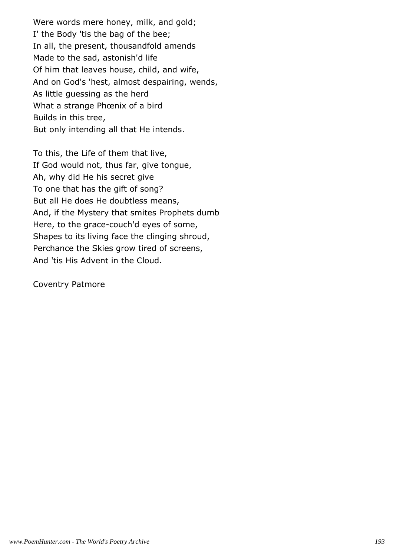Were words mere honey, milk, and gold; I' the Body 'tis the bag of the bee; In all, the present, thousandfold amends Made to the sad, astonish'd life Of him that leaves house, child, and wife, And on God's 'hest, almost despairing, wends, As little guessing as the herd What a strange Phœnix of a bird Builds in this tree, But only intending all that He intends.

To this, the Life of them that live, If God would not, thus far, give tongue, Ah, why did He his secret give To one that has the gift of song? But all He does He doubtless means, And, if the Mystery that smites Prophets dumb Here, to the grace-couch'd eyes of some, Shapes to its living face the clinging shroud, Perchance the Skies grow tired of screens, And 'tis His Advent in the Cloud.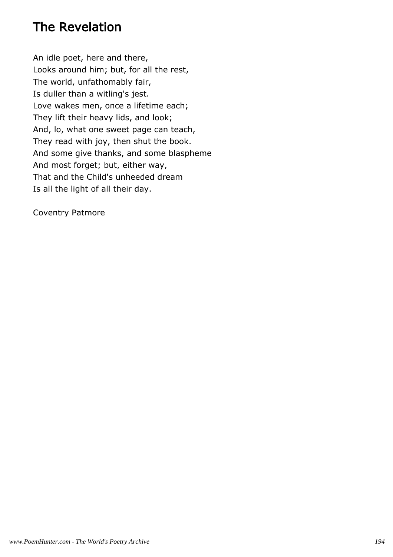## The Revelation

An idle poet, here and there, Looks around him; but, for all the rest, The world, unfathomably fair, Is duller than a witling's jest. Love wakes men, once a lifetime each; They lift their heavy lids, and look; And, lo, what one sweet page can teach, They read with joy, then shut the book. And some give thanks, and some blaspheme And most forget; but, either way, That and the Child's unheeded dream Is all the light of all their day.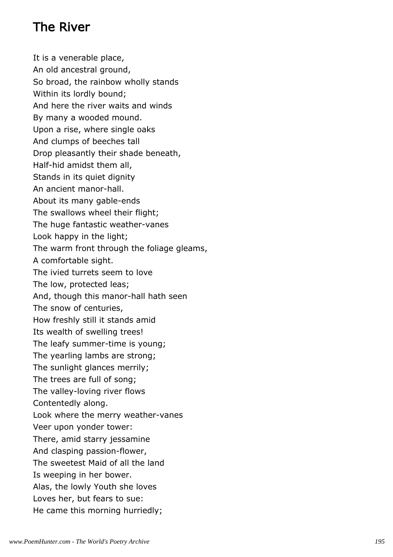# The River

It is a venerable place, An old ancestral ground, So broad, the rainbow wholly stands Within its lordly bound; And here the river waits and winds By many a wooded mound. Upon a rise, where single oaks And clumps of beeches tall Drop pleasantly their shade beneath, Half-hid amidst them all, Stands in its quiet dignity An ancient manor-hall. About its many gable-ends The swallows wheel their flight; The huge fantastic weather-vanes Look happy in the light; The warm front through the foliage gleams, A comfortable sight. The ivied turrets seem to love The low, protected leas; And, though this manor-hall hath seen The snow of centuries, How freshly still it stands amid Its wealth of swelling trees! The leafy summer-time is young; The yearling lambs are strong; The sunlight glances merrily; The trees are full of song; The valley-loving river flows Contentedly along. Look where the merry weather-vanes Veer upon yonder tower: There, amid starry jessamine And clasping passion-flower, The sweetest Maid of all the land Is weeping in her bower. Alas, the lowly Youth she loves Loves her, but fears to sue: He came this morning hurriedly;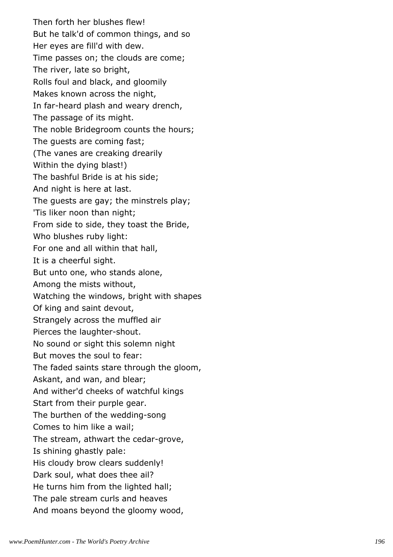Then forth her blushes flew! But he talk'd of common things, and so Her eyes are fill'd with dew. Time passes on; the clouds are come; The river, late so bright, Rolls foul and black, and gloomily Makes known across the night, In far-heard plash and weary drench, The passage of its might. The noble Bridegroom counts the hours; The guests are coming fast; (The vanes are creaking drearily Within the dying blast!) The bashful Bride is at his side; And night is here at last. The guests are gay; the minstrels play; 'Tis liker noon than night; From side to side, they toast the Bride, Who blushes ruby light: For one and all within that hall, It is a cheerful sight. But unto one, who stands alone, Among the mists without, Watching the windows, bright with shapes Of king and saint devout, Strangely across the muffled air Pierces the laughter-shout. No sound or sight this solemn night But moves the soul to fear: The faded saints stare through the gloom, Askant, and wan, and blear; And wither'd cheeks of watchful kings Start from their purple gear. The burthen of the wedding-song Comes to him like a wail; The stream, athwart the cedar-grove, Is shining ghastly pale: His cloudy brow clears suddenly! Dark soul, what does thee ail? He turns him from the lighted hall; The pale stream curls and heaves And moans beyond the gloomy wood,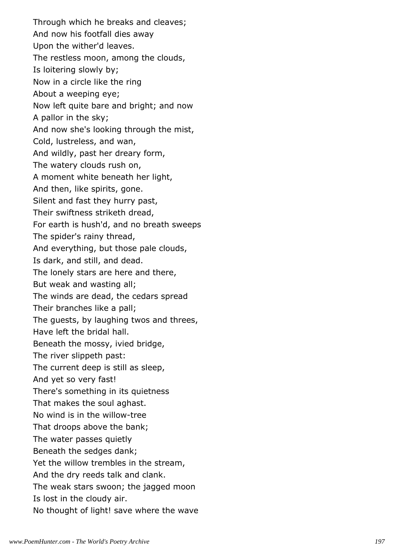Through which he breaks and cleaves; And now his footfall dies away Upon the wither'd leaves. The restless moon, among the clouds, Is loitering slowly by; Now in a circle like the ring About a weeping eye; Now left quite bare and bright; and now A pallor in the sky; And now she's looking through the mist, Cold, lustreless, and wan, And wildly, past her dreary form, The watery clouds rush on, A moment white beneath her light, And then, like spirits, gone. Silent and fast they hurry past, Their swiftness striketh dread, For earth is hush'd, and no breath sweeps The spider's rainy thread, And everything, but those pale clouds, Is dark, and still, and dead. The lonely stars are here and there, But weak and wasting all; The winds are dead, the cedars spread Their branches like a pall; The guests, by laughing twos and threes, Have left the bridal hall. Beneath the mossy, ivied bridge, The river slippeth past: The current deep is still as sleep, And yet so very fast! There's something in its quietness That makes the soul aghast. No wind is in the willow-tree That droops above the bank; The water passes quietly Beneath the sedges dank; Yet the willow trembles in the stream, And the dry reeds talk and clank. The weak stars swoon; the jagged moon Is lost in the cloudy air. No thought of light! save where the wave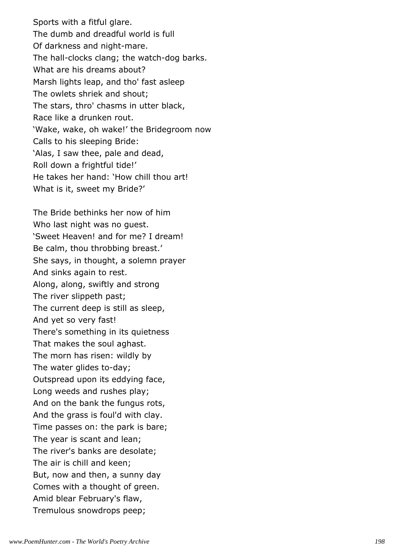Sports with a fitful glare. The dumb and dreadful world is full Of darkness and night-mare. The hall-clocks clang; the watch-dog barks. What are his dreams about? Marsh lights leap, and tho' fast asleep The owlets shriek and shout; The stars, thro' chasms in utter black, Race like a drunken rout. 'Wake, wake, oh wake!' the Bridegroom now Calls to his sleeping Bride: 'Alas, I saw thee, pale and dead, Roll down a frightful tide!' He takes her hand: 'How chill thou art! What is it, sweet my Bride?'

The Bride bethinks her now of him Who last night was no guest. 'Sweet Heaven! and for me? I dream! Be calm, thou throbbing breast.' She says, in thought, a solemn prayer And sinks again to rest. Along, along, swiftly and strong The river slippeth past; The current deep is still as sleep, And yet so very fast! There's something in its quietness That makes the soul aghast. The morn has risen: wildly by The water glides to-day; Outspread upon its eddying face, Long weeds and rushes play; And on the bank the fungus rots, And the grass is foul'd with clay. Time passes on: the park is bare; The year is scant and lean; The river's banks are desolate; The air is chill and keen; But, now and then, a sunny day Comes with a thought of green. Amid blear February's flaw, Tremulous snowdrops peep;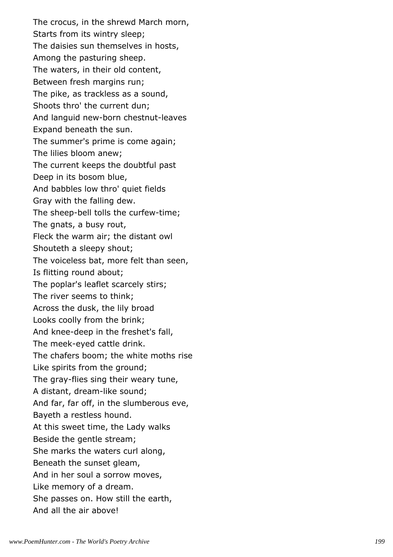The crocus, in the shrewd March morn, Starts from its wintry sleep; The daisies sun themselves in hosts, Among the pasturing sheep. The waters, in their old content, Between fresh margins run; The pike, as trackless as a sound, Shoots thro' the current dun; And languid new-born chestnut-leaves Expand beneath the sun. The summer's prime is come again; The lilies bloom anew; The current keeps the doubtful past Deep in its bosom blue, And babbles low thro' quiet fields Gray with the falling dew. The sheep-bell tolls the curfew-time; The gnats, a busy rout, Fleck the warm air; the distant owl Shouteth a sleepy shout; The voiceless bat, more felt than seen, Is flitting round about; The poplar's leaflet scarcely stirs; The river seems to think; Across the dusk, the lily broad Looks coolly from the brink; And knee-deep in the freshet's fall, The meek-eyed cattle drink. The chafers boom; the white moths rise Like spirits from the ground; The gray-flies sing their weary tune, A distant, dream-like sound; And far, far off, in the slumberous eve, Bayeth a restless hound. At this sweet time, the Lady walks Beside the gentle stream; She marks the waters curl along, Beneath the sunset gleam, And in her soul a sorrow moves, Like memory of a dream. She passes on. How still the earth, And all the air above!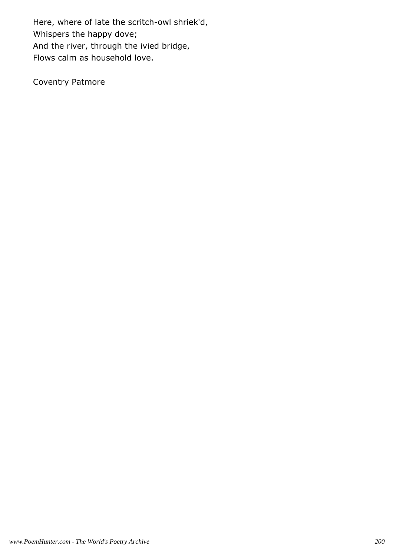Here, where of late the scritch-owl shriek'd, Whispers the happy dove; And the river, through the ivied bridge, Flows calm as household love.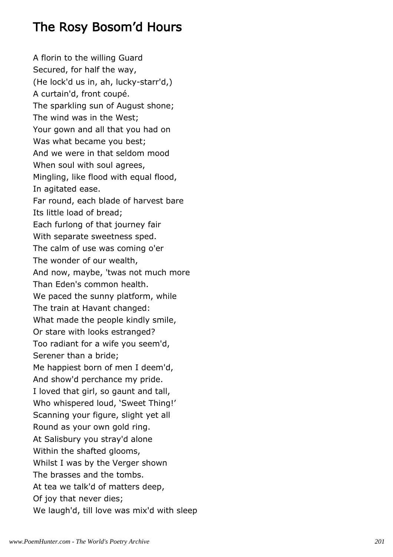## The Rosy Bosom'd Hours

A florin to the willing Guard Secured, for half the way, (He lock'd us in, ah, lucky-starr'd,) A curtain'd, front coupé. The sparkling sun of August shone; The wind was in the West; Your gown and all that you had on Was what became you best; And we were in that seldom mood When soul with soul agrees, Mingling, like flood with equal flood, In agitated ease. Far round, each blade of harvest bare Its little load of bread; Each furlong of that journey fair With separate sweetness sped. The calm of use was coming o'er The wonder of our wealth, And now, maybe, 'twas not much more Than Eden's common health. We paced the sunny platform, while The train at Havant changed: What made the people kindly smile, Or stare with looks estranged? Too radiant for a wife you seem'd, Serener than a bride; Me happiest born of men I deem'd, And show'd perchance my pride. I loved that girl, so gaunt and tall, Who whispered loud, 'Sweet Thing!' Scanning your figure, slight yet all Round as your own gold ring. At Salisbury you stray'd alone Within the shafted glooms, Whilst I was by the Verger shown The brasses and the tombs. At tea we talk'd of matters deep, Of joy that never dies; We laugh'd, till love was mix'd with sleep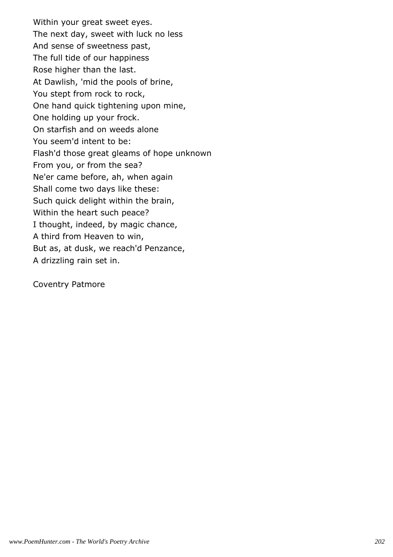Within your great sweet eyes. The next day, sweet with luck no less And sense of sweetness past, The full tide of our happiness Rose higher than the last. At Dawlish, 'mid the pools of brine, You stept from rock to rock, One hand quick tightening upon mine, One holding up your frock. On starfish and on weeds alone You seem'd intent to be: Flash'd those great gleams of hope unknown From you, or from the sea? Ne'er came before, ah, when again Shall come two days like these: Such quick delight within the brain, Within the heart such peace? I thought, indeed, by magic chance, A third from Heaven to win, But as, at dusk, we reach'd Penzance, A drizzling rain set in.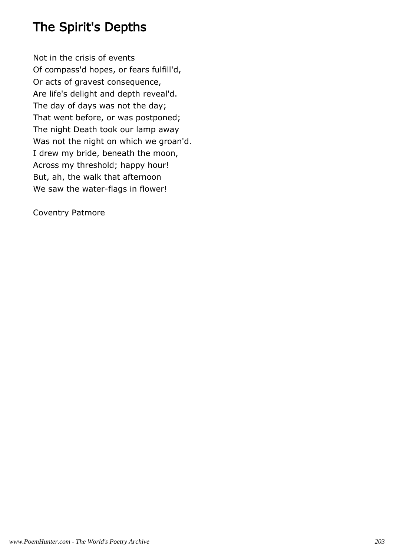# The Spirit's Depths

Not in the crisis of events Of compass'd hopes, or fears fulfill'd, Or acts of gravest consequence, Are life's delight and depth reveal'd. The day of days was not the day; That went before, or was postponed; The night Death took our lamp away Was not the night on which we groan'd. I drew my bride, beneath the moon, Across my threshold; happy hour! But, ah, the walk that afternoon We saw the water-flags in flower!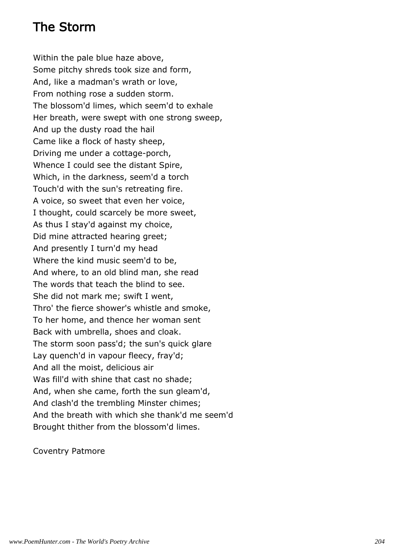## The Storm

Within the pale blue haze above, Some pitchy shreds took size and form, And, like a madman's wrath or love, From nothing rose a sudden storm. The blossom'd limes, which seem'd to exhale Her breath, were swept with one strong sweep, And up the dusty road the hail Came like a flock of hasty sheep, Driving me under a cottage-porch, Whence I could see the distant Spire, Which, in the darkness, seem'd a torch Touch'd with the sun's retreating fire. A voice, so sweet that even her voice, I thought, could scarcely be more sweet, As thus I stay'd against my choice, Did mine attracted hearing greet; And presently I turn'd my head Where the kind music seem'd to be, And where, to an old blind man, she read The words that teach the blind to see. She did not mark me; swift I went, Thro' the fierce shower's whistle and smoke, To her home, and thence her woman sent Back with umbrella, shoes and cloak. The storm soon pass'd; the sun's quick glare Lay quench'd in vapour fleecy, fray'd; And all the moist, delicious air Was fill'd with shine that cast no shade; And, when she came, forth the sun gleam'd, And clash'd the trembling Minster chimes; And the breath with which she thank'd me seem'd Brought thither from the blossom'd limes.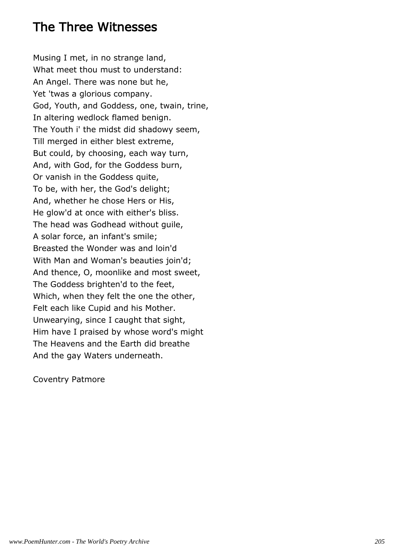## The Three Witnesses

Musing I met, in no strange land, What meet thou must to understand: An Angel. There was none but he, Yet 'twas a glorious company. God, Youth, and Goddess, one, twain, trine, In altering wedlock flamed benign. The Youth i' the midst did shadowy seem, Till merged in either blest extreme, But could, by choosing, each way turn, And, with God, for the Goddess burn, Or vanish in the Goddess quite, To be, with her, the God's delight; And, whether he chose Hers or His, He glow'd at once with either's bliss. The head was Godhead without guile, A solar force, an infant's smile; Breasted the Wonder was and loin'd With Man and Woman's beauties join'd; And thence, O, moonlike and most sweet, The Goddess brighten'd to the feet, Which, when they felt the one the other, Felt each like Cupid and his Mother. Unwearying, since I caught that sight, Him have I praised by whose word's might The Heavens and the Earth did breathe And the gay Waters underneath.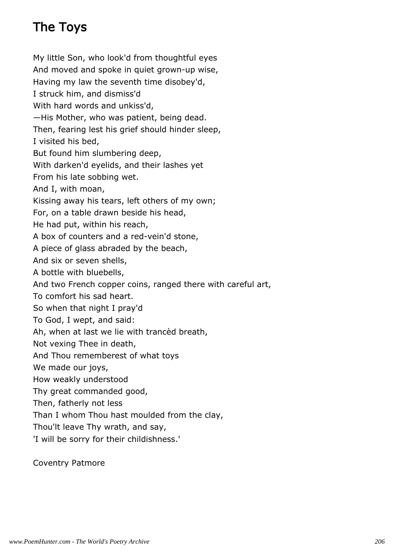# The Toys

My little Son, who look'd from thoughtful eyes And moved and spoke in quiet grown-up wise, Having my law the seventh time disobey'd, I struck him, and dismiss'd With hard words and unkiss'd, —His Mother, who was patient, being dead. Then, fearing lest his grief should hinder sleep, I visited his bed, But found him slumbering deep, With darken'd eyelids, and their lashes yet From his late sobbing wet. And I, with moan, Kissing away his tears, left others of my own; For, on a table drawn beside his head, He had put, within his reach, A box of counters and a red-vein'd stone, A piece of glass abraded by the beach, And six or seven shells, A bottle with bluebells, And two French copper coins, ranged there with careful art, To comfort his sad heart. So when that night I pray'd To God, I wept, and said: Ah, when at last we lie with trancèd breath, Not vexing Thee in death, And Thou rememberest of what toys We made our joys, How weakly understood Thy great commanded good, Then, fatherly not less Than I whom Thou hast moulded from the clay, Thou'lt leave Thy wrath, and say, 'I will be sorry for their childishness.'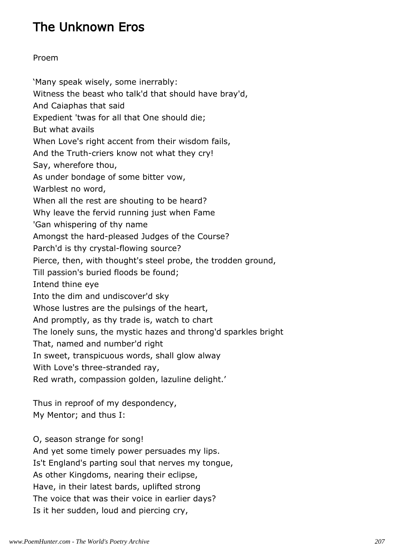# The Unknown Eros

### Proem

'Many speak wisely, some inerrably: Witness the beast who talk'd that should have bray'd, And Caiaphas that said Expedient 'twas for all that One should die; But what avails When Love's right accent from their wisdom fails, And the Truth-criers know not what they cry! Say, wherefore thou, As under bondage of some bitter vow, Warblest no word, When all the rest are shouting to be heard? Why leave the fervid running just when Fame 'Gan whispering of thy name Amongst the hard-pleased Judges of the Course? Parch'd is thy crystal-flowing source? Pierce, then, with thought's steel probe, the trodden ground, Till passion's buried floods be found; Intend thine eye Into the dim and undiscover'd sky Whose lustres are the pulsings of the heart, And promptly, as thy trade is, watch to chart The lonely suns, the mystic hazes and throng'd sparkles bright That, named and number'd right In sweet, transpicuous words, shall glow alway With Love's three-stranded ray, Red wrath, compassion golden, lazuline delight.'

Thus in reproof of my despondency, My Mentor; and thus I:

O, season strange for song! And yet some timely power persuades my lips. Is't England's parting soul that nerves my tongue, As other Kingdoms, nearing their eclipse, Have, in their latest bards, uplifted strong The voice that was their voice in earlier days? Is it her sudden, loud and piercing cry,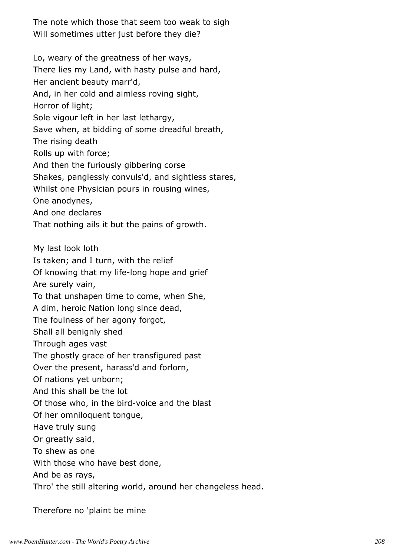The note which those that seem too weak to sigh Will sometimes utter just before they die?

Lo, weary of the greatness of her ways, There lies my Land, with hasty pulse and hard, Her ancient beauty marr'd, And, in her cold and aimless roving sight, Horror of light; Sole vigour left in her last lethargy, Save when, at bidding of some dreadful breath, The rising death Rolls up with force; And then the furiously gibbering corse Shakes, panglessly convuls'd, and sightless stares, Whilst one Physician pours in rousing wines, One anodynes, And one declares That nothing ails it but the pains of growth. My last look loth Is taken; and I turn, with the relief Of knowing that my life-long hope and grief Are surely vain, To that unshapen time to come, when She, A dim, heroic Nation long since dead, The foulness of her agony forgot, Shall all benignly shed Through ages vast The ghostly grace of her transfigured past Over the present, harass'd and forlorn, Of nations yet unborn; And this shall be the lot Of those who, in the bird-voice and the blast Of her omniloquent tongue, Have truly sung Or greatly said, To shew as one With those who have best done, And be as rays, Thro' the still altering world, around her changeless head.

Therefore no 'plaint be mine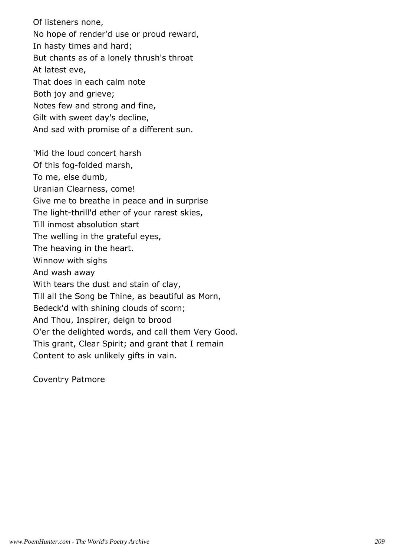Of listeners none, No hope of render'd use or proud reward, In hasty times and hard; But chants as of a lonely thrush's throat At latest eve, That does in each calm note Both joy and grieve; Notes few and strong and fine, Gilt with sweet day's decline, And sad with promise of a different sun. 'Mid the loud concert harsh Of this fog-folded marsh, To me, else dumb, Uranian Clearness, come! Give me to breathe in peace and in surprise The light-thrill'd ether of your rarest skies, Till inmost absolution start The welling in the grateful eyes, The heaving in the heart. Winnow with sighs And wash away With tears the dust and stain of clay, Till all the Song be Thine, as beautiful as Morn, Bedeck'd with shining clouds of scorn;

And Thou, Inspirer, deign to brood

O'er the delighted words, and call them Very Good.

This grant, Clear Spirit; and grant that I remain

Content to ask unlikely gifts in vain.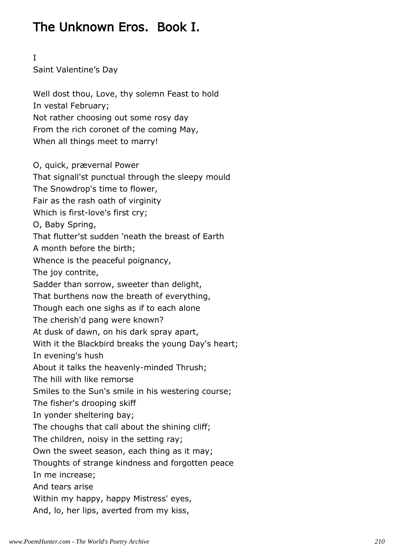# The Unknown Eros. Book I.

I

Saint Valentine's Day

Well dost thou, Love, thy solemn Feast to hold In vestal February; Not rather choosing out some rosy day From the rich coronet of the coming May, When all things meet to marry! O, quick, prævernal Power That signall'st punctual through the sleepy mould The Snowdrop's time to flower, Fair as the rash oath of virginity Which is first-love's first cry; O, Baby Spring, That flutter'st sudden 'neath the breast of Earth A month before the birth; Whence is the peaceful poignancy, The joy contrite, Sadder than sorrow, sweeter than delight, That burthens now the breath of everything, Though each one sighs as if to each alone The cherish'd pang were known? At dusk of dawn, on his dark spray apart, With it the Blackbird breaks the young Day's heart; In evening's hush About it talks the heavenly-minded Thrush; The hill with like remorse Smiles to the Sun's smile in his westering course; The fisher's drooping skiff In yonder sheltering bay; The choughs that call about the shining cliff; The children, noisy in the setting ray; Own the sweet season, each thing as it may; Thoughts of strange kindness and forgotten peace In me increase; And tears arise Within my happy, happy Mistress' eyes, And, lo, her lips, averted from my kiss,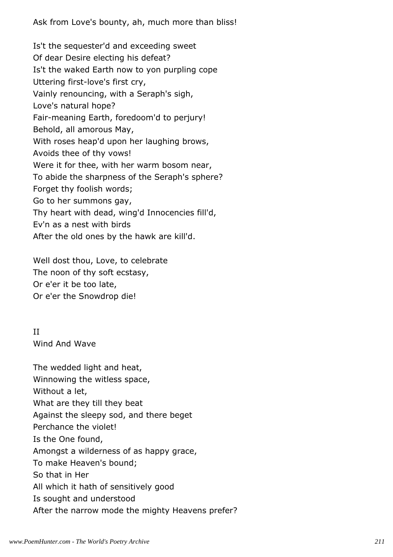Ask from Love's bounty, ah, much more than bliss!

Is't the sequester'd and exceeding sweet Of dear Desire electing his defeat? Is't the waked Earth now to yon purpling cope Uttering first-love's first cry, Vainly renouncing, with a Seraph's sigh, Love's natural hope? Fair-meaning Earth, foredoom'd to perjury! Behold, all amorous May, With roses heap'd upon her laughing brows, Avoids thee of thy vows! Were it for thee, with her warm bosom near, To abide the sharpness of the Seraph's sphere? Forget thy foolish words; Go to her summons gay, Thy heart with dead, wing'd Innocencies fill'd, Ev'n as a nest with birds After the old ones by the hawk are kill'd.

Well dost thou, Love, to celebrate The noon of thy soft ecstasy, Or e'er it be too late, Or e'er the Snowdrop die!

II Wind And Wave

The wedded light and heat, Winnowing the witless space, Without a let, What are they till they beat Against the sleepy sod, and there beget Perchance the violet! Is the One found, Amongst a wilderness of as happy grace, To make Heaven's bound; So that in Her All which it hath of sensitively good Is sought and understood After the narrow mode the mighty Heavens prefer?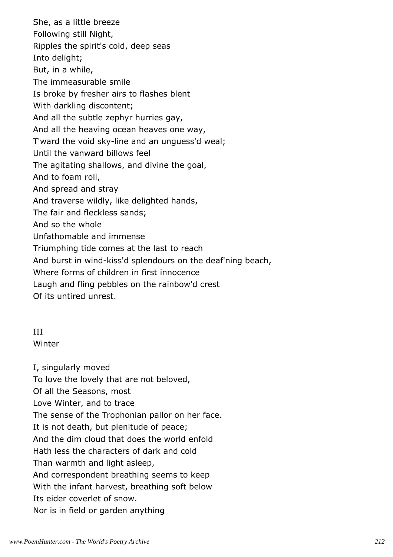She, as a little breeze Following still Night, Ripples the spirit's cold, deep seas Into delight; But, in a while, The immeasurable smile Is broke by fresher airs to flashes blent With darkling discontent; And all the subtle zephyr hurries gay, And all the heaving ocean heaves one way, T'ward the void sky-line and an unguess'd weal; Until the vanward billows feel The agitating shallows, and divine the goal, And to foam roll, And spread and stray And traverse wildly, like delighted hands, The fair and fleckless sands; And so the whole Unfathomable and immense Triumphing tide comes at the last to reach And burst in wind-kiss'd splendours on the deaf'ning beach, Where forms of children in first innocence Laugh and fling pebbles on the rainbow'd crest Of its untired unrest.

### III Winter

I, singularly moved To love the lovely that are not beloved, Of all the Seasons, most Love Winter, and to trace The sense of the Trophonian pallor on her face. It is not death, but plenitude of peace; And the dim cloud that does the world enfold Hath less the characters of dark and cold Than warmth and light asleep, And correspondent breathing seems to keep With the infant harvest, breathing soft below Its eider coverlet of snow. Nor is in field or garden anything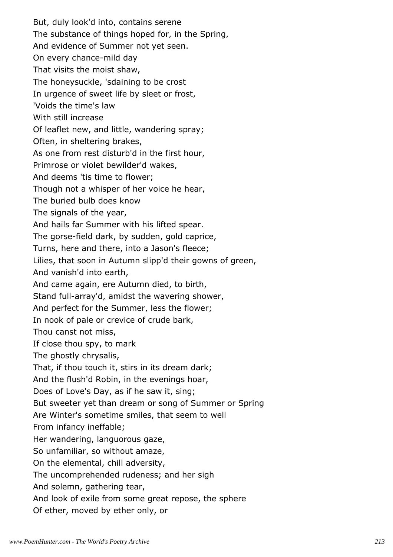But, duly look'd into, contains serene The substance of things hoped for, in the Spring, And evidence of Summer not yet seen. On every chance-mild day That visits the moist shaw, The honeysuckle, 'sdaining to be crost In urgence of sweet life by sleet or frost, 'Voids the time's law With still increase Of leaflet new, and little, wandering spray; Often, in sheltering brakes, As one from rest disturb'd in the first hour, Primrose or violet bewilder'd wakes, And deems 'tis time to flower; Though not a whisper of her voice he hear, The buried bulb does know The signals of the year, And hails far Summer with his lifted spear. The gorse-field dark, by sudden, gold caprice, Turns, here and there, into a Jason's fleece; Lilies, that soon in Autumn slipp'd their gowns of green, And vanish'd into earth, And came again, ere Autumn died, to birth, Stand full-array'd, amidst the wavering shower, And perfect for the Summer, less the flower; In nook of pale or crevice of crude bark, Thou canst not miss, If close thou spy, to mark The ghostly chrysalis, That, if thou touch it, stirs in its dream dark; And the flush'd Robin, in the evenings hoar, Does of Love's Day, as if he saw it, sing; But sweeter yet than dream or song of Summer or Spring Are Winter's sometime smiles, that seem to well From infancy ineffable; Her wandering, languorous gaze, So unfamiliar, so without amaze, On the elemental, chill adversity, The uncomprehended rudeness; and her sigh And solemn, gathering tear, And look of exile from some great repose, the sphere Of ether, moved by ether only, or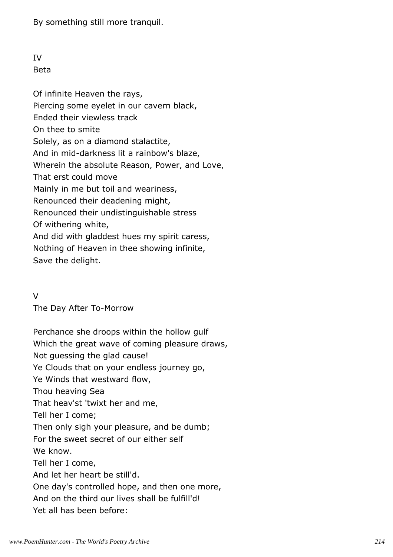By something still more tranquil.

#### IV Beta

Of infinite Heaven the rays, Piercing some eyelet in our cavern black, Ended their viewless track On thee to smite Solely, as on a diamond stalactite, And in mid-darkness lit a rainbow's blaze, Wherein the absolute Reason, Power, and Love, That erst could move Mainly in me but toil and weariness, Renounced their deadening might, Renounced their undistinguishable stress Of withering white, And did with gladdest hues my spirit caress, Nothing of Heaven in thee showing infinite, Save the delight.

### $\overline{V}$

The Day After To-Morrow

Perchance she droops within the hollow gulf Which the great wave of coming pleasure draws, Not guessing the glad cause! Ye Clouds that on your endless journey go, Ye Winds that westward flow, Thou heaving Sea That heav'st 'twixt her and me, Tell her I come; Then only sigh your pleasure, and be dumb; For the sweet secret of our either self We know. Tell her I come, And let her heart be still'd. One day's controlled hope, and then one more, And on the third our lives shall be fulfill'd! Yet all has been before: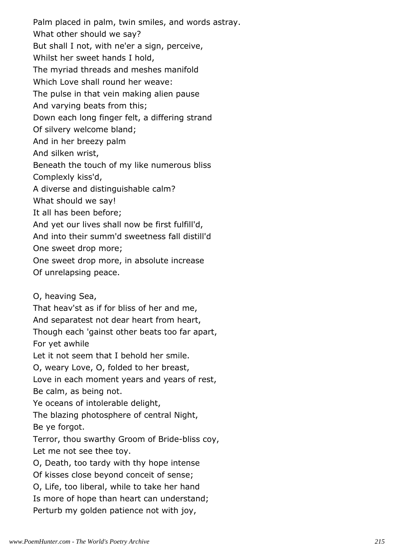Palm placed in palm, twin smiles, and words astray. What other should we say? But shall I not, with ne'er a sign, perceive, Whilst her sweet hands I hold, The myriad threads and meshes manifold Which Love shall round her weave: The pulse in that vein making alien pause And varying beats from this; Down each long finger felt, a differing strand Of silvery welcome bland; And in her breezy palm And silken wrist, Beneath the touch of my like numerous bliss Complexly kiss'd, A diverse and distinguishable calm? What should we say! It all has been before; And yet our lives shall now be first fulfill'd, And into their summ'd sweetness fall distill'd One sweet drop more; One sweet drop more, in absolute increase Of unrelapsing peace. O, heaving Sea, That heav'st as if for bliss of her and me,

And separatest not dear heart from heart,

Though each 'gainst other beats too far apart,

For yet awhile

Let it not seem that I behold her smile.

O, weary Love, O, folded to her breast,

Love in each moment years and years of rest, Be calm, as being not.

Ye oceans of intolerable delight,

The blazing photosphere of central Night,

Be ye forgot.

Terror, thou swarthy Groom of Bride-bliss coy, Let me not see thee toy.

O, Death, too tardy with thy hope intense

Of kisses close beyond conceit of sense;

O, Life, too liberal, while to take her hand

Is more of hope than heart can understand;

Perturb my golden patience not with joy,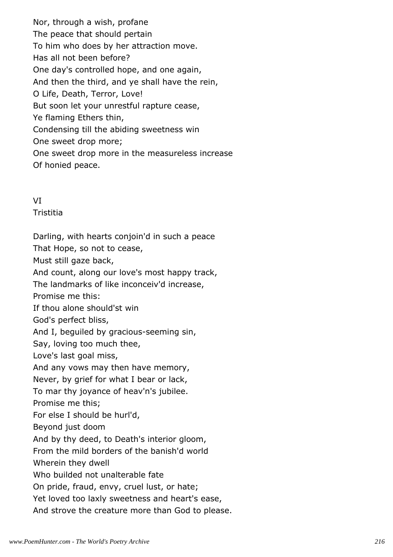Nor, through a wish, profane The peace that should pertain To him who does by her attraction move. Has all not been before? One day's controlled hope, and one again, And then the third, and ye shall have the rein, O Life, Death, Terror, Love! But soon let your unrestful rapture cease, Ye flaming Ethers thin, Condensing till the abiding sweetness win One sweet drop more; One sweet drop more in the measureless increase Of honied peace.

## VI

**Tristitia** 

Darling, with hearts conjoin'd in such a peace That Hope, so not to cease, Must still gaze back, And count, along our love's most happy track, The landmarks of like inconceiv'd increase, Promise me this: If thou alone should'st win God's perfect bliss, And I, beguiled by gracious-seeming sin, Say, loving too much thee, Love's last goal miss, And any vows may then have memory, Never, by grief for what I bear or lack, To mar thy joyance of heav'n's jubilee. Promise me this; For else I should be hurl'd, Beyond just doom And by thy deed, to Death's interior gloom, From the mild borders of the banish'd world Wherein they dwell Who builded not unalterable fate On pride, fraud, envy, cruel lust, or hate; Yet loved too laxly sweetness and heart's ease, And strove the creature more than God to please.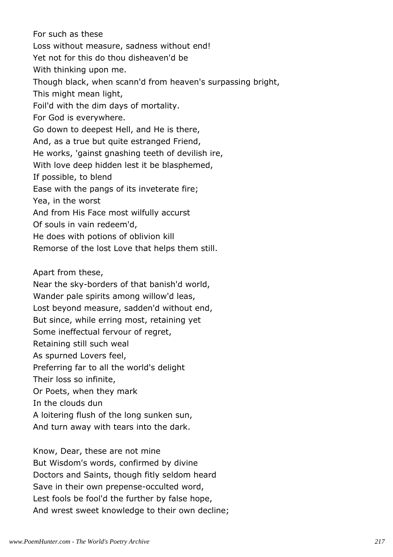For such as these Loss without measure, sadness without end! Yet not for this do thou disheaven'd be With thinking upon me. Though black, when scann'd from heaven's surpassing bright, This might mean light, Foil'd with the dim days of mortality. For God is everywhere. Go down to deepest Hell, and He is there, And, as a true but quite estranged Friend, He works, 'gainst gnashing teeth of devilish ire, With love deep hidden lest it be blasphemed, If possible, to blend Ease with the pangs of its inveterate fire; Yea, in the worst And from His Face most wilfully accurst Of souls in vain redeem'd, He does with potions of oblivion kill Remorse of the lost Love that helps them still.

Apart from these,

Near the sky-borders of that banish'd world,

Wander pale spirits among willow'd leas,

Lost beyond measure, sadden'd without end,

But since, while erring most, retaining yet

Some ineffectual fervour of regret,

Retaining still such weal

As spurned Lovers feel,

Preferring far to all the world's delight

Their loss so infinite,

Or Poets, when they mark

In the clouds dun

A loitering flush of the long sunken sun,

And turn away with tears into the dark.

Know, Dear, these are not mine But Wisdom's words, confirmed by divine Doctors and Saints, though fitly seldom heard Save in their own prepense-occulted word, Lest fools be fool'd the further by false hope, And wrest sweet knowledge to their own decline;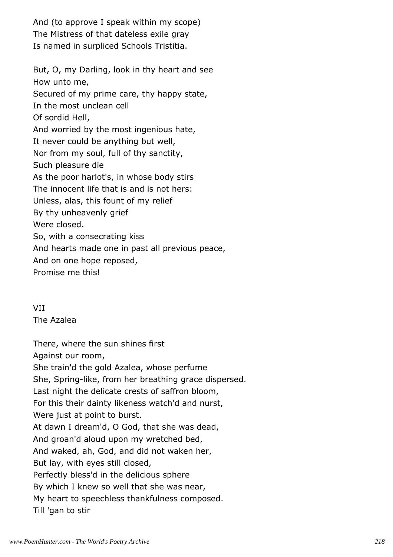And (to approve I speak within my scope) The Mistress of that dateless exile gray Is named in surpliced Schools Tristitia.

But, O, my Darling, look in thy heart and see How unto me, Secured of my prime care, thy happy state, In the most unclean cell Of sordid Hell, And worried by the most ingenious hate, It never could be anything but well, Nor from my soul, full of thy sanctity, Such pleasure die As the poor harlot's, in whose body stirs The innocent life that is and is not hers: Unless, alas, this fount of my relief By thy unheavenly grief Were closed. So, with a consecrating kiss And hearts made one in past all previous peace, And on one hope reposed, Promise me this!

VII The Azalea

There, where the sun shines first Against our room, She train'd the gold Azalea, whose perfume She, Spring-like, from her breathing grace dispersed. Last night the delicate crests of saffron bloom, For this their dainty likeness watch'd and nurst, Were just at point to burst. At dawn I dream'd, O God, that she was dead, And groan'd aloud upon my wretched bed, And waked, ah, God, and did not waken her, But lay, with eyes still closed, Perfectly bless'd in the delicious sphere By which I knew so well that she was near, My heart to speechless thankfulness composed. Till 'gan to stir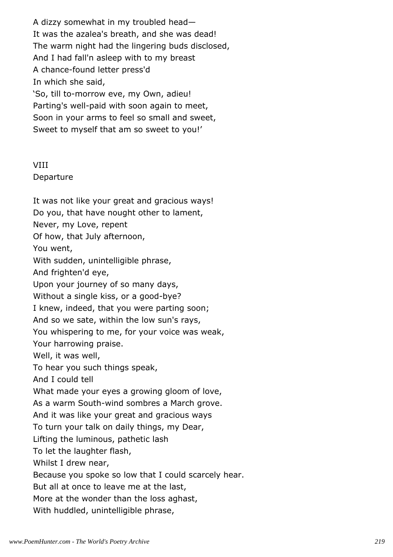A dizzy somewhat in my troubled head— It was the azalea's breath, and she was dead! The warm night had the lingering buds disclosed, And I had fall'n asleep with to my breast A chance-found letter press'd In which she said, 'So, till to-morrow eve, my Own, adieu! Parting's well-paid with soon again to meet, Soon in your arms to feel so small and sweet, Sweet to myself that am so sweet to you!'

## VIII

Departure

It was not like your great and gracious ways! Do you, that have nought other to lament, Never, my Love, repent Of how, that July afternoon, You went, With sudden, unintelligible phrase, And frighten'd eye, Upon your journey of so many days, Without a single kiss, or a good-bye? I knew, indeed, that you were parting soon; And so we sate, within the low sun's rays, You whispering to me, for your voice was weak, Your harrowing praise. Well, it was well, To hear you such things speak, And I could tell What made your eyes a growing gloom of love, As a warm South-wind sombres a March grove. And it was like your great and gracious ways To turn your talk on daily things, my Dear, Lifting the luminous, pathetic lash To let the laughter flash, Whilst I drew near, Because you spoke so low that I could scarcely hear. But all at once to leave me at the last, More at the wonder than the loss aghast, With huddled, unintelligible phrase,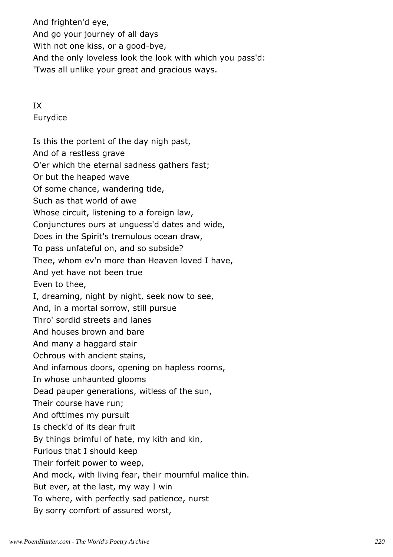And frighten'd eye, And go your journey of all days With not one kiss, or a good-bye, And the only loveless look the look with which you pass'd: 'Twas all unlike your great and gracious ways.

IX Eurydice

Is this the portent of the day nigh past, And of a restless grave O'er which the eternal sadness gathers fast; Or but the heaped wave Of some chance, wandering tide, Such as that world of awe Whose circuit, listening to a foreign law, Conjunctures ours at unguess'd dates and wide, Does in the Spirit's tremulous ocean draw, To pass unfateful on, and so subside? Thee, whom ev'n more than Heaven loved I have, And yet have not been true Even to thee, I, dreaming, night by night, seek now to see, And, in a mortal sorrow, still pursue Thro' sordid streets and lanes And houses brown and bare And many a haggard stair Ochrous with ancient stains, And infamous doors, opening on hapless rooms, In whose unhaunted glooms Dead pauper generations, witless of the sun, Their course have run; And ofttimes my pursuit Is check'd of its dear fruit By things brimful of hate, my kith and kin, Furious that I should keep Their forfeit power to weep, And mock, with living fear, their mournful malice thin. But ever, at the last, my way I win To where, with perfectly sad patience, nurst By sorry comfort of assured worst,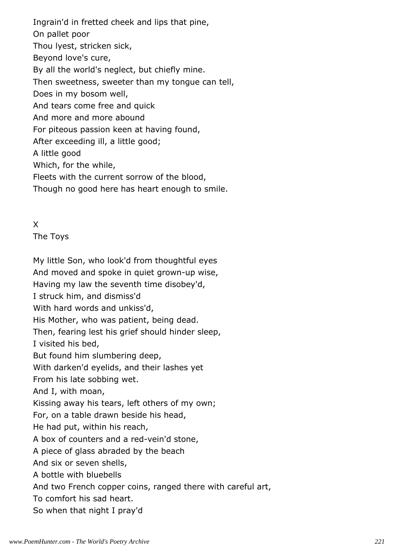Ingrain'd in fretted cheek and lips that pine, On pallet poor Thou lyest, stricken sick, Beyond love's cure, By all the world's neglect, but chiefly mine. Then sweetness, sweeter than my tongue can tell, Does in my bosom well, And tears come free and quick And more and more abound For piteous passion keen at having found, After exceeding ill, a little good; A little good Which, for the while, Fleets with the current sorrow of the blood, Though no good here has heart enough to smile.

## X

The Toys

My little Son, who look'd from thoughtful eyes And moved and spoke in quiet grown-up wise, Having my law the seventh time disobey'd, I struck him, and dismiss'd With hard words and unkiss'd, His Mother, who was patient, being dead. Then, fearing lest his grief should hinder sleep, I visited his bed, But found him slumbering deep, With darken'd eyelids, and their lashes yet From his late sobbing wet. And I, with moan, Kissing away his tears, left others of my own; For, on a table drawn beside his head, He had put, within his reach, A box of counters and a red-vein'd stone, A piece of glass abraded by the beach And six or seven shells, A bottle with bluebells And two French copper coins, ranged there with careful art, To comfort his sad heart. So when that night I pray'd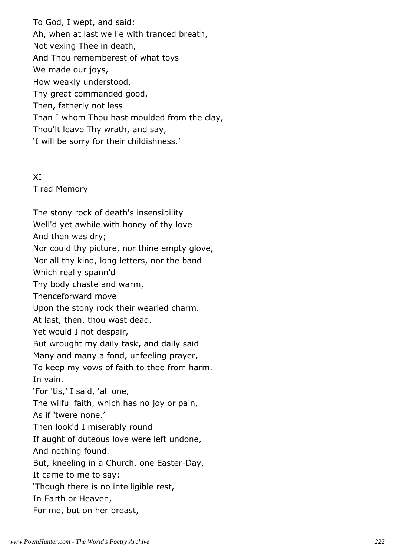To God, I wept, and said: Ah, when at last we lie with tranced breath, Not vexing Thee in death, And Thou rememberest of what toys We made our joys, How weakly understood, Thy great commanded good, Then, fatherly not less Than I whom Thou hast moulded from the clay, Thou'lt leave Thy wrath, and say, 'I will be sorry for their childishness.'

XI

Tired Memory

The stony rock of death's insensibility Well'd yet awhile with honey of thy love And then was dry; Nor could thy picture, nor thine empty glove, Nor all thy kind, long letters, nor the band Which really spann'd Thy body chaste and warm, Thenceforward move Upon the stony rock their wearied charm. At last, then, thou wast dead. Yet would I not despair, But wrought my daily task, and daily said Many and many a fond, unfeeling prayer, To keep my vows of faith to thee from harm. In vain. 'For 'tis,' I said, 'all one, The wilful faith, which has no joy or pain, As if 'twere none.' Then look'd I miserably round If aught of duteous love were left undone, And nothing found. But, kneeling in a Church, one Easter-Day, It came to me to say: 'Though there is no intelligible rest, In Earth or Heaven, For me, but on her breast,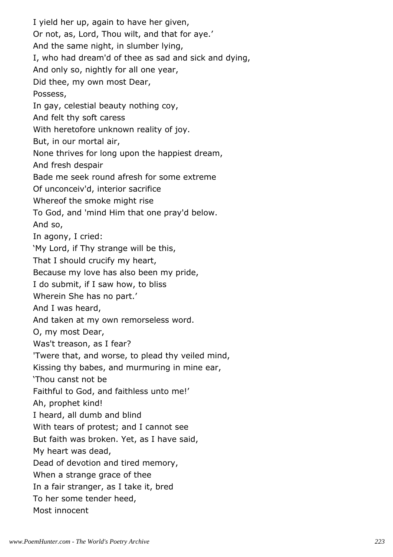I yield her up, again to have her given, Or not, as, Lord, Thou wilt, and that for aye.' And the same night, in slumber lying, I, who had dream'd of thee as sad and sick and dying, And only so, nightly for all one year, Did thee, my own most Dear, Possess, In gay, celestial beauty nothing coy, And felt thy soft caress With heretofore unknown reality of joy. But, in our mortal air, None thrives for long upon the happiest dream, And fresh despair Bade me seek round afresh for some extreme Of unconceiv'd, interior sacrifice Whereof the smoke might rise To God, and 'mind Him that one pray'd below. And so, In agony, I cried: 'My Lord, if Thy strange will be this, That I should crucify my heart, Because my love has also been my pride, I do submit, if I saw how, to bliss Wherein She has no part.' And I was heard, And taken at my own remorseless word. O, my most Dear, Was't treason, as I fear? 'Twere that, and worse, to plead thy veiled mind, Kissing thy babes, and murmuring in mine ear, 'Thou canst not be Faithful to God, and faithless unto me!' Ah, prophet kind! I heard, all dumb and blind With tears of protest; and I cannot see But faith was broken. Yet, as I have said, My heart was dead, Dead of devotion and tired memory, When a strange grace of thee In a fair stranger, as I take it, bred To her some tender heed, Most innocent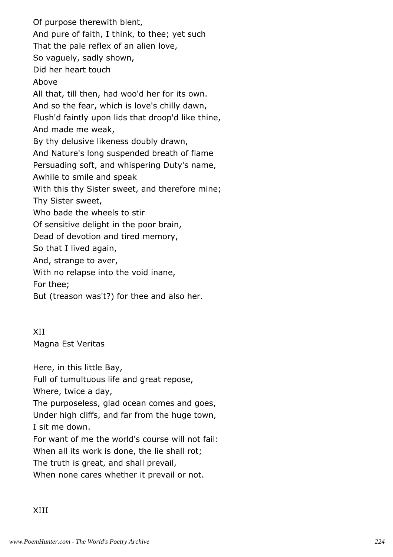Of purpose therewith blent, And pure of faith, I think, to thee; yet such That the pale reflex of an alien love, So vaguely, sadly shown, Did her heart touch Above All that, till then, had woo'd her for its own. And so the fear, which is love's chilly dawn, Flush'd faintly upon lids that droop'd like thine, And made me weak, By thy delusive likeness doubly drawn, And Nature's long suspended breath of flame Persuading soft, and whispering Duty's name, Awhile to smile and speak With this thy Sister sweet, and therefore mine; Thy Sister sweet, Who bade the wheels to stir Of sensitive delight in the poor brain, Dead of devotion and tired memory, So that I lived again, And, strange to aver, With no relapse into the void inane, For thee; But (treason was't?) for thee and also her.

XII Magna Est Veritas

Here, in this little Bay,

Full of tumultuous life and great repose,

Where, twice a day,

The purposeless, glad ocean comes and goes, Under high cliffs, and far from the huge town, I sit me down.

For want of me the world's course will not fail:

When all its work is done, the lie shall rot;

The truth is great, and shall prevail,

When none cares whether it prevail or not.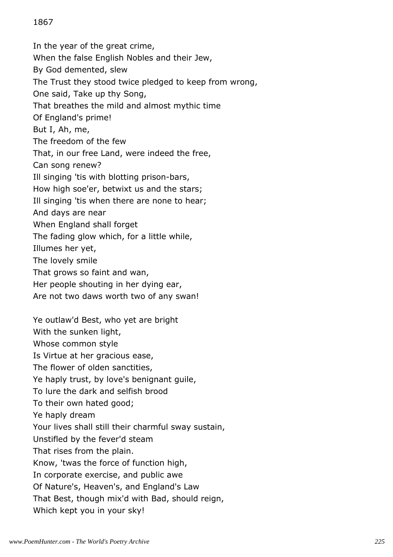# 1867

In the year of the great crime, When the false English Nobles and their Jew, By God demented, slew The Trust they stood twice pledged to keep from wrong, One said, Take up thy Song, That breathes the mild and almost mythic time Of England's prime! But I, Ah, me, The freedom of the few That, in our free Land, were indeed the free, Can song renew? Ill singing 'tis with blotting prison-bars, How high soe'er, betwixt us and the stars; Ill singing 'tis when there are none to hear; And days are near When England shall forget The fading glow which, for a little while, Illumes her yet, The lovely smile That grows so faint and wan, Her people shouting in her dying ear, Are not two daws worth two of any swan! Ye outlaw'd Best, who yet are bright With the sunken light, Whose common style Is Virtue at her gracious ease, The flower of olden sanctities, Ye haply trust, by love's benignant guile, To lure the dark and selfish brood To their own hated good; Ye haply dream Your lives shall still their charmful sway sustain, Unstifled by the fever'd steam That rises from the plain. Know, 'twas the force of function high, In corporate exercise, and public awe Of Nature's, Heaven's, and England's Law That Best, though mix'd with Bad, should reign, Which kept you in your sky!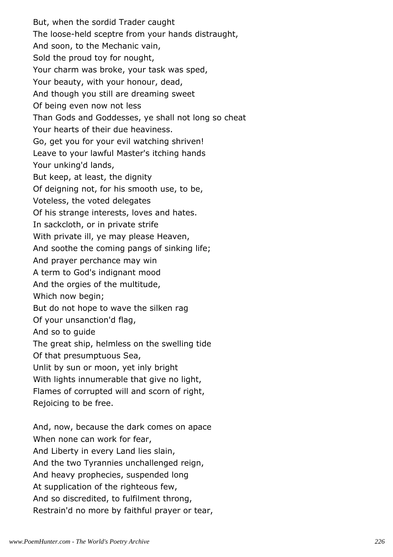But, when the sordid Trader caught The loose-held sceptre from your hands distraught, And soon, to the Mechanic vain, Sold the proud toy for nought, Your charm was broke, your task was sped, Your beauty, with your honour, dead, And though you still are dreaming sweet Of being even now not less Than Gods and Goddesses, ye shall not long so cheat Your hearts of their due heaviness. Go, get you for your evil watching shriven! Leave to your lawful Master's itching hands Your unking'd lands, But keep, at least, the dignity Of deigning not, for his smooth use, to be, Voteless, the voted delegates Of his strange interests, loves and hates. In sackcloth, or in private strife With private ill, ye may please Heaven, And soothe the coming pangs of sinking life; And prayer perchance may win A term to God's indignant mood And the orgies of the multitude, Which now begin; But do not hope to wave the silken rag Of your unsanction'd flag, And so to guide The great ship, helmless on the swelling tide Of that presumptuous Sea, Unlit by sun or moon, yet inly bright With lights innumerable that give no light, Flames of corrupted will and scorn of right, Rejoicing to be free. And, now, because the dark comes on apace When none can work for fear, And Liberty in every Land lies slain, And the two Tyrannies unchallenged reign,

And heavy prophecies, suspended long

At supplication of the righteous few,

And so discredited, to fulfilment throng,

Restrain'd no more by faithful prayer or tear,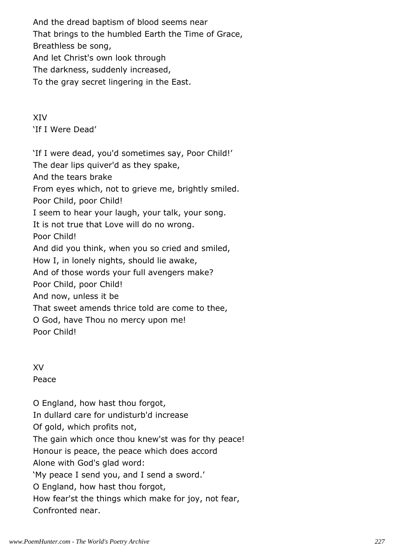And the dread baptism of blood seems near That brings to the humbled Earth the Time of Grace, Breathless be song, And let Christ's own look through The darkness, suddenly increased, To the gray secret lingering in the East.

XIV 'If I Were Dead'

'If I were dead, you'd sometimes say, Poor Child!' The dear lips quiver'd as they spake, And the tears brake From eyes which, not to grieve me, brightly smiled. Poor Child, poor Child! I seem to hear your laugh, your talk, your song. It is not true that Love will do no wrong. Poor Child! And did you think, when you so cried and smiled, How I, in lonely nights, should lie awake, And of those words your full avengers make? Poor Child, poor Child! And now, unless it be That sweet amends thrice told are come to thee, O God, have Thou no mercy upon me! Poor Child!

XV Peace

O England, how hast thou forgot, In dullard care for undisturb'd increase Of gold, which profits not, The gain which once thou knew'st was for thy peace! Honour is peace, the peace which does accord Alone with God's glad word: 'My peace I send you, and I send a sword.' O England, how hast thou forgot, How fear'st the things which make for joy, not fear, Confronted near.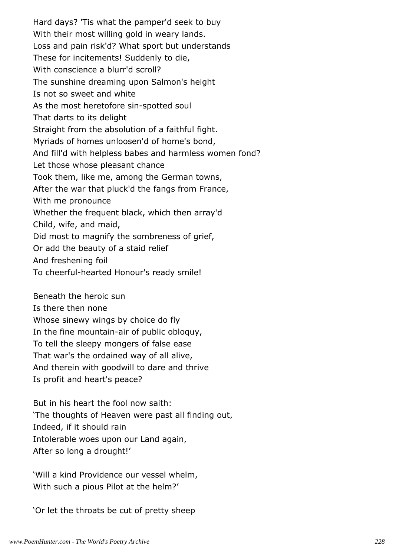Hard days? 'Tis what the pamper'd seek to buy With their most willing gold in weary lands. Loss and pain risk'd? What sport but understands These for incitements! Suddenly to die, With conscience a blurr'd scroll? The sunshine dreaming upon Salmon's height Is not so sweet and white As the most heretofore sin-spotted soul That darts to its delight Straight from the absolution of a faithful fight. Myriads of homes unloosen'd of home's bond, And fill'd with helpless babes and harmless women fond? Let those whose pleasant chance Took them, like me, among the German towns, After the war that pluck'd the fangs from France, With me pronounce Whether the frequent black, which then array'd Child, wife, and maid, Did most to magnify the sombreness of grief, Or add the beauty of a staid relief And freshening foil To cheerful-hearted Honour's ready smile!

Beneath the heroic sun

Is there then none

Whose sinewy wings by choice do fly

In the fine mountain-air of public obloquy,

To tell the sleepy mongers of false ease

That war's the ordained way of all alive,

And therein with goodwill to dare and thrive

Is profit and heart's peace?

But in his heart the fool now saith: 'The thoughts of Heaven were past all finding out, Indeed, if it should rain Intolerable woes upon our Land again, After so long a drought!'

'Will a kind Providence our vessel whelm, With such a pious Pilot at the helm?'

'Or let the throats be cut of pretty sheep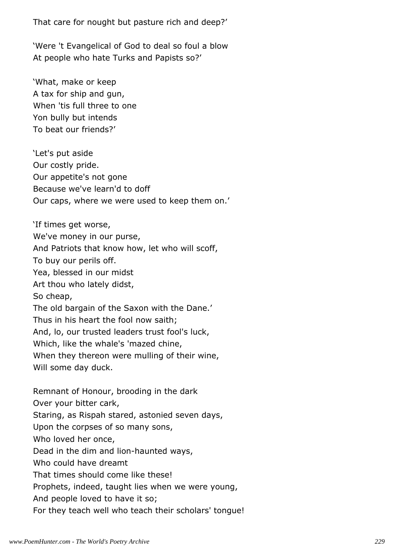That care for nought but pasture rich and deep?'

'Were 't Evangelical of God to deal so foul a blow At people who hate Turks and Papists so?'

'What, make or keep A tax for ship and gun, When 'tis full three to one Yon bully but intends To beat our friends?'

'Let's put aside Our costly pride. Our appetite's not gone Because we've learn'd to doff Our caps, where we were used to keep them on.'

'If times get worse, We've money in our purse, And Patriots that know how, let who will scoff, To buy our perils off. Yea, blessed in our midst Art thou who lately didst, So cheap, The old bargain of the Saxon with the Dane.' Thus in his heart the fool now saith; And, lo, our trusted leaders trust fool's luck, Which, like the whale's 'mazed chine, When they thereon were mulling of their wine, Will some day duck. Remnant of Honour, brooding in the dark Over your bitter cark, Staring, as Rispah stared, astonied seven days, Upon the corpses of so many sons, Who loved her once, Dead in the dim and lion-haunted ways, Who could have dreamt That times should come like these! Prophets, indeed, taught lies when we were young, And people loved to have it so; For they teach well who teach their scholars' tongue!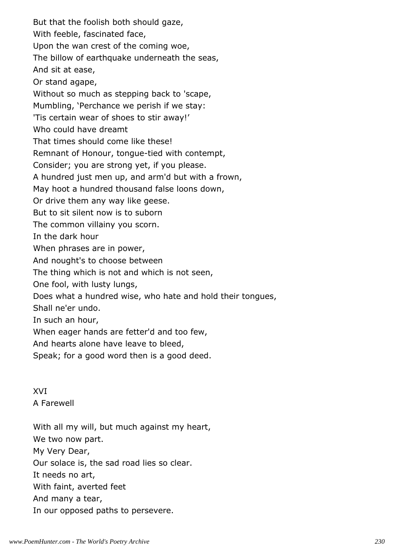But that the foolish both should gaze, With feeble, fascinated face, Upon the wan crest of the coming woe, The billow of earthquake underneath the seas, And sit at ease, Or stand agape, Without so much as stepping back to 'scape, Mumbling, 'Perchance we perish if we stay: 'Tis certain wear of shoes to stir away!' Who could have dreamt That times should come like these! Remnant of Honour, tongue-tied with contempt, Consider; you are strong yet, if you please. A hundred just men up, and arm'd but with a frown, May hoot a hundred thousand false loons down, Or drive them any way like geese. But to sit silent now is to suborn The common villainy you scorn. In the dark hour When phrases are in power, And nought's to choose between The thing which is not and which is not seen, One fool, with lusty lungs, Does what a hundred wise, who hate and hold their tongues, Shall ne'er undo. In such an hour, When eager hands are fetter'd and too few, And hearts alone have leave to bleed, Speak; for a good word then is a good deed.

XVI A Farewell

With all my will, but much against my heart, We two now part. My Very Dear, Our solace is, the sad road lies so clear. It needs no art, With faint, averted feet And many a tear, In our opposed paths to persevere.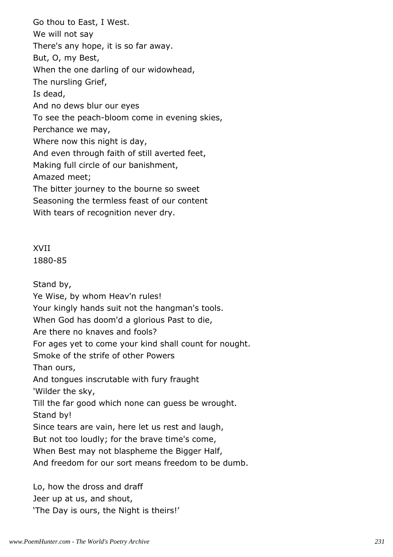Go thou to East, I West. We will not say There's any hope, it is so far away. But, O, my Best, When the one darling of our widowhead, The nursling Grief, Is dead, And no dews blur our eyes To see the peach-bloom come in evening skies, Perchance we may, Where now this night is day, And even through faith of still averted feet, Making full circle of our banishment, Amazed meet; The bitter journey to the bourne so sweet Seasoning the termless feast of our content With tears of recognition never dry.

Stand by, Ye Wise, by whom Heav'n rules! Your kingly hands suit not the hangman's tools. When God has doom'd a glorious Past to die, Are there no knaves and fools? For ages yet to come your kind shall count for nought. Smoke of the strife of other Powers Than ours, And tongues inscrutable with fury fraught 'Wilder the sky, Till the far good which none can guess be wrought. Stand by! Since tears are vain, here let us rest and laugh, But not too loudly; for the brave time's come, When Best may not blaspheme the Bigger Half, And freedom for our sort means freedom to be dumb. Lo, how the dross and draff

Jeer up at us, and shout, 'The Day is ours, the Night is theirs!'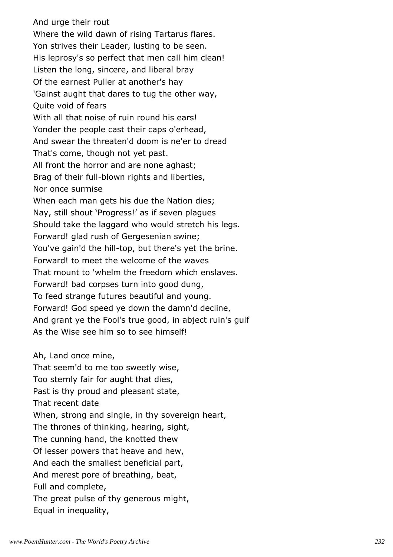And urge their rout Where the wild dawn of rising Tartarus flares. Yon strives their Leader, lusting to be seen. His leprosy's so perfect that men call him clean! Listen the long, sincere, and liberal bray Of the earnest Puller at another's hay 'Gainst aught that dares to tug the other way, Quite void of fears With all that noise of ruin round his ears! Yonder the people cast their caps o'erhead, And swear the threaten'd doom is ne'er to dread That's come, though not yet past. All front the horror and are none aghast; Brag of their full-blown rights and liberties, Nor once surmise When each man gets his due the Nation dies; Nay, still shout 'Progress!' as if seven plagues Should take the laggard who would stretch his legs. Forward! glad rush of Gergesenian swine; You've gain'd the hill-top, but there's yet the brine. Forward! to meet the welcome of the waves That mount to 'whelm the freedom which enslaves. Forward! bad corpses turn into good dung, To feed strange futures beautiful and young. Forward! God speed ye down the damn'd decline, And grant ye the Fool's true good, in abject ruin's gulf As the Wise see him so to see himself!

#### Ah, Land once mine,

That seem'd to me too sweetly wise, Too sternly fair for aught that dies, Past is thy proud and pleasant state, That recent date When, strong and single, in thy sovereign heart, The thrones of thinking, hearing, sight, The cunning hand, the knotted thew Of lesser powers that heave and hew, And each the smallest beneficial part, And merest pore of breathing, beat, Full and complete, The great pulse of thy generous might, Equal in inequality,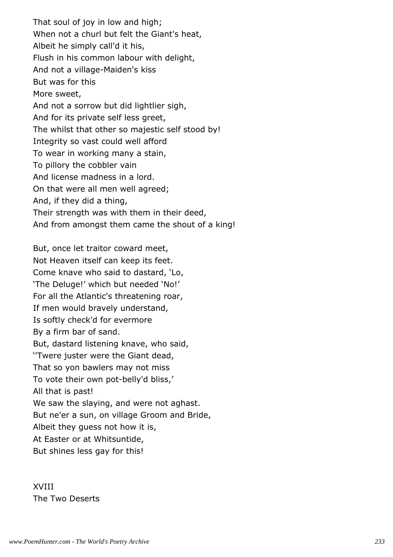That soul of joy in low and high; When not a churl but felt the Giant's heat, Albeit he simply call'd it his, Flush in his common labour with delight, And not a village-Maiden's kiss But was for this More sweet, And not a sorrow but did lightlier sigh, And for its private self less greet, The whilst that other so majestic self stood by! Integrity so vast could well afford To wear in working many a stain, To pillory the cobbler vain And license madness in a lord. On that were all men well agreed; And, if they did a thing, Their strength was with them in their deed, And from amongst them came the shout of a king!

But, once let traitor coward meet, Not Heaven itself can keep its feet. Come knave who said to dastard, 'Lo, 'The Deluge!' which but needed 'No!' For all the Atlantic's threatening roar, If men would bravely understand, Is softly check'd for evermore By a firm bar of sand. But, dastard listening knave, who said, ''Twere juster were the Giant dead, That so yon bawlers may not miss To vote their own pot-belly'd bliss,' All that is past! We saw the slaying, and were not aghast. But ne'er a sun, on village Groom and Bride, Albeit they guess not how it is, At Easter or at Whitsuntide, But shines less gay for this!

XVIII The Two Deserts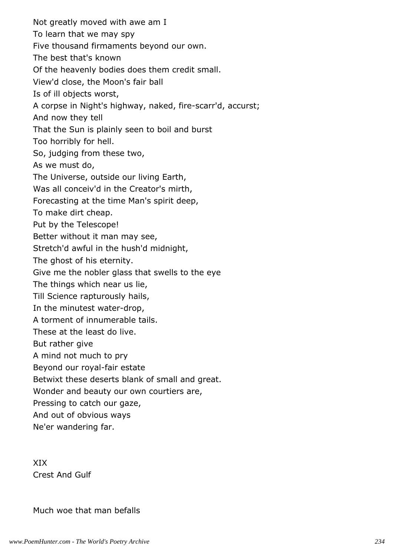Not greatly moved with awe am I To learn that we may spy Five thousand firmaments beyond our own. The best that's known Of the heavenly bodies does them credit small. View'd close, the Moon's fair ball Is of ill objects worst, A corpse in Night's highway, naked, fire-scarr'd, accurst; And now they tell That the Sun is plainly seen to boil and burst Too horribly for hell. So, judging from these two, As we must do, The Universe, outside our living Earth, Was all conceiv'd in the Creator's mirth, Forecasting at the time Man's spirit deep, To make dirt cheap. Put by the Telescope! Better without it man may see, Stretch'd awful in the hush'd midnight, The ghost of his eternity. Give me the nobler glass that swells to the eye The things which near us lie, Till Science rapturously hails, In the minutest water-drop, A torment of innumerable tails. These at the least do live. But rather give A mind not much to pry Beyond our royal-fair estate Betwixt these deserts blank of small and great. Wonder and beauty our own courtiers are, Pressing to catch our gaze, And out of obvious ways Ne'er wandering far.

XIX Crest And Gulf

Much woe that man befalls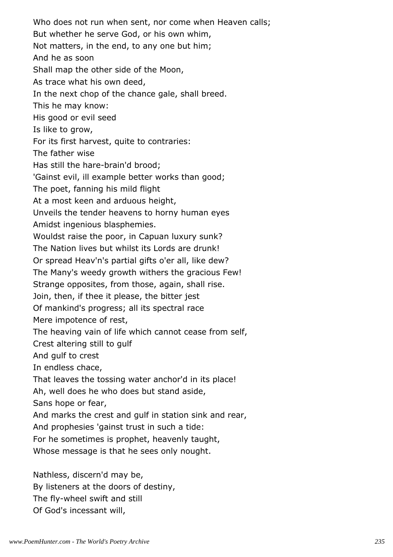Who does not run when sent, nor come when Heaven calls; But whether he serve God, or his own whim, Not matters, in the end, to any one but him; And he as soon Shall map the other side of the Moon, As trace what his own deed, In the next chop of the chance gale, shall breed. This he may know: His good or evil seed Is like to grow, For its first harvest, quite to contraries: The father wise Has still the hare-brain'd brood; 'Gainst evil, ill example better works than good; The poet, fanning his mild flight At a most keen and arduous height, Unveils the tender heavens to horny human eyes Amidst ingenious blasphemies. Wouldst raise the poor, in Capuan luxury sunk? The Nation lives but whilst its Lords are drunk! Or spread Heav'n's partial gifts o'er all, like dew? The Many's weedy growth withers the gracious Few! Strange opposites, from those, again, shall rise. Join, then, if thee it please, the bitter jest Of mankind's progress; all its spectral race Mere impotence of rest, The heaving vain of life which cannot cease from self, Crest altering still to gulf And gulf to crest In endless chace, That leaves the tossing water anchor'd in its place! Ah, well does he who does but stand aside, Sans hope or fear, And marks the crest and gulf in station sink and rear, And prophesies 'gainst trust in such a tide: For he sometimes is prophet, heavenly taught, Whose message is that he sees only nought. Nathless, discern'd may be,

By listeners at the doors of destiny, The fly-wheel swift and still Of God's incessant will,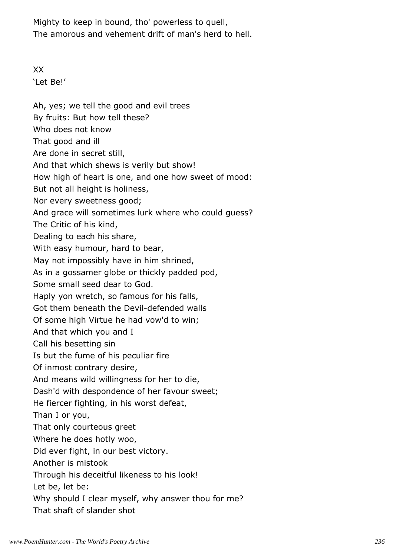Mighty to keep in bound, tho' powerless to quell, The amorous and vehement drift of man's herd to hell.

XX 'Let Be!'

Ah, yes; we tell the good and evil trees By fruits: But how tell these? Who does not know That good and ill Are done in secret still, And that which shews is verily but show! How high of heart is one, and one how sweet of mood: But not all height is holiness, Nor every sweetness good; And grace will sometimes lurk where who could guess? The Critic of his kind, Dealing to each his share, With easy humour, hard to bear, May not impossibly have in him shrined, As in a gossamer globe or thickly padded pod, Some small seed dear to God. Haply yon wretch, so famous for his falls, Got them beneath the Devil-defended walls Of some high Virtue he had vow'd to win; And that which you and I Call his besetting sin Is but the fume of his peculiar fire Of inmost contrary desire, And means wild willingness for her to die, Dash'd with despondence of her favour sweet; He fiercer fighting, in his worst defeat, Than I or you, That only courteous greet Where he does hotly woo, Did ever fight, in our best victory. Another is mistook Through his deceitful likeness to his look! Let be, let be: Why should I clear myself, why answer thou for me? That shaft of slander shot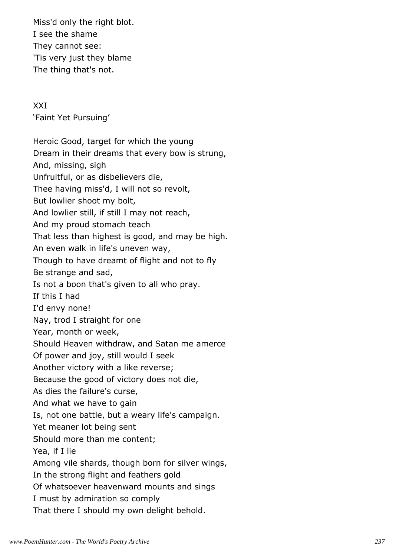Miss'd only the right blot. I see the shame They cannot see: 'Tis very just they blame The thing that's not.

XXI 'Faint Yet Pursuing'

Heroic Good, target for which the young Dream in their dreams that every bow is strung, And, missing, sigh Unfruitful, or as disbelievers die, Thee having miss'd, I will not so revolt, But lowlier shoot my bolt, And lowlier still, if still I may not reach, And my proud stomach teach That less than highest is good, and may be high. An even walk in life's uneven way, Though to have dreamt of flight and not to fly Be strange and sad, Is not a boon that's given to all who pray. If this I had I'd envy none! Nay, trod I straight for one Year, month or week, Should Heaven withdraw, and Satan me amerce Of power and joy, still would I seek Another victory with a like reverse; Because the good of victory does not die, As dies the failure's curse, And what we have to gain Is, not one battle, but a weary life's campaign. Yet meaner lot being sent Should more than me content; Yea, if I lie Among vile shards, though born for silver wings, In the strong flight and feathers gold Of whatsoever heavenward mounts and sings I must by admiration so comply That there I should my own delight behold.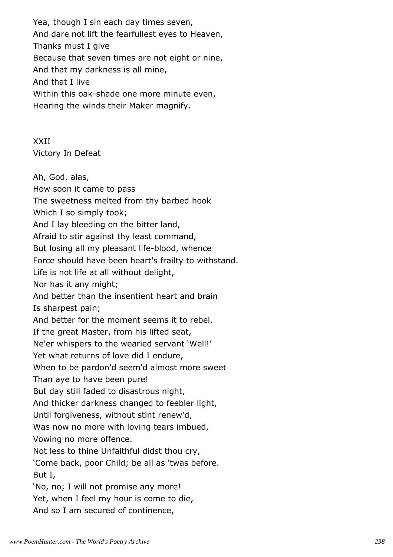Yea, though I sin each day times seven, And dare not lift the fearfullest eyes to Heaven, Thanks must I give Because that seven times are not eight or nine, And that my darkness is all mine, And that I live Within this oak-shade one more minute even, Hearing the winds their Maker magnify.

XXII Victory In Defeat

Ah, God, alas, How soon it came to pass The sweetness melted from thy barbed hook Which I so simply took; And I lay bleeding on the bitter land, Afraid to stir against thy least command, But losing all my pleasant life-blood, whence Force should have been heart's frailty to withstand. Life is not life at all without delight, Nor has it any might; And better than the insentient heart and brain Is sharpest pain; And better for the moment seems it to rebel, If the great Master, from his lifted seat, Ne'er whispers to the wearied servant 'Well!' Yet what returns of love did I endure, When to be pardon'd seem'd almost more sweet Than aye to have been pure! But day still faded to disastrous night, And thicker darkness changed to feebler light, Until forgiveness, without stint renew'd, Was now no more with loving tears imbued, Vowing no more offence. Not less to thine Unfaithful didst thou cry, 'Come back, poor Child; be all as 'twas before. But I, 'No, no; I will not promise any more! Yet, when I feel my hour is come to die, And so I am secured of continence,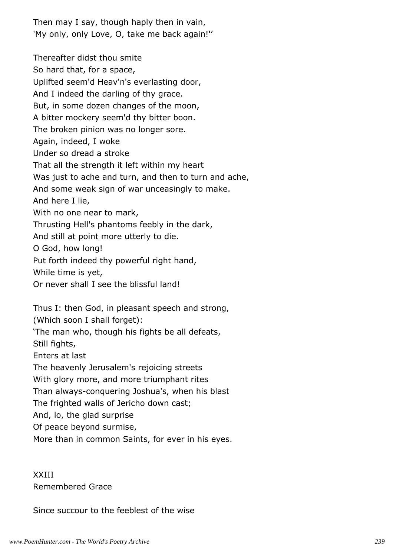Then may I say, though haply then in vain, 'My only, only Love, O, take me back again!''

Thereafter didst thou smite So hard that, for a space, Uplifted seem'd Heav'n's everlasting door, And I indeed the darling of thy grace. But, in some dozen changes of the moon, A bitter mockery seem'd thy bitter boon. The broken pinion was no longer sore. Again, indeed, I woke Under so dread a stroke That all the strength it left within my heart Was just to ache and turn, and then to turn and ache, And some weak sign of war unceasingly to make. And here I lie, With no one near to mark, Thrusting Hell's phantoms feebly in the dark, And still at point more utterly to die. O God, how long! Put forth indeed thy powerful right hand, While time is yet, Or never shall I see the blissful land!

Thus I: then God, in pleasant speech and strong,

(Which soon I shall forget):

'The man who, though his fights be all defeats,

Still fights,

Enters at last

The heavenly Jerusalem's rejoicing streets

With glory more, and more triumphant rites

Than always-conquering Joshua's, when his blast

The frighted walls of Jericho down cast;

And, lo, the glad surprise

Of peace beyond surmise,

More than in common Saints, for ever in his eyes.

XXIII Remembered Grace

Since succour to the feeblest of the wise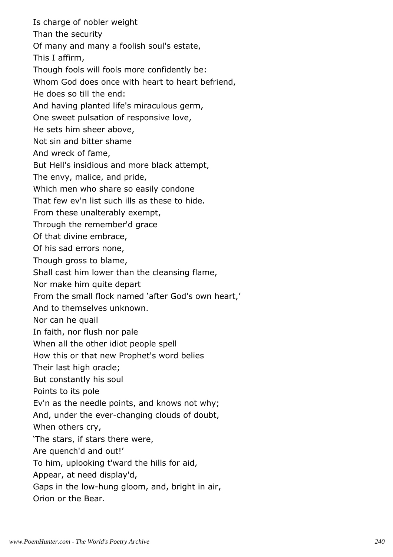Is charge of nobler weight Than the security Of many and many a foolish soul's estate, This I affirm, Though fools will fools more confidently be: Whom God does once with heart to heart befriend, He does so till the end: And having planted life's miraculous germ, One sweet pulsation of responsive love, He sets him sheer above, Not sin and bitter shame And wreck of fame, But Hell's insidious and more black attempt, The envy, malice, and pride, Which men who share so easily condone That few ev'n list such ills as these to hide. From these unalterably exempt, Through the remember'd grace Of that divine embrace, Of his sad errors none, Though gross to blame, Shall cast him lower than the cleansing flame, Nor make him quite depart From the small flock named 'after God's own heart,' And to themselves unknown. Nor can he quail In faith, nor flush nor pale When all the other idiot people spell How this or that new Prophet's word belies Their last high oracle; But constantly his soul Points to its pole Ev'n as the needle points, and knows not why; And, under the ever-changing clouds of doubt, When others cry, 'The stars, if stars there were, Are quench'd and out!' To him, uplooking t'ward the hills for aid, Appear, at need display'd, Gaps in the low-hung gloom, and, bright in air, Orion or the Bear.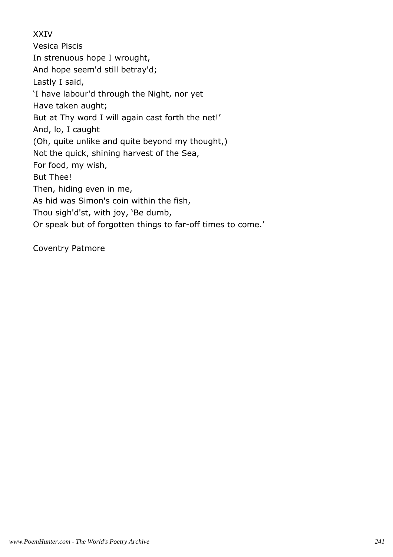# XXIV

Vesica Piscis In strenuous hope I wrought, And hope seem'd still betray'd; Lastly I said, 'I have labour'd through the Night, nor yet Have taken aught; But at Thy word I will again cast forth the net!' And, lo, I caught (Oh, quite unlike and quite beyond my thought,) Not the quick, shining harvest of the Sea, For food, my wish, But Thee! Then, hiding even in me, As hid was Simon's coin within the fish, Thou sigh'd'st, with joy, 'Be dumb, Or speak but of forgotten things to far-off times to come.'

Coventry Patmore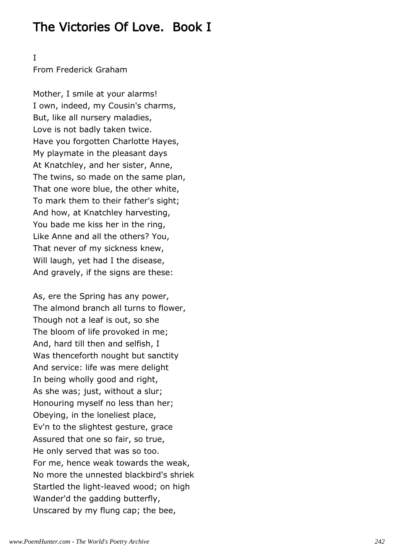# The Victories Of Love. Book I

I

From Frederick Graham

Mother, I smile at your alarms! I own, indeed, my Cousin's charms, But, like all nursery maladies, Love is not badly taken twice. Have you forgotten Charlotte Hayes, My playmate in the pleasant days At Knatchley, and her sister, Anne, The twins, so made on the same plan, That one wore blue, the other white, To mark them to their father's sight; And how, at Knatchley harvesting, You bade me kiss her in the ring, Like Anne and all the others? You, That never of my sickness knew, Will laugh, yet had I the disease, And gravely, if the signs are these:

As, ere the Spring has any power, The almond branch all turns to flower, Though not a leaf is out, so she The bloom of life provoked in me; And, hard till then and selfish, I Was thenceforth nought but sanctity And service: life was mere delight In being wholly good and right, As she was; just, without a slur; Honouring myself no less than her; Obeying, in the loneliest place, Ev'n to the slightest gesture, grace Assured that one so fair, so true, He only served that was so too. For me, hence weak towards the weak, No more the unnested blackbird's shriek Startled the light-leaved wood; on high Wander'd the gadding butterfly, Unscared by my flung cap; the bee,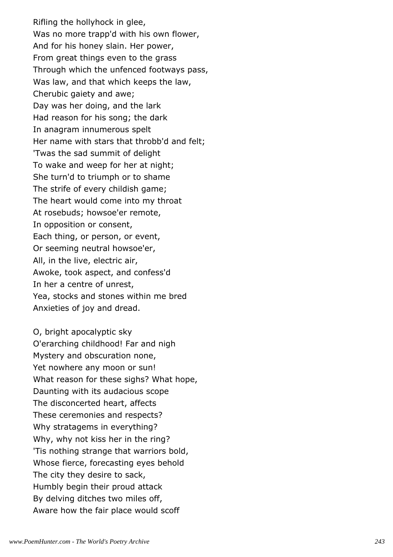Rifling the hollyhock in glee, Was no more trapp'd with his own flower, And for his honey slain. Her power, From great things even to the grass Through which the unfenced footways pass, Was law, and that which keeps the law, Cherubic gaiety and awe; Day was her doing, and the lark Had reason for his song; the dark In anagram innumerous spelt Her name with stars that throbb'd and felt; 'Twas the sad summit of delight To wake and weep for her at night; She turn'd to triumph or to shame The strife of every childish game; The heart would come into my throat At rosebuds; howsoe'er remote, In opposition or consent, Each thing, or person, or event, Or seeming neutral howsoe'er, All, in the live, electric air, Awoke, took aspect, and confess'd In her a centre of unrest, Yea, stocks and stones within me bred Anxieties of joy and dread.

O, bright apocalyptic sky O'erarching childhood! Far and nigh Mystery and obscuration none, Yet nowhere any moon or sun! What reason for these sighs? What hope, Daunting with its audacious scope The disconcerted heart, affects These ceremonies and respects? Why stratagems in everything? Why, why not kiss her in the ring? 'Tis nothing strange that warriors bold, Whose fierce, forecasting eyes behold The city they desire to sack, Humbly begin their proud attack By delving ditches two miles off, Aware how the fair place would scoff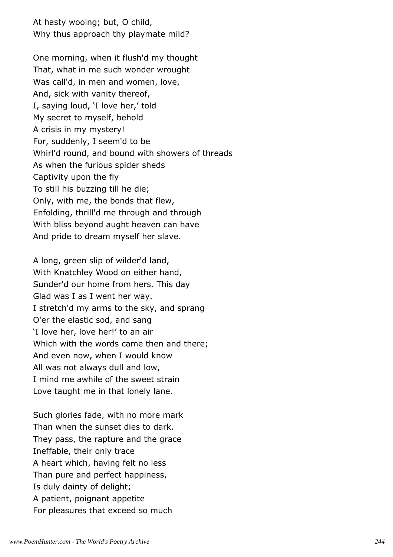At hasty wooing; but, O child, Why thus approach thy playmate mild?

One morning, when it flush'd my thought That, what in me such wonder wrought Was call'd, in men and women, love, And, sick with vanity thereof, I, saying loud, 'I love her,' told My secret to myself, behold A crisis in my mystery! For, suddenly, I seem'd to be Whirl'd round, and bound with showers of threads As when the furious spider sheds Captivity upon the fly To still his buzzing till he die; Only, with me, the bonds that flew, Enfolding, thrill'd me through and through With bliss beyond aught heaven can have And pride to dream myself her slave.

A long, green slip of wilder'd land, With Knatchley Wood on either hand, Sunder'd our home from hers. This day Glad was I as I went her way. I stretch'd my arms to the sky, and sprang O'er the elastic sod, and sang 'I love her, love her!' to an air Which with the words came then and there; And even now, when I would know All was not always dull and low, I mind me awhile of the sweet strain Love taught me in that lonely lane.

Such glories fade, with no more mark Than when the sunset dies to dark. They pass, the rapture and the grace Ineffable, their only trace A heart which, having felt no less Than pure and perfect happiness, Is duly dainty of delight; A patient, poignant appetite For pleasures that exceed so much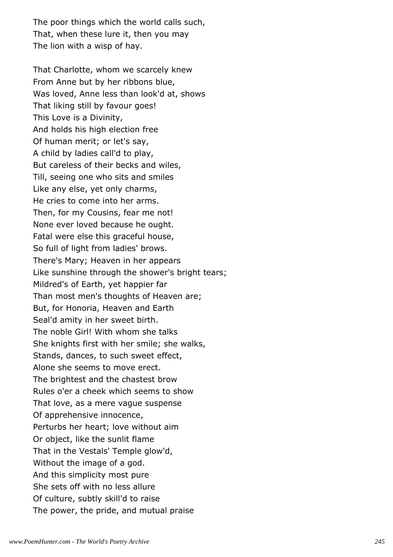The poor things which the world calls such, That, when these lure it, then you may The lion with a wisp of hay.

That Charlotte, whom we scarcely knew From Anne but by her ribbons blue, Was loved, Anne less than look'd at, shows That liking still by favour goes! This Love is a Divinity, And holds his high election free Of human merit; or let's say, A child by ladies call'd to play, But careless of their becks and wiles, Till, seeing one who sits and smiles Like any else, yet only charms, He cries to come into her arms. Then, for my Cousins, fear me not! None ever loved because he ought. Fatal were else this graceful house, So full of light from ladies' brows. There's Mary; Heaven in her appears Like sunshine through the shower's bright tears; Mildred's of Earth, yet happier far Than most men's thoughts of Heaven are; But, for Honoria, Heaven and Earth Seal'd amity in her sweet birth. The noble Girl! With whom she talks She knights first with her smile; she walks, Stands, dances, to such sweet effect, Alone she seems to move erect. The brightest and the chastest brow Rules o'er a cheek which seems to show That love, as a mere vague suspense Of apprehensive innocence, Perturbs her heart; love without aim Or object, like the sunlit flame That in the Vestals' Temple glow'd, Without the image of a god. And this simplicity most pure She sets off with no less allure Of culture, subtly skill'd to raise The power, the pride, and mutual praise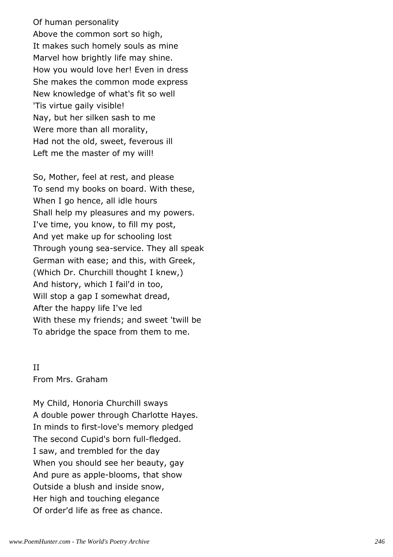Of human personality Above the common sort so high, It makes such homely souls as mine Marvel how brightly life may shine. How you would love her! Even in dress She makes the common mode express New knowledge of what's fit so well 'Tis virtue gaily visible! Nay, but her silken sash to me Were more than all morality, Had not the old, sweet, feverous ill Left me the master of my will!

So, Mother, feel at rest, and please To send my books on board. With these, When I go hence, all idle hours Shall help my pleasures and my powers. I've time, you know, to fill my post, And yet make up for schooling lost Through young sea-service. They all speak German with ease; and this, with Greek, (Which Dr. Churchill thought I knew,) And history, which I fail'd in too, Will stop a gap I somewhat dread, After the happy life I've led With these my friends; and sweet 'twill be To abridge the space from them to me.

# II From Mrs. Graham

My Child, Honoria Churchill sways A double power through Charlotte Hayes. In minds to first-love's memory pledged The second Cupid's born full-fledged. I saw, and trembled for the day When you should see her beauty, gay And pure as apple-blooms, that show Outside a blush and inside snow, Her high and touching elegance Of order'd life as free as chance.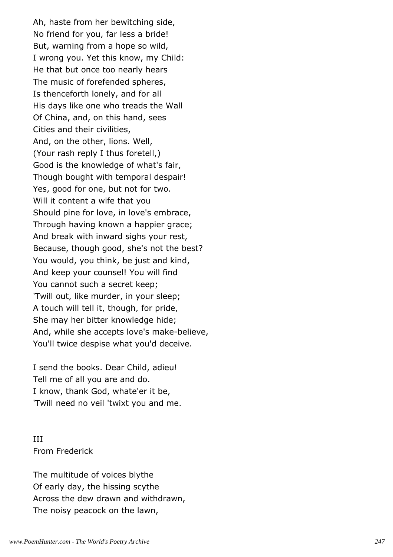Ah, haste from her bewitching side, No friend for you, far less a bride! But, warning from a hope so wild, I wrong you. Yet this know, my Child: He that but once too nearly hears The music of forefended spheres, Is thenceforth lonely, and for all His days like one who treads the Wall Of China, and, on this hand, sees Cities and their civilities, And, on the other, lions. Well, (Your rash reply I thus foretell,) Good is the knowledge of what's fair, Though bought with temporal despair! Yes, good for one, but not for two. Will it content a wife that you Should pine for love, in love's embrace, Through having known a happier grace; And break with inward sighs your rest, Because, though good, she's not the best? You would, you think, be just and kind, And keep your counsel! You will find You cannot such a secret keep; 'Twill out, like murder, in your sleep; A touch will tell it, though, for pride, She may her bitter knowledge hide; And, while she accepts love's make-believe, You'll twice despise what you'd deceive.

I send the books. Dear Child, adieu! Tell me of all you are and do. I know, thank God, whate'er it be, 'Twill need no veil 'twixt you and me.

III From Frederick

The multitude of voices blythe Of early day, the hissing scythe Across the dew drawn and withdrawn, The noisy peacock on the lawn,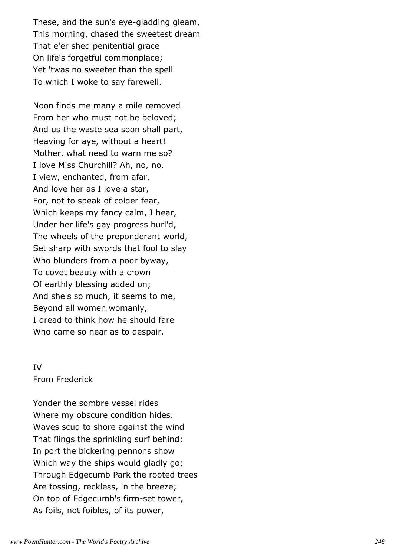These, and the sun's eye-gladding gleam, This morning, chased the sweetest dream That e'er shed penitential grace On life's forgetful commonplace; Yet 'twas no sweeter than the spell To which I woke to say farewell.

Noon finds me many a mile removed From her who must not be beloved; And us the waste sea soon shall part, Heaving for aye, without a heart! Mother, what need to warn me so? I love Miss Churchill? Ah, no, no. I view, enchanted, from afar, And love her as I love a star, For, not to speak of colder fear, Which keeps my fancy calm, I hear, Under her life's gay progress hurl'd, The wheels of the preponderant world, Set sharp with swords that fool to slay Who blunders from a poor byway, To covet beauty with a crown Of earthly blessing added on; And she's so much, it seems to me, Beyond all women womanly, I dread to think how he should fare Who came so near as to despair.

# IV From Frederick

Yonder the sombre vessel rides Where my obscure condition hides. Waves scud to shore against the wind That flings the sprinkling surf behind; In port the bickering pennons show Which way the ships would gladly go; Through Edgecumb Park the rooted trees Are tossing, reckless, in the breeze; On top of Edgecumb's firm-set tower, As foils, not foibles, of its power,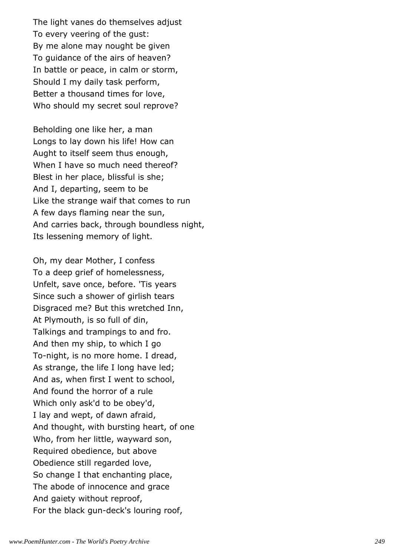The light vanes do themselves adjust To every veering of the gust: By me alone may nought be given To guidance of the airs of heaven? In battle or peace, in calm or storm, Should I my daily task perform, Better a thousand times for love, Who should my secret soul reprove?

Beholding one like her, a man Longs to lay down his life! How can Aught to itself seem thus enough, When I have so much need thereof? Blest in her place, blissful is she; And I, departing, seem to be Like the strange waif that comes to run A few days flaming near the sun, And carries back, through boundless night, Its lessening memory of light.

Oh, my dear Mother, I confess To a deep grief of homelessness, Unfelt, save once, before. 'Tis years Since such a shower of girlish tears Disgraced me? But this wretched Inn, At Plymouth, is so full of din, Talkings and trampings to and fro. And then my ship, to which I go To-night, is no more home. I dread, As strange, the life I long have led; And as, when first I went to school, And found the horror of a rule Which only ask'd to be obey'd, I lay and wept, of dawn afraid, And thought, with bursting heart, of one Who, from her little, wayward son, Required obedience, but above Obedience still regarded love, So change I that enchanting place, The abode of innocence and grace And gaiety without reproof, For the black gun-deck's louring roof,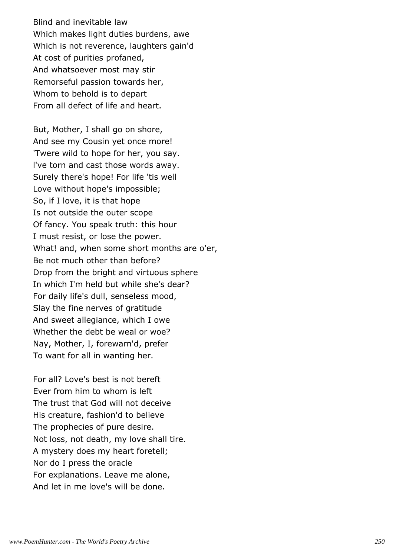Blind and inevitable law Which makes light duties burdens, awe Which is not reverence, laughters gain'd At cost of purities profaned, And whatsoever most may stir Remorseful passion towards her, Whom to behold is to depart From all defect of life and heart.

But, Mother, I shall go on shore, And see my Cousin yet once more! 'Twere wild to hope for her, you say. l've torn and cast those words away. Surely there's hope! For life 'tis well Love without hope's impossible; So, if I love, it is that hope Is not outside the outer scope Of fancy. You speak truth: this hour I must resist, or lose the power. What! and, when some short months are o'er, Be not much other than before? Drop from the bright and virtuous sphere In which I'm held but while she's dear? For daily life's dull, senseless mood, Slay the fine nerves of gratitude And sweet allegiance, which I owe Whether the debt be weal or woe? Nay, Mother, I, forewarn'd, prefer To want for all in wanting her.

For all? Love's best is not bereft Ever from him to whom is left The trust that God will not deceive His creature, fashion'd to believe The prophecies of pure desire. Not loss, not death, my love shall tire. A mystery does my heart foretell; Nor do I press the oracle For explanations. Leave me alone, And let in me love's will be done.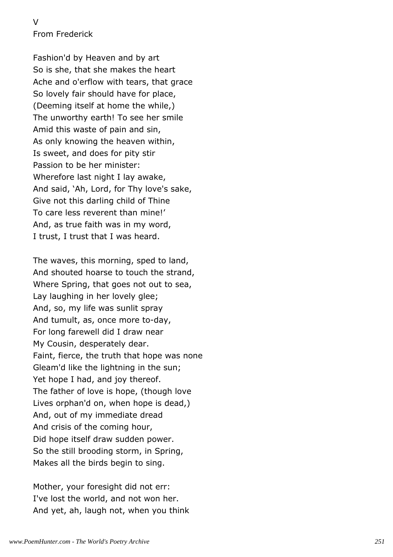V From Frederick

Fashion'd by Heaven and by art So is she, that she makes the heart Ache and o'erflow with tears, that grace So lovely fair should have for place, (Deeming itself at home the while,) The unworthy earth! To see her smile Amid this waste of pain and sin, As only knowing the heaven within, Is sweet, and does for pity stir Passion to be her minister: Wherefore last night I lay awake, And said, 'Ah, Lord, for Thy love's sake, Give not this darling child of Thine To care less reverent than mine!' And, as true faith was in my word, I trust, I trust that I was heard.

The waves, this morning, sped to land, And shouted hoarse to touch the strand, Where Spring, that goes not out to sea, Lay laughing in her lovely glee; And, so, my life was sunlit spray And tumult, as, once more to-day, For long farewell did I draw near My Cousin, desperately dear. Faint, fierce, the truth that hope was none Gleam'd like the lightning in the sun; Yet hope I had, and joy thereof. The father of love is hope, (though love Lives orphan'd on, when hope is dead,) And, out of my immediate dread And crisis of the coming hour, Did hope itself draw sudden power. So the still brooding storm, in Spring, Makes all the birds begin to sing.

Mother, your foresight did not err: I've lost the world, and not won her. And yet, ah, laugh not, when you think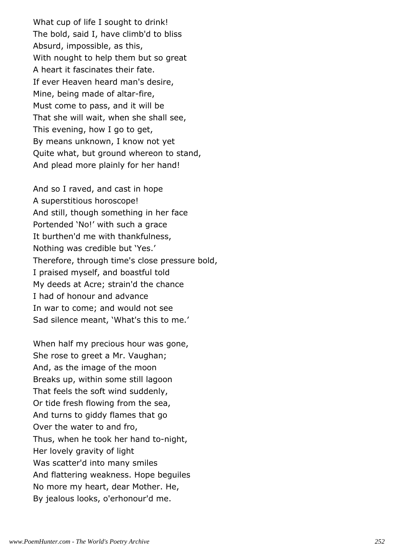What cup of life I sought to drink! The bold, said I, have climb'd to bliss Absurd, impossible, as this, With nought to help them but so great A heart it fascinates their fate. If ever Heaven heard man's desire, Mine, being made of altar-fire, Must come to pass, and it will be That she will wait, when she shall see, This evening, how I go to get, By means unknown, I know not yet Quite what, but ground whereon to stand, And plead more plainly for her hand!

And so I raved, and cast in hope A superstitious horoscope! And still, though something in her face Portended 'No!' with such a grace It burthen'd me with thankfulness, Nothing was credible but 'Yes.' Therefore, through time's close pressure bold, I praised myself, and boastful told My deeds at Acre; strain'd the chance I had of honour and advance In war to come; and would not see Sad silence meant, 'What's this to me.'

When half my precious hour was gone, She rose to greet a Mr. Vaughan; And, as the image of the moon Breaks up, within some still lagoon That feels the soft wind suddenly, Or tide fresh flowing from the sea, And turns to giddy flames that go Over the water to and fro, Thus, when he took her hand to-night, Her lovely gravity of light Was scatter'd into many smiles And flattering weakness. Hope beguiles No more my heart, dear Mother. He, By jealous looks, o'erhonour'd me.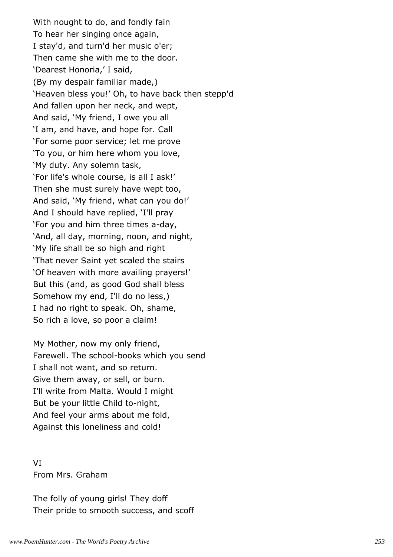With nought to do, and fondly fain To hear her singing once again, I stay'd, and turn'd her music o'er; Then came she with me to the door. 'Dearest Honoria,' I said, (By my despair familiar made,) 'Heaven bless you!' Oh, to have back then stepp'd And fallen upon her neck, and wept, And said, 'My friend, I owe you all 'I am, and have, and hope for. Call 'For some poor service; let me prove 'To you, or him here whom you love, 'My duty. Any solemn task, 'For life's whole course, is all I ask!' Then she must surely have wept too, And said, 'My friend, what can you do!' And I should have replied, 'I'll pray 'For you and him three times a-day, 'And, all day, morning, noon, and night, 'My life shall be so high and right 'That never Saint yet scaled the stairs 'Of heaven with more availing prayers!' But this (and, as good God shall bless Somehow my end, I'll do no less,) I had no right to speak. Oh, shame, So rich a love, so poor a claim!

My Mother, now my only friend, Farewell. The school-books which you send I shall not want, and so return. Give them away, or sell, or burn. I'll write from Malta. Would I might But be your little Child to-night, And feel your arms about me fold, Against this loneliness and cold!

VI From Mrs. Graham

The folly of young girls! They doff Their pride to smooth success, and scoff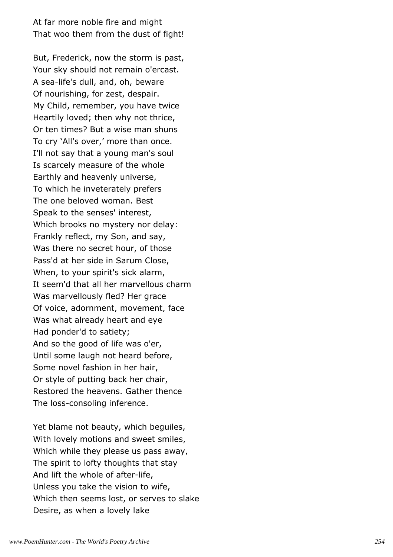At far more noble fire and might That woo them from the dust of fight!

But, Frederick, now the storm is past, Your sky should not remain o'ercast. A sea-life's dull, and, oh, beware Of nourishing, for zest, despair. My Child, remember, you have twice Heartily loved; then why not thrice, Or ten times? But a wise man shuns To cry 'All's over,' more than once. I'll not say that a young man's soul Is scarcely measure of the whole Earthly and heavenly universe, To which he inveterately prefers The one beloved woman. Best Speak to the senses' interest, Which brooks no mystery nor delay: Frankly reflect, my Son, and say, Was there no secret hour, of those Pass'd at her side in Sarum Close, When, to your spirit's sick alarm, It seem'd that all her marvellous charm Was marvellously fled? Her grace Of voice, adornment, movement, face Was what already heart and eye Had ponder'd to satiety; And so the good of life was o'er, Until some laugh not heard before, Some novel fashion in her hair, Or style of putting back her chair, Restored the heavens. Gather thence The loss-consoling inference.

Yet blame not beauty, which beguiles, With lovely motions and sweet smiles, Which while they please us pass away, The spirit to lofty thoughts that stay And lift the whole of after-life, Unless you take the vision to wife, Which then seems lost, or serves to slake Desire, as when a lovely lake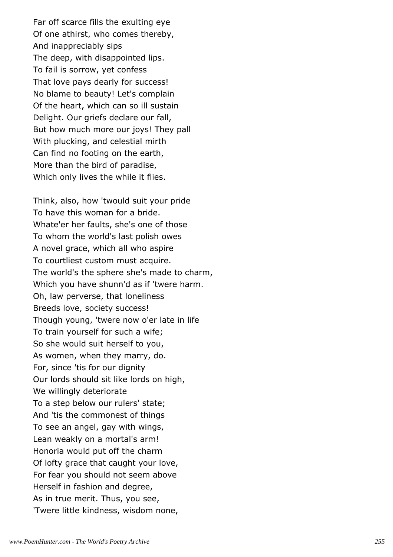Far off scarce fills the exulting eye Of one athirst, who comes thereby, And inappreciably sips The deep, with disappointed lips. To fail is sorrow, yet confess That love pays dearly for success! No blame to beauty! Let's complain Of the heart, which can so ill sustain Delight. Our griefs declare our fall, But how much more our joys! They pall With plucking, and celestial mirth Can find no footing on the earth, More than the bird of paradise, Which only lives the while it flies.

Think, also, how 'twould suit your pride To have this woman for a bride. Whate'er her faults, she's one of those To whom the world's last polish owes A novel grace, which all who aspire To courtliest custom must acquire. The world's the sphere she's made to charm, Which you have shunn'd as if 'twere harm. Oh, law perverse, that loneliness Breeds love, society success! Though young, 'twere now o'er late in life To train yourself for such a wife; So she would suit herself to you, As women, when they marry, do. For, since 'tis for our dignity Our lords should sit like lords on high, We willingly deteriorate To a step below our rulers' state; And 'tis the commonest of things To see an angel, gay with wings, Lean weakly on a mortal's arm! Honoria would put off the charm Of lofty grace that caught your love, For fear you should not seem above Herself in fashion and degree, As in true merit. Thus, you see, 'Twere little kindness, wisdom none,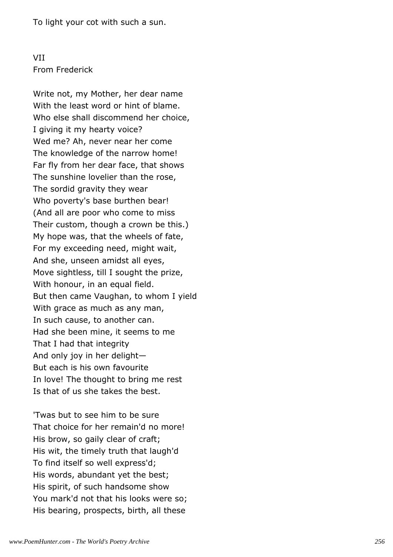To light your cot with such a sun.

### VII From Frederick

Write not, my Mother, her dear name With the least word or hint of blame. Who else shall discommend her choice, I giving it my hearty voice? Wed me? Ah, never near her come The knowledge of the narrow home! Far fly from her dear face, that shows The sunshine lovelier than the rose, The sordid gravity they wear Who poverty's base burthen bear! (And all are poor who come to miss Their custom, though a crown be this.) My hope was, that the wheels of fate, For my exceeding need, might wait, And she, unseen amidst all eyes, Move sightless, till I sought the prize, With honour, in an equal field. But then came Vaughan, to whom I yield With grace as much as any man, In such cause, to another can. Had she been mine, it seems to me That I had that integrity And only joy in her delight— But each is his own favourite In love! The thought to bring me rest Is that of us she takes the best.

'Twas but to see him to be sure That choice for her remain'd no more! His brow, so gaily clear of craft; His wit, the timely truth that laugh'd To find itself so well express'd; His words, abundant yet the best; His spirit, of such handsome show You mark'd not that his looks were so; His bearing, prospects, birth, all these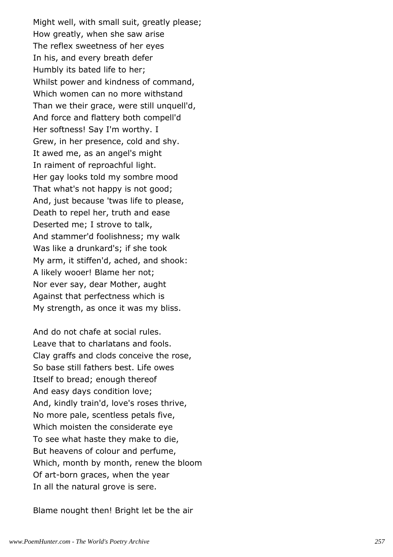Might well, with small suit, greatly please; How greatly, when she saw arise The reflex sweetness of her eyes In his, and every breath defer Humbly its bated life to her; Whilst power and kindness of command, Which women can no more withstand Than we their grace, were still unquell'd, And force and flattery both compell'd Her softness! Say I'm worthy. I Grew, in her presence, cold and shy. It awed me, as an angel's might In raiment of reproachful light. Her gay looks told my sombre mood That what's not happy is not good; And, just because 'twas life to please, Death to repel her, truth and ease Deserted me; I strove to talk, And stammer'd foolishness; my walk Was like a drunkard's; if she took My arm, it stiffen'd, ached, and shook: A likely wooer! Blame her not; Nor ever say, dear Mother, aught Against that perfectness which is My strength, as once it was my bliss.

And do not chafe at social rules. Leave that to charlatans and fools. Clay graffs and clods conceive the rose, So base still fathers best. Life owes Itself to bread; enough thereof And easy days condition love; And, kindly train'd, love's roses thrive, No more pale, scentless petals five, Which moisten the considerate eye To see what haste they make to die, But heavens of colour and perfume, Which, month by month, renew the bloom Of art-born graces, when the year In all the natural grove is sere.

Blame nought then! Bright let be the air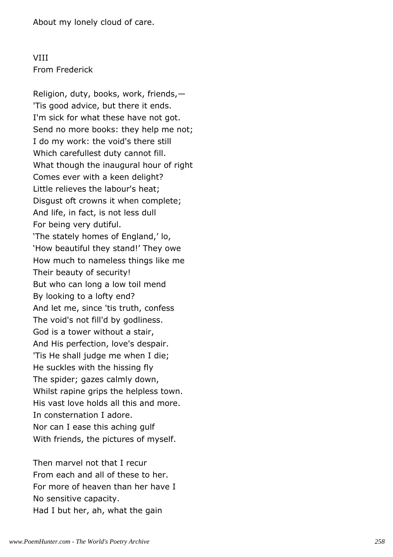About my lonely cloud of care.

### VIII From Frederick

Religion, duty, books, work, friends,— 'Tis good advice, but there it ends. I'm sick for what these have not got. Send no more books: they help me not; I do my work: the void's there still Which carefullest duty cannot fill. What though the inaugural hour of right Comes ever with a keen delight? Little relieves the labour's heat; Disgust oft crowns it when complete; And life, in fact, is not less dull For being very dutiful. 'The stately homes of England,' lo, 'How beautiful they stand!' They owe How much to nameless things like me Their beauty of security! But who can long a low toil mend By looking to a lofty end? And let me, since 'tis truth, confess The void's not fill'd by godliness. God is a tower without a stair, And His perfection, love's despair. 'Tis He shall judge me when I die; He suckles with the hissing fly The spider; gazes calmly down, Whilst rapine grips the helpless town. His vast love holds all this and more. In consternation I adore. Nor can I ease this aching gulf With friends, the pictures of myself.

Then marvel not that I recur From each and all of these to her. For more of heaven than her have I No sensitive capacity. Had I but her, ah, what the gain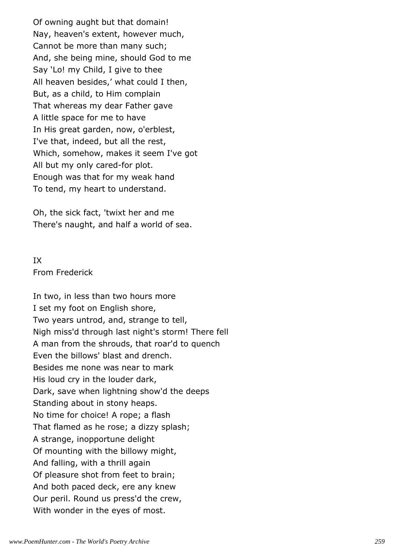Of owning aught but that domain! Nay, heaven's extent, however much, Cannot be more than many such; And, she being mine, should God to me Say 'Lo! my Child, I give to thee All heaven besides,' what could I then, But, as a child, to Him complain That whereas my dear Father gave A little space for me to have In His great garden, now, o'erblest, I've that, indeed, but all the rest, Which, somehow, makes it seem I've got All but my only cared-for plot. Enough was that for my weak hand To tend, my heart to understand.

Oh, the sick fact, 'twixt her and me There's naught, and half a world of sea.

### IX From Frederick

In two, in less than two hours more I set my foot on English shore, Two years untrod, and, strange to tell, Nigh miss'd through last night's storm! There fell A man from the shrouds, that roar'd to quench Even the billows' blast and drench. Besides me none was near to mark His loud cry in the louder dark, Dark, save when lightning show'd the deeps Standing about in stony heaps. No time for choice! A rope; a flash That flamed as he rose; a dizzy splash; A strange, inopportune delight Of mounting with the billowy might, And falling, with a thrill again Of pleasure shot from feet to brain; And both paced deck, ere any knew Our peril. Round us press'd the crew, With wonder in the eyes of most.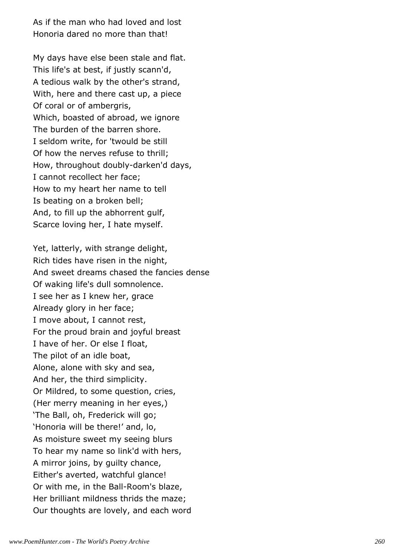As if the man who had loved and lost Honoria dared no more than that!

My days have else been stale and flat. This life's at best, if justly scann'd, A tedious walk by the other's strand, With, here and there cast up, a piece Of coral or of ambergris, Which, boasted of abroad, we ignore The burden of the barren shore. I seldom write, for 'twould be still Of how the nerves refuse to thrill; How, throughout doubly-darken'd days, I cannot recollect her face; How to my heart her name to tell Is beating on a broken bell; And, to fill up the abhorrent gulf, Scarce loving her, I hate myself.

Yet, latterly, with strange delight, Rich tides have risen in the night, And sweet dreams chased the fancies dense Of waking life's dull somnolence. I see her as I knew her, grace Already glory in her face; I move about, I cannot rest, For the proud brain and joyful breast I have of her. Or else I float, The pilot of an idle boat, Alone, alone with sky and sea, And her, the third simplicity. Or Mildred, to some question, cries, (Her merry meaning in her eyes,) 'The Ball, oh, Frederick will go; 'Honoria will be there!' and, lo, As moisture sweet my seeing blurs To hear my name so link'd with hers, A mirror joins, by guilty chance, Either's averted, watchful glance! Or with me, in the Ball-Room's blaze, Her brilliant mildness thrids the maze; Our thoughts are lovely, and each word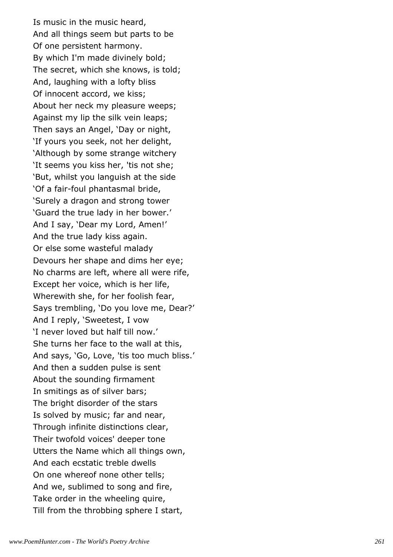Is music in the music heard, And all things seem but parts to be Of one persistent harmony. By which I'm made divinely bold; The secret, which she knows, is told; And, laughing with a lofty bliss Of innocent accord, we kiss; About her neck my pleasure weeps; Against my lip the silk vein leaps; Then says an Angel, 'Day or night, 'If yours you seek, not her delight, 'Although by some strange witchery 'It seems you kiss her, 'tis not she; 'But, whilst you languish at the side 'Of a fair-foul phantasmal bride, 'Surely a dragon and strong tower 'Guard the true lady in her bower.' And I say, 'Dear my Lord, Amen!' And the true lady kiss again. Or else some wasteful malady Devours her shape and dims her eye; No charms are left, where all were rife, Except her voice, which is her life, Wherewith she, for her foolish fear, Says trembling, 'Do you love me, Dear?' And I reply, 'Sweetest, I vow 'I never loved but half till now.' She turns her face to the wall at this, And says, 'Go, Love, 'tis too much bliss.' And then a sudden pulse is sent About the sounding firmament In smitings as of silver bars; The bright disorder of the stars Is solved by music; far and near, Through infinite distinctions clear, Their twofold voices' deeper tone Utters the Name which all things own, And each ecstatic treble dwells On one whereof none other tells; And we, sublimed to song and fire, Take order in the wheeling quire, Till from the throbbing sphere I start,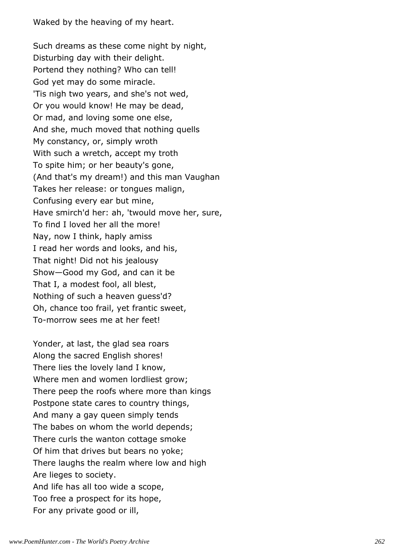Waked by the heaving of my heart.

Such dreams as these come night by night, Disturbing day with their delight. Portend they nothing? Who can tell! God yet may do some miracle. 'Tis nigh two years, and she's not wed, Or you would know! He may be dead, Or mad, and loving some one else, And she, much moved that nothing quells My constancy, or, simply wroth With such a wretch, accept my troth To spite him; or her beauty's gone, (And that's my dream!) and this man Vaughan Takes her release: or tongues malign, Confusing every ear but mine, Have smirch'd her: ah, 'twould move her, sure, To find I loved her all the more! Nay, now I think, haply amiss I read her words and looks, and his, That night! Did not his jealousy Show—Good my God, and can it be That I, a modest fool, all blest, Nothing of such a heaven guess'd? Oh, chance too frail, yet frantic sweet, To-morrow sees me at her feet!

Yonder, at last, the glad sea roars Along the sacred English shores! There lies the lovely land I know, Where men and women lordliest grow; There peep the roofs where more than kings Postpone state cares to country things, And many a gay queen simply tends The babes on whom the world depends; There curls the wanton cottage smoke Of him that drives but bears no yoke; There laughs the realm where low and high Are lieges to society. And life has all too wide a scope, Too free a prospect for its hope, For any private good or ill,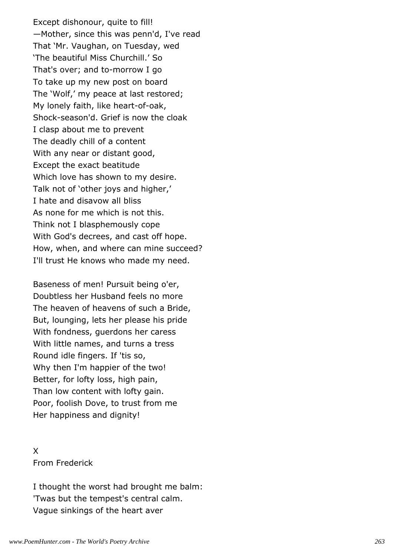Except dishonour, quite to fill! —Mother, since this was penn'd, I've read That 'Mr. Vaughan, on Tuesday, wed 'The beautiful Miss Churchill.' So That's over; and to-morrow I go To take up my new post on board The 'Wolf,' my peace at last restored; My lonely faith, like heart-of-oak, Shock-season'd. Grief is now the cloak I clasp about me to prevent The deadly chill of a content With any near or distant good, Except the exact beatitude Which love has shown to my desire. Talk not of 'other joys and higher,' I hate and disavow all bliss As none for me which is not this. Think not I blasphemously cope With God's decrees, and cast off hope. How, when, and where can mine succeed? I'll trust He knows who made my need.

Baseness of men! Pursuit being o'er, Doubtless her Husband feels no more The heaven of heavens of such a Bride, But, lounging, lets her please his pride With fondness, guerdons her caress With little names, and turns a tress Round idle fingers. If 'tis so, Why then I'm happier of the two! Better, for lofty loss, high pain, Than low content with lofty gain. Poor, foolish Dove, to trust from me Her happiness and dignity!

X From Frederick

I thought the worst had brought me balm: 'Twas but the tempest's central calm. Vague sinkings of the heart aver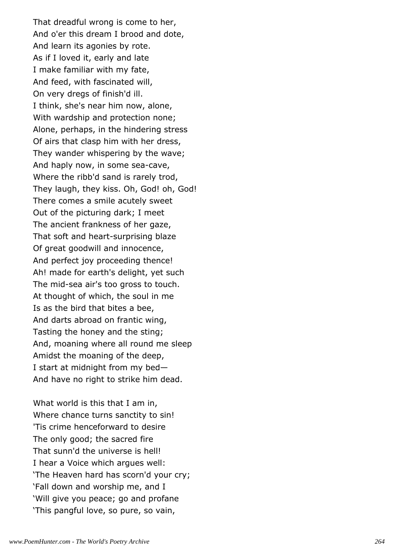That dreadful wrong is come to her, And o'er this dream I brood and dote, And learn its agonies by rote. As if I loved it, early and late I make familiar with my fate, And feed, with fascinated will, On very dregs of finish'd ill. I think, she's near him now, alone, With wardship and protection none; Alone, perhaps, in the hindering stress Of airs that clasp him with her dress, They wander whispering by the wave; And haply now, in some sea-cave, Where the ribb'd sand is rarely trod, They laugh, they kiss. Oh, God! oh, God! There comes a smile acutely sweet Out of the picturing dark; I meet The ancient frankness of her gaze, That soft and heart-surprising blaze Of great goodwill and innocence, And perfect joy proceeding thence! Ah! made for earth's delight, yet such The mid-sea air's too gross to touch. At thought of which, the soul in me Is as the bird that bites a bee, And darts abroad on frantic wing, Tasting the honey and the sting; And, moaning where all round me sleep Amidst the moaning of the deep, I start at midnight from my bed— And have no right to strike him dead.

What world is this that I am in, Where chance turns sanctity to sin! 'Tis crime henceforward to desire The only good; the sacred fire That sunn'd the universe is hell! I hear a Voice which argues well: 'The Heaven hard has scorn'd your cry; 'Fall down and worship me, and I 'Will give you peace; go and profane 'This pangful love, so pure, so vain,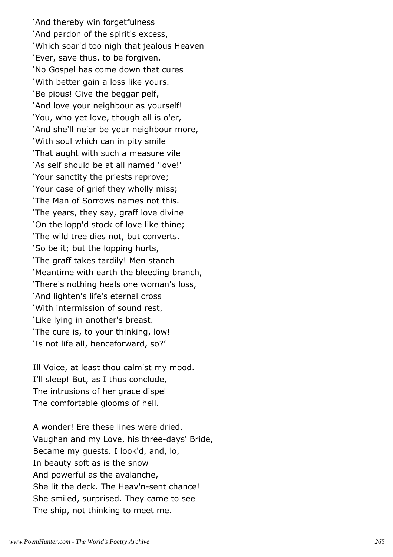'And thereby win forgetfulness 'And pardon of the spirit's excess, 'Which soar'd too nigh that jealous Heaven 'Ever, save thus, to be forgiven. 'No Gospel has come down that cures 'With better gain a loss like yours. 'Be pious! Give the beggar pelf, 'And love your neighbour as yourself! 'You, who yet love, though all is o'er, 'And she'll ne'er be your neighbour more, 'With soul which can in pity smile 'That aught with such a measure vile 'As self should be at all named 'love!' 'Your sanctity the priests reprove; 'Your case of grief they wholly miss; 'The Man of Sorrows names not this. 'The years, they say, graff love divine 'On the lopp'd stock of love like thine; 'The wild tree dies not, but converts. 'So be it; but the lopping hurts, 'The graff takes tardily! Men stanch 'Meantime with earth the bleeding branch, 'There's nothing heals one woman's loss, 'And lighten's life's eternal cross 'With intermission of sound rest, 'Like lying in another's breast. 'The cure is, to your thinking, low! 'Is not life all, henceforward, so?'

Ill Voice, at least thou calm'st my mood. I'll sleep! But, as I thus conclude, The intrusions of her grace dispel The comfortable glooms of hell.

A wonder! Ere these lines were dried, Vaughan and my Love, his three-days' Bride, Became my guests. I look'd, and, lo, In beauty soft as is the snow And powerful as the avalanche, She lit the deck. The Heav'n-sent chance! She smiled, surprised. They came to see The ship, not thinking to meet me.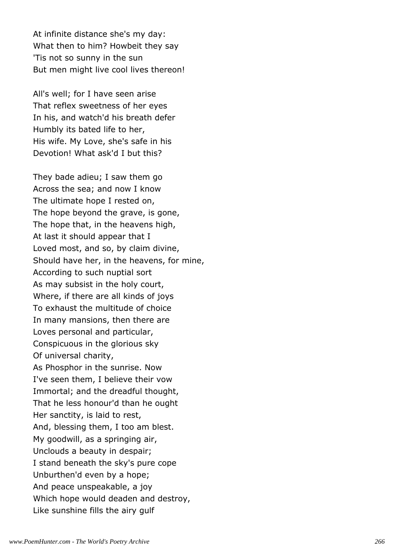At infinite distance she's my day: What then to him? Howbeit they say 'Tis not so sunny in the sun But men might live cool lives thereon!

All's well; for I have seen arise That reflex sweetness of her eyes In his, and watch'd his breath defer Humbly its bated life to her, His wife. My Love, she's safe in his Devotion! What ask'd I but this?

They bade adieu; I saw them go Across the sea; and now I know The ultimate hope I rested on, The hope beyond the grave, is gone, The hope that, in the heavens high, At last it should appear that I Loved most, and so, by claim divine, Should have her, in the heavens, for mine, According to such nuptial sort As may subsist in the holy court, Where, if there are all kinds of joys To exhaust the multitude of choice In many mansions, then there are Loves personal and particular, Conspicuous in the glorious sky Of universal charity, As Phosphor in the sunrise. Now I've seen them, I believe their vow Immortal; and the dreadful thought, That he less honour'd than he ought Her sanctity, is laid to rest, And, blessing them, I too am blest. My goodwill, as a springing air, Unclouds a beauty in despair; I stand beneath the sky's pure cope Unburthen'd even by a hope; And peace unspeakable, a joy Which hope would deaden and destroy, Like sunshine fills the airy gulf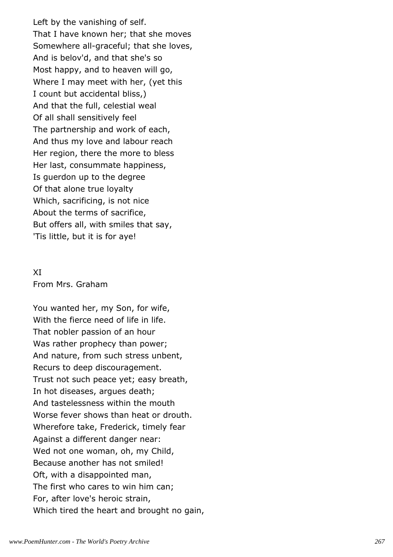Left by the vanishing of self. That I have known her; that she moves Somewhere all-graceful; that she loves, And is belov'd, and that she's so Most happy, and to heaven will go, Where I may meet with her, (yet this I count but accidental bliss,) And that the full, celestial weal Of all shall sensitively feel The partnership and work of each, And thus my love and labour reach Her region, there the more to bless Her last, consummate happiness, Is guerdon up to the degree Of that alone true loyalty Which, sacrificing, is not nice About the terms of sacrifice, But offers all, with smiles that say, 'Tis little, but it is for aye!

# XI From Mrs. Graham

You wanted her, my Son, for wife, With the fierce need of life in life. That nobler passion of an hour Was rather prophecy than power; And nature, from such stress unbent, Recurs to deep discouragement. Trust not such peace yet; easy breath, In hot diseases, argues death; And tastelessness within the mouth Worse fever shows than heat or drouth. Wherefore take, Frederick, timely fear Against a different danger near: Wed not one woman, oh, my Child, Because another has not smiled! Oft, with a disappointed man, The first who cares to win him can; For, after love's heroic strain, Which tired the heart and brought no gain,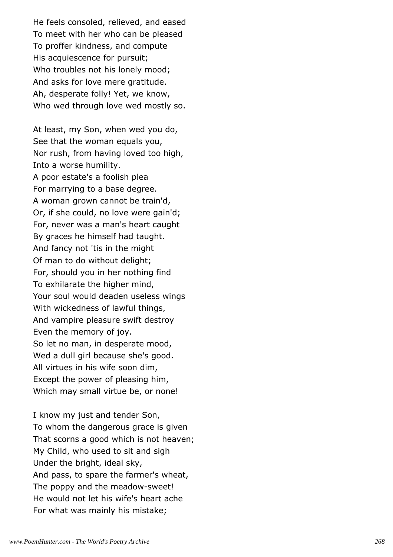He feels consoled, relieved, and eased To meet with her who can be pleased To proffer kindness, and compute His acquiescence for pursuit; Who troubles not his lonely mood; And asks for love mere gratitude. Ah, desperate folly! Yet, we know, Who wed through love wed mostly so.

At least, my Son, when wed you do, See that the woman equals you, Nor rush, from having loved too high, Into a worse humility. A poor estate's a foolish plea For marrying to a base degree. A woman grown cannot be train'd, Or, if she could, no love were gain'd; For, never was a man's heart caught By graces he himself had taught. And fancy not 'tis in the might Of man to do without delight; For, should you in her nothing find To exhilarate the higher mind, Your soul would deaden useless wings With wickedness of lawful things, And vampire pleasure swift destroy Even the memory of joy. So let no man, in desperate mood, Wed a dull girl because she's good. All virtues in his wife soon dim, Except the power of pleasing him, Which may small virtue be, or none!

I know my just and tender Son, To whom the dangerous grace is given That scorns a good which is not heaven; My Child, who used to sit and sigh Under the bright, ideal sky, And pass, to spare the farmer's wheat, The poppy and the meadow-sweet! He would not let his wife's heart ache For what was mainly his mistake;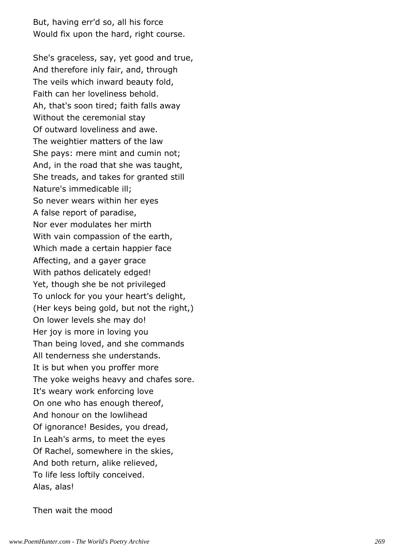But, having err'd so, all his force Would fix upon the hard, right course.

She's graceless, say, yet good and true, And therefore inly fair, and, through The veils which inward beauty fold, Faith can her loveliness behold. Ah, that's soon tired; faith falls away Without the ceremonial stay Of outward loveliness and awe. The weightier matters of the law She pays: mere mint and cumin not; And, in the road that she was taught, She treads, and takes for granted still Nature's immedicable ill; So never wears within her eyes A false report of paradise, Nor ever modulates her mirth With vain compassion of the earth, Which made a certain happier face Affecting, and a gayer grace With pathos delicately edged! Yet, though she be not privileged To unlock for you your heart's delight, (Her keys being gold, but not the right,) On lower levels she may do! Her joy is more in loving you Than being loved, and she commands All tenderness she understands. It is but when you proffer more The yoke weighs heavy and chafes sore. It's weary work enforcing love On one who has enough thereof, And honour on the lowlihead Of ignorance! Besides, you dread, In Leah's arms, to meet the eyes Of Rachel, somewhere in the skies, And both return, alike relieved, To life less loftily conceived. Alas, alas!

Then wait the mood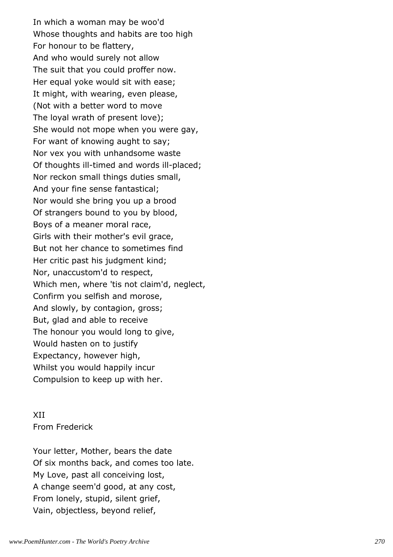In which a woman may be woo'd Whose thoughts and habits are too high For honour to be flattery, And who would surely not allow The suit that you could proffer now. Her equal yoke would sit with ease; It might, with wearing, even please, (Not with a better word to move The loyal wrath of present love); She would not mope when you were gay, For want of knowing aught to say; Nor vex you with unhandsome waste Of thoughts ill-timed and words ill-placed; Nor reckon small things duties small, And your fine sense fantastical; Nor would she bring you up a brood Of strangers bound to you by blood, Boys of a meaner moral race, Girls with their mother's evil grace, But not her chance to sometimes find Her critic past his judgment kind; Nor, unaccustom'd to respect, Which men, where 'tis not claim'd, neglect, Confirm you selfish and morose, And slowly, by contagion, gross; But, glad and able to receive The honour you would long to give, Would hasten on to justify Expectancy, however high, Whilst you would happily incur Compulsion to keep up with her.

XII From Frederick

Your letter, Mother, bears the date Of six months back, and comes too late. My Love, past all conceiving lost, A change seem'd good, at any cost, From lonely, stupid, silent grief, Vain, objectless, beyond relief,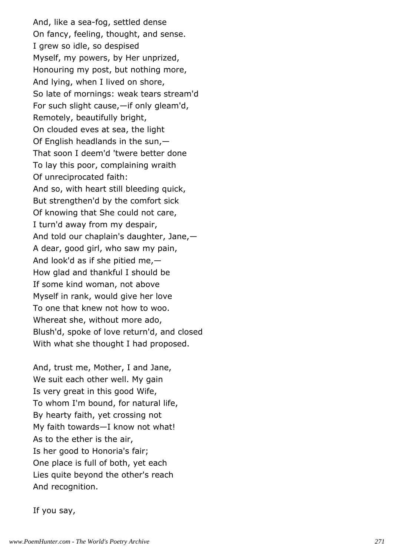And, like a sea-fog, settled dense On fancy, feeling, thought, and sense. I grew so idle, so despised Myself, my powers, by Her unprized, Honouring my post, but nothing more, And lying, when I lived on shore, So late of mornings: weak tears stream'd For such slight cause,—if only gleam'd, Remotely, beautifully bright, On clouded eves at sea, the light Of English headlands in the sun,— That soon I deem'd 'twere better done To lay this poor, complaining wraith Of unreciprocated faith: And so, with heart still bleeding quick, But strengthen'd by the comfort sick Of knowing that She could not care, I turn'd away from my despair, And told our chaplain's daughter, Jane,— A dear, good girl, who saw my pain, And look'd as if she pitied me,— How glad and thankful I should be If some kind woman, not above Myself in rank, would give her love To one that knew not how to woo. Whereat she, without more ado, Blush'd, spoke of love return'd, and closed With what she thought I had proposed.

And, trust me, Mother, I and Jane, We suit each other well. My gain Is very great in this good Wife, To whom I'm bound, for natural life, By hearty faith, yet crossing not My faith towards—I know not what! As to the ether is the air, Is her good to Honoria's fair; One place is full of both, yet each Lies quite beyond the other's reach And recognition.

If you say,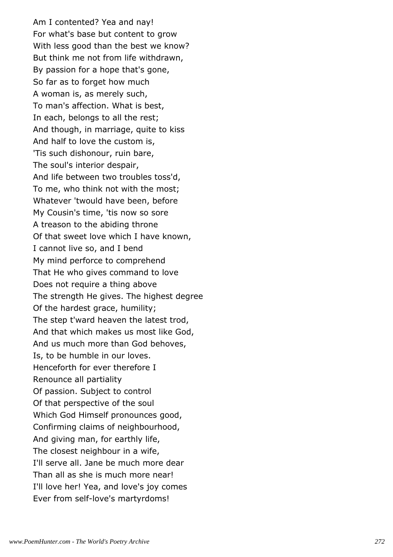Am I contented? Yea and nay! For what's base but content to grow With less good than the best we know? But think me not from life withdrawn, By passion for a hope that's gone, So far as to forget how much A woman is, as merely such, To man's affection. What is best, In each, belongs to all the rest; And though, in marriage, quite to kiss And half to love the custom is, 'Tis such dishonour, ruin bare, The soul's interior despair, And life between two troubles toss'd, To me, who think not with the most; Whatever 'twould have been, before My Cousin's time, 'tis now so sore A treason to the abiding throne Of that sweet love which I have known, I cannot live so, and I bend My mind perforce to comprehend That He who gives command to love Does not require a thing above The strength He gives. The highest degree Of the hardest grace, humility; The step t'ward heaven the latest trod, And that which makes us most like God, And us much more than God behoves, Is, to be humble in our loves. Henceforth for ever therefore I Renounce all partiality Of passion. Subject to control Of that perspective of the soul Which God Himself pronounces good, Confirming claims of neighbourhood, And giving man, for earthly life, The closest neighbour in a wife, I'll serve all. Jane be much more dear Than all as she is much more near! I'll love her! Yea, and love's joy comes Ever from self-love's martyrdoms!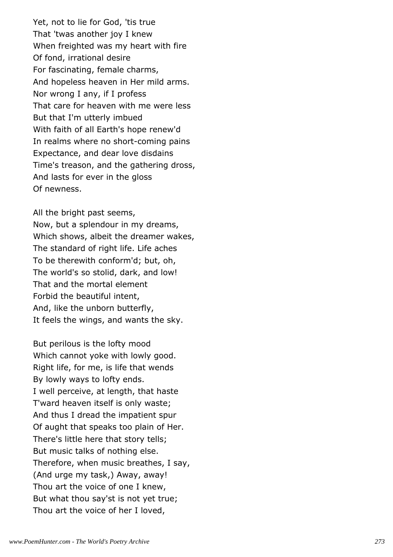Yet, not to lie for God, 'tis true That 'twas another joy I knew When freighted was my heart with fire Of fond, irrational desire For fascinating, female charms, And hopeless heaven in Her mild arms. Nor wrong I any, if I profess That care for heaven with me were less But that I'm utterly imbued With faith of all Earth's hope renew'd In realms where no short-coming pains Expectance, and dear love disdains Time's treason, and the gathering dross, And lasts for ever in the gloss Of newness.

All the bright past seems, Now, but a splendour in my dreams, Which shows, albeit the dreamer wakes, The standard of right life. Life aches To be therewith conform'd; but, oh, The world's so stolid, dark, and low! That and the mortal element Forbid the beautiful intent, And, like the unborn butterfly, It feels the wings, and wants the sky.

But perilous is the lofty mood Which cannot yoke with lowly good. Right life, for me, is life that wends By lowly ways to lofty ends. I well perceive, at length, that haste T'ward heaven itself is only waste; And thus I dread the impatient spur Of aught that speaks too plain of Her. There's little here that story tells; But music talks of nothing else. Therefore, when music breathes, I say, (And urge my task,) Away, away! Thou art the voice of one I knew, But what thou say'st is not yet true; Thou art the voice of her I loved,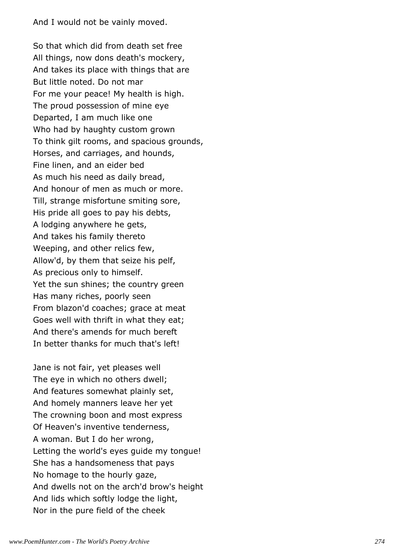And I would not be vainly moved.

So that which did from death set free All things, now dons death's mockery, And takes its place with things that are But little noted. Do not mar For me your peace! My health is high. The proud possession of mine eye Departed, I am much like one Who had by haughty custom grown To think gilt rooms, and spacious grounds, Horses, and carriages, and hounds, Fine linen, and an eider bed As much his need as daily bread, And honour of men as much or more. Till, strange misfortune smiting sore, His pride all goes to pay his debts, A lodging anywhere he gets, And takes his family thereto Weeping, and other relics few, Allow'd, by them that seize his pelf, As precious only to himself. Yet the sun shines; the country green Has many riches, poorly seen From blazon'd coaches; grace at meat Goes well with thrift in what they eat; And there's amends for much bereft In better thanks for much that's left!

Jane is not fair, yet pleases well The eye in which no others dwell; And features somewhat plainly set, And homely manners leave her yet The crowning boon and most express Of Heaven's inventive tenderness, A woman. But I do her wrong, Letting the world's eyes guide my tongue! She has a handsomeness that pays No homage to the hourly gaze, And dwells not on the arch'd brow's height And lids which softly lodge the light, Nor in the pure field of the cheek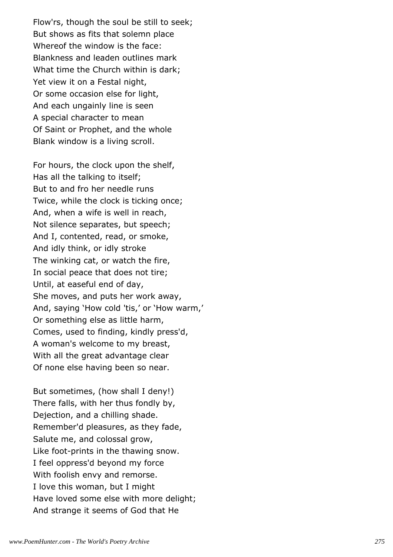Flow'rs, though the soul be still to seek; But shows as fits that solemn place Whereof the window is the face: Blankness and leaden outlines mark What time the Church within is dark; Yet view it on a Festal night, Or some occasion else for light, And each ungainly line is seen A special character to mean Of Saint or Prophet, and the whole Blank window is a living scroll.

For hours, the clock upon the shelf, Has all the talking to itself; But to and fro her needle runs Twice, while the clock is ticking once; And, when a wife is well in reach, Not silence separates, but speech; And I, contented, read, or smoke, And idly think, or idly stroke The winking cat, or watch the fire, In social peace that does not tire; Until, at easeful end of day, She moves, and puts her work away, And, saying 'How cold 'tis,' or 'How warm,' Or something else as little harm, Comes, used to finding, kindly press'd, A woman's welcome to my breast, With all the great advantage clear Of none else having been so near.

But sometimes, (how shall I deny!) There falls, with her thus fondly by, Dejection, and a chilling shade. Remember'd pleasures, as they fade, Salute me, and colossal grow, Like foot-prints in the thawing snow. I feel oppress'd beyond my force With foolish envy and remorse. I love this woman, but I might Have loved some else with more delight; And strange it seems of God that He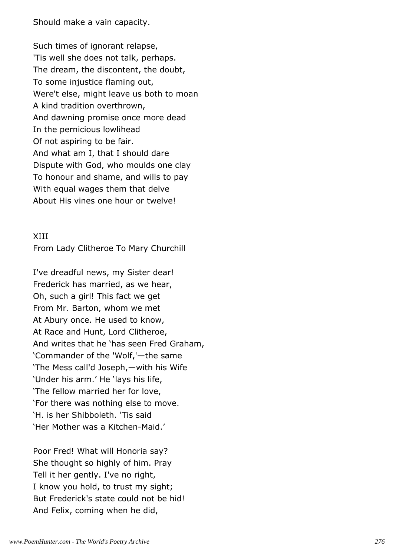Should make a vain capacity.

Such times of ignorant relapse, 'Tis well she does not talk, perhaps. The dream, the discontent, the doubt, To some injustice flaming out, Were't else, might leave us both to moan A kind tradition overthrown, And dawning promise once more dead In the pernicious lowlihead Of not aspiring to be fair. And what am I, that I should dare Dispute with God, who moulds one clay To honour and shame, and wills to pay With equal wages them that delve About His vines one hour or twelve!

#### XIII

From Lady Clitheroe To Mary Churchill

I've dreadful news, my Sister dear! Frederick has married, as we hear, Oh, such a girl! This fact we get From Mr. Barton, whom we met At Abury once. He used to know, At Race and Hunt, Lord Clitheroe, And writes that he 'has seen Fred Graham, 'Commander of the 'Wolf,'—the same 'The Mess call'd Joseph,—with his Wife 'Under his arm.' He 'lays his life, 'The fellow married her for love, 'For there was nothing else to move. 'H. is her Shibboleth. 'Tis said 'Her Mother was a Kitchen-Maid.'

Poor Fred! What will Honoria say? She thought so highly of him. Pray Tell it her gently. I've no right, I know you hold, to trust my sight; But Frederick's state could not be hid! And Felix, coming when he did,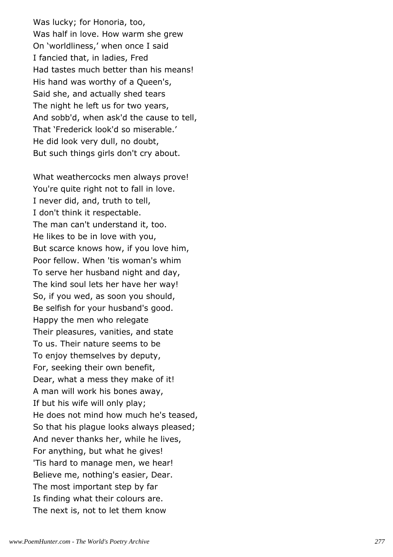Was lucky; for Honoria, too, Was half in love. How warm she grew On 'worldliness,' when once I said I fancied that, in ladies, Fred Had tastes much better than his means! His hand was worthy of a Queen's, Said she, and actually shed tears The night he left us for two years, And sobb'd, when ask'd the cause to tell, That 'Frederick look'd so miserable.' He did look very dull, no doubt, But such things girls don't cry about.

What weathercocks men always prove! You're quite right not to fall in love. I never did, and, truth to tell, I don't think it respectable. The man can't understand it, too. He likes to be in love with you, But scarce knows how, if you love him, Poor fellow. When 'tis woman's whim To serve her husband night and day, The kind soul lets her have her way! So, if you wed, as soon you should, Be selfish for your husband's good. Happy the men who relegate Their pleasures, vanities, and state To us. Their nature seems to be To enjoy themselves by deputy, For, seeking their own benefit, Dear, what a mess they make of it! A man will work his bones away, If but his wife will only play; He does not mind how much he's teased, So that his plague looks always pleased; And never thanks her, while he lives, For anything, but what he gives! 'Tis hard to manage men, we hear! Believe me, nothing's easier, Dear. The most important step by far Is finding what their colours are. The next is, not to let them know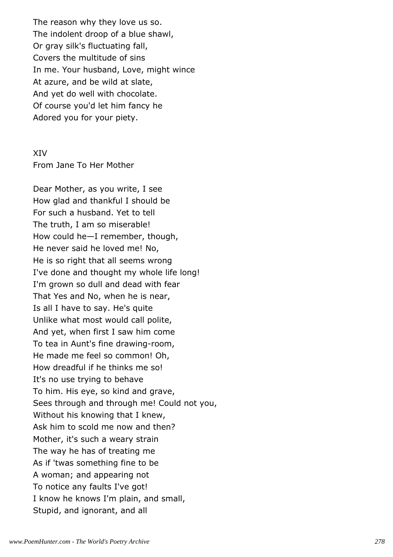The reason why they love us so. The indolent droop of a blue shawl, Or gray silk's fluctuating fall, Covers the multitude of sins In me. Your husband, Love, might wince At azure, and be wild at slate, And yet do well with chocolate. Of course you'd let him fancy he Adored you for your piety.

#### XIV

From Jane To Her Mother

Dear Mother, as you write, I see How glad and thankful I should be For such a husband. Yet to tell The truth, I am so miserable! How could he—I remember, though, He never said he loved me! No, He is so right that all seems wrong I've done and thought my whole life long! I'm grown so dull and dead with fear That Yes and No, when he is near, Is all I have to say. He's quite Unlike what most would call polite, And yet, when first I saw him come To tea in Aunt's fine drawing-room, He made me feel so common! Oh, How dreadful if he thinks me so! It's no use trying to behave To him. His eye, so kind and grave, Sees through and through me! Could not you, Without his knowing that I knew, Ask him to scold me now and then? Mother, it's such a weary strain The way he has of treating me As if 'twas something fine to be A woman; and appearing not To notice any faults I've got! I know he knows I'm plain, and small, Stupid, and ignorant, and all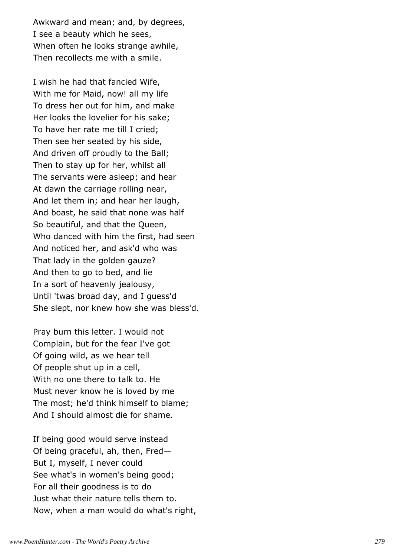Awkward and mean; and, by degrees, I see a beauty which he sees, When often he looks strange awhile, Then recollects me with a smile.

I wish he had that fancied Wife, With me for Maid, now! all my life To dress her out for him, and make Her looks the lovelier for his sake; To have her rate me till I cried; Then see her seated by his side, And driven off proudly to the Ball; Then to stay up for her, whilst all The servants were asleep; and hear At dawn the carriage rolling near, And let them in; and hear her laugh, And boast, he said that none was half So beautiful, and that the Queen, Who danced with him the first, had seen And noticed her, and ask'd who was That lady in the golden gauze? And then to go to bed, and lie In a sort of heavenly jealousy, Until 'twas broad day, and I guess'd She slept, nor knew how she was bless'd.

Pray burn this letter. I would not Complain, but for the fear I've got Of going wild, as we hear tell Of people shut up in a cell, With no one there to talk to. He Must never know he is loved by me The most; he'd think himself to blame; And I should almost die for shame.

If being good would serve instead Of being graceful, ah, then, Fred— But I, myself, I never could See what's in women's being good; For all their goodness is to do Just what their nature tells them to. Now, when a man would do what's right,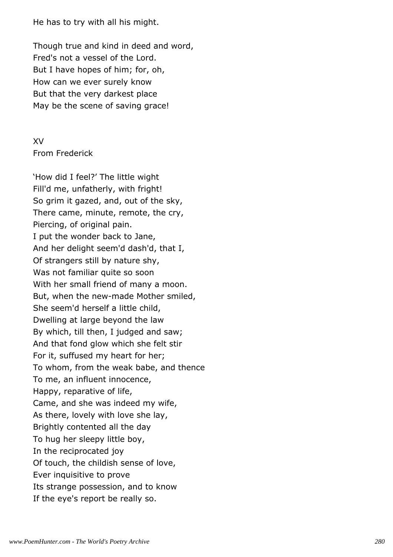He has to try with all his might.

Though true and kind in deed and word, Fred's not a vessel of the Lord. But I have hopes of him; for, oh, How can we ever surely know But that the very darkest place May be the scene of saving grace!

# XV From Frederick

'How did I feel?' The little wight Fill'd me, unfatherly, with fright! So grim it gazed, and, out of the sky, There came, minute, remote, the cry, Piercing, of original pain. I put the wonder back to Jane, And her delight seem'd dash'd, that I, Of strangers still by nature shy, Was not familiar quite so soon With her small friend of many a moon. But, when the new-made Mother smiled, She seem'd herself a little child, Dwelling at large beyond the law By which, till then, I judged and saw; And that fond glow which she felt stir For it, suffused my heart for her; To whom, from the weak babe, and thence To me, an influent innocence, Happy, reparative of life, Came, and she was indeed my wife, As there, lovely with love she lay, Brightly contented all the day To hug her sleepy little boy, In the reciprocated joy Of touch, the childish sense of love, Ever inquisitive to prove Its strange possession, and to know If the eye's report be really so.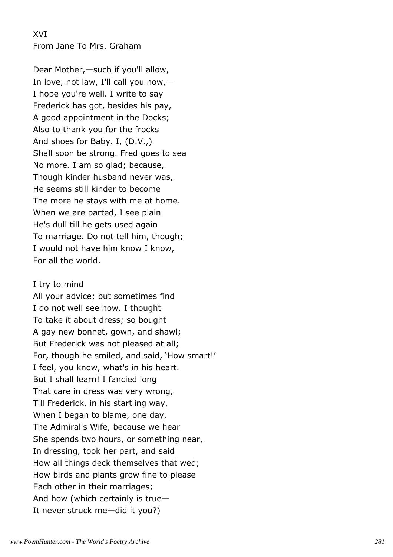XVI From Jane To Mrs. Graham

Dear Mother,—such if you'll allow, In love, not law, I'll call you now,— I hope you're well. I write to say Frederick has got, besides his pay, A good appointment in the Docks; Also to thank you for the frocks And shoes for Baby. I, (D.V.,) Shall soon be strong. Fred goes to sea No more. I am so glad; because, Though kinder husband never was, He seems still kinder to become The more he stays with me at home. When we are parted, I see plain He's dull till he gets used again To marriage. Do not tell him, though; I would not have him know I know, For all the world.

#### I try to mind

All your advice; but sometimes find I do not well see how. I thought To take it about dress; so bought A gay new bonnet, gown, and shawl; But Frederick was not pleased at all; For, though he smiled, and said, 'How smart!' I feel, you know, what's in his heart. But I shall learn! I fancied long That care in dress was very wrong, Till Frederick, in his startling way, When I began to blame, one day, The Admiral's Wife, because we hear She spends two hours, or something near, In dressing, took her part, and said How all things deck themselves that wed; How birds and plants grow fine to please Each other in their marriages; And how (which certainly is true— It never struck me—did it you?)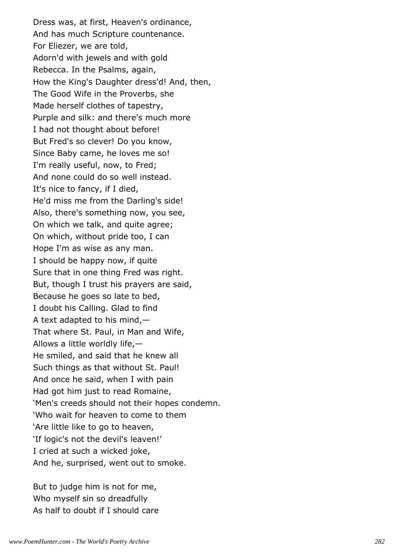Dress was, at first, Heaven's ordinance, And has much Scripture countenance. For Eliezer, we are told, Adorn'd with jewels and with gold Rebecca. In the Psalms, again, How the King's Daughter dress'd! And, then, The Good Wife in the Proverbs, she Made herself clothes of tapestry, Purple and silk: and there's much more I had not thought about before! But Fred's so clever! Do you know, Since Baby came, he loves me so! I'm really useful, now, to Fred; And none could do so well instead. It's nice to fancy, if I died, He'd miss me from the Darling's side! Also, there's something now, you see, On which we talk, and quite agree; On which, without pride too, I can Hope I'm as wise as any man. I should be happy now, if quite Sure that in one thing Fred was right. But, though I trust his prayers are said, Because he goes so late to bed, I doubt his Calling. Glad to find A text adapted to his mind,— That where St. Paul, in Man and Wife, Allows a little worldly life,— He smiled, and said that he knew all Such things as that without St. Paul! And once he said, when I with pain Had got him just to read Romaine, 'Men's creeds should not their hopes condemn. 'Who wait for heaven to come to them 'Are little like to go to heaven, 'If logic's not the devil's leaven!' I cried at such a wicked joke, And he, surprised, went out to smoke.

But to judge him is not for me, Who myself sin so dreadfully As half to doubt if I should care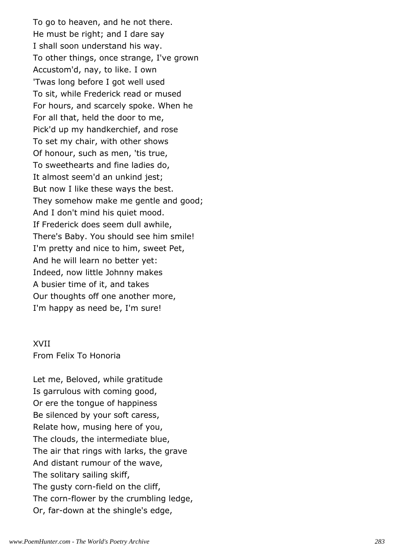To go to heaven, and he not there. He must be right; and I dare say I shall soon understand his way. To other things, once strange, I've grown Accustom'd, nay, to like. I own 'Twas long before I got well used To sit, while Frederick read or mused For hours, and scarcely spoke. When he For all that, held the door to me, Pick'd up my handkerchief, and rose To set my chair, with other shows Of honour, such as men, 'tis true, To sweethearts and fine ladies do, It almost seem'd an unkind jest; But now I like these ways the best. They somehow make me gentle and good; And I don't mind his quiet mood. If Frederick does seem dull awhile, There's Baby. You should see him smile! I'm pretty and nice to him, sweet Pet, And he will learn no better yet: Indeed, now little Johnny makes A busier time of it, and takes Our thoughts off one another more, I'm happy as need be, I'm sure!

#### XVII

From Felix To Honoria

Let me, Beloved, while gratitude Is garrulous with coming good, Or ere the tongue of happiness Be silenced by your soft caress, Relate how, musing here of you, The clouds, the intermediate blue, The air that rings with larks, the grave And distant rumour of the wave, The solitary sailing skiff, The gusty corn-field on the cliff, The corn-flower by the crumbling ledge, Or, far-down at the shingle's edge,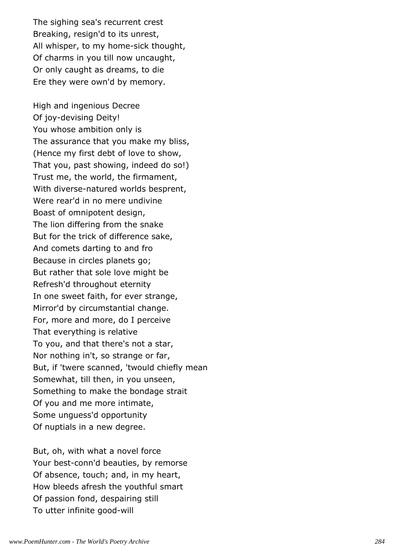The sighing sea's recurrent crest Breaking, resign'd to its unrest, All whisper, to my home-sick thought, Of charms in you till now uncaught, Or only caught as dreams, to die Ere they were own'd by memory.

High and ingenious Decree Of joy-devising Deity! You whose ambition only is The assurance that you make my bliss, (Hence my first debt of love to show, That you, past showing, indeed do so!) Trust me, the world, the firmament, With diverse-natured worlds besprent, Were rear'd in no mere undivine Boast of omnipotent design, The lion differing from the snake But for the trick of difference sake, And comets darting to and fro Because in circles planets go; But rather that sole love might be Refresh'd throughout eternity In one sweet faith, for ever strange, Mirror'd by circumstantial change. For, more and more, do I perceive That everything is relative To you, and that there's not a star, Nor nothing in't, so strange or far, But, if 'twere scanned, 'twould chiefly mean Somewhat, till then, in you unseen, Something to make the bondage strait Of you and me more intimate, Some unguess'd opportunity Of nuptials in a new degree.

But, oh, with what a novel force Your best-conn'd beauties, by remorse Of absence, touch; and, in my heart, How bleeds afresh the youthful smart Of passion fond, despairing still To utter infinite good-will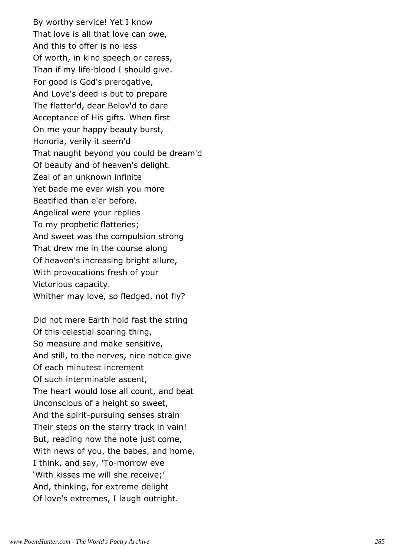By worthy service! Yet I know That love is all that love can owe, And this to offer is no less Of worth, in kind speech or caress, Than if my life-blood I should give. For good is God's prerogative, And Love's deed is but to prepare The flatter'd, dear Belov'd to dare Acceptance of His gifts. When first On me your happy beauty burst, Honoria, verily it seem'd That naught beyond you could be dream'd Of beauty and of heaven's delight. Zeal of an unknown infinite Yet bade me ever wish you more Beatified than e'er before. Angelical were your replies To my prophetic flatteries; And sweet was the compulsion strong That drew me in the course along Of heaven's increasing bright allure, With provocations fresh of your Victorious capacity. Whither may love, so fledged, not fly?

Did not mere Earth hold fast the string Of this celestial soaring thing, So measure and make sensitive, And still, to the nerves, nice notice give Of each minutest increment Of such interminable ascent, The heart would lose all count, and beat Unconscious of a height so sweet, And the spirit-pursuing senses strain Their steps on the starry track in vain! But, reading now the note just come, With news of you, the babes, and home, I think, and say, 'To-morrow eve 'With kisses me will she receive;' And, thinking, for extreme delight Of love's extremes, I laugh outright.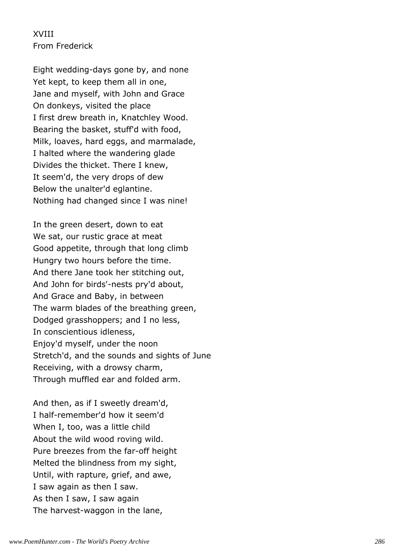## XVIII From Frederick

Eight wedding-days gone by, and none Yet kept, to keep them all in one, Jane and myself, with John and Grace On donkeys, visited the place I first drew breath in, Knatchley Wood. Bearing the basket, stuff'd with food, Milk, loaves, hard eggs, and marmalade, I halted where the wandering glade Divides the thicket. There I knew, It seem'd, the very drops of dew Below the unalter'd eglantine. Nothing had changed since I was nine!

In the green desert, down to eat We sat, our rustic grace at meat Good appetite, through that long climb Hungry two hours before the time. And there Jane took her stitching out, And John for birds'-nests pry'd about, And Grace and Baby, in between The warm blades of the breathing green, Dodged grasshoppers; and I no less, In conscientious idleness, Enjoy'd myself, under the noon Stretch'd, and the sounds and sights of June Receiving, with a drowsy charm, Through muffled ear and folded arm.

And then, as if I sweetly dream'd, I half-remember'd how it seem'd When I, too, was a little child About the wild wood roving wild. Pure breezes from the far-off height Melted the blindness from my sight, Until, with rapture, grief, and awe, I saw again as then I saw. As then I saw, I saw again The harvest-waggon in the lane,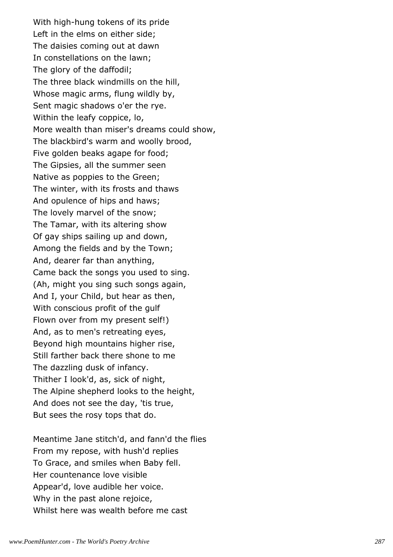With high-hung tokens of its pride Left in the elms on either side; The daisies coming out at dawn In constellations on the lawn; The glory of the daffodil; The three black windmills on the hill, Whose magic arms, flung wildly by, Sent magic shadows o'er the rye. Within the leafy coppice, lo, More wealth than miser's dreams could show, The blackbird's warm and woolly brood, Five golden beaks agape for food; The Gipsies, all the summer seen Native as poppies to the Green; The winter, with its frosts and thaws And opulence of hips and haws; The lovely marvel of the snow; The Tamar, with its altering show Of gay ships sailing up and down, Among the fields and by the Town; And, dearer far than anything, Came back the songs you used to sing. (Ah, might you sing such songs again, And I, your Child, but hear as then, With conscious profit of the gulf Flown over from my present self!) And, as to men's retreating eyes, Beyond high mountains higher rise, Still farther back there shone to me The dazzling dusk of infancy. Thither I look'd, as, sick of night, The Alpine shepherd looks to the height, And does not see the day, 'tis true, But sees the rosy tops that do.

Meantime Jane stitch'd, and fann'd the flies From my repose, with hush'd replies To Grace, and smiles when Baby fell. Her countenance love visible Appear'd, love audible her voice. Why in the past alone rejoice, Whilst here was wealth before me cast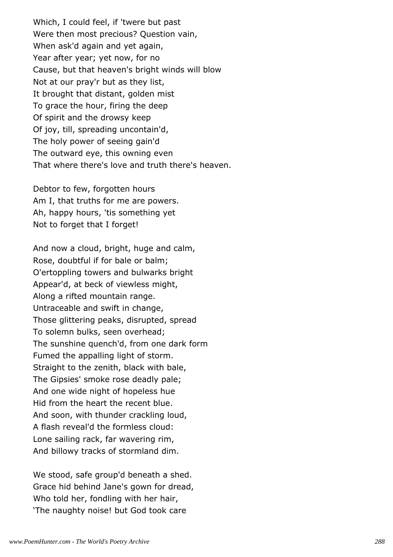Which, I could feel, if 'twere but past Were then most precious? Question vain, When ask'd again and yet again, Year after year; yet now, for no Cause, but that heaven's bright winds will blow Not at our pray'r but as they list, It brought that distant, golden mist To grace the hour, firing the deep Of spirit and the drowsy keep Of joy, till, spreading uncontain'd, The holy power of seeing gain'd The outward eye, this owning even That where there's love and truth there's heaven.

Debtor to few, forgotten hours Am I, that truths for me are powers. Ah, happy hours, 'tis something yet Not to forget that I forget!

And now a cloud, bright, huge and calm, Rose, doubtful if for bale or balm; O'ertoppling towers and bulwarks bright Appear'd, at beck of viewless might, Along a rifted mountain range. Untraceable and swift in change, Those glittering peaks, disrupted, spread To solemn bulks, seen overhead; The sunshine quench'd, from one dark form Fumed the appalling light of storm. Straight to the zenith, black with bale, The Gipsies' smoke rose deadly pale; And one wide night of hopeless hue Hid from the heart the recent blue. And soon, with thunder crackling loud, A flash reveal'd the formless cloud: Lone sailing rack, far wavering rim, And billowy tracks of stormland dim.

We stood, safe group'd beneath a shed. Grace hid behind Jane's gown for dread, Who told her, fondling with her hair, 'The naughty noise! but God took care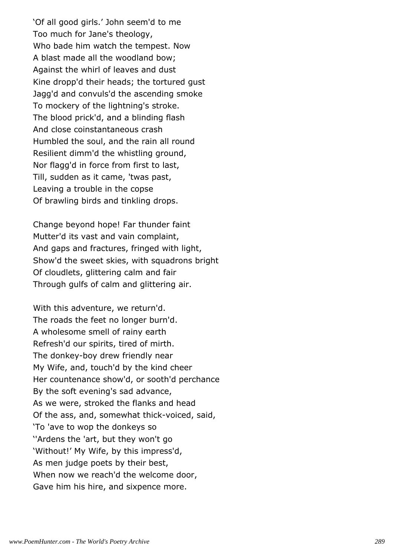'Of all good girls.' John seem'd to me Too much for Jane's theology, Who bade him watch the tempest. Now A blast made all the woodland bow; Against the whirl of leaves and dust Kine dropp'd their heads; the tortured gust Jagg'd and convuls'd the ascending smoke To mockery of the lightning's stroke. The blood prick'd, and a blinding flash And close coinstantaneous crash Humbled the soul, and the rain all round Resilient dimm'd the whistling ground, Nor flagg'd in force from first to last, Till, sudden as it came, 'twas past, Leaving a trouble in the copse Of brawling birds and tinkling drops.

Change beyond hope! Far thunder faint Mutter'd its vast and vain complaint, And gaps and fractures, fringed with light, Show'd the sweet skies, with squadrons bright Of cloudlets, glittering calm and fair Through gulfs of calm and glittering air.

With this adventure, we return'd. The roads the feet no longer burn'd. A wholesome smell of rainy earth Refresh'd our spirits, tired of mirth. The donkey-boy drew friendly near My Wife, and, touch'd by the kind cheer Her countenance show'd, or sooth'd perchance By the soft evening's sad advance, As we were, stroked the flanks and head Of the ass, and, somewhat thick-voiced, said, 'To 'ave to wop the donkeys so ''Ardens the 'art, but they won't go 'Without!' My Wife, by this impress'd, As men judge poets by their best, When now we reach'd the welcome door, Gave him his hire, and sixpence more.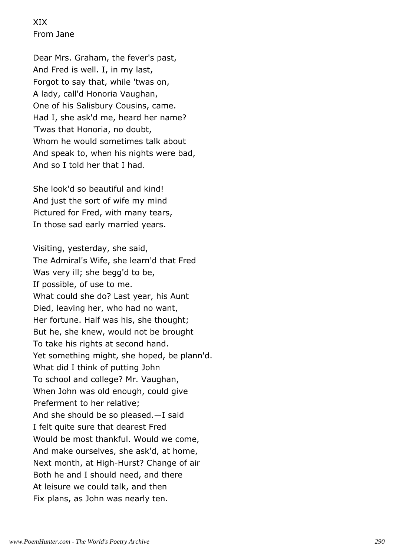XIX From Jane

Dear Mrs. Graham, the fever's past, And Fred is well. I, in my last, Forgot to say that, while 'twas on, A lady, call'd Honoria Vaughan, One of his Salisbury Cousins, came. Had I, she ask'd me, heard her name? 'Twas that Honoria, no doubt, Whom he would sometimes talk about And speak to, when his nights were bad, And so I told her that I had.

She look'd so beautiful and kind! And just the sort of wife my mind Pictured for Fred, with many tears, In those sad early married years.

Visiting, yesterday, she said, The Admiral's Wife, she learn'd that Fred Was very ill; she begg'd to be, If possible, of use to me. What could she do? Last year, his Aunt Died, leaving her, who had no want, Her fortune. Half was his, she thought; But he, she knew, would not be brought To take his rights at second hand. Yet something might, she hoped, be plann'd. What did I think of putting John To school and college? Mr. Vaughan, When John was old enough, could give Preferment to her relative; And she should be so pleased.—I said I felt quite sure that dearest Fred Would be most thankful. Would we come, And make ourselves, she ask'd, at home, Next month, at High-Hurst? Change of air Both he and I should need, and there At leisure we could talk, and then Fix plans, as John was nearly ten.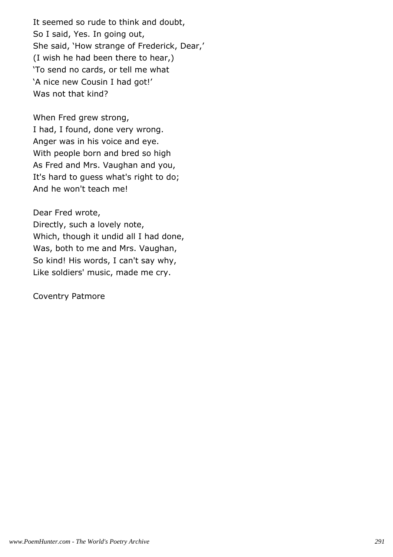It seemed so rude to think and doubt, So I said, Yes. In going out, She said, 'How strange of Frederick, Dear,' (I wish he had been there to hear,) 'To send no cards, or tell me what 'A nice new Cousin I had got!' Was not that kind?

When Fred grew strong, I had, I found, done very wrong. Anger was in his voice and eye. With people born and bred so high As Fred and Mrs. Vaughan and you, It's hard to guess what's right to do; And he won't teach me!

Dear Fred wrote,

Directly, such a lovely note, Which, though it undid all I had done, Was, both to me and Mrs. Vaughan, So kind! His words, I can't say why, Like soldiers' music, made me cry.

Coventry Patmore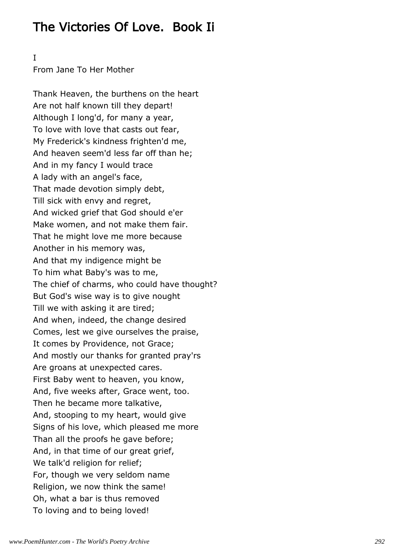# The Victories Of Love. Book Ii

## I

From Jane To Her Mother

Thank Heaven, the burthens on the heart Are not half known till they depart! Although I long'd, for many a year, To love with love that casts out fear, My Frederick's kindness frighten'd me, And heaven seem'd less far off than he; And in my fancy I would trace A lady with an angel's face, That made devotion simply debt, Till sick with envy and regret, And wicked grief that God should e'er Make women, and not make them fair. That he might love me more because Another in his memory was, And that my indigence might be To him what Baby's was to me, The chief of charms, who could have thought? But God's wise way is to give nought Till we with asking it are tired; And when, indeed, the change desired Comes, lest we give ourselves the praise, It comes by Providence, not Grace; And mostly our thanks for granted pray'rs Are groans at unexpected cares. First Baby went to heaven, you know, And, five weeks after, Grace went, too. Then he became more talkative, And, stooping to my heart, would give Signs of his love, which pleased me more Than all the proofs he gave before; And, in that time of our great grief, We talk'd religion for relief; For, though we very seldom name Religion, we now think the same! Oh, what a bar is thus removed To loving and to being loved!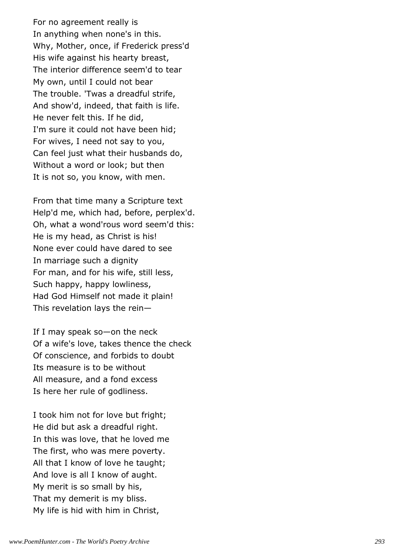For no agreement really is In anything when none's in this. Why, Mother, once, if Frederick press'd His wife against his hearty breast, The interior difference seem'd to tear My own, until I could not bear The trouble. 'Twas a dreadful strife, And show'd, indeed, that faith is life. He never felt this. If he did, I'm sure it could not have been hid; For wives, I need not say to you, Can feel just what their husbands do, Without a word or look; but then It is not so, you know, with men.

From that time many a Scripture text Help'd me, which had, before, perplex'd. Oh, what a wond'rous word seem'd this: He is my head, as Christ is his! None ever could have dared to see In marriage such a dignity For man, and for his wife, still less, Such happy, happy lowliness, Had God Himself not made it plain! This revelation lays the rein—

If I may speak so—on the neck Of a wife's love, takes thence the check Of conscience, and forbids to doubt Its measure is to be without All measure, and a fond excess Is here her rule of godliness.

I took him not for love but fright; He did but ask a dreadful right. In this was love, that he loved me The first, who was mere poverty. All that I know of love he taught; And love is all I know of aught. My merit is so small by his, That my demerit is my bliss. My life is hid with him in Christ,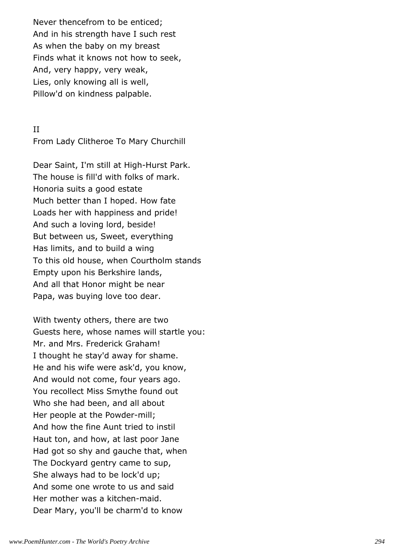Never thencefrom to be enticed; And in his strength have I such rest As when the baby on my breast Finds what it knows not how to seek, And, very happy, very weak, Lies, only knowing all is well, Pillow'd on kindness palpable.

# II

From Lady Clitheroe To Mary Churchill

Dear Saint, I'm still at High-Hurst Park. The house is fill'd with folks of mark. Honoria suits a good estate Much better than I hoped. How fate Loads her with happiness and pride! And such a loving lord, beside! But between us, Sweet, everything Has limits, and to build a wing To this old house, when Courtholm stands Empty upon his Berkshire lands, And all that Honor might be near Papa, was buying love too dear.

With twenty others, there are two Guests here, whose names will startle you: Mr. and Mrs. Frederick Graham! I thought he stay'd away for shame. He and his wife were ask'd, you know, And would not come, four years ago. You recollect Miss Smythe found out Who she had been, and all about Her people at the Powder-mill; And how the fine Aunt tried to instil Haut ton, and how, at last poor Jane Had got so shy and gauche that, when The Dockyard gentry came to sup, She always had to be lock'd up; And some one wrote to us and said Her mother was a kitchen-maid. Dear Mary, you'll be charm'd to know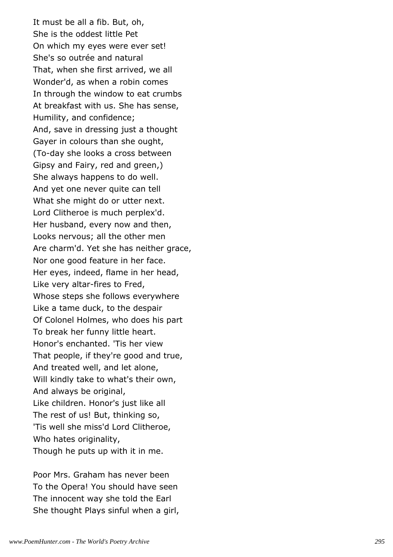It must be all a fib. But, oh, She is the oddest little Pet On which my eyes were ever set! She's so outrée and natural That, when she first arrived, we all Wonder'd, as when a robin comes In through the window to eat crumbs At breakfast with us. She has sense, Humility, and confidence; And, save in dressing just a thought Gayer in colours than she ought, (To-day she looks a cross between Gipsy and Fairy, red and green,) She always happens to do well. And yet one never quite can tell What she might do or utter next. Lord Clitheroe is much perplex'd. Her husband, every now and then, Looks nervous; all the other men Are charm'd. Yet she has neither grace, Nor one good feature in her face. Her eyes, indeed, flame in her head, Like very altar-fires to Fred, Whose steps she follows everywhere Like a tame duck, to the despair Of Colonel Holmes, who does his part To break her funny little heart. Honor's enchanted. 'Tis her view That people, if they're good and true, And treated well, and let alone, Will kindly take to what's their own, And always be original, Like children. Honor's just like all The rest of us! But, thinking so, 'Tis well she miss'd Lord Clitheroe, Who hates originality, Though he puts up with it in me.

Poor Mrs. Graham has never been To the Opera! You should have seen The innocent way she told the Earl She thought Plays sinful when a girl,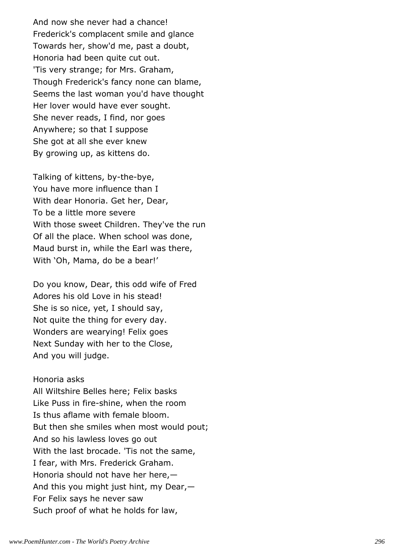And now she never had a chance! Frederick's complacent smile and glance Towards her, show'd me, past a doubt, Honoria had been quite cut out. 'Tis very strange; for Mrs. Graham, Though Frederick's fancy none can blame, Seems the last woman you'd have thought Her lover would have ever sought. She never reads, I find, nor goes Anywhere; so that I suppose She got at all she ever knew By growing up, as kittens do.

Talking of kittens, by-the-bye, You have more influence than I With dear Honoria. Get her, Dear, To be a little more severe With those sweet Children. They've the run Of all the place. When school was done, Maud burst in, while the Earl was there, With 'Oh, Mama, do be a bear!'

Do you know, Dear, this odd wife of Fred Adores his old Love in his stead! She is so nice, yet, I should say, Not quite the thing for every day. Wonders are wearying! Felix goes Next Sunday with her to the Close, And you will judge.

Honoria asks All Wiltshire Belles here; Felix basks Like Puss in fire-shine, when the room Is thus aflame with female bloom. But then she smiles when most would pout; And so his lawless loves go out With the last brocade. 'Tis not the same, I fear, with Mrs. Frederick Graham. Honoria should not have her here,— And this you might just hint, my Dear,— For Felix says he never saw Such proof of what he holds for law,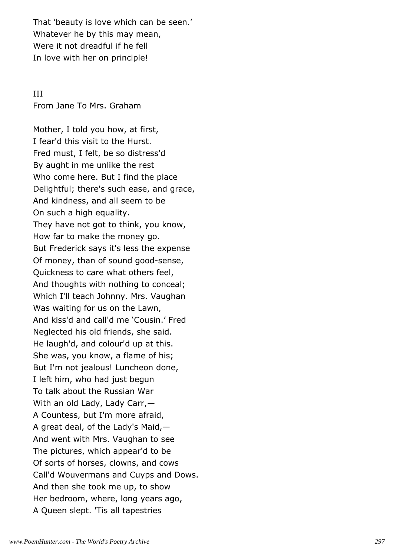That 'beauty is love which can be seen.' Whatever he by this may mean, Were it not dreadful if he fell In love with her on principle!

# III From Jane To Mrs. Graham

Mother, I told you how, at first, I fear'd this visit to the Hurst. Fred must, I felt, be so distress'd By aught in me unlike the rest Who come here. But I find the place Delightful; there's such ease, and grace, And kindness, and all seem to be On such a high equality. They have not got to think, you know, How far to make the money go. But Frederick says it's less the expense Of money, than of sound good-sense, Quickness to care what others feel, And thoughts with nothing to conceal; Which I'll teach Johnny. Mrs. Vaughan Was waiting for us on the Lawn, And kiss'd and call'd me 'Cousin.' Fred Neglected his old friends, she said. He laugh'd, and colour'd up at this. She was, you know, a flame of his; But I'm not jealous! Luncheon done, I left him, who had just begun To talk about the Russian War With an old Lady, Lady Carr,— A Countess, but I'm more afraid, A great deal, of the Lady's Maid,— And went with Mrs. Vaughan to see The pictures, which appear'd to be Of sorts of horses, clowns, and cows Call'd Wouvermans and Cuyps and Dows. And then she took me up, to show Her bedroom, where, long years ago, A Queen slept. 'Tis all tapestries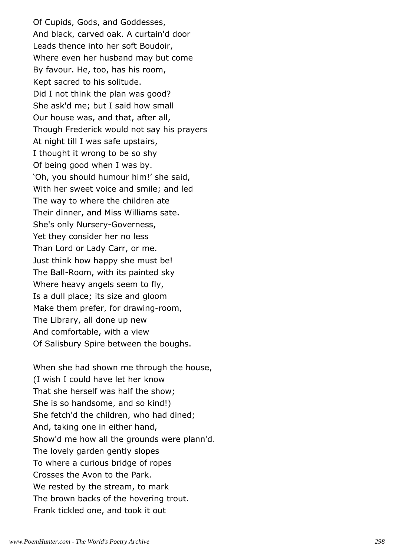Of Cupids, Gods, and Goddesses, And black, carved oak. A curtain'd door Leads thence into her soft Boudoir, Where even her husband may but come By favour. He, too, has his room, Kept sacred to his solitude. Did I not think the plan was good? She ask'd me; but I said how small Our house was, and that, after all, Though Frederick would not say his prayers At night till I was safe upstairs, I thought it wrong to be so shy Of being good when I was by. 'Oh, you should humour him!' she said, With her sweet voice and smile; and led The way to where the children ate Their dinner, and Miss Williams sate. She's only Nursery-Governess, Yet they consider her no less Than Lord or Lady Carr, or me. Just think how happy she must be! The Ball-Room, with its painted sky Where heavy angels seem to fly, Is a dull place; its size and gloom Make them prefer, for drawing-room, The Library, all done up new And comfortable, with a view Of Salisbury Spire between the boughs.

When she had shown me through the house, (I wish I could have let her know That she herself was half the show; She is so handsome, and so kind!) She fetch'd the children, who had dined; And, taking one in either hand, Show'd me how all the grounds were plann'd. The lovely garden gently slopes To where a curious bridge of ropes Crosses the Avon to the Park. We rested by the stream, to mark The brown backs of the hovering trout. Frank tickled one, and took it out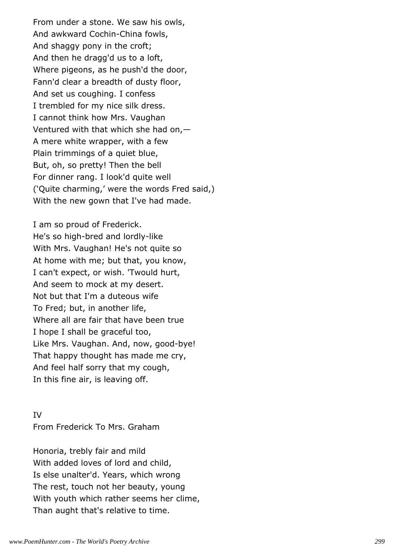From under a stone. We saw his owls, And awkward Cochin-China fowls, And shaggy pony in the croft; And then he dragg'd us to a loft, Where pigeons, as he push'd the door, Fann'd clear a breadth of dusty floor, And set us coughing. I confess I trembled for my nice silk dress. I cannot think how Mrs. Vaughan Ventured with that which she had on,— A mere white wrapper, with a few Plain trimmings of a quiet blue, But, oh, so pretty! Then the bell For dinner rang. I look'd quite well ('Quite charming,' were the words Fred said,) With the new gown that I've had made.

I am so proud of Frederick. He's so high-bred and lordly-like With Mrs. Vaughan! He's not quite so At home with me; but that, you know, I can't expect, or wish. 'Twould hurt, And seem to mock at my desert. Not but that I'm a duteous wife To Fred; but, in another life, Where all are fair that have been true I hope I shall be graceful too, Like Mrs. Vaughan. And, now, good-bye! That happy thought has made me cry, And feel half sorry that my cough, In this fine air, is leaving off.

IV From Frederick To Mrs. Graham

Honoria, trebly fair and mild With added loves of lord and child, Is else unalter'd. Years, which wrong The rest, touch not her beauty, young With youth which rather seems her clime, Than aught that's relative to time.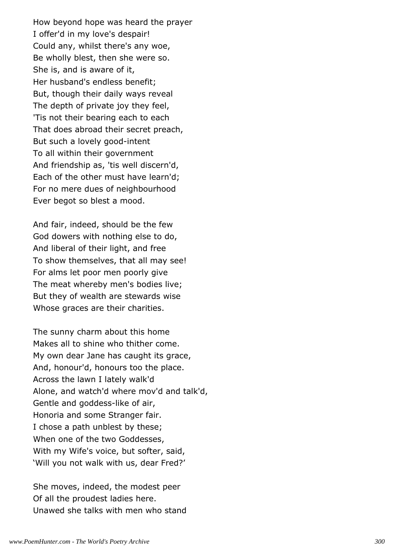How beyond hope was heard the prayer I offer'd in my love's despair! Could any, whilst there's any woe, Be wholly blest, then she were so. She is, and is aware of it, Her husband's endless benefit; But, though their daily ways reveal The depth of private joy they feel, 'Tis not their bearing each to each That does abroad their secret preach, But such a lovely good-intent To all within their government And friendship as, 'tis well discern'd, Each of the other must have learn'd; For no mere dues of neighbourhood Ever begot so blest a mood.

And fair, indeed, should be the few God dowers with nothing else to do, And liberal of their light, and free To show themselves, that all may see! For alms let poor men poorly give The meat whereby men's bodies live; But they of wealth are stewards wise Whose graces are their charities.

The sunny charm about this home Makes all to shine who thither come. My own dear Jane has caught its grace, And, honour'd, honours too the place. Across the lawn I lately walk'd Alone, and watch'd where mov'd and talk'd, Gentle and goddess-like of air, Honoria and some Stranger fair. I chose a path unblest by these; When one of the two Goddesses, With my Wife's voice, but softer, said, 'Will you not walk with us, dear Fred?'

She moves, indeed, the modest peer Of all the proudest ladies here. Unawed she talks with men who stand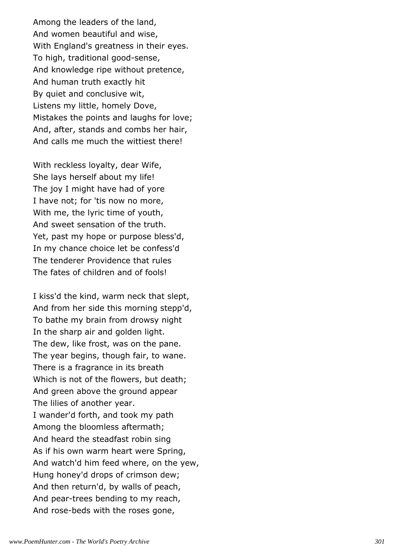Among the leaders of the land, And women beautiful and wise, With England's greatness in their eyes. To high, traditional good-sense, And knowledge ripe without pretence, And human truth exactly hit By quiet and conclusive wit, Listens my little, homely Dove, Mistakes the points and laughs for love; And, after, stands and combs her hair, And calls me much the wittiest there!

With reckless loyalty, dear Wife, She lays herself about my life! The joy I might have had of yore I have not; for 'tis now no more, With me, the lyric time of youth, And sweet sensation of the truth. Yet, past my hope or purpose bless'd, In my chance choice let be confess'd The tenderer Providence that rules The fates of children and of fools!

I kiss'd the kind, warm neck that slept, And from her side this morning stepp'd, To bathe my brain from drowsy night In the sharp air and golden light. The dew, like frost, was on the pane. The year begins, though fair, to wane. There is a fragrance in its breath Which is not of the flowers, but death; And green above the ground appear The lilies of another year. I wander'd forth, and took my path Among the bloomless aftermath; And heard the steadfast robin sing As if his own warm heart were Spring, And watch'd him feed where, on the yew, Hung honey'd drops of crimson dew; And then return'd, by walls of peach, And pear-trees bending to my reach, And rose-beds with the roses gone,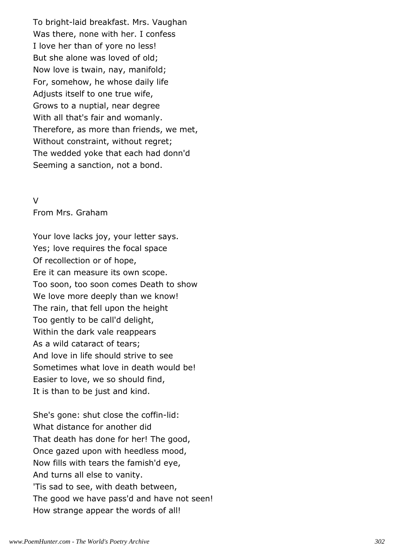To bright-laid breakfast. Mrs. Vaughan Was there, none with her. I confess I love her than of yore no less! But she alone was loved of old; Now love is twain, nay, manifold; For, somehow, he whose daily life Adjusts itself to one true wife, Grows to a nuptial, near degree With all that's fair and womanly. Therefore, as more than friends, we met, Without constraint, without regret; The wedded yoke that each had donn'd Seeming a sanction, not a bond.

#### $\overline{V}$

From Mrs. Graham

Your love lacks joy, your letter says. Yes; love requires the focal space Of recollection or of hope, Ere it can measure its own scope. Too soon, too soon comes Death to show We love more deeply than we know! The rain, that fell upon the height Too gently to be call'd delight, Within the dark vale reappears As a wild cataract of tears; And love in life should strive to see Sometimes what love in death would be! Easier to love, we so should find, It is than to be just and kind.

She's gone: shut close the coffin-lid: What distance for another did That death has done for her! The good, Once gazed upon with heedless mood, Now fills with tears the famish'd eye, And turns all else to vanity. 'Tis sad to see, with death between, The good we have pass'd and have not seen! How strange appear the words of all!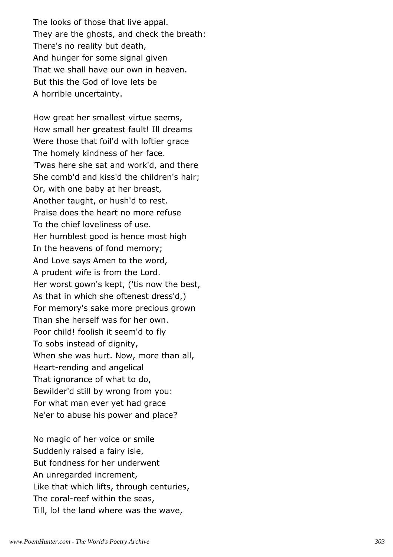The looks of those that live appal. They are the ghosts, and check the breath: There's no reality but death, And hunger for some signal given That we shall have our own in heaven. But this the God of love lets be A horrible uncertainty.

How great her smallest virtue seems, How small her greatest fault! Ill dreams Were those that foil'd with loftier grace The homely kindness of her face. 'Twas here she sat and work'd, and there She comb'd and kiss'd the children's hair; Or, with one baby at her breast, Another taught, or hush'd to rest. Praise does the heart no more refuse To the chief loveliness of use. Her humblest good is hence most high In the heavens of fond memory; And Love says Amen to the word, A prudent wife is from the Lord. Her worst gown's kept, ('tis now the best, As that in which she oftenest dress'd,) For memory's sake more precious grown Than she herself was for her own. Poor child! foolish it seem'd to fly To sobs instead of dignity, When she was hurt. Now, more than all, Heart-rending and angelical That ignorance of what to do, Bewilder'd still by wrong from you: For what man ever yet had grace Ne'er to abuse his power and place?

No magic of her voice or smile Suddenly raised a fairy isle, But fondness for her underwent An unregarded increment, Like that which lifts, through centuries, The coral-reef within the seas, Till, lo! the land where was the wave,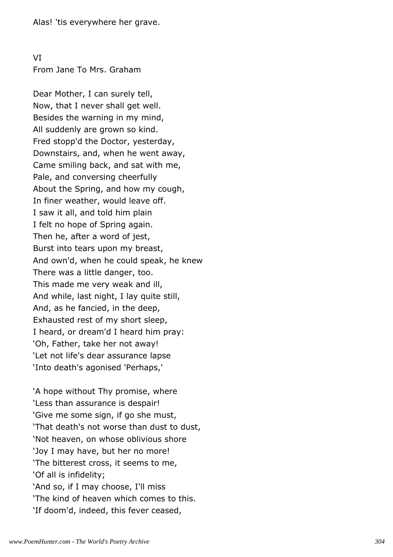VI From Jane To Mrs. Graham

Dear Mother, I can surely tell, Now, that I never shall get well. Besides the warning in my mind, All suddenly are grown so kind. Fred stopp'd the Doctor, yesterday, Downstairs, and, when he went away, Came smiling back, and sat with me, Pale, and conversing cheerfully About the Spring, and how my cough, In finer weather, would leave off. I saw it all, and told him plain I felt no hope of Spring again. Then he, after a word of jest, Burst into tears upon my breast, And own'd, when he could speak, he knew There was a little danger, too. This made me very weak and ill, And while, last night, I lay quite still, And, as he fancied, in the deep, Exhausted rest of my short sleep, I heard, or dream'd I heard him pray: 'Oh, Father, take her not away! 'Let not life's dear assurance lapse 'Into death's agonised 'Perhaps,'

'A hope without Thy promise, where 'Less than assurance is despair! 'Give me some sign, if go she must, 'That death's not worse than dust to dust, 'Not heaven, on whose oblivious shore 'Joy I may have, but her no more! 'The bitterest cross, it seems to me, 'Of all is infidelity; 'And so, if I may choose, I'll miss 'The kind of heaven which comes to this. 'If doom'd, indeed, this fever ceased,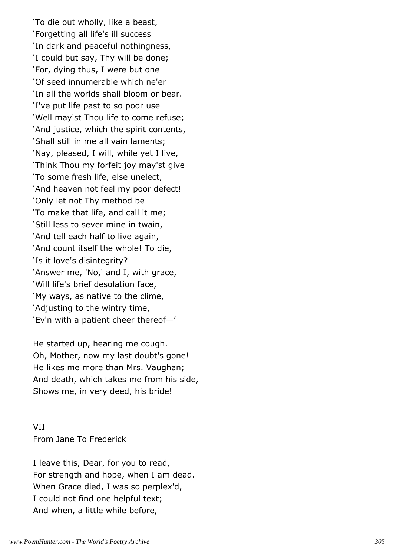'To die out wholly, like a beast, 'Forgetting all life's ill success 'In dark and peaceful nothingness, 'I could but say, Thy will be done; 'For, dying thus, I were but one 'Of seed innumerable which ne'er 'In all the worlds shall bloom or bear. 'I've put life past to so poor use 'Well may'st Thou life to come refuse; 'And justice, which the spirit contents, 'Shall still in me all vain laments; 'Nay, pleased, I will, while yet I live, 'Think Thou my forfeit joy may'st give 'To some fresh life, else unelect, 'And heaven not feel my poor defect! 'Only let not Thy method be 'To make that life, and call it me; 'Still less to sever mine in twain, 'And tell each half to live again, 'And count itself the whole! To die, 'Is it love's disintegrity? 'Answer me, 'No,' and I, with grace, 'Will life's brief desolation face, 'My ways, as native to the clime, 'Adjusting to the wintry time, 'Ev'n with a patient cheer thereof—'

He started up, hearing me cough. Oh, Mother, now my last doubt's gone! He likes me more than Mrs. Vaughan; And death, which takes me from his side, Shows me, in very deed, his bride!

VII From Jane To Frederick

I leave this, Dear, for you to read, For strength and hope, when I am dead. When Grace died, I was so perplex'd, I could not find one helpful text; And when, a little while before,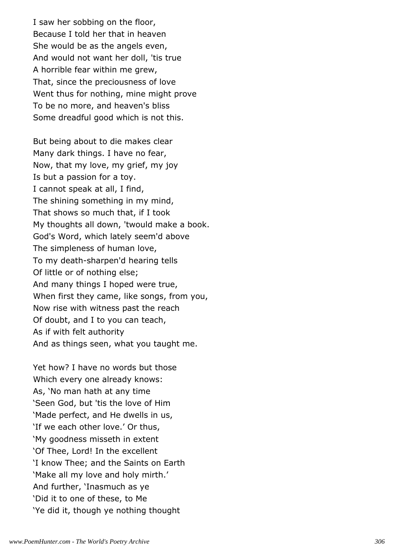I saw her sobbing on the floor, Because I told her that in heaven She would be as the angels even, And would not want her doll, 'tis true A horrible fear within me grew, That, since the preciousness of love Went thus for nothing, mine might prove To be no more, and heaven's bliss Some dreadful good which is not this.

But being about to die makes clear Many dark things. I have no fear, Now, that my love, my grief, my joy Is but a passion for a toy. I cannot speak at all, I find, The shining something in my mind, That shows so much that, if I took My thoughts all down, 'twould make a book. God's Word, which lately seem'd above The simpleness of human love, To my death-sharpen'd hearing tells Of little or of nothing else; And many things I hoped were true, When first they came, like songs, from you, Now rise with witness past the reach Of doubt, and I to you can teach, As if with felt authority And as things seen, what you taught me.

Yet how? I have no words but those Which every one already knows: As, 'No man hath at any time 'Seen God, but 'tis the love of Him 'Made perfect, and He dwells in us, 'If we each other love.' Or thus, 'My goodness misseth in extent 'Of Thee, Lord! In the excellent 'I know Thee; and the Saints on Earth 'Make all my love and holy mirth.' And further, 'Inasmuch as ye 'Did it to one of these, to Me 'Ye did it, though ye nothing thought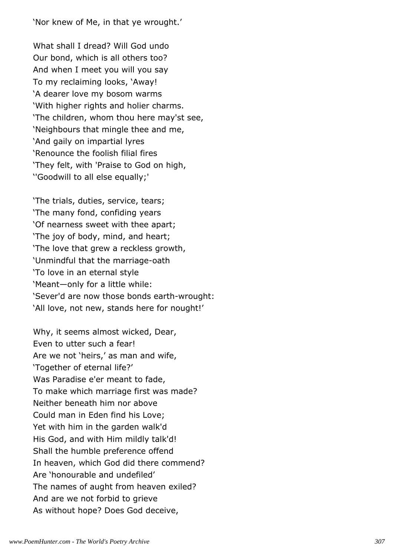'Nor knew of Me, in that ye wrought.'

What shall I dread? Will God undo Our bond, which is all others too? And when I meet you will you say To my reclaiming looks, 'Away! 'A dearer love my bosom warms 'With higher rights and holier charms. 'The children, whom thou here may'st see, 'Neighbours that mingle thee and me, 'And gaily on impartial lyres 'Renounce the foolish filial fires 'They felt, with 'Praise to God on high, ''Goodwill to all else equally;'

'The trials, duties, service, tears; 'The many fond, confiding years 'Of nearness sweet with thee apart; 'The joy of body, mind, and heart; 'The love that grew a reckless growth, 'Unmindful that the marriage-oath 'To love in an eternal style 'Meant—only for a little while: 'Sever'd are now those bonds earth-wrought: 'All love, not new, stands here for nought!'

Why, it seems almost wicked, Dear, Even to utter such a fear! Are we not 'heirs,' as man and wife, 'Together of eternal life?' Was Paradise e'er meant to fade, To make which marriage first was made? Neither beneath him nor above Could man in Eden find his Love; Yet with him in the garden walk'd His God, and with Him mildly talk'd! Shall the humble preference offend In heaven, which God did there commend? Are 'honourable and undefiled' The names of aught from heaven exiled? And are we not forbid to grieve As without hope? Does God deceive,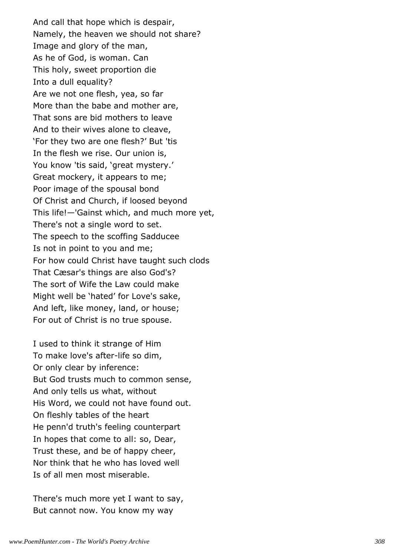And call that hope which is despair, Namely, the heaven we should not share? Image and glory of the man, As he of God, is woman. Can This holy, sweet proportion die Into a dull equality? Are we not one flesh, yea, so far More than the babe and mother are, That sons are bid mothers to leave And to their wives alone to cleave, 'For they two are one flesh?' But 'tis In the flesh we rise. Our union is, You know 'tis said, 'great mystery.' Great mockery, it appears to me; Poor image of the spousal bond Of Christ and Church, if loosed beyond This life!—'Gainst which, and much more yet, There's not a single word to set. The speech to the scoffing Sadducee Is not in point to you and me; For how could Christ have taught such clods That Cæsar's things are also God's? The sort of Wife the Law could make Might well be 'hated' for Love's sake, And left, like money, land, or house; For out of Christ is no true spouse.

I used to think it strange of Him To make love's after-life so dim, Or only clear by inference: But God trusts much to common sense, And only tells us what, without His Word, we could not have found out. On fleshly tables of the heart He penn'd truth's feeling counterpart In hopes that come to all: so, Dear, Trust these, and be of happy cheer, Nor think that he who has loved well Is of all men most miserable.

There's much more yet I want to say, But cannot now. You know my way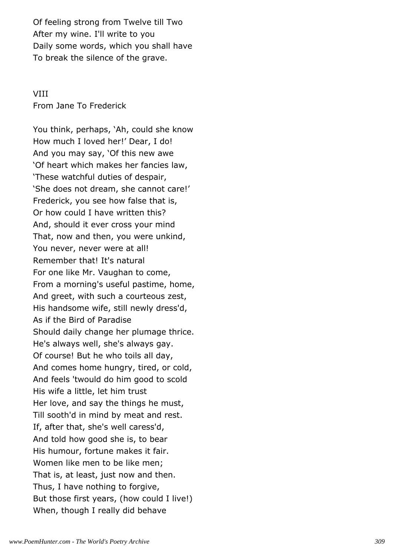Of feeling strong from Twelve till Two After my wine. I'll write to you Daily some words, which you shall have To break the silence of the grave.

# VIII

From Jane To Frederick

You think, perhaps, 'Ah, could she know How much I loved her!' Dear, I do! And you may say, 'Of this new awe 'Of heart which makes her fancies law, 'These watchful duties of despair, 'She does not dream, she cannot care!' Frederick, you see how false that is, Or how could I have written this? And, should it ever cross your mind That, now and then, you were unkind, You never, never were at all! Remember that! It's natural For one like Mr. Vaughan to come, From a morning's useful pastime, home, And greet, with such a courteous zest, His handsome wife, still newly dress'd, As if the Bird of Paradise Should daily change her plumage thrice. He's always well, she's always gay. Of course! But he who toils all day, And comes home hungry, tired, or cold, And feels 'twould do him good to scold His wife a little, let him trust Her love, and say the things he must, Till sooth'd in mind by meat and rest. If, after that, she's well caress'd, And told how good she is, to bear His humour, fortune makes it fair. Women like men to be like men; That is, at least, just now and then. Thus, I have nothing to forgive, But those first years, (how could I live!) When, though I really did behave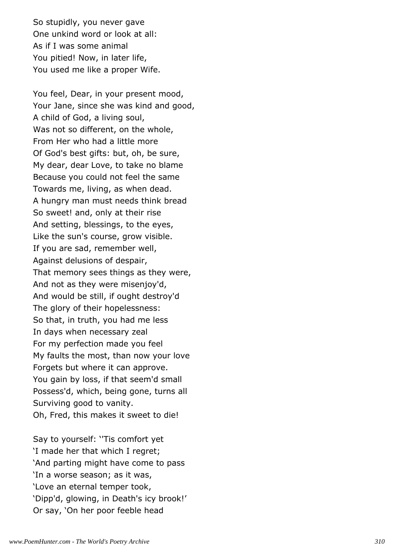So stupidly, you never gave One unkind word or look at all: As if I was some animal You pitied! Now, in later life, You used me like a proper Wife.

You feel, Dear, in your present mood, Your Jane, since she was kind and good, A child of God, a living soul, Was not so different, on the whole, From Her who had a little more Of God's best gifts: but, oh, be sure, My dear, dear Love, to take no blame Because you could not feel the same Towards me, living, as when dead. A hungry man must needs think bread So sweet! and, only at their rise And setting, blessings, to the eyes, Like the sun's course, grow visible. If you are sad, remember well, Against delusions of despair, That memory sees things as they were, And not as they were misenjoy'd, And would be still, if ought destroy'd The glory of their hopelessness: So that, in truth, you had me less In days when necessary zeal For my perfection made you feel My faults the most, than now your love Forgets but where it can approve. You gain by loss, if that seem'd small Possess'd, which, being gone, turns all Surviving good to vanity. Oh, Fred, this makes it sweet to die!

Say to yourself: ''Tis comfort yet 'I made her that which I regret; 'And parting might have come to pass 'In a worse season; as it was, 'Love an eternal temper took, 'Dipp'd, glowing, in Death's icy brook!' Or say, 'On her poor feeble head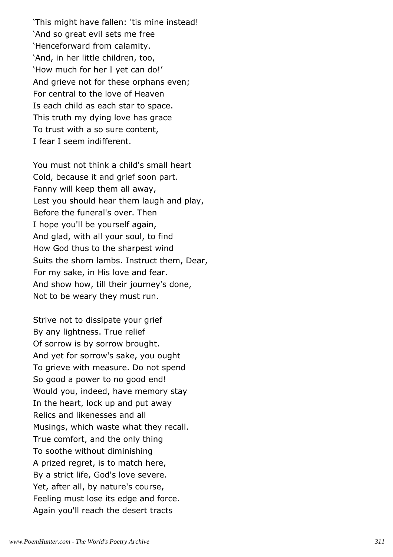'This might have fallen: 'tis mine instead! 'And so great evil sets me free 'Henceforward from calamity. 'And, in her little children, too, 'How much for her I yet can do!' And grieve not for these orphans even; For central to the love of Heaven Is each child as each star to space. This truth my dying love has grace To trust with a so sure content, I fear I seem indifferent.

You must not think a child's small heart Cold, because it and grief soon part. Fanny will keep them all away, Lest you should hear them laugh and play, Before the funeral's over. Then I hope you'll be yourself again, And glad, with all your soul, to find How God thus to the sharpest wind Suits the shorn lambs. Instruct them, Dear, For my sake, in His love and fear. And show how, till their journey's done, Not to be weary they must run.

Strive not to dissipate your grief By any lightness. True relief Of sorrow is by sorrow brought. And yet for sorrow's sake, you ought To grieve with measure. Do not spend So good a power to no good end! Would you, indeed, have memory stay In the heart, lock up and put away Relics and likenesses and all Musings, which waste what they recall. True comfort, and the only thing To soothe without diminishing A prized regret, is to match here, By a strict life, God's love severe. Yet, after all, by nature's course, Feeling must lose its edge and force. Again you'll reach the desert tracts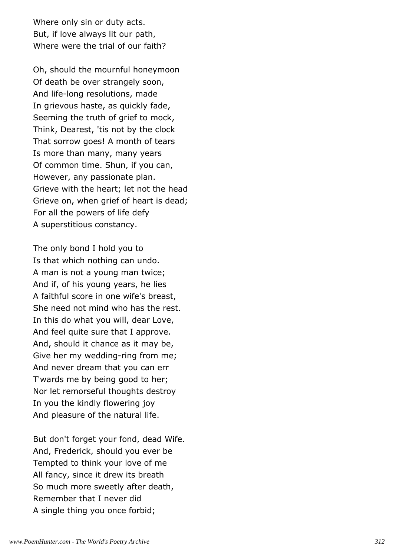Where only sin or duty acts. But, if love always lit our path, Where were the trial of our faith?

Oh, should the mournful honeymoon Of death be over strangely soon, And life-long resolutions, made In grievous haste, as quickly fade, Seeming the truth of grief to mock, Think, Dearest, 'tis not by the clock That sorrow goes! A month of tears Is more than many, many years Of common time. Shun, if you can, However, any passionate plan. Grieve with the heart; let not the head Grieve on, when grief of heart is dead; For all the powers of life defy A superstitious constancy.

The only bond I hold you to Is that which nothing can undo. A man is not a young man twice; And if, of his young years, he lies A faithful score in one wife's breast, She need not mind who has the rest. In this do what you will, dear Love, And feel quite sure that I approve. And, should it chance as it may be, Give her my wedding-ring from me; And never dream that you can err T'wards me by being good to her; Nor let remorseful thoughts destroy In you the kindly flowering joy And pleasure of the natural life.

But don't forget your fond, dead Wife. And, Frederick, should you ever be Tempted to think your love of me All fancy, since it drew its breath So much more sweetly after death, Remember that I never did A single thing you once forbid;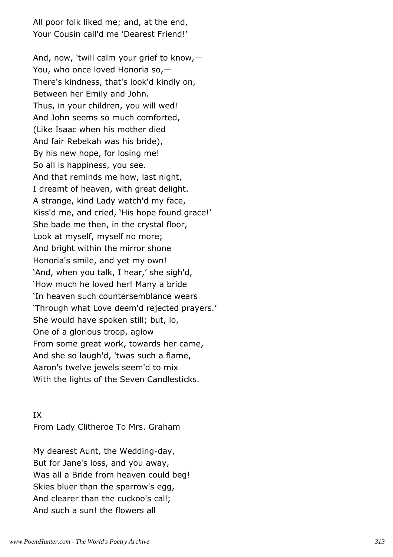All poor folk liked me; and, at the end, Your Cousin call'd me 'Dearest Friend!'

And, now, 'twill calm your grief to know,— You, who once loved Honoria so,— There's kindness, that's look'd kindly on, Between her Emily and John. Thus, in your children, you will wed! And John seems so much comforted, (Like Isaac when his mother died And fair Rebekah was his bride), By his new hope, for losing me! So all is happiness, you see. And that reminds me how, last night, I dreamt of heaven, with great delight. A strange, kind Lady watch'd my face, Kiss'd me, and cried, 'His hope found grace!' She bade me then, in the crystal floor, Look at myself, myself no more; And bright within the mirror shone Honoria's smile, and yet my own! 'And, when you talk, I hear,' she sigh'd, 'How much he loved her! Many a bride 'In heaven such countersemblance wears 'Through what Love deem'd rejected prayers.' She would have spoken still; but, lo, One of a glorious troop, aglow From some great work, towards her came, And she so laugh'd, 'twas such a flame, Aaron's twelve jewels seem'd to mix With the lights of the Seven Candlesticks.

## IX

From Lady Clitheroe To Mrs. Graham

My dearest Aunt, the Wedding-day, But for Jane's loss, and you away, Was all a Bride from heaven could beg! Skies bluer than the sparrow's egg, And clearer than the cuckoo's call; And such a sun! the flowers all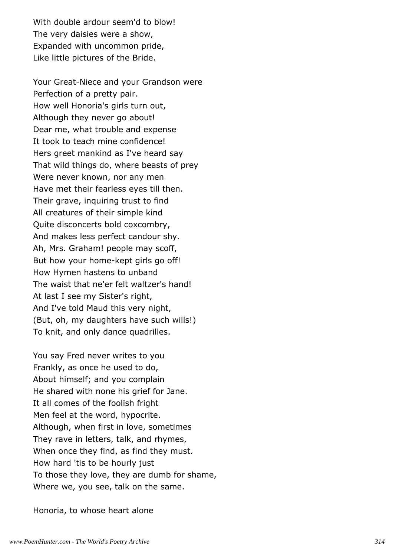With double ardour seem'd to blow! The very daisies were a show, Expanded with uncommon pride, Like little pictures of the Bride.

Your Great-Niece and your Grandson were Perfection of a pretty pair. How well Honoria's girls turn out, Although they never go about! Dear me, what trouble and expense It took to teach mine confidence! Hers greet mankind as I've heard say That wild things do, where beasts of prey Were never known, nor any men Have met their fearless eyes till then. Their grave, inquiring trust to find All creatures of their simple kind Quite disconcerts bold coxcombry, And makes less perfect candour shy. Ah, Mrs. Graham! people may scoff, But how your home-kept girls go off! How Hymen hastens to unband The waist that ne'er felt waltzer's hand! At last I see my Sister's right, And I've told Maud this very night, (But, oh, my daughters have such wills!) To knit, and only dance quadrilles.

You say Fred never writes to you Frankly, as once he used to do, About himself; and you complain He shared with none his grief for Jane. It all comes of the foolish fright Men feel at the word, hypocrite. Although, when first in love, sometimes They rave in letters, talk, and rhymes, When once they find, as find they must. How hard 'tis to be hourly just To those they love, they are dumb for shame, Where we, you see, talk on the same.

Honoria, to whose heart alone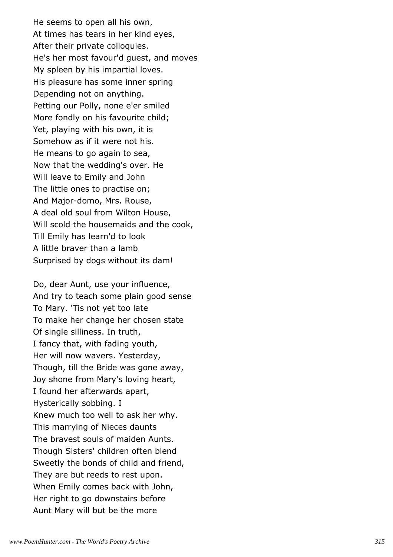He seems to open all his own, At times has tears in her kind eyes, After their private colloquies. He's her most favour'd guest, and moves My spleen by his impartial loves. His pleasure has some inner spring Depending not on anything. Petting our Polly, none e'er smiled More fondly on his favourite child; Yet, playing with his own, it is Somehow as if it were not his. He means to go again to sea, Now that the wedding's over. He Will leave to Emily and John The little ones to practise on; And Major-domo, Mrs. Rouse, A deal old soul from Wilton House, Will scold the housemaids and the cook, Till Emily has learn'd to look A little braver than a lamb Surprised by dogs without its dam!

Do, dear Aunt, use your influence, And try to teach some plain good sense To Mary. 'Tis not yet too late To make her change her chosen state Of single silliness. In truth, I fancy that, with fading youth, Her will now wavers. Yesterday, Though, till the Bride was gone away, Joy shone from Mary's loving heart, I found her afterwards apart, Hysterically sobbing. I Knew much too well to ask her why. This marrying of Nieces daunts The bravest souls of maiden Aunts. Though Sisters' children often blend Sweetly the bonds of child and friend, They are but reeds to rest upon. When Emily comes back with John, Her right to go downstairs before Aunt Mary will but be the more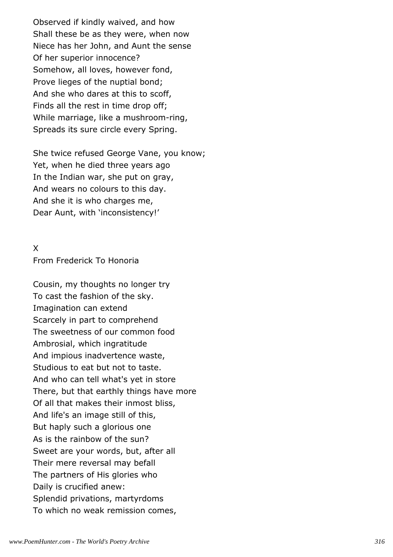Observed if kindly waived, and how Shall these be as they were, when now Niece has her John, and Aunt the sense Of her superior innocence? Somehow, all loves, however fond, Prove lieges of the nuptial bond; And she who dares at this to scoff, Finds all the rest in time drop off; While marriage, like a mushroom-ring, Spreads its sure circle every Spring.

She twice refused George Vane, you know; Yet, when he died three years ago In the Indian war, she put on gray, And wears no colours to this day. And she it is who charges me, Dear Aunt, with 'inconsistency!'

# X

From Frederick To Honoria

Cousin, my thoughts no longer try To cast the fashion of the sky. Imagination can extend Scarcely in part to comprehend The sweetness of our common food Ambrosial, which ingratitude And impious inadvertence waste, Studious to eat but not to taste. And who can tell what's yet in store There, but that earthly things have more Of all that makes their inmost bliss, And life's an image still of this, But haply such a glorious one As is the rainbow of the sun? Sweet are your words, but, after all Their mere reversal may befall The partners of His glories who Daily is crucified anew: Splendid privations, martyrdoms To which no weak remission comes,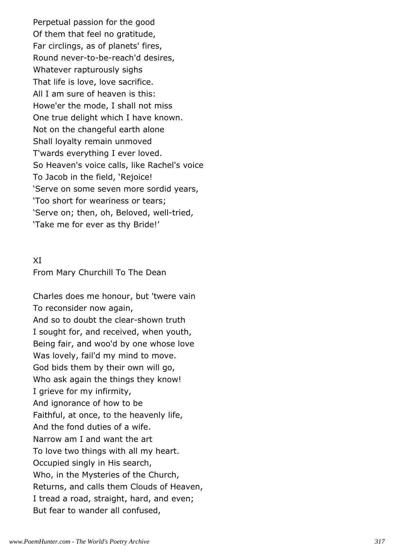Perpetual passion for the good Of them that feel no gratitude, Far circlings, as of planets' fires, Round never-to-be-reach'd desires, Whatever rapturously sighs That life is love, love sacrifice. All I am sure of heaven is this: Howe'er the mode, I shall not miss One true delight which I have known. Not on the changeful earth alone Shall loyalty remain unmoved T'wards everything I ever loved. So Heaven's voice calls, like Rachel's voice To Jacob in the field, 'Rejoice! 'Serve on some seven more sordid years, 'Too short for weariness or tears; 'Serve on; then, oh, Beloved, well-tried, 'Take me for ever as thy Bride!'

#### XI

From Mary Churchill To The Dean

Charles does me honour, but 'twere vain To reconsider now again, And so to doubt the clear-shown truth I sought for, and received, when youth, Being fair, and woo'd by one whose love Was lovely, fail'd my mind to move. God bids them by their own will go, Who ask again the things they know! I grieve for my infirmity, And ignorance of how to be Faithful, at once, to the heavenly life, And the fond duties of a wife. Narrow am I and want the art To love two things with all my heart. Occupied singly in His search, Who, in the Mysteries of the Church, Returns, and calls them Clouds of Heaven, I tread a road, straight, hard, and even; But fear to wander all confused,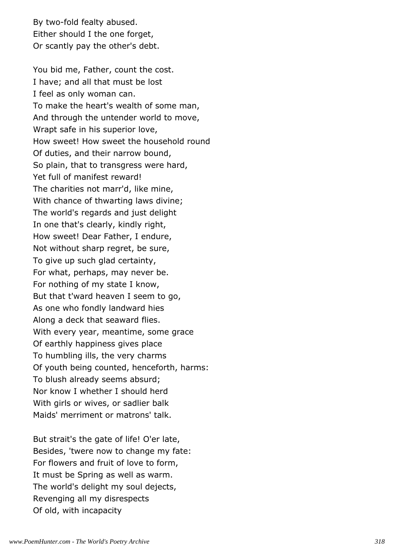By two-fold fealty abused. Either should I the one forget, Or scantly pay the other's debt.

You bid me, Father, count the cost. I have; and all that must be lost I feel as only woman can. To make the heart's wealth of some man, And through the untender world to move, Wrapt safe in his superior love, How sweet! How sweet the household round Of duties, and their narrow bound, So plain, that to transgress were hard, Yet full of manifest reward! The charities not marr'd, like mine, With chance of thwarting laws divine; The world's regards and just delight In one that's clearly, kindly right, How sweet! Dear Father, I endure, Not without sharp regret, be sure, To give up such glad certainty, For what, perhaps, may never be. For nothing of my state I know, But that t'ward heaven I seem to go, As one who fondly landward hies Along a deck that seaward flies. With every year, meantime, some grace Of earthly happiness gives place To humbling ills, the very charms Of youth being counted, henceforth, harms: To blush already seems absurd; Nor know I whether I should herd With girls or wives, or sadlier balk Maids' merriment or matrons' talk.

But strait's the gate of life! O'er late, Besides, 'twere now to change my fate: For flowers and fruit of love to form, It must be Spring as well as warm. The world's delight my soul dejects, Revenging all my disrespects Of old, with incapacity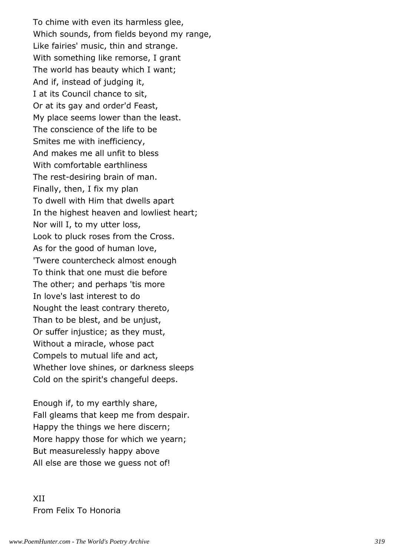To chime with even its harmless glee, Which sounds, from fields beyond my range, Like fairies' music, thin and strange. With something like remorse, I grant The world has beauty which I want; And if, instead of judging it, I at its Council chance to sit, Or at its gay and order'd Feast, My place seems lower than the least. The conscience of the life to be Smites me with inefficiency, And makes me all unfit to bless With comfortable earthliness The rest-desiring brain of man. Finally, then, I fix my plan To dwell with Him that dwells apart In the highest heaven and lowliest heart; Nor will I, to my utter loss, Look to pluck roses from the Cross. As for the good of human love, 'Twere countercheck almost enough To think that one must die before The other; and perhaps 'tis more In love's last interest to do Nought the least contrary thereto, Than to be blest, and be unjust, Or suffer injustice; as they must, Without a miracle, whose pact Compels to mutual life and act, Whether love shines, or darkness sleeps Cold on the spirit's changeful deeps.

Enough if, to my earthly share, Fall gleams that keep me from despair. Happy the things we here discern; More happy those for which we yearn; But measurelessly happy above All else are those we guess not of!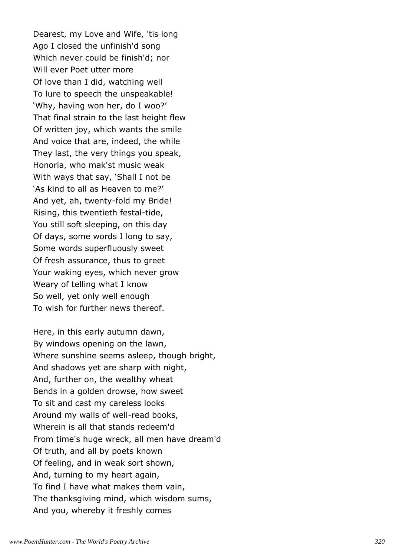Dearest, my Love and Wife, 'tis long Ago I closed the unfinish'd song Which never could be finish'd; nor Will ever Poet utter more Of love than I did, watching well To lure to speech the unspeakable! 'Why, having won her, do I woo?' That final strain to the last height flew Of written joy, which wants the smile And voice that are, indeed, the while They last, the very things you speak, Honoria, who mak'st music weak With ways that say, 'Shall I not be 'As kind to all as Heaven to me?' And yet, ah, twenty-fold my Bride! Rising, this twentieth festal-tide, You still soft sleeping, on this day Of days, some words I long to say, Some words superfluously sweet Of fresh assurance, thus to greet Your waking eyes, which never grow Weary of telling what I know So well, yet only well enough To wish for further news thereof.

Here, in this early autumn dawn, By windows opening on the lawn, Where sunshine seems asleep, though bright, And shadows yet are sharp with night, And, further on, the wealthy wheat Bends in a golden drowse, how sweet To sit and cast my careless looks Around my walls of well-read books, Wherein is all that stands redeem'd From time's huge wreck, all men have dream'd Of truth, and all by poets known Of feeling, and in weak sort shown, And, turning to my heart again, To find I have what makes them vain, The thanksgiving mind, which wisdom sums, And you, whereby it freshly comes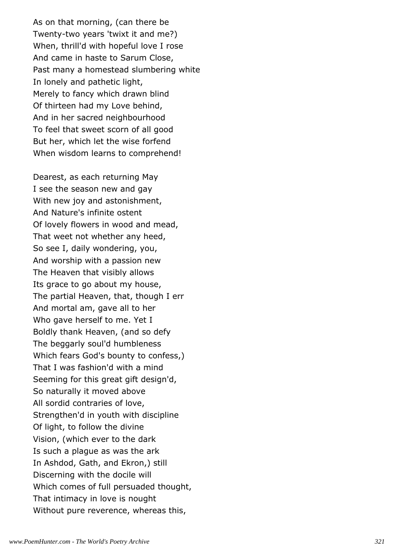As on that morning, (can there be Twenty-two years 'twixt it and me?) When, thrill'd with hopeful love I rose And came in haste to Sarum Close, Past many a homestead slumbering white In lonely and pathetic light, Merely to fancy which drawn blind Of thirteen had my Love behind, And in her sacred neighbourhood To feel that sweet scorn of all good But her, which let the wise forfend When wisdom learns to comprehend!

Dearest, as each returning May I see the season new and gay With new joy and astonishment, And Nature's infinite ostent Of lovely flowers in wood and mead, That weet not whether any heed, So see I, daily wondering, you, And worship with a passion new The Heaven that visibly allows Its grace to go about my house, The partial Heaven, that, though I err And mortal am, gave all to her Who gave herself to me. Yet I Boldly thank Heaven, (and so defy The beggarly soul'd humbleness Which fears God's bounty to confess,) That I was fashion'd with a mind Seeming for this great gift design'd, So naturally it moved above All sordid contraries of love, Strengthen'd in youth with discipline Of light, to follow the divine Vision, (which ever to the dark Is such a plague as was the ark In Ashdod, Gath, and Ekron,) still Discerning with the docile will Which comes of full persuaded thought, That intimacy in love is nought Without pure reverence, whereas this,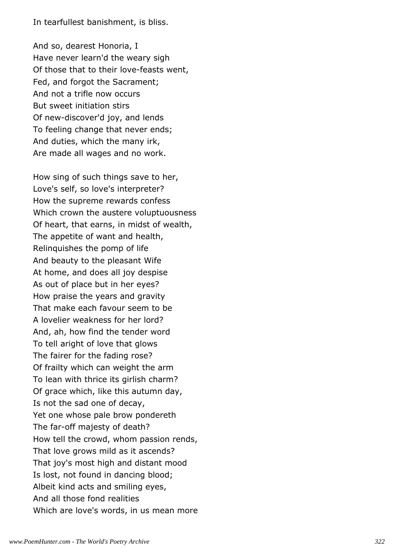In tearfullest banishment, is bliss.

And so, dearest Honoria, I Have never learn'd the weary sigh Of those that to their love-feasts went, Fed, and forgot the Sacrament; And not a trifle now occurs But sweet initiation stirs Of new-discover'd joy, and lends To feeling change that never ends; And duties, which the many irk, Are made all wages and no work.

How sing of such things save to her, Love's self, so love's interpreter? How the supreme rewards confess Which crown the austere voluptuousness Of heart, that earns, in midst of wealth, The appetite of want and health, Relinquishes the pomp of life And beauty to the pleasant Wife At home, and does all joy despise As out of place but in her eyes? How praise the years and gravity That make each favour seem to be A lovelier weakness for her lord? And, ah, how find the tender word To tell aright of love that glows The fairer for the fading rose? Of frailty which can weight the arm To lean with thrice its girlish charm? Of grace which, like this autumn day, Is not the sad one of decay, Yet one whose pale brow pondereth The far-off majesty of death? How tell the crowd, whom passion rends, That love grows mild as it ascends? That joy's most high and distant mood Is lost, not found in dancing blood; Albeit kind acts and smiling eyes, And all those fond realities Which are love's words, in us mean more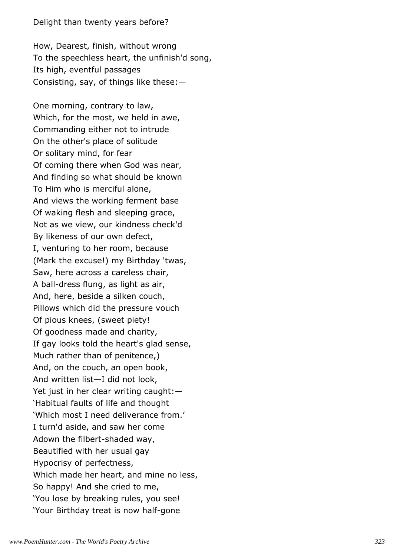## Delight than twenty years before?

How, Dearest, finish, without wrong To the speechless heart, the unfinish'd song, Its high, eventful passages Consisting, say, of things like these:—

One morning, contrary to law, Which, for the most, we held in awe, Commanding either not to intrude On the other's place of solitude Or solitary mind, for fear Of coming there when God was near, And finding so what should be known To Him who is merciful alone, And views the working ferment base Of waking flesh and sleeping grace, Not as we view, our kindness check'd By likeness of our own defect, I, venturing to her room, because (Mark the excuse!) my Birthday 'twas, Saw, here across a careless chair, A ball-dress flung, as light as air, And, here, beside a silken couch, Pillows which did the pressure vouch Of pious knees, (sweet piety! Of goodness made and charity, If gay looks told the heart's glad sense, Much rather than of penitence,) And, on the couch, an open book, And written list—I did not look, Yet just in her clear writing caught:— 'Habitual faults of life and thought 'Which most I need deliverance from.' I turn'd aside, and saw her come Adown the filbert-shaded way, Beautified with her usual gay Hypocrisy of perfectness, Which made her heart, and mine no less, So happy! And she cried to me, 'You lose by breaking rules, you see! 'Your Birthday treat is now half-gone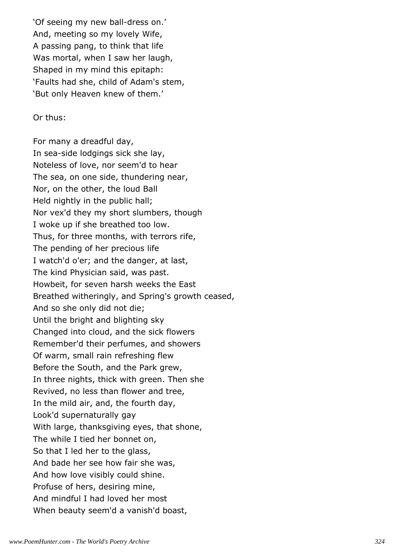'Of seeing my new ball-dress on.' And, meeting so my lovely Wife, A passing pang, to think that life Was mortal, when I saw her laugh, Shaped in my mind this epitaph: 'Faults had she, child of Adam's stem, 'But only Heaven knew of them.'

Or thus:

For many a dreadful day, In sea-side lodgings sick she lay, Noteless of love, nor seem'd to hear The sea, on one side, thundering near, Nor, on the other, the loud Ball Held nightly in the public hall; Nor vex'd they my short slumbers, though I woke up if she breathed too low. Thus, for three months, with terrors rife, The pending of her precious life I watch'd o'er; and the danger, at last, The kind Physician said, was past. Howbeit, for seven harsh weeks the East Breathed witheringly, and Spring's growth ceased, And so she only did not die; Until the bright and blighting sky Changed into cloud, and the sick flowers Remember'd their perfumes, and showers Of warm, small rain refreshing flew Before the South, and the Park grew, In three nights, thick with green. Then she Revived, no less than flower and tree, In the mild air, and, the fourth day, Look'd supernaturally gay With large, thanksgiving eyes, that shone, The while I tied her bonnet on, So that I led her to the glass, And bade her see how fair she was, And how love visibly could shine. Profuse of hers, desiring mine, And mindful I had loved her most When beauty seem'd a vanish'd boast,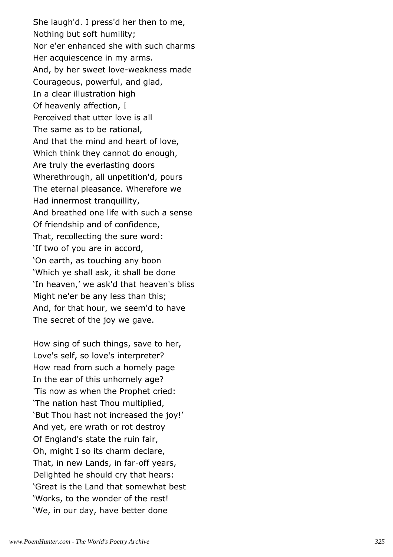She laugh'd. I press'd her then to me, Nothing but soft humility; Nor e'er enhanced she with such charms Her acquiescence in my arms. And, by her sweet love-weakness made Courageous, powerful, and glad, In a clear illustration high Of heavenly affection, I Perceived that utter love is all The same as to be rational, And that the mind and heart of love, Which think they cannot do enough, Are truly the everlasting doors Wherethrough, all unpetition'd, pours The eternal pleasance. Wherefore we Had innermost tranquillity, And breathed one life with such a sense Of friendship and of confidence, That, recollecting the sure word: 'If two of you are in accord, 'On earth, as touching any boon 'Which ye shall ask, it shall be done 'In heaven,' we ask'd that heaven's bliss Might ne'er be any less than this; And, for that hour, we seem'd to have The secret of the joy we gave.

How sing of such things, save to her, Love's self, so love's interpreter? How read from such a homely page In the ear of this unhomely age? 'Tis now as when the Prophet cried: 'The nation hast Thou multiplied, 'But Thou hast not increased the joy!' And yet, ere wrath or rot destroy Of England's state the ruin fair, Oh, might I so its charm declare, That, in new Lands, in far-off years, Delighted he should cry that hears: 'Great is the Land that somewhat best 'Works, to the wonder of the rest! 'We, in our day, have better done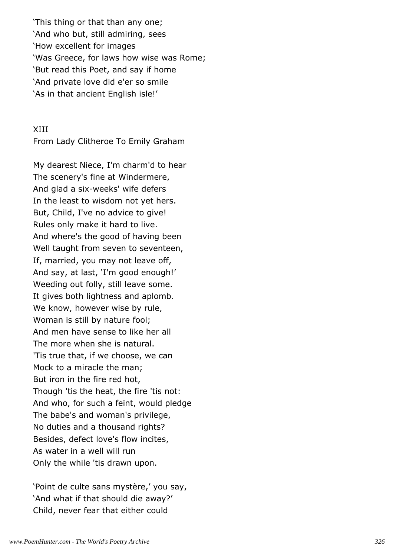'This thing or that than any one; 'And who but, still admiring, sees 'How excellent for images 'Was Greece, for laws how wise was Rome; 'But read this Poet, and say if home 'And private love did e'er so smile 'As in that ancient English isle!'

### XIII

From Lady Clitheroe To Emily Graham

My dearest Niece, I'm charm'd to hear The scenery's fine at Windermere, And glad a six-weeks' wife defers In the least to wisdom not yet hers. But, Child, I've no advice to give! Rules only make it hard to live. And where's the good of having been Well taught from seven to seventeen, If, married, you may not leave off, And say, at last, 'I'm good enough!' Weeding out folly, still leave some. It gives both lightness and aplomb. We know, however wise by rule, Woman is still by nature fool; And men have sense to like her all The more when she is natural. 'Tis true that, if we choose, we can Mock to a miracle the man; But iron in the fire red hot, Though 'tis the heat, the fire 'tis not: And who, for such a feint, would pledge The babe's and woman's privilege, No duties and a thousand rights? Besides, defect love's flow incites, As water in a well will run Only the while 'tis drawn upon.

'Point de culte sans mystère,' you say, 'And what if that should die away?' Child, never fear that either could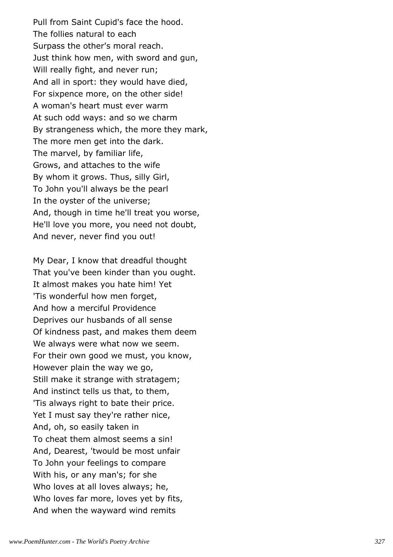Pull from Saint Cupid's face the hood. The follies natural to each Surpass the other's moral reach. Just think how men, with sword and gun, Will really fight, and never run; And all in sport: they would have died, For sixpence more, on the other side! A woman's heart must ever warm At such odd ways: and so we charm By strangeness which, the more they mark, The more men get into the dark. The marvel, by familiar life, Grows, and attaches to the wife By whom it grows. Thus, silly Girl, To John you'll always be the pearl In the oyster of the universe; And, though in time he'll treat you worse, He'll love you more, you need not doubt, And never, never find you out!

My Dear, I know that dreadful thought That you've been kinder than you ought. It almost makes you hate him! Yet 'Tis wonderful how men forget, And how a merciful Providence Deprives our husbands of all sense Of kindness past, and makes them deem We always were what now we seem. For their own good we must, you know, However plain the way we go, Still make it strange with stratagem; And instinct tells us that, to them, 'Tis always right to bate their price. Yet I must say they're rather nice, And, oh, so easily taken in To cheat them almost seems a sin! And, Dearest, 'twould be most unfair To John your feelings to compare With his, or any man's; for she Who loves at all loves always; he, Who loves far more, loves yet by fits, And when the wayward wind remits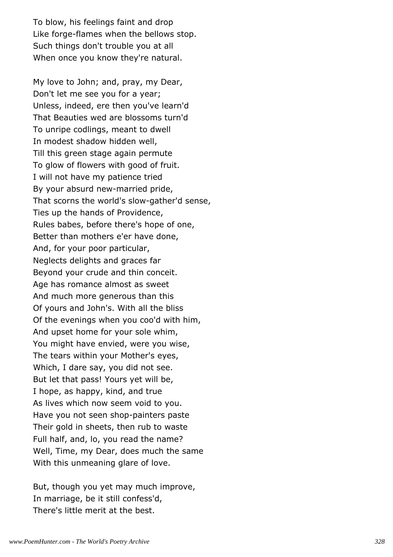To blow, his feelings faint and drop Like forge-flames when the bellows stop. Such things don't trouble you at all When once you know they're natural.

My love to John; and, pray, my Dear, Don't let me see you for a year; Unless, indeed, ere then you've learn'd That Beauties wed are blossoms turn'd To unripe codlings, meant to dwell In modest shadow hidden well, Till this green stage again permute To glow of flowers with good of fruit. I will not have my patience tried By your absurd new-married pride, That scorns the world's slow-gather'd sense, Ties up the hands of Providence, Rules babes, before there's hope of one, Better than mothers e'er have done, And, for your poor particular, Neglects delights and graces far Beyond your crude and thin conceit. Age has romance almost as sweet And much more generous than this Of yours and John's. With all the bliss Of the evenings when you coo'd with him, And upset home for your sole whim, You might have envied, were you wise, The tears within your Mother's eyes, Which, I dare say, you did not see. But let that pass! Yours yet will be, I hope, as happy, kind, and true As lives which now seem void to you. Have you not seen shop-painters paste Their gold in sheets, then rub to waste Full half, and, lo, you read the name? Well, Time, my Dear, does much the same With this unmeaning glare of love.

But, though you yet may much improve, In marriage, be it still confess'd, There's little merit at the best.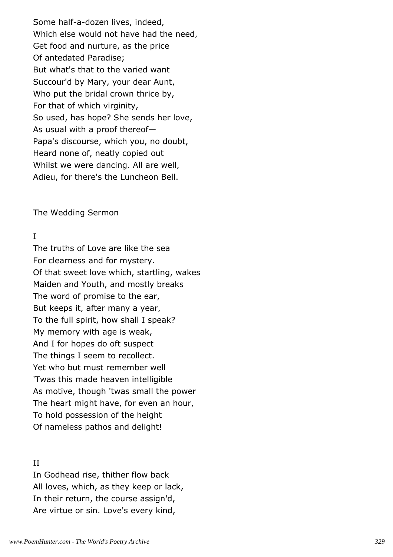Some half-a-dozen lives, indeed, Which else would not have had the need, Get food and nurture, as the price Of antedated Paradise; But what's that to the varied want Succour'd by Mary, your dear Aunt, Who put the bridal crown thrice by, For that of which virginity, So used, has hope? She sends her love, As usual with a proof thereof— Papa's discourse, which you, no doubt, Heard none of, neatly copied out Whilst we were dancing. All are well, Adieu, for there's the Luncheon Bell.

The Wedding Sermon

### I

The truths of Love are like the sea For clearness and for mystery. Of that sweet love which, startling, wakes Maiden and Youth, and mostly breaks The word of promise to the ear, But keeps it, after many a year, To the full spirit, how shall I speak? My memory with age is weak, And I for hopes do oft suspect The things I seem to recollect. Yet who but must remember well 'Twas this made heaven intelligible As motive, though 'twas small the power The heart might have, for even an hour, To hold possession of the height Of nameless pathos and delight!

#### II

In Godhead rise, thither flow back All loves, which, as they keep or lack, In their return, the course assign'd, Are virtue or sin. Love's every kind,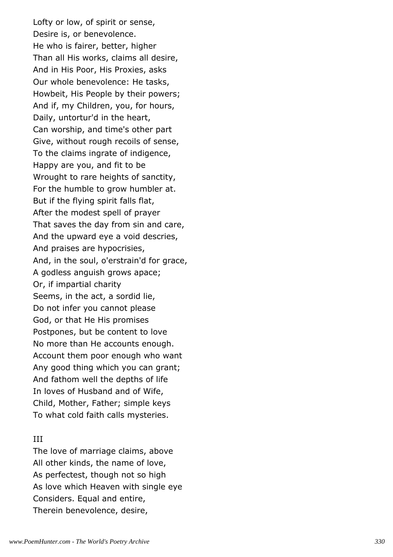Lofty or low, of spirit or sense, Desire is, or benevolence. He who is fairer, better, higher Than all His works, claims all desire, And in His Poor, His Proxies, asks Our whole benevolence: He tasks, Howbeit, His People by their powers; And if, my Children, you, for hours, Daily, untortur'd in the heart, Can worship, and time's other part Give, without rough recoils of sense, To the claims ingrate of indigence, Happy are you, and fit to be Wrought to rare heights of sanctity, For the humble to grow humbler at. But if the flying spirit falls flat, After the modest spell of prayer That saves the day from sin and care, And the upward eye a void descries, And praises are hypocrisies, And, in the soul, o'erstrain'd for grace, A godless anguish grows apace; Or, if impartial charity Seems, in the act, a sordid lie, Do not infer you cannot please God, or that He His promises Postpones, but be content to love No more than He accounts enough. Account them poor enough who want Any good thing which you can grant; And fathom well the depths of life In loves of Husband and of Wife, Child, Mother, Father; simple keys To what cold faith calls mysteries.

### III

The love of marriage claims, above All other kinds, the name of love, As perfectest, though not so high As love which Heaven with single eye Considers. Equal and entire, Therein benevolence, desire,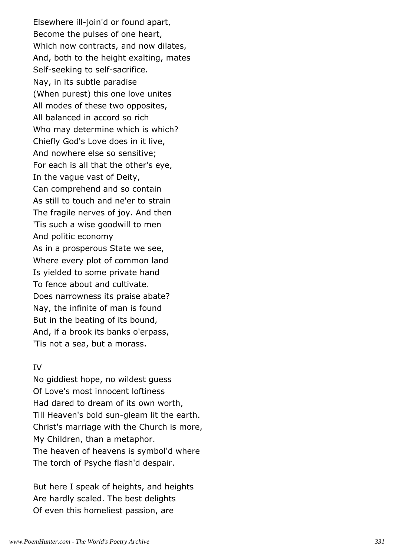Elsewhere ill-join'd or found apart, Become the pulses of one heart, Which now contracts, and now dilates, And, both to the height exalting, mates Self-seeking to self-sacrifice. Nay, in its subtle paradise (When purest) this one love unites All modes of these two opposites, All balanced in accord so rich Who may determine which is which? Chiefly God's Love does in it live, And nowhere else so sensitive; For each is all that the other's eye, In the vague vast of Deity, Can comprehend and so contain As still to touch and ne'er to strain The fragile nerves of joy. And then 'Tis such a wise goodwill to men And politic economy As in a prosperous State we see, Where every plot of common land Is yielded to some private hand To fence about and cultivate. Does narrowness its praise abate? Nay, the infinite of man is found But in the beating of its bound, And, if a brook its banks o'erpass, 'Tis not a sea, but a morass.

### IV

No giddiest hope, no wildest guess Of Love's most innocent loftiness Had dared to dream of its own worth, Till Heaven's bold sun-gleam lit the earth. Christ's marriage with the Church is more, My Children, than a metaphor. The heaven of heavens is symbol'd where The torch of Psyche flash'd despair.

But here I speak of heights, and heights Are hardly scaled. The best delights Of even this homeliest passion, are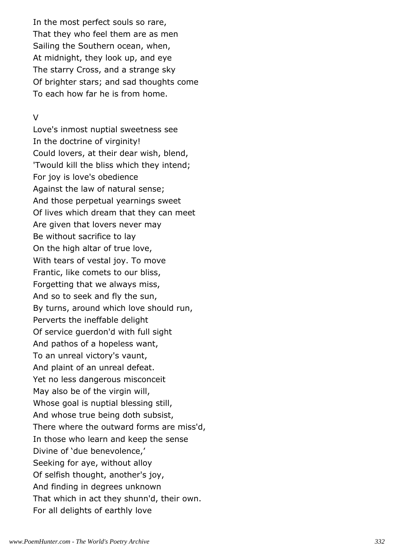In the most perfect souls so rare, That they who feel them are as men Sailing the Southern ocean, when, At midnight, they look up, and eye The starry Cross, and a strange sky Of brighter stars; and sad thoughts come To each how far he is from home.

### $\vee$

Love's inmost nuptial sweetness see In the doctrine of virginity! Could lovers, at their dear wish, blend, 'Twould kill the bliss which they intend; For joy is love's obedience Against the law of natural sense; And those perpetual yearnings sweet Of lives which dream that they can meet Are given that lovers never may Be without sacrifice to lay On the high altar of true love, With tears of vestal joy. To move Frantic, like comets to our bliss, Forgetting that we always miss, And so to seek and fly the sun, By turns, around which love should run, Perverts the ineffable delight Of service guerdon'd with full sight And pathos of a hopeless want, To an unreal victory's vaunt, And plaint of an unreal defeat. Yet no less dangerous misconceit May also be of the virgin will, Whose goal is nuptial blessing still, And whose true being doth subsist, There where the outward forms are miss'd, In those who learn and keep the sense Divine of 'due benevolence,' Seeking for aye, without alloy Of selfish thought, another's joy, And finding in degrees unknown That which in act they shunn'd, their own. For all delights of earthly love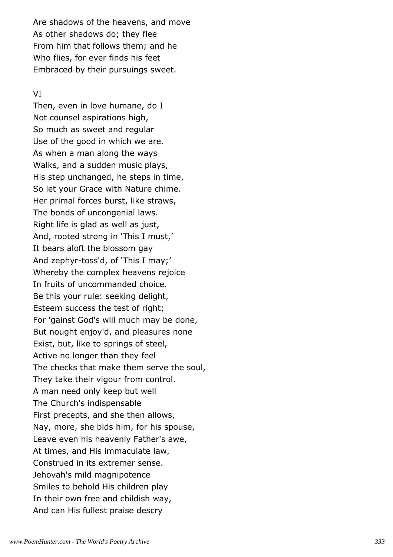Are shadows of the heavens, and move As other shadows do; they flee From him that follows them; and he Who flies, for ever finds his feet Embraced by their pursuings sweet.

### VI

Then, even in love humane, do I Not counsel aspirations high, So much as sweet and regular Use of the good in which we are. As when a man along the ways Walks, and a sudden music plays, His step unchanged, he steps in time, So let your Grace with Nature chime. Her primal forces burst, like straws, The bonds of uncongenial laws. Right life is glad as well as just, And, rooted strong in 'This I must,' It bears aloft the blossom gay And zephyr-toss'd, of 'This I may;' Whereby the complex heavens rejoice In fruits of uncommanded choice. Be this your rule: seeking delight, Esteem success the test of right; For 'gainst God's will much may be done, But nought enjoy'd, and pleasures none Exist, but, like to springs of steel, Active no longer than they feel The checks that make them serve the soul, They take their vigour from control. A man need only keep but well The Church's indispensable First precepts, and she then allows, Nay, more, she bids him, for his spouse, Leave even his heavenly Father's awe, At times, and His immaculate law, Construed in its extremer sense. Jehovah's mild magnipotence Smiles to behold His children play In their own free and childish way, And can His fullest praise descry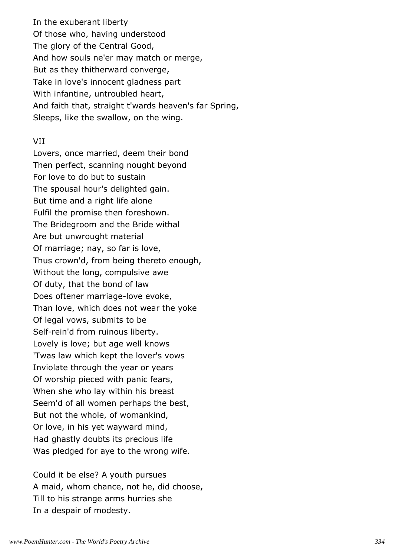In the exuberant liberty Of those who, having understood The glory of the Central Good, And how souls ne'er may match or merge, But as they thitherward converge, Take in love's innocent gladness part With infantine, untroubled heart, And faith that, straight t'wards heaven's far Spring, Sleeps, like the swallow, on the wing.

### VII

Lovers, once married, deem their bond Then perfect, scanning nought beyond For love to do but to sustain The spousal hour's delighted gain. But time and a right life alone Fulfil the promise then foreshown. The Bridegroom and the Bride withal Are but unwrought material Of marriage; nay, so far is love, Thus crown'd, from being thereto enough, Without the long, compulsive awe Of duty, that the bond of law Does oftener marriage-love evoke, Than love, which does not wear the yoke Of legal vows, submits to be Self-rein'd from ruinous liberty. Lovely is love; but age well knows 'Twas law which kept the lover's vows Inviolate through the year or years Of worship pieced with panic fears, When she who lay within his breast Seem'd of all women perhaps the best, But not the whole, of womankind, Or love, in his yet wayward mind, Had ghastly doubts its precious life Was pledged for aye to the wrong wife.

Could it be else? A youth pursues A maid, whom chance, not he, did choose, Till to his strange arms hurries she In a despair of modesty.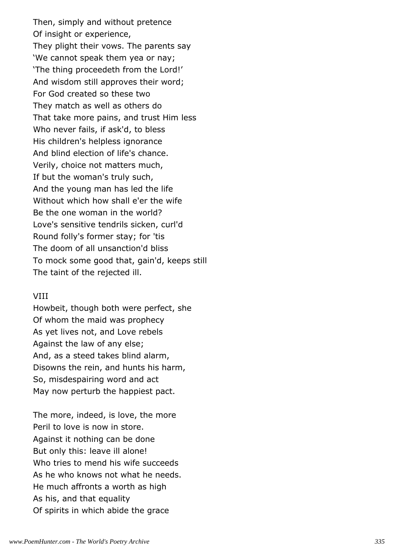Then, simply and without pretence Of insight or experience, They plight their vows. The parents say 'We cannot speak them yea or nay; 'The thing proceedeth from the Lord!' And wisdom still approves their word; For God created so these two They match as well as others do That take more pains, and trust Him less Who never fails, if ask'd, to bless His children's helpless ignorance And blind election of life's chance. Verily, choice not matters much, If but the woman's truly such, And the young man has led the life Without which how shall e'er the wife Be the one woman in the world? Love's sensitive tendrils sicken, curl'd Round folly's former stay; for 'tis The doom of all unsanction'd bliss To mock some good that, gain'd, keeps still The taint of the rejected ill.

#### VIII

Howbeit, though both were perfect, she Of whom the maid was prophecy As yet lives not, and Love rebels Against the law of any else; And, as a steed takes blind alarm, Disowns the rein, and hunts his harm, So, misdespairing word and act May now perturb the happiest pact.

The more, indeed, is love, the more Peril to love is now in store. Against it nothing can be done But only this: leave ill alone! Who tries to mend his wife succeeds As he who knows not what he needs. He much affronts a worth as high As his, and that equality Of spirits in which abide the grace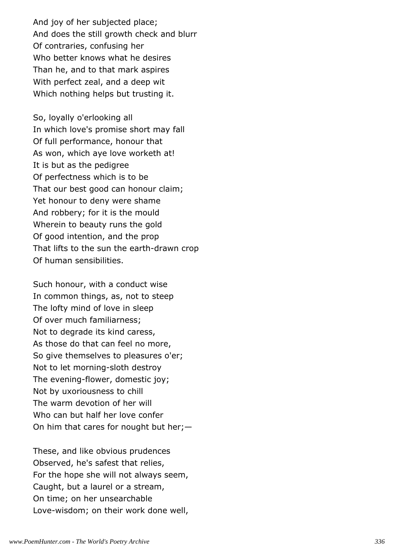And joy of her subjected place; And does the still growth check and blurr Of contraries, confusing her Who better knows what he desires Than he, and to that mark aspires With perfect zeal, and a deep wit Which nothing helps but trusting it.

So, loyally o'erlooking all In which love's promise short may fall Of full performance, honour that As won, which aye love worketh at! It is but as the pedigree Of perfectness which is to be That our best good can honour claim; Yet honour to deny were shame And robbery; for it is the mould Wherein to beauty runs the gold Of good intention, and the prop That lifts to the sun the earth-drawn crop Of human sensibilities.

Such honour, with a conduct wise In common things, as, not to steep The lofty mind of love in sleep Of over much familiarness; Not to degrade its kind caress, As those do that can feel no more, So give themselves to pleasures o'er; Not to let morning-sloth destroy The evening-flower, domestic joy; Not by uxoriousness to chill The warm devotion of her will Who can but half her love confer On him that cares for nought but her;—

These, and like obvious prudences Observed, he's safest that relies, For the hope she will not always seem, Caught, but a laurel or a stream, On time; on her unsearchable Love-wisdom; on their work done well,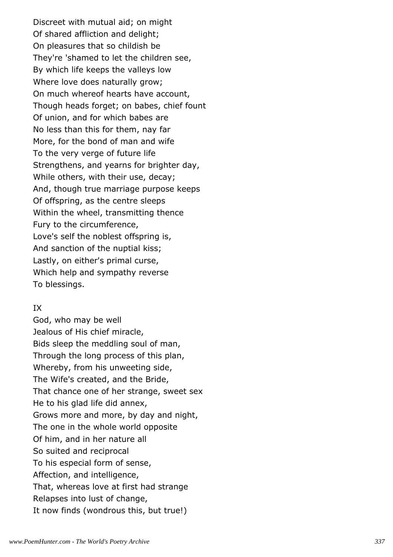Discreet with mutual aid; on might Of shared affliction and delight; On pleasures that so childish be They're 'shamed to let the children see, By which life keeps the valleys low Where love does naturally grow; On much whereof hearts have account, Though heads forget; on babes, chief fount Of union, and for which babes are No less than this for them, nay far More, for the bond of man and wife To the very verge of future life Strengthens, and yearns for brighter day, While others, with their use, decay; And, though true marriage purpose keeps Of offspring, as the centre sleeps Within the wheel, transmitting thence Fury to the circumference, Love's self the noblest offspring is, And sanction of the nuptial kiss; Lastly, on either's primal curse, Which help and sympathy reverse To blessings.

### IX

God, who may be well Jealous of His chief miracle, Bids sleep the meddling soul of man, Through the long process of this plan, Whereby, from his unweeting side, The Wife's created, and the Bride, That chance one of her strange, sweet sex He to his glad life did annex, Grows more and more, by day and night, The one in the whole world opposite Of him, and in her nature all So suited and reciprocal To his especial form of sense, Affection, and intelligence, That, whereas love at first had strange Relapses into lust of change, It now finds (wondrous this, but true!)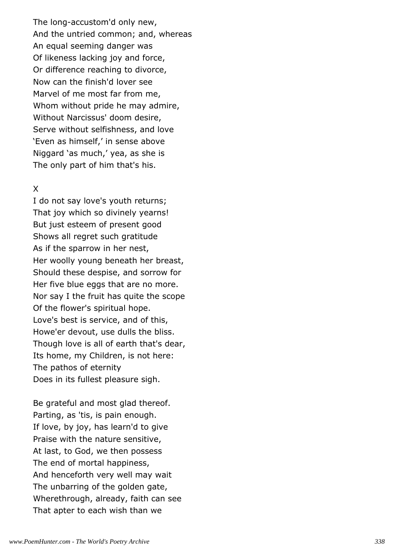The long-accustom'd only new, And the untried common; and, whereas An equal seeming danger was Of likeness lacking joy and force, Or difference reaching to divorce, Now can the finish'd lover see Marvel of me most far from me, Whom without pride he may admire, Without Narcissus' doom desire, Serve without selfishness, and love 'Even as himself,' in sense above Niggard 'as much,' yea, as she is The only part of him that's his.

### X

I do not say love's youth returns; That joy which so divinely yearns! But just esteem of present good Shows all regret such gratitude As if the sparrow in her nest, Her woolly young beneath her breast, Should these despise, and sorrow for Her five blue eggs that are no more. Nor say I the fruit has quite the scope Of the flower's spiritual hope. Love's best is service, and of this, Howe'er devout, use dulls the bliss. Though love is all of earth that's dear, Its home, my Children, is not here: The pathos of eternity Does in its fullest pleasure sigh.

Be grateful and most glad thereof. Parting, as 'tis, is pain enough. If love, by joy, has learn'd to give Praise with the nature sensitive, At last, to God, we then possess The end of mortal happiness, And henceforth very well may wait The unbarring of the golden gate, Wherethrough, already, faith can see That apter to each wish than we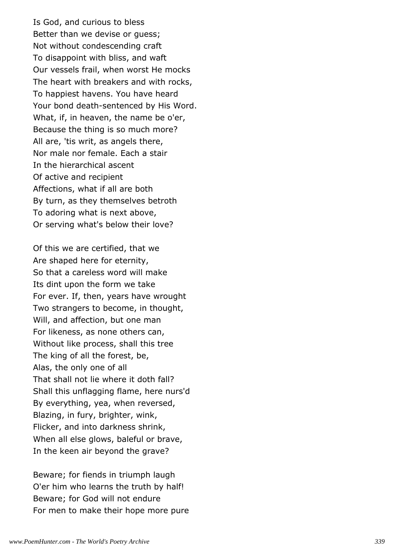Is God, and curious to bless Better than we devise or guess; Not without condescending craft To disappoint with bliss, and waft Our vessels frail, when worst He mocks The heart with breakers and with rocks, To happiest havens. You have heard Your bond death-sentenced by His Word. What, if, in heaven, the name be o'er, Because the thing is so much more? All are, 'tis writ, as angels there, Nor male nor female. Each a stair In the hierarchical ascent Of active and recipient Affections, what if all are both By turn, as they themselves betroth To adoring what is next above, Or serving what's below their love?

Of this we are certified, that we Are shaped here for eternity, So that a careless word will make Its dint upon the form we take For ever. If, then, years have wrought Two strangers to become, in thought, Will, and affection, but one man For likeness, as none others can, Without like process, shall this tree The king of all the forest, be, Alas, the only one of all That shall not lie where it doth fall? Shall this unflagging flame, here nurs'd By everything, yea, when reversed, Blazing, in fury, brighter, wink, Flicker, and into darkness shrink, When all else glows, baleful or brave, In the keen air beyond the grave?

Beware; for fiends in triumph laugh O'er him who learns the truth by half! Beware; for God will not endure For men to make their hope more pure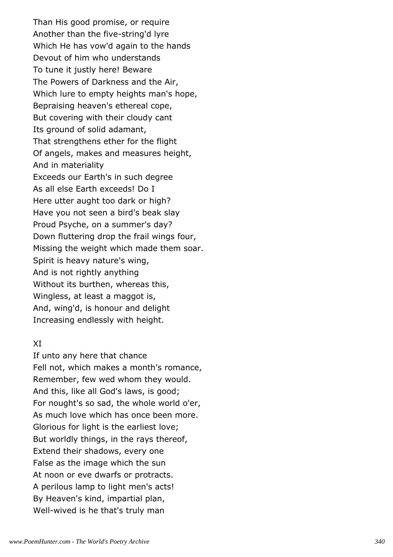Than His good promise, or require Another than the five-string'd lyre Which He has vow'd again to the hands Devout of him who understands To tune it justly here! Beware The Powers of Darkness and the Air, Which lure to empty heights man's hope, Bepraising heaven's ethereal cope, But covering with their cloudy cant Its ground of solid adamant, That strengthens ether for the flight Of angels, makes and measures height, And in materiality Exceeds our Earth's in such degree As all else Earth exceeds! Do I Here utter aught too dark or high? Have you not seen a bird's beak slay Proud Psyche, on a summer's day? Down fluttering drop the frail wings four, Missing the weight which made them soar. Spirit is heavy nature's wing, And is not rightly anything Without its burthen, whereas this, Wingless, at least a maggot is, And, wing'd, is honour and delight Increasing endlessly with height.

### XI

If unto any here that chance Fell not, which makes a month's romance, Remember, few wed whom they would. And this, like all God's laws, is good; For nought's so sad, the whole world o'er, As much love which has once been more. Glorious for light is the earliest love; But worldly things, in the rays thereof, Extend their shadows, every one False as the image which the sun At noon or eve dwarfs or protracts. A perilous lamp to light men's acts! By Heaven's kind, impartial plan, Well-wived is he that's truly man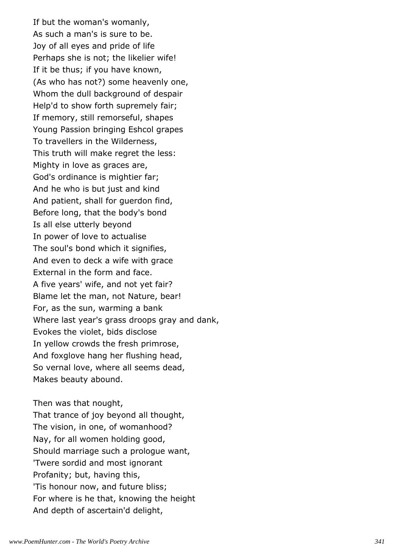If but the woman's womanly, As such a man's is sure to be. Joy of all eyes and pride of life Perhaps she is not; the likelier wife! If it be thus; if you have known, (As who has not?) some heavenly one, Whom the dull background of despair Help'd to show forth supremely fair; If memory, still remorseful, shapes Young Passion bringing Eshcol grapes To travellers in the Wilderness, This truth will make regret the less: Mighty in love as graces are, God's ordinance is mightier far; And he who is but just and kind And patient, shall for guerdon find, Before long, that the body's bond Is all else utterly beyond In power of love to actualise The soul's bond which it signifies, And even to deck a wife with grace External in the form and face. A five years' wife, and not yet fair? Blame let the man, not Nature, bear! For, as the sun, warming a bank Where last year's grass droops gray and dank, Evokes the violet, bids disclose In yellow crowds the fresh primrose, And foxglove hang her flushing head, So vernal love, where all seems dead, Makes beauty abound.

Then was that nought, That trance of joy beyond all thought, The vision, in one, of womanhood? Nay, for all women holding good, Should marriage such a prologue want, 'Twere sordid and most ignorant Profanity; but, having this, 'Tis honour now, and future bliss; For where is he that, knowing the height And depth of ascertain'd delight,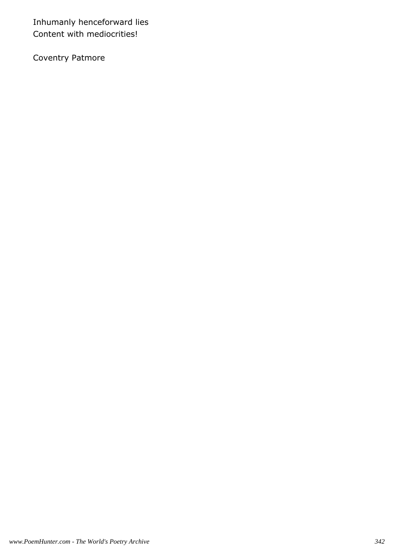Inhumanly henceforward lies Content with mediocrities!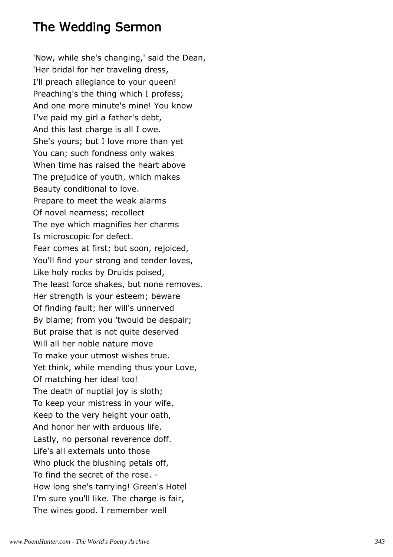# The Wedding Sermon

'Now, while she's changing,' said the Dean, 'Her bridal for her traveling dress, I'll preach allegiance to your queen! Preaching's the thing which I profess; And one more minute's mine! You know I've paid my girl a father's debt, And this last charge is all I owe. She's yours; but I love more than yet You can; such fondness only wakes When time has raised the heart above The prejudice of youth, which makes Beauty conditional to love. Prepare to meet the weak alarms Of novel nearness; recollect The eye which magnifies her charms Is microscopic for defect. Fear comes at first; but soon, rejoiced, You'll find your strong and tender loves, Like holy rocks by Druids poised, The least force shakes, but none removes. Her strength is your esteem; beware Of finding fault; her will's unnerved By blame; from you 'twould be despair; But praise that is not quite deserved Will all her noble nature move To make your utmost wishes true. Yet think, while mending thus your Love, Of matching her ideal too! The death of nuptial joy is sloth; To keep your mistress in your wife, Keep to the very height your oath, And honor her with arduous life. Lastly, no personal reverence doff. Life's all externals unto those Who pluck the blushing petals off, To find the secret of the rose. - How long she's tarrying! Green's Hotel I'm sure you'll like. The charge is fair, The wines good. I remember well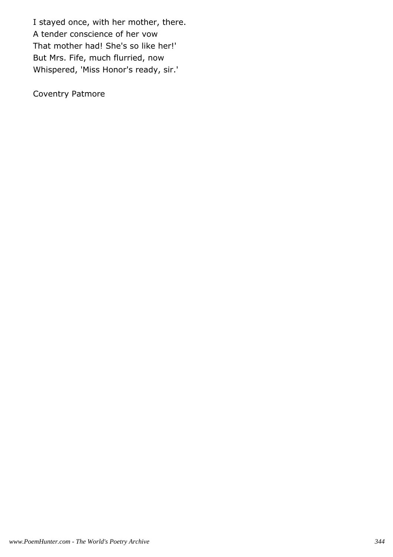I stayed once, with her mother, there. A tender conscience of her vow That mother had! She's so like her!' But Mrs. Fife, much flurried, now Whispered, 'Miss Honor's ready, sir.'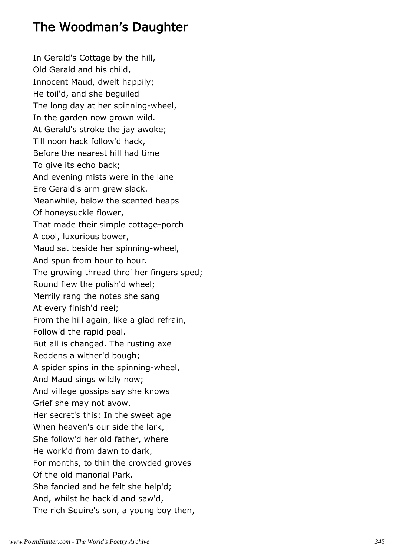# The Woodman's Daughter

In Gerald's Cottage by the hill, Old Gerald and his child, Innocent Maud, dwelt happily; He toil'd, and she beguiled The long day at her spinning-wheel, In the garden now grown wild. At Gerald's stroke the jay awoke; Till noon hack follow'd hack, Before the nearest hill had time To give its echo back; And evening mists were in the lane Ere Gerald's arm grew slack. Meanwhile, below the scented heaps Of honeysuckle flower, That made their simple cottage-porch A cool, luxurious bower, Maud sat beside her spinning-wheel, And spun from hour to hour. The growing thread thro' her fingers sped; Round flew the polish'd wheel; Merrily rang the notes she sang At every finish'd reel; From the hill again, like a glad refrain, Follow'd the rapid peal. But all is changed. The rusting axe Reddens a wither'd bough; A spider spins in the spinning-wheel, And Maud sings wildly now; And village gossips say she knows Grief she may not avow. Her secret's this: In the sweet age When heaven's our side the lark, She follow'd her old father, where He work'd from dawn to dark, For months, to thin the crowded groves Of the old manorial Park. She fancied and he felt she help'd; And, whilst he hack'd and saw'd, The rich Squire's son, a young boy then,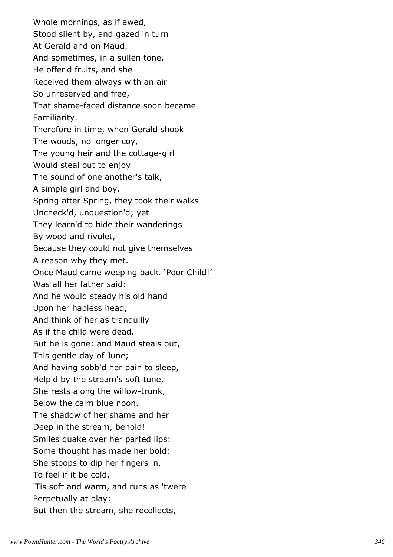Whole mornings, as if awed, Stood silent by, and gazed in turn At Gerald and on Maud. And sometimes, in a sullen tone, He offer'd fruits, and she Received them always with an air So unreserved and free, That shame-faced distance soon became Familiarity. Therefore in time, when Gerald shook The woods, no longer coy, The young heir and the cottage-girl Would steal out to enjoy The sound of one another's talk, A simple girl and boy. Spring after Spring, they took their walks Uncheck'd, unquestion'd; yet They learn'd to hide their wanderings By wood and rivulet, Because they could not give themselves A reason why they met. Once Maud came weeping back. 'Poor Child!' Was all her father said: And he would steady his old hand Upon her hapless head, And think of her as tranquilly As if the child were dead. But he is gone: and Maud steals out, This gentle day of June; And having sobb'd her pain to sleep, Help'd by the stream's soft tune, She rests along the willow-trunk, Below the calm blue noon. The shadow of her shame and her Deep in the stream, behold! Smiles quake over her parted lips: Some thought has made her bold; She stoops to dip her fingers in, To feel if it be cold. 'Tis soft and warm, and runs as 'twere Perpetually at play: But then the stream, she recollects,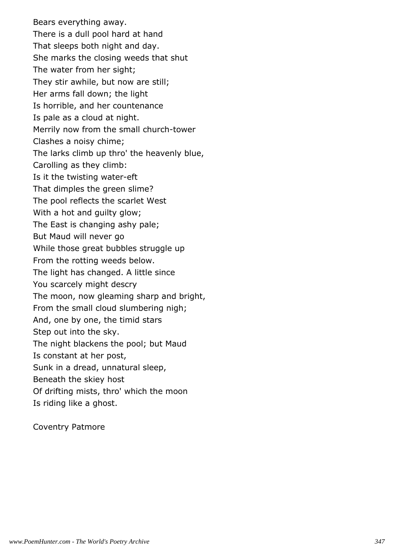Bears everything away. There is a dull pool hard at hand That sleeps both night and day. She marks the closing weeds that shut The water from her sight; They stir awhile, but now are still; Her arms fall down; the light Is horrible, and her countenance Is pale as a cloud at night. Merrily now from the small church-tower Clashes a noisy chime; The larks climb up thro' the heavenly blue, Carolling as they climb: Is it the twisting water-eft That dimples the green slime? The pool reflects the scarlet West With a hot and guilty glow; The East is changing ashy pale; But Maud will never go While those great bubbles struggle up From the rotting weeds below. The light has changed. A little since You scarcely might descry The moon, now gleaming sharp and bright, From the small cloud slumbering nigh; And, one by one, the timid stars Step out into the sky. The night blackens the pool; but Maud Is constant at her post, Sunk in a dread, unnatural sleep, Beneath the skiey host Of drifting mists, thro' which the moon Is riding like a ghost.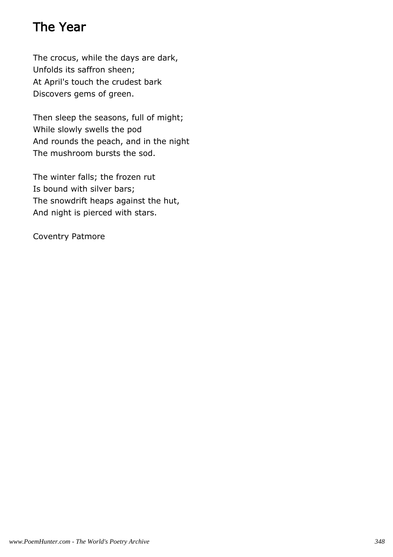# The Year

The crocus, while the days are dark, Unfolds its saffron sheen; At April's touch the crudest bark Discovers gems of green.

Then sleep the seasons, full of might; While slowly swells the pod And rounds the peach, and in the night The mushroom bursts the sod.

The winter falls; the frozen rut Is bound with silver bars; The snowdrift heaps against the hut, And night is pierced with stars.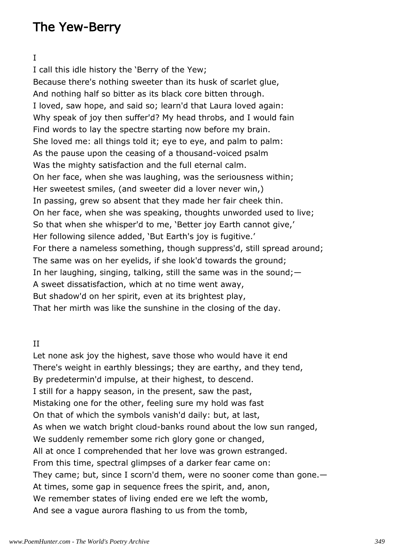# The Yew-Berry

### I

I call this idle history the 'Berry of the Yew; Because there's nothing sweeter than its husk of scarlet glue, And nothing half so bitter as its black core bitten through. I loved, saw hope, and said so; learn'd that Laura loved again: Why speak of joy then suffer'd? My head throbs, and I would fain Find words to lay the spectre starting now before my brain. She loved me: all things told it; eye to eye, and palm to palm: As the pause upon the ceasing of a thousand-voiced psalm Was the mighty satisfaction and the full eternal calm. On her face, when she was laughing, was the seriousness within; Her sweetest smiles, (and sweeter did a lover never win,) In passing, grew so absent that they made her fair cheek thin. On her face, when she was speaking, thoughts unworded used to live; So that when she whisper'd to me, 'Better joy Earth cannot give,' Her following silence added, 'But Earth's joy is fugitive.' For there a nameless something, though suppress'd, still spread around; The same was on her eyelids, if she look'd towards the ground; In her laughing, singing, talking, still the same was in the sound;  $-$ A sweet dissatisfaction, which at no time went away, But shadow'd on her spirit, even at its brightest play, That her mirth was like the sunshine in the closing of the day.

### II

Let none ask joy the highest, save those who would have it end There's weight in earthly blessings; they are earthy, and they tend, By predetermin'd impulse, at their highest, to descend. I still for a happy season, in the present, saw the past, Mistaking one for the other, feeling sure my hold was fast On that of which the symbols vanish'd daily: but, at last, As when we watch bright cloud-banks round about the low sun ranged, We suddenly remember some rich glory gone or changed, All at once I comprehended that her love was grown estranged. From this time, spectral glimpses of a darker fear came on: They came; but, since I scorn'd them, were no sooner come than gone.— At times, some gap in sequence frees the spirit, and, anon, We remember states of living ended ere we left the womb, And see a vague aurora flashing to us from the tomb,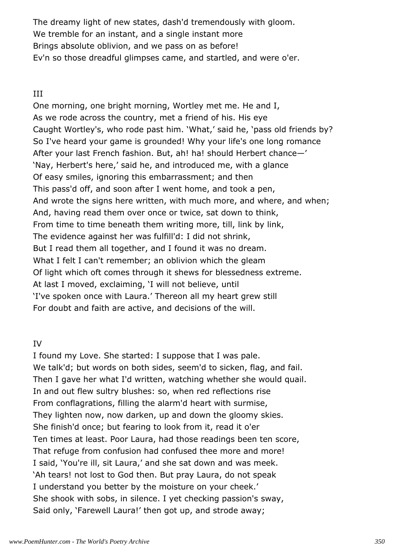The dreamy light of new states, dash'd tremendously with gloom. We tremble for an instant, and a single instant more Brings absolute oblivion, and we pass on as before! Ev'n so those dreadful glimpses came, and startled, and were o'er.

## III

One morning, one bright morning, Wortley met me. He and I, As we rode across the country, met a friend of his. His eye Caught Wortley's, who rode past him. 'What,' said he, 'pass old friends by? So I've heard your game is grounded! Why your life's one long romance After your last French fashion. But, ah! ha! should Herbert chance—' 'Nay, Herbert's here,' said he, and introduced me, with a glance Of easy smiles, ignoring this embarrassment; and then This pass'd off, and soon after I went home, and took a pen, And wrote the signs here written, with much more, and where, and when; And, having read them over once or twice, sat down to think, From time to time beneath them writing more, till, link by link, The evidence against her was fulfill'd: I did not shrink, But I read them all together, and I found it was no dream. What I felt I can't remember; an oblivion which the gleam Of light which oft comes through it shews for blessedness extreme. At last I moved, exclaiming, 'I will not believe, until 'I've spoken once with Laura.' Thereon all my heart grew still For doubt and faith are active, and decisions of the will.

## IV

I found my Love. She started: I suppose that I was pale. We talk'd; but words on both sides, seem'd to sicken, flag, and fail. Then I gave her what I'd written, watching whether she would quail. In and out flew sultry blushes: so, when red reflections rise From conflagrations, filling the alarm'd heart with surmise, They lighten now, now darken, up and down the gloomy skies. She finish'd once; but fearing to look from it, read it o'er Ten times at least. Poor Laura, had those readings been ten score, That refuge from confusion had confused thee more and more! I said, 'You're ill, sit Laura,' and she sat down and was meek. 'Ah tears! not lost to God then. But pray Laura, do not speak I understand you better by the moisture on your cheek.' She shook with sobs, in silence. I yet checking passion's sway, Said only, 'Farewell Laura!' then got up, and strode away;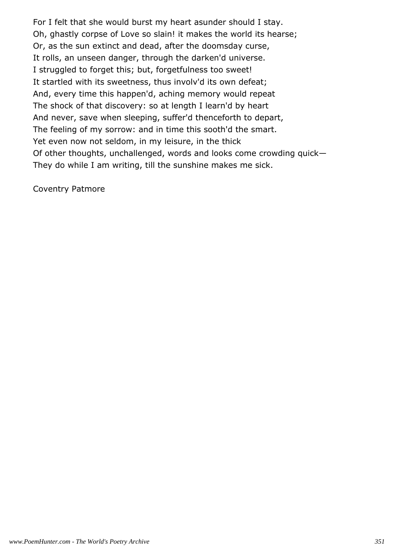For I felt that she would burst my heart asunder should I stay. Oh, ghastly corpse of Love so slain! it makes the world its hearse; Or, as the sun extinct and dead, after the doomsday curse, It rolls, an unseen danger, through the darken'd universe. I struggled to forget this; but, forgetfulness too sweet! It startled with its sweetness, thus involv'd its own defeat; And, every time this happen'd, aching memory would repeat The shock of that discovery: so at length I learn'd by heart And never, save when sleeping, suffer'd thenceforth to depart, The feeling of my sorrow: and in time this sooth'd the smart. Yet even now not seldom, in my leisure, in the thick Of other thoughts, unchallenged, words and looks come crowding quick— They do while I am writing, till the sunshine makes me sick.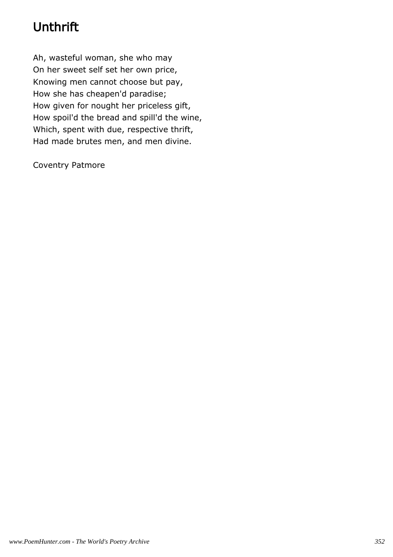# Unthrift

Ah, wasteful woman, she who may On her sweet self set her own price, Knowing men cannot choose but pay, How she has cheapen'd paradise; How given for nought her priceless gift, How spoil'd the bread and spill'd the wine, Which, spent with due, respective thrift, Had made brutes men, and men divine.